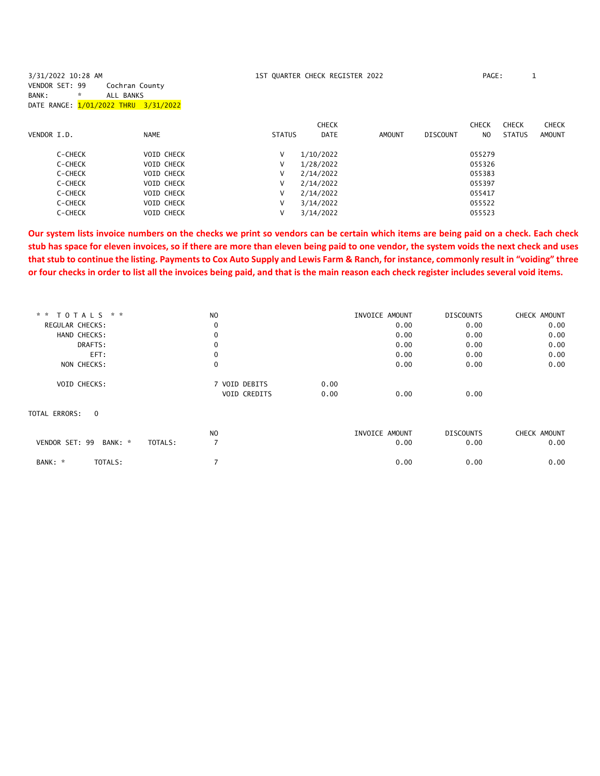| 3/31/2022 10:28 AM                   |                |                   |               | 1ST QUARTER CHECK REGISTER 2022 |               |          | PAGE:<br>ᆚ   |              |              |
|--------------------------------------|----------------|-------------------|---------------|---------------------------------|---------------|----------|--------------|--------------|--------------|
| VENDOR SET: 99                       | Cochran County |                   |               |                                 |               |          |              |              |              |
| $\mathbf{x}$<br>BANK:                | ALL BANKS      |                   |               |                                 |               |          |              |              |              |
| DATE RANGE: 1/01/2022 THRU 3/31/2022 |                |                   |               |                                 |               |          |              |              |              |
|                                      |                |                   |               |                                 |               |          |              |              |              |
|                                      |                |                   |               | <b>CHECK</b>                    |               |          | <b>CHECK</b> | <b>CHECK</b> | <b>CHECK</b> |
| VENDOR I.D.                          | <b>NAME</b>    |                   | <b>STATUS</b> | <b>DATE</b>                     | <b>AMOUNT</b> | DISCOUNT | NO.          | STATUS       | AMOUNT       |
|                                      |                |                   |               |                                 |               |          |              |              |              |
| C-CHECK                              |                | <b>VOID CHECK</b> | V             | 1/10/2022                       |               |          | 055279       |              |              |
| C-CHECK                              |                | <b>VOID CHECK</b> | V             | 1/28/2022                       |               |          | 055326       |              |              |
| C-CHECK                              |                | <b>VOID CHECK</b> | V             | 2/14/2022                       |               |          | 055383       |              |              |
| C-CHECK                              |                | <b>VOID CHECK</b> | V             | 2/14/2022                       |               |          | 055397       |              |              |
| C-CHECK                              |                | <b>VOID CHECK</b> | V             | 2/14/2022                       |               |          | 055417       |              |              |
| C-CHECK                              |                | <b>VOID CHECK</b> | V             | 3/14/2022                       |               |          | 055522       |              |              |
| C-CHECK                              |                | <b>VOID CHECK</b> | v             | 3/14/2022                       |               |          | 055523       |              |              |
|                                      |                |                   |               |                                 |               |          |              |              |              |

**Our system lists invoice numbers on the checks we print so vendors can be certain which items are being paid on a check. Each check stub has space for eleven invoices, so if there are more than eleven being paid to one vendor, the system voids the next check and uses that stub to continue the listing. Payments to Cox Auto Supply and Lewis Farm & Ranch, for instance, commonly result in "voiding" three or four checks in order to list all the invoices being paid, and that is the main reason each check register includes several void items.**

| * * TOTALS * *                       | N <sub>O</sub> | INVOICE AMOUNT | <b>DISCOUNTS</b> | CHECK AMOUNT |
|--------------------------------------|----------------|----------------|------------------|--------------|
| REGULAR CHECKS:                      | 0              | 0.00           | 0.00             | 0.00         |
| HAND CHECKS:                         | 0              | 0.00           | 0.00             | 0.00         |
| DRAFTS:                              | $\mathbf 0$    | 0.00           | 0.00             | 0.00         |
| EFT:                                 | 0              | 0.00           | 0.00             | 0.00         |
| NON CHECKS:                          | 0              | 0.00           | 0.00             | 0.00         |
| <b>VOID CHECKS:</b>                  | 7 VOID DEBITS  | 0.00           |                  |              |
|                                      | VOID CREDITS   | 0.00<br>0.00   | 0.00             |              |
| TOTAL ERRORS:<br>$\Omega$            |                |                |                  |              |
|                                      | N <sub>O</sub> | INVOICE AMOUNT | <b>DISCOUNTS</b> | CHECK AMOUNT |
| VENDOR SET: 99<br>BANK: *<br>TOTALS: | 7              | 0.00           | 0.00             | 0.00         |
| BANK: *<br>TOTALS:                   |                | 0.00           | 0.00             | 0.00         |
|                                      |                |                |                  |              |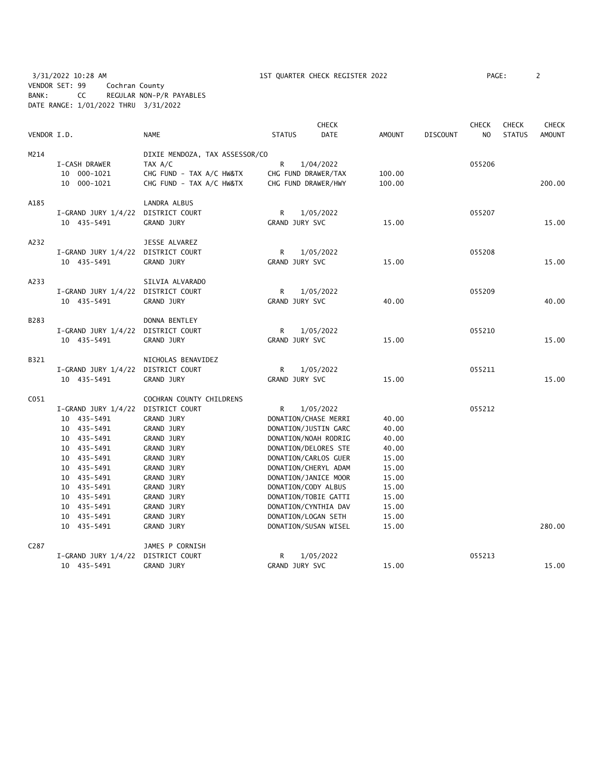3/31/2022 10:28 AM 1ST QUARTER CHECK REGISTER 2022 PAGE: 2 VENDOR SET: 99 Cochran County BANK: CC REGULAR NON-P/R PAYABLES DATE RANGE: 1/01/2022 THRU 3/31/2022

| VENDOR I.D.       |                                    | <b>NAME</b>                    | <b>STATUS</b>  | <b>CHECK</b><br>DATE | AMOUNT | <b>DISCOUNT</b> | <b>CHECK</b><br>NO | <b>CHECK</b><br><b>STATUS</b> | <b>CHECK</b><br>AMOUNT |
|-------------------|------------------------------------|--------------------------------|----------------|----------------------|--------|-----------------|--------------------|-------------------------------|------------------------|
| M214              |                                    | DIXIE MENDOZA, TAX ASSESSOR/CO |                |                      |        |                 |                    |                               |                        |
|                   | I-CASH DRAWER                      | TAX A/C                        | R              | 1/04/2022            |        |                 | 055206             |                               |                        |
|                   | 10 000-1021                        | CHG FUND - TAX A/C HW&TX       |                | CHG FUND DRAWER/TAX  | 100.00 |                 |                    |                               |                        |
|                   | 10 000-1021                        | CHG FUND - TAX A/C HW&TX       |                | CHG FUND DRAWER/HWY  | 100.00 |                 |                    |                               | 200.00                 |
| A185              |                                    | LANDRA ALBUS                   |                |                      |        |                 |                    |                               |                        |
|                   | I-GRAND JURY 1/4/22                | DISTRICT COURT                 | R              | 1/05/2022            |        |                 | 055207             |                               |                        |
|                   | 10 435-5491                        | <b>GRAND JURY</b>              | GRAND JURY SVC |                      | 15.00  |                 |                    |                               | 15.00                  |
| A232              |                                    | JESSE ALVAREZ                  |                |                      |        |                 |                    |                               |                        |
|                   | $I-GRAND$ JURY $1/4/22$            | DISTRICT COURT                 | R              | 1/05/2022            |        |                 | 055208             |                               |                        |
|                   | 10 435-5491                        | GRAND JURY                     | GRAND JURY SVC |                      | 15.00  |                 |                    |                               | 15.00                  |
| A233              |                                    | SILVIA ALVARADO                |                |                      |        |                 |                    |                               |                        |
|                   | $I-GRAND$ JURY $1/4/22$            | DISTRICT COURT                 | R              | 1/05/2022            |        |                 | 055209             |                               |                        |
|                   | 10 435-5491                        | <b>GRAND JURY</b>              | GRAND JURY SVC |                      | 40.00  |                 |                    |                               | 40.00                  |
| B283              |                                    | DONNA BENTLEY                  |                |                      |        |                 |                    |                               |                        |
|                   | $I-GRAND$ JURY $1/4/22$            | DISTRICT COURT                 | R              | 1/05/2022            |        |                 | 055210             |                               |                        |
|                   | 10 435-5491                        | <b>GRAND JURY</b>              | GRAND JURY SVC |                      | 15.00  |                 |                    |                               | 15.00                  |
| B321              |                                    | NICHOLAS BENAVIDEZ             |                |                      |        |                 |                    |                               |                        |
|                   | I-GRAND JURY 1/4/22 DISTRICT COURT |                                | R              | 1/05/2022            |        |                 | 055211             |                               |                        |
|                   | 10 435-5491                        | <b>GRAND JURY</b>              | GRAND JURY SVC |                      | 15.00  |                 |                    |                               | 15.00                  |
| C <sub>051</sub>  |                                    | COCHRAN COUNTY CHILDRENS       |                |                      |        |                 |                    |                               |                        |
|                   | $I-GRAND$ JURY $1/4/22$            | DISTRICT COURT                 | R.             | 1/05/2022            |        |                 | 055212             |                               |                        |
|                   | 10 435-5491                        | <b>GRAND JURY</b>              |                | DONATION/CHASE MERRI | 40.00  |                 |                    |                               |                        |
|                   | 10 435-5491                        | <b>GRAND JURY</b>              |                | DONATION/JUSTIN GARC | 40.00  |                 |                    |                               |                        |
|                   | 10 435-5491                        | <b>GRAND JURY</b>              |                | DONATION/NOAH RODRIG | 40.00  |                 |                    |                               |                        |
|                   | 10 435-5491                        | <b>GRAND JURY</b>              |                | DONATION/DELORES STE | 40.00  |                 |                    |                               |                        |
|                   | 10 435-5491                        | <b>GRAND JURY</b>              |                | DONATION/CARLOS GUER | 15.00  |                 |                    |                               |                        |
|                   | 10 435-5491                        | <b>GRAND JURY</b>              |                | DONATION/CHERYL ADAM | 15.00  |                 |                    |                               |                        |
|                   | 10 435-5491                        | <b>GRAND JURY</b>              |                | DONATION/JANICE MOOR | 15.00  |                 |                    |                               |                        |
|                   | 10 435-5491                        | GRAND JURY                     |                | DONATION/CODY ALBUS  | 15.00  |                 |                    |                               |                        |
|                   | 10 435-5491                        | GRAND JURY                     |                | DONATION/TOBIE GATTI | 15.00  |                 |                    |                               |                        |
|                   | 10 435-5491                        | GRAND JURY                     |                | DONATION/CYNTHIA DAV | 15.00  |                 |                    |                               |                        |
|                   | 10 435-5491                        | GRAND JURY                     |                | DONATION/LOGAN SETH  | 15.00  |                 |                    |                               |                        |
|                   | 10 435-5491                        | <b>GRAND JURY</b>              |                | DONATION/SUSAN WISEL | 15.00  |                 |                    |                               | 280.00                 |
| C <sub>2</sub> 87 |                                    | JAMES P CORNISH                |                |                      |        |                 |                    |                               |                        |
|                   | $I-GRAND$ JURY $1/4/22$            | DISTRICT COURT                 | R              | 1/05/2022            |        |                 | 055213             |                               |                        |
|                   | 10 435-5491                        | <b>GRAND JURY</b>              | GRAND JURY SVC |                      | 15.00  |                 |                    |                               | 15.00                  |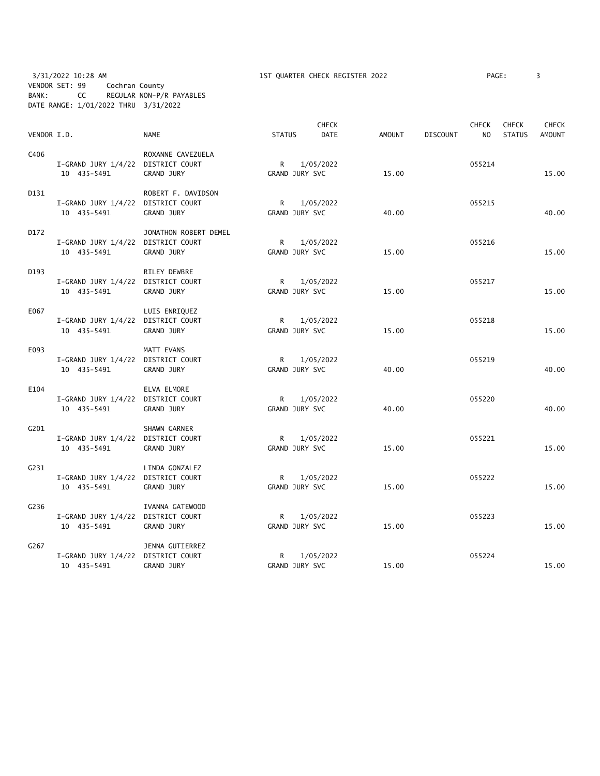3/31/2022 10:28 AM 1ST QUARTER CHECK REGISTER 2022 PAGE: 3 VENDOR SET: 99 Cochran County BANK: CC REGULAR NON-P/R PAYABLES DATE RANGE: 1/01/2022 THRU 3/31/2022

| VENDOR I.D. |                                                   | <b>NAME</b>           | <b>STATUS</b>                  | <b>CHECK</b><br><b>DATE</b> | <b>AMOUNT</b> | <b>DISCOUNT</b> | <b>CHECK</b><br>N <sub>O</sub> | <b>CHECK</b><br><b>STATUS</b> | <b>CHECK</b><br><b>AMOUNT</b> |
|-------------|---------------------------------------------------|-----------------------|--------------------------------|-----------------------------|---------------|-----------------|--------------------------------|-------------------------------|-------------------------------|
|             |                                                   |                       |                                |                             |               |                 |                                |                               |                               |
| C406        |                                                   | ROXANNE CAVEZUELA     |                                |                             |               |                 |                                |                               |                               |
|             | I-GRAND JURY 1/4/22 DISTRICT COURT                |                       | $\mathsf{R}$                   | 1/05/2022                   |               |                 | 055214                         |                               |                               |
|             | 10 435-5491                                       | GRAND JURY            | GRAND JURY SVC                 |                             | 15.00         |                 |                                |                               | 15.00                         |
| D131        |                                                   | ROBERT F. DAVIDSON    |                                |                             |               |                 |                                |                               |                               |
|             | I-GRAND JURY 1/4/22 DISTRICT COURT                |                       | $R \sim$                       | 1/05/2022                   |               |                 | 055215                         |                               |                               |
|             | 10 435-5491                                       | GRAND JURY            | GRAND JURY SVC                 |                             | 40.00         |                 |                                |                               | 40.00                         |
| D172        |                                                   | JONATHON ROBERT DEMEL |                                |                             |               |                 |                                |                               |                               |
|             | I-GRAND JURY 1/4/22 DISTRICT COURT                |                       | $\mathsf{R}$                   | 1/05/2022                   |               |                 | 055216                         |                               |                               |
|             | 10 435-5491                                       | GRAND JURY            | GRAND JURY SVC                 |                             | 15.00         |                 |                                |                               | 15.00                         |
| D193        |                                                   | RILEY DEWBRE          |                                |                             |               |                 |                                |                               |                               |
|             | I-GRAND JURY 1/4/22 DISTRICT COURT                |                       | R 1/05/2022                    |                             |               |                 | 055217                         |                               |                               |
|             | 10 435-5491                                       | GRAND JURY            | GRAND JURY SVC                 |                             | 15.00         |                 |                                |                               | 15.00                         |
| E067        |                                                   | LUIS ENRIQUEZ         |                                |                             |               |                 |                                |                               |                               |
|             | I-GRAND JURY 1/4/22 DISTRICT COURT                |                       | R                              | 1/05/2022                   |               |                 | 055218                         |                               |                               |
|             | 10 435-5491                                       | GRAND JURY            | GRAND JURY SVC                 |                             | 15.00         |                 |                                |                               | 15.00                         |
| E093        |                                                   |                       |                                |                             |               |                 |                                |                               |                               |
|             |                                                   | MATT EVANS            |                                |                             |               |                 | 055219                         |                               |                               |
|             | I-GRAND JURY 1/4/22 DISTRICT COURT<br>10 435-5491 | GRAND JURY            | $\mathsf{R}$<br>GRAND JURY SVC | 1/05/2022                   | 40.00         |                 |                                |                               | 40.00                         |
|             |                                                   |                       |                                |                             |               |                 |                                |                               |                               |
| E104        |                                                   | ELVA ELMORE           |                                |                             |               |                 |                                |                               |                               |
|             | I-GRAND JURY 1/4/22 DISTRICT COURT                |                       | R                              | 1/05/2022                   |               |                 | 055220                         |                               |                               |
|             | 10 435-5491                                       | GRAND JURY            | GRAND JURY SVC                 |                             | 40.00         |                 |                                |                               | 40.00                         |
| G201        |                                                   | SHAWN GARNER          |                                |                             |               |                 |                                |                               |                               |
|             | I-GRAND JURY 1/4/22 DISTRICT COURT                |                       | R                              | 1/05/2022                   |               |                 | 055221                         |                               |                               |
|             | 10 435-5491                                       | GRAND JURY            | GRAND JURY SVC                 |                             | 15.00         |                 |                                |                               | 15.00                         |
| G231        |                                                   | LINDA GONZALEZ        |                                |                             |               |                 |                                |                               |                               |
|             | I-GRAND JURY 1/4/22 DISTRICT COURT                |                       | R                              | 1/05/2022                   |               |                 | 055222                         |                               |                               |
|             | 10 435-5491                                       | GRAND JURY            | GRAND JURY SVC                 |                             | 15.00         |                 |                                |                               | 15.00                         |
| G236        |                                                   | IVANNA GATEWOOD       |                                |                             |               |                 |                                |                               |                               |
|             | I-GRAND JURY 1/4/22 DISTRICT COURT                |                       | R.                             | 1/05/2022                   |               |                 | 055223                         |                               |                               |
|             | 10 435-5491                                       | GRAND JURY            | GRAND JURY SVC                 |                             | 15.00         |                 |                                |                               | 15.00                         |
| G267        |                                                   | JENNA GUTIERREZ       |                                |                             |               |                 |                                |                               |                               |
|             | I-GRAND JURY 1/4/22 DISTRICT COURT                |                       | R                              | 1/05/2022                   |               |                 | 055224                         |                               |                               |
|             | 10 435-5491                                       | <b>GRAND JURY</b>     | GRAND JURY SVC                 |                             | 15.00         |                 |                                |                               | 15.00                         |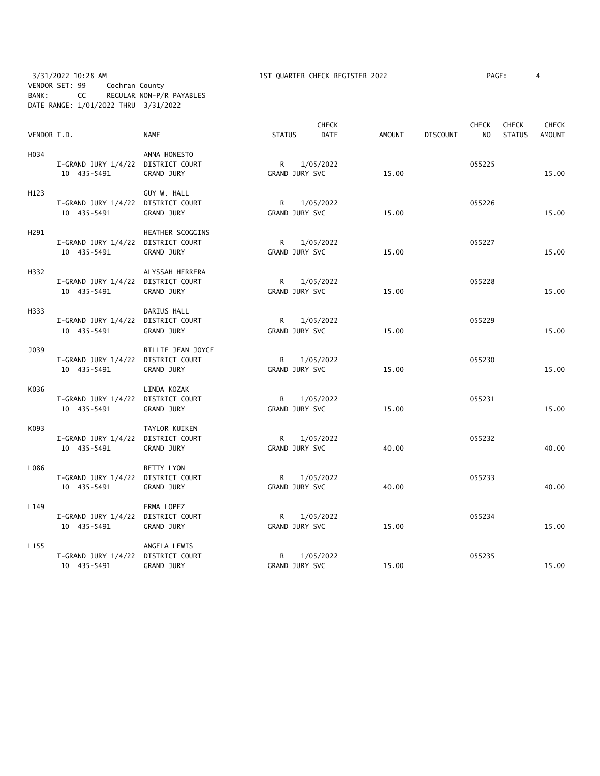3/31/2022 10:28 AM 1ST QUARTER CHECK REGISTER 2022 PAGE: 4 VENDOR SET: 99 Cochran County BANK: CC REGULAR NON-P/R PAYABLES DATE RANGE: 1/01/2022 THRU 3/31/2022

| VENDOR I.D.      |                                                   | <b>NAME</b>       | <b>STATUS</b>                  | <b>CHECK</b><br><b>DATE</b> | AMOUNT | <b>DISCOUNT</b> | <b>CHECK</b><br>N <sub>O</sub> | <b>CHECK</b><br><b>STATUS</b> | <b>CHECK</b><br><b>AMOUNT</b> |
|------------------|---------------------------------------------------|-------------------|--------------------------------|-----------------------------|--------|-----------------|--------------------------------|-------------------------------|-------------------------------|
|                  |                                                   |                   |                                |                             |        |                 |                                |                               |                               |
| H034             | I-GRAND JURY 1/4/22 DISTRICT COURT                | ANNA HONESTO      | $\mathsf{R}$                   | 1/05/2022                   |        |                 | 055225                         |                               |                               |
|                  | 10 435-5491                                       | GRAND JURY        | GRAND JURY SVC                 |                             | 15.00  |                 |                                |                               | 15.00                         |
| H123             |                                                   | GUY W. HALL       |                                |                             |        |                 |                                |                               |                               |
|                  | I-GRAND JURY 1/4/22 DISTRICT COURT<br>10 435-5491 | GRAND JURY        | R<br>GRAND JURY SVC            | 1/05/2022                   | 15.00  |                 | 055226                         |                               | 15.00                         |
| H291             |                                                   | HEATHER SCOGGINS  |                                |                             |        |                 |                                |                               |                               |
|                  | I-GRAND JURY 1/4/22 DISTRICT COURT<br>10 435-5491 | GRAND JURY        | R<br>GRAND JURY SVC            | 1/05/2022                   | 15.00  |                 | 055227                         |                               | 15.00                         |
| H332             |                                                   | ALYSSAH HERRERA   |                                |                             |        |                 |                                |                               |                               |
|                  | I-GRAND JURY 1/4/22 DISTRICT COURT<br>10 435-5491 | GRAND JURY        | R<br>GRAND JURY SVC            | 1/05/2022                   | 15.00  |                 | 055228                         |                               | 15.00                         |
| H333             |                                                   | DARIUS HALL       |                                |                             |        |                 |                                |                               |                               |
|                  | I-GRAND JURY 1/4/22 DISTRICT COURT<br>10 435-5491 | GRAND JURY        | R<br>GRAND JURY SVC            | 1/05/2022                   | 15.00  |                 | 055229                         |                               | 15.00                         |
| J039             |                                                   | BILLIE JEAN JOYCE |                                |                             |        |                 |                                |                               |                               |
|                  | I-GRAND JURY 1/4/22 DISTRICT COURT<br>10 435-5491 | GRAND JURY        | $R \sim$<br>GRAND JURY SVC     | 1/05/2022                   | 15.00  |                 | 055230                         |                               | 15.00                         |
| K036             |                                                   | LINDA KOZAK       |                                |                             |        |                 |                                |                               |                               |
|                  | I-GRAND JURY 1/4/22 DISTRICT COURT<br>10 435-5491 | GRAND JURY        | $\mathsf{R}$<br>GRAND JURY SVC | 1/05/2022                   | 15.00  |                 | 055231                         |                               | 15.00                         |
| K093             |                                                   | TAYLOR KUIKEN     |                                |                             |        |                 |                                |                               |                               |
|                  | I-GRAND JURY 1/4/22 DISTRICT COURT<br>10 435-5491 | GRAND JURY        | R<br>GRAND JURY SVC            | 1/05/2022                   | 40.00  |                 | 055232                         |                               | 40.00                         |
| L086             |                                                   | <b>BETTY LYON</b> |                                |                             |        |                 |                                |                               |                               |
|                  | I-GRAND JURY 1/4/22 DISTRICT COURT<br>10 435-5491 | <b>GRAND JURY</b> | $\mathsf{R}$<br>GRAND JURY SVC | 1/05/2022                   | 40.00  |                 | 055233                         |                               | 40.00                         |
| L149             |                                                   | ERMA LOPEZ        |                                |                             |        |                 |                                |                               |                               |
|                  | I-GRAND JURY 1/4/22 DISTRICT COURT<br>10 435-5491 | GRAND JURY        | R<br>GRAND JURY SVC            | 1/05/2022                   | 15.00  |                 | 055234                         |                               | 15.00                         |
| L <sub>155</sub> |                                                   | ANGELA LEWIS      |                                |                             |        |                 |                                |                               |                               |
|                  | I-GRAND JURY 1/4/22 DISTRICT COURT<br>10 435-5491 | GRAND JURY        | R<br>GRAND JURY SVC            | 1/05/2022                   | 15.00  |                 | 055235                         |                               | 15.00                         |
|                  |                                                   |                   |                                |                             |        |                 |                                |                               |                               |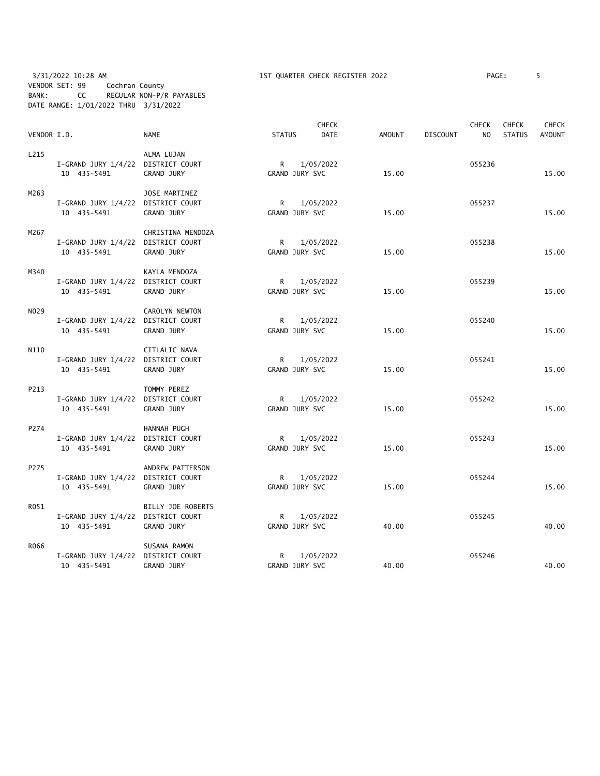# 3/31/2022 10:28 AM 1ST QUARTER CHECK REGISTER 2022 PAGE: 5 VENDOR SET: 99 Cochran County BANK: CC REGULAR NON-P/R PAYABLES DATE RANGE: 1/01/2022 THRU 3/31/2022

| VENDOR I.D. |                                    | <b>NAME</b>       | <b>STATUS</b>  | <b>CHECK</b><br><b>DATE</b> | <b>AMOUNT</b> | <b>DISCOUNT</b> | <b>CHECK</b><br>NO. | <b>CHECK</b><br><b>STATUS</b> | <b>CHECK</b><br><b>AMOUNT</b> |
|-------------|------------------------------------|-------------------|----------------|-----------------------------|---------------|-----------------|---------------------|-------------------------------|-------------------------------|
|             |                                    |                   |                |                             |               |                 |                     |                               |                               |
| L215        |                                    | ALMA LUJAN        |                |                             |               |                 |                     |                               |                               |
|             | I-GRAND JURY 1/4/22 DISTRICT COURT |                   | R              | 1/05/2022                   |               |                 | 055236              |                               |                               |
|             | 10 435-5491                        | <b>GRAND JURY</b> | GRAND JURY SVC |                             | 15.00         |                 |                     |                               | 15.00                         |
| M263        |                                    | JOSE MARTINEZ     |                |                             |               |                 |                     |                               |                               |
|             | I-GRAND JURY 1/4/22 DISTRICT COURT |                   | $\mathsf{R}$   | 1/05/2022                   |               |                 | 055237              |                               |                               |
|             | 10 435-5491                        | GRAND JURY        | GRAND JURY SVC |                             | 15.00         |                 |                     |                               | 15.00                         |
| M267        |                                    | CHRISTINA MENDOZA |                |                             |               |                 |                     |                               |                               |
|             | I-GRAND JURY 1/4/22 DISTRICT COURT |                   | R              | 1/05/2022                   |               |                 | 055238              |                               |                               |
|             | 10 435-5491                        | GRAND JURY        | GRAND JURY SVC |                             | 15.00         |                 |                     |                               | 15.00                         |
| M340        |                                    | KAYLA MENDOZA     |                |                             |               |                 |                     |                               |                               |
|             | I-GRAND JURY 1/4/22 DISTRICT COURT |                   | R              | 1/05/2022                   |               |                 | 055239              |                               |                               |
|             | 10 435-5491                        | GRAND JURY        | GRAND JURY SVC |                             | 15.00         |                 |                     |                               | 15.00                         |
|             |                                    |                   |                |                             |               |                 |                     |                               |                               |
| N029        |                                    | CAROLYN NEWTON    |                |                             |               |                 |                     |                               |                               |
|             | I-GRAND JURY 1/4/22 DISTRICT COURT |                   | R              | 1/05/2022                   |               |                 | 055240              |                               |                               |
|             | 10 435-5491                        | GRAND JURY        | GRAND JURY SVC |                             | 15.00         |                 |                     |                               | 15.00                         |
| N110        |                                    | CITLALIC NAVA     |                |                             |               |                 |                     |                               |                               |
|             | I-GRAND JURY 1/4/22 DISTRICT COURT |                   | R.             | 1/05/2022                   |               |                 | 055241              |                               |                               |
|             | 10 435-5491                        | GRAND JURY        | GRAND JURY SVC |                             | 15.00         |                 |                     |                               | 15.00                         |
| P213        |                                    | TOMMY PEREZ       |                |                             |               |                 |                     |                               |                               |
|             | I-GRAND JURY 1/4/22 DISTRICT COURT |                   | $\mathsf{R}$   | 1/05/2022                   |               |                 | 055242              |                               |                               |
|             | 10 435-5491                        | GRAND JURY        | GRAND JURY SVC |                             | 15.00         |                 |                     |                               | 15.00                         |
| P274        |                                    | HANNAH PUGH       |                |                             |               |                 |                     |                               |                               |
|             | I-GRAND JURY 1/4/22 DISTRICT COURT |                   | $\mathsf{R}$   | 1/05/2022                   |               |                 | 055243              |                               |                               |
|             | 10 435-5491                        | GRAND JURY        | GRAND JURY SVC |                             | 15.00         |                 |                     |                               | 15.00                         |
|             |                                    |                   |                |                             |               |                 |                     |                               |                               |
| P275        |                                    | ANDREW PATTERSON  |                |                             |               |                 |                     |                               |                               |
|             | I-GRAND JURY 1/4/22 DISTRICT COURT |                   | $\mathsf{R}$   | 1/05/2022                   |               |                 | 055244              |                               |                               |
|             | 10 435-5491                        | GRAND JURY        | GRAND JURY SVC |                             | 15.00         |                 |                     |                               | 15.00                         |
| R051        |                                    | BILLY JOE ROBERTS |                |                             |               |                 |                     |                               |                               |
|             | I-GRAND JURY 1/4/22 DISTRICT COURT |                   | R              | 1/05/2022                   |               |                 | 055245              |                               |                               |
|             | 10 435-5491                        | GRAND JURY        | GRAND JURY SVC |                             | 40.00         |                 |                     |                               | 40.00                         |
| R066        |                                    | SUSANA RAMON      |                |                             |               |                 |                     |                               |                               |
|             | I-GRAND JURY 1/4/22 DISTRICT COURT |                   | R              | 1/05/2022                   |               |                 | 055246              |                               |                               |
|             | 10 435-5491                        | GRAND JURY        | GRAND JURY SVC |                             | 40.00         |                 |                     |                               | 40.00                         |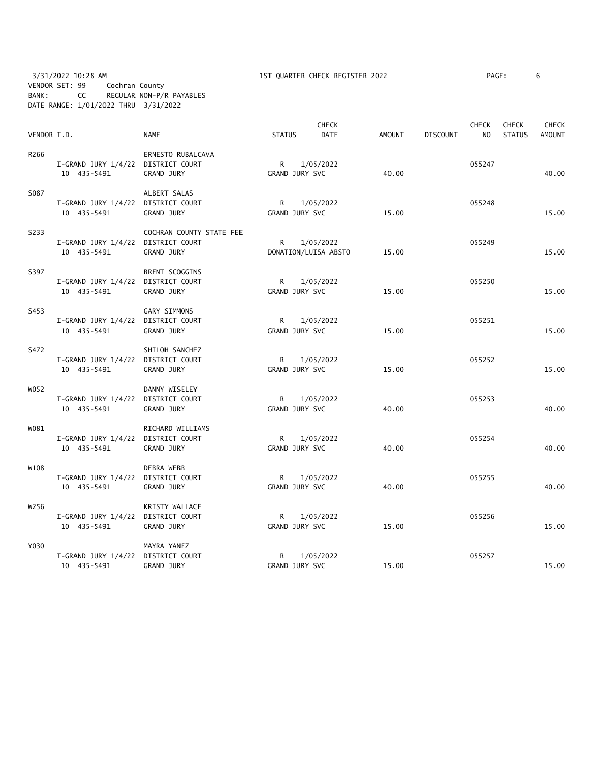3/31/2022 10:28 AM 1ST QUARTER CHECK REGISTER 2022 PAGE: 6 VENDOR SET: 99 Cochran County BANK: CC REGULAR NON-P/R PAYABLES DATE RANGE: 1/01/2022 THRU 3/31/2022

| VENDOR I.D. |                                                   | <b>NAME</b>                            | <b>STATUS</b>                  | <b>CHECK</b><br><b>DATE</b>       | <b>AMOUNT</b> | <b>DISCOUNT</b> | <b>CHECK</b><br>N <sub>O</sub> | <b>CHECK</b><br><b>STATUS</b> | <b>CHECK</b><br><b>AMOUNT</b> |
|-------------|---------------------------------------------------|----------------------------------------|--------------------------------|-----------------------------------|---------------|-----------------|--------------------------------|-------------------------------|-------------------------------|
| R266        | I-GRAND JURY 1/4/22 DISTRICT COURT<br>10 435-5491 | ERNESTO RUBALCAVA<br>GRAND JURY        | $\mathsf{R}$<br>GRAND JURY SVC | 1/05/2022                         | 40.00         |                 | 055247                         |                               | 40.00                         |
| S087        | I-GRAND JURY 1/4/22 DISTRICT COURT<br>10 435-5491 | ALBERT SALAS<br><b>GRAND JURY</b>      | $\mathsf{R}$<br>GRAND JURY SVC | 1/05/2022                         | 15.00         |                 | 055248                         |                               | 15.00                         |
| S233        | I-GRAND JURY 1/4/22 DISTRICT COURT<br>10 435-5491 | COCHRAN COUNTY STATE FEE<br>GRAND JURY | R                              | 1/05/2022<br>DONATION/LUISA ABSTO | 15.00         |                 | 055249                         |                               | 15.00                         |
| S397        | I-GRAND JURY 1/4/22 DISTRICT COURT<br>10 435-5491 | BRENT SCOGGINS<br>GRAND JURY           | $\mathsf{R}$<br>GRAND JURY SVC | 1/05/2022                         | 15.00         |                 | 055250                         |                               | 15.00                         |
| S453        | I-GRAND JURY 1/4/22 DISTRICT COURT<br>10 435-5491 | GARY SIMMONS<br>GRAND JURY             | R<br>GRAND JURY SVC            | 1/05/2022                         | 15.00         |                 | 055251                         |                               | 15.00                         |
| S472        | I-GRAND JURY 1/4/22 DISTRICT COURT<br>10 435-5491 | SHILOH SANCHEZ<br>GRAND JURY           | $\mathsf{R}$<br>GRAND JURY SVC | 1/05/2022                         | 15.00         |                 | 055252                         |                               | 15.00                         |
| W052        | I-GRAND JURY 1/4/22 DISTRICT COURT<br>10 435-5491 | DANNY WISELEY<br><b>GRAND JURY</b>     | R<br>GRAND JURY SVC            | 1/05/2022                         | 40.00         |                 | 055253                         |                               | 40.00                         |
| W081        | I-GRAND JURY 1/4/22 DISTRICT COURT<br>10 435-5491 | RICHARD WILLIAMS<br>GRAND JURY         | $\mathsf{R}$<br>GRAND JURY SVC | 1/05/2022                         | 40.00         |                 | 055254                         |                               | 40.00                         |
| W108        | I-GRAND JURY 1/4/22 DISTRICT COURT<br>10 435-5491 | DEBRA WEBB<br><b>GRAND JURY</b>        | R<br>GRAND JURY SVC            | 1/05/2022                         | 40.00         |                 | 055255                         |                               | 40.00                         |
| W256        | I-GRAND JURY 1/4/22 DISTRICT COURT<br>10 435-5491 | KRISTY WALLACE<br>GRAND JURY           | R.<br>GRAND JURY SVC           | 1/05/2022                         | 15.00         |                 | 055256                         |                               | 15.00                         |
| Y030        | I-GRAND JURY 1/4/22 DISTRICT COURT<br>10 435-5491 | MAYRA YANEZ<br>GRAND JURY              | R<br>GRAND JURY SVC            | 1/05/2022                         | 15.00         |                 | 055257                         |                               | 15.00                         |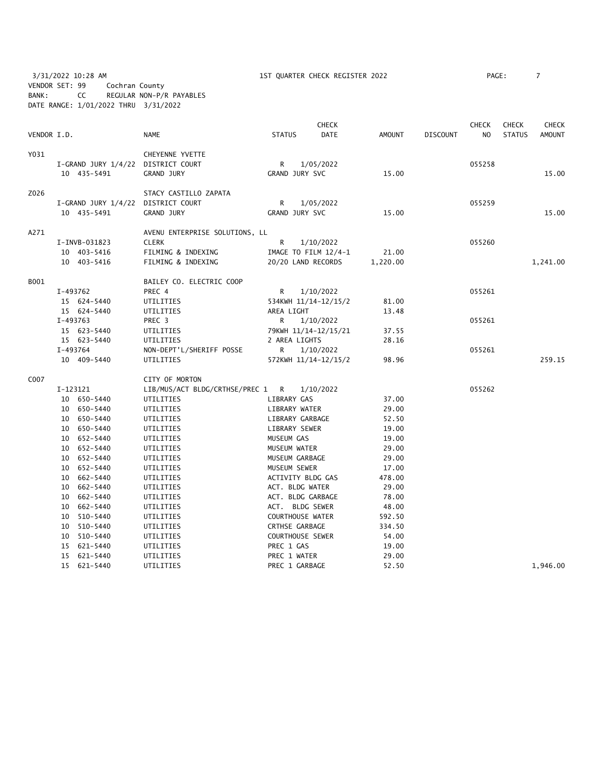3/31/2022 10:28 AM 1ST QUARTER CHECK REGISTER 2022 PAGE: 7 VENDOR SET: 99 Cochran County BANK: CC REGULAR NON-P/R PAYABLES DATE RANGE: 1/01/2022 THRU 3/31/2022

| VENDOR I.D. |                                                                                                                                                                                                                                                                                        | <b>NAME</b>                                                                                                                                                                                                                                                                                  | <b>STATUS</b>                                                                                                                                                                                                                                                                                                              | <b>CHECK</b><br><b>DATE</b>                                            | <b>AMOUNT</b>                                                                                                                                                     | DISCOUNT | <b>CHECK</b><br>N <sub>O</sub> | <b>CHECK</b><br><b>STATUS</b> | <b>CHECK</b><br><b>AMOUNT</b> |
|-------------|----------------------------------------------------------------------------------------------------------------------------------------------------------------------------------------------------------------------------------------------------------------------------------------|----------------------------------------------------------------------------------------------------------------------------------------------------------------------------------------------------------------------------------------------------------------------------------------------|----------------------------------------------------------------------------------------------------------------------------------------------------------------------------------------------------------------------------------------------------------------------------------------------------------------------------|------------------------------------------------------------------------|-------------------------------------------------------------------------------------------------------------------------------------------------------------------|----------|--------------------------------|-------------------------------|-------------------------------|
| Y031        | 10 435-5491                                                                                                                                                                                                                                                                            | CHEYENNE YVETTE<br>I-GRAND JURY 1/4/22 DISTRICT COURT<br><b>GRAND JURY</b>                                                                                                                                                                                                                   | R<br>GRAND JURY SVC                                                                                                                                                                                                                                                                                                        | 1/05/2022                                                              | 15.00                                                                                                                                                             |          | 055258                         |                               | 15.00                         |
| Z026        | 10 435-5491                                                                                                                                                                                                                                                                            | STACY CASTILLO ZAPATA<br>I-GRAND JURY 1/4/22 DISTRICT COURT<br>GRAND JURY                                                                                                                                                                                                                    | $\mathsf{R}$<br>GRAND JURY SVC                                                                                                                                                                                                                                                                                             | 1/05/2022                                                              | 15.00                                                                                                                                                             |          | 055259                         |                               | 15.00                         |
| A271        | I-INVB-031823<br>10 403-5416<br>10 403-5416                                                                                                                                                                                                                                            | AVENU ENTERPRISE SOLUTIONS, LL<br><b>CLERK</b><br>FILMING & INDEXING<br>FILMING & INDEXING                                                                                                                                                                                                   | $\mathsf{R}$<br>20/20 LAND RECORDS                                                                                                                                                                                                                                                                                         | 1/10/2022<br>IMAGE TO FILM $12/4-1$                                    | 21.00<br>1,220.00                                                                                                                                                 |          | 055260                         |                               | 1,241.00                      |
| B001        | I-493762<br>15 624-5440<br>15 624-5440<br>I-493763<br>15 623-5440                                                                                                                                                                                                                      | BAILEY CO. ELECTRIC COOP<br>PREC 4<br>UTILITIES<br>UTILITIES<br>PREC 3<br>UTILITIES                                                                                                                                                                                                          | R<br>AREA LIGHT<br>R                                                                                                                                                                                                                                                                                                       | 1/10/2022<br>534KWH 11/14-12/15/2<br>1/10/2022<br>79KWH 11/14-12/15/21 | 81.00<br>13.48<br>37.55                                                                                                                                           |          | 055261<br>055261               |                               |                               |
|             | 15 623-5440<br>I-493764<br>10 409-5440                                                                                                                                                                                                                                                 | UTILITIES<br>NON-DEPT'L/SHERIFF POSSE<br>UTILITIES                                                                                                                                                                                                                                           | 2 AREA LIGHTS<br>R                                                                                                                                                                                                                                                                                                         | 1/10/2022<br>572KWH 11/14-12/15/2                                      | 28.16<br>98.96                                                                                                                                                    |          | 055261                         |                               | 259.15                        |
| C007        | I-123121<br>10 650-5440<br>10 650-5440<br>10 650-5440<br>10 650-5440<br>10 652-5440<br>10 652-5440<br>10 652-5440<br>10 652-5440<br>10 662-5440<br>10 662-5440<br>10 662-5440<br>10 662-5440<br>10 510-5440<br>10 510-5440<br>10 510-5440<br>15 621-5440<br>15 621-5440<br>15 621-5440 | CITY OF MORTON<br>LIB/MUS/ACT BLDG/CRTHSE/PREC 1 R<br>UTILITIES<br>UTILITIES<br>UTILITIES<br>UTILITIES<br>UTILITIES<br>UTILITIES<br>UTILITIES<br>UTILITIES<br>UTILITIES<br>UTILITIES<br>UTILITIES<br>UTILITIES<br>UTILITIES<br>UTILITIES<br>UTILITIES<br>UTILITIES<br>UTILITIES<br>UTILITIES | LIBRARY GAS<br>LIBRARY WATER<br>LIBRARY GARBAGE<br>LIBRARY SEWER<br>MUSEUM GAS<br>MUSEUM WATER<br>MUSEUM GARBAGE<br>MUSEUM SEWER<br>ACTIVITY BLDG GAS<br>ACT. BLDG WATER<br>ACT. BLDG GARBAGE<br>ACT. BLDG SEWER<br>COURTHOUSE WATER<br>CRTHSE GARBAGE<br>COURTHOUSE SEWER<br>PREC 1 GAS<br>PREC 1 WATER<br>PREC 1 GARBAGE | 1/10/2022                                                              | 37.00<br>29.00<br>52.50<br>19.00<br>19.00<br>29.00<br>29.00<br>17.00<br>478.00<br>29.00<br>78.00<br>48.00<br>592.50<br>334.50<br>54.00<br>19.00<br>29.00<br>52.50 |          | 055262                         |                               | 1.946.00                      |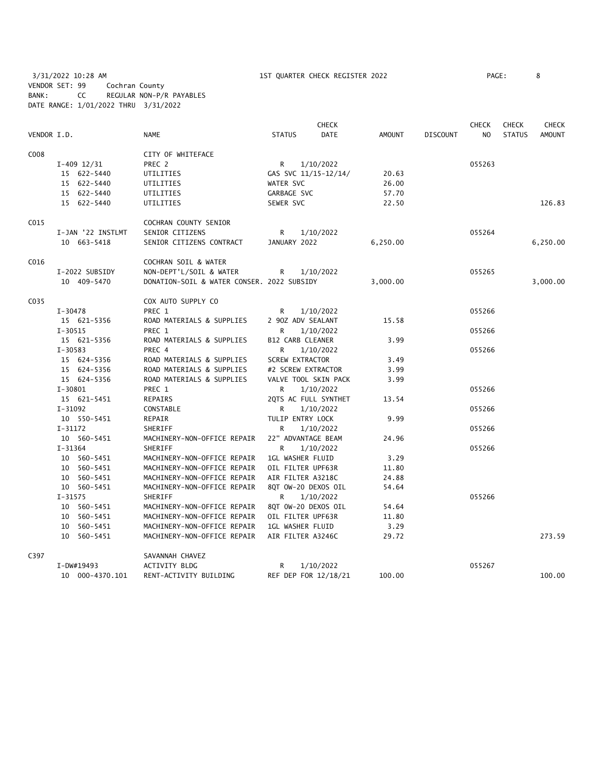3/31/2022 10:28 AM 1ST QUARTER CHECK REGISTER 2022 PAGE: 8 VENDOR SET: 99 Cochran County BANK: CC REGULAR NON-P/R PAYABLES DATE RANGE: 1/01/2022 THRU 3/31/2022

|             |             |                   |                                            |               | <b>CHECK</b>            |               |                 | <b>CHECK</b>   | <b>CHECK</b>  | <b>CHECK</b>  |
|-------------|-------------|-------------------|--------------------------------------------|---------------|-------------------------|---------------|-----------------|----------------|---------------|---------------|
| VENDOR I.D. |             |                   | <b>NAME</b>                                | <b>STATUS</b> | <b>DATE</b>             | <b>AMOUNT</b> | <b>DISCOUNT</b> | N <sub>O</sub> | <b>STATUS</b> | <b>AMOUNT</b> |
| C008        |             |                   | CITY OF WHITEFACE                          |               |                         |               |                 |                |               |               |
|             |             | $I-409$ 12/31     | PREC 2                                     | R             | 1/10/2022               |               |                 | 055263         |               |               |
|             |             | 15 622-5440       | UTILITIES                                  |               | GAS SVC 11/15-12/14/    | 20.63         |                 |                |               |               |
|             |             | 15 622-5440       | UTILITIES                                  | WATER SVC     |                         | 26.00         |                 |                |               |               |
|             |             | 15 622-5440       | UTILITIES                                  | GARBAGE SVC   |                         | 57.70         |                 |                |               |               |
|             |             | 15 622-5440       | UTILITIES                                  | SEWER SVC     |                         | 22.50         |                 |                |               | 126.83        |
| C015        |             |                   | COCHRAN COUNTY SENIOR                      |               |                         |               |                 |                |               |               |
|             |             | I-JAN '22 INSTLMT | SENIOR CITIZENS                            | R             | 1/10/2022               |               |                 | 055264         |               |               |
|             |             | 10 663-5418       | SENIOR CITIZENS CONTRACT                   | JANUARY 2022  |                         | 6,250.00      |                 |                |               | 6,250.00      |
| C016        |             |                   | COCHRAN SOIL & WATER                       |               |                         |               |                 |                |               |               |
|             |             | I-2022 SUBSIDY    | NON-DEPT'L/SOIL & WATER                    | R.            | 1/10/2022               |               |                 | 055265         |               |               |
|             |             | 10 409-5470       | DONATION-SOIL & WATER CONSER. 2022 SUBSIDY |               |                         | 3,000.00      |                 |                |               | 3,000.00      |
| C035        |             |                   | COX AUTO SUPPLY CO                         |               |                         |               |                 |                |               |               |
|             | I-30478     |                   | PREC 1                                     | R             | 1/10/2022               |               |                 | 055266         |               |               |
|             |             | 15 621-5356       | ROAD MATERIALS & SUPPLIES                  |               | 2 90Z ADV SEALANT       | 15.58         |                 |                |               |               |
|             | $I-30515$   |                   | PREC 1                                     | R             | 1/10/2022               |               |                 | 055266         |               |               |
|             |             | 15 621-5356       | ROAD MATERIALS & SUPPLIES                  |               | B12 CARB CLEANER        | 3.99          |                 |                |               |               |
|             | $I - 30583$ |                   | PREC 4                                     | R             | 1/10/2022               |               |                 | 055266         |               |               |
|             |             | 15 624-5356       | ROAD MATERIALS & SUPPLIES                  |               | <b>SCREW EXTRACTOR</b>  | 3.49          |                 |                |               |               |
|             |             | 15 624-5356       | ROAD MATERIALS & SUPPLIES                  |               | #2 SCREW EXTRACTOR      | 3.99          |                 |                |               |               |
|             |             | 15 624-5356       | ROAD MATERIALS & SUPPLIES                  |               | VALVE TOOL SKIN PACK    | 3.99          |                 |                |               |               |
|             | $I-30801$   |                   | PREC 1                                     | R.            | 1/10/2022               |               |                 | 055266         |               |               |
|             |             | 15 621-5451       | REPAIRS                                    |               | 2QTS AC FULL SYNTHET    | 13.54         |                 |                |               |               |
|             | $I-31092$   |                   | CONSTABLE                                  | R             | 1/10/2022               |               |                 | 055266         |               |               |
|             |             | 10 550-5451       | REPAIR                                     |               | TULIP ENTRY LOCK        | 9.99          |                 |                |               |               |
|             | $I-31172$   |                   | SHERIFF                                    | R             | 1/10/2022               |               |                 | 055266         |               |               |
|             |             | 10 560-5451       | MACHINERY-NON-OFFICE REPAIR                |               | 22" ADVANTAGE BEAM      | 24.96         |                 |                |               |               |
|             | $I - 31364$ |                   | <b>SHERIFF</b>                             | R             | 1/10/2022               |               |                 | 055266         |               |               |
|             |             | 10 560-5451       | MACHINERY-NON-OFFICE REPAIR                |               | 1GL WASHER FLUID        | 3.29          |                 |                |               |               |
|             |             | 10 560-5451       | MACHINERY-NON-OFFICE REPAIR                |               | OIL FILTER UPF63R       | 11.80         |                 |                |               |               |
|             |             | 10 560-5451       | MACHINERY-NON-OFFICE REPAIR                |               | AIR FILTER A3218C       | 24.88         |                 |                |               |               |
|             |             | 10 560-5451       | MACHINERY-NON-OFFICE REPAIR                |               | 8QT OW-20 DEXOS OIL     | 54.64         |                 |                |               |               |
|             | $I - 31575$ |                   | SHERIFF                                    | R             | 1/10/2022               |               |                 | 055266         |               |               |
|             |             | 10 560-5451       | MACHINERY-NON-OFFICE REPAIR                |               | 8QT 0W-20 DEXOS OIL     | 54.64         |                 |                |               |               |
|             |             | 10 560-5451       | MACHINERY-NON-OFFICE REPAIR                |               | OIL FILTER UPF63R       | 11.80         |                 |                |               |               |
|             |             | 10 560-5451       | MACHINERY-NON-OFFICE REPAIR                |               | <b>1GL WASHER FLUID</b> | 3.29          |                 |                |               |               |
|             |             | 10 560-5451       | MACHINERY-NON-OFFICE REPAIR                |               | AIR FILTER A3246C       | 29.72         |                 |                |               | 273.59        |
| C397        |             |                   | SAVANNAH CHAVEZ                            |               |                         |               |                 |                |               |               |
|             |             | I-DW#19493        | ACTIVITY BLDG                              | R             | 1/10/2022               |               |                 | 055267         |               |               |
|             |             | 10 000-4370.101   | RENT-ACTIVITY BUILDING                     |               | REF DEP FOR 12/18/21    | 100.00        |                 |                |               | 100.00        |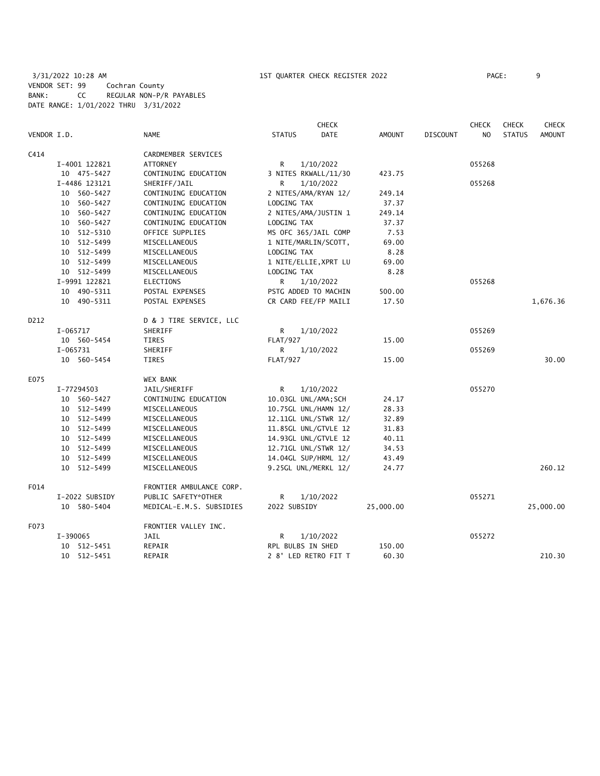3/31/2022 10:28 AM 1ST QUARTER CHECK REGISTER 2022 PAGE: 9 VENDOR SET: 99 Cochran County BANK: CC REGULAR NON-P/R PAYABLES DATE RANGE: 1/01/2022 THRU 3/31/2022

|             |                |                          |                      | <b>CHECK</b>          |               |                 | <b>CHECK</b>   | <b>CHECK</b>  | <b>CHECK</b>  |
|-------------|----------------|--------------------------|----------------------|-----------------------|---------------|-----------------|----------------|---------------|---------------|
| VENDOR I.D. |                | <b>NAME</b>              | <b>STATUS</b>        | <b>DATE</b>           | <b>AMOUNT</b> | <b>DISCOUNT</b> | N <sub>O</sub> | <b>STATUS</b> | <b>AMOUNT</b> |
| C414        |                | CARDMEMBER SERVICES      |                      |                       |               |                 |                |               |               |
|             | I-4001 122821  | <b>ATTORNEY</b>          | R                    | 1/10/2022             |               |                 | 055268         |               |               |
|             | 10 475-5427    | CONTINUING EDUCATION     |                      | 3 NITES RKWALL/11/30  | 423.75        |                 |                |               |               |
|             | I-4486 123121  | SHERIFF/JAIL             | R                    | 1/10/2022             |               |                 | 055268         |               |               |
|             | 10 560-5427    | CONTINUING EDUCATION     |                      | 2 NITES/AMA/RYAN 12/  | 249.14        |                 |                |               |               |
|             | 10 560-5427    | CONTINUING EDUCATION     | LODGING TAX          |                       | 37.37         |                 |                |               |               |
|             | 10 560-5427    | CONTINUING EDUCATION     |                      | 2 NITES/AMA/JUSTIN 1  | 249.14        |                 |                |               |               |
|             | 10 560-5427    | CONTINUING EDUCATION     | LODGING TAX          |                       | 37.37         |                 |                |               |               |
|             | 10 512-5310    | OFFICE SUPPLIES          |                      | MS OFC 365/JAIL COMP  | 7.53          |                 |                |               |               |
|             | 10 512-5499    | MISCELLANEOUS            |                      | 1 NITE/MARLIN/SCOTT,  | 69.00         |                 |                |               |               |
|             | 10 512-5499    | MISCELLANEOUS            | LODGING TAX          |                       | 8.28          |                 |                |               |               |
|             | 10 512-5499    | MISCELLANEOUS            |                      | 1 NITE/ELLIE, XPRT LU | 69.00         |                 |                |               |               |
|             | 10 512-5499    | MISCELLANEOUS            | LODGING TAX          |                       | 8.28          |                 |                |               |               |
|             | I-9991 122821  | <b>ELECTIONS</b>         | R                    | 1/10/2022             |               |                 | 055268         |               |               |
|             | 10 490-5311    | POSTAL EXPENSES          |                      | PSTG ADDED TO MACHIN  | 500.00        |                 |                |               |               |
|             | 10 490-5311    | POSTAL EXPENSES          |                      | CR CARD FEE/FP MAILI  | 17.50         |                 |                |               | 1,676.36      |
| D212        |                | D & J TIRE SERVICE, LLC  |                      |                       |               |                 |                |               |               |
|             | I-065717       | SHERIFF                  | R                    | 1/10/2022             |               |                 | 055269         |               |               |
|             | 10 560-5454    | <b>TIRES</b>             | <b>FLAT/927</b>      |                       | 15.00         |                 |                |               |               |
|             | I-065731       | SHERIFF                  | R                    | 1/10/2022             |               |                 | 055269         |               |               |
|             | 10 560-5454    | <b>TIRES</b>             | <b>FLAT/927</b>      |                       | 15.00         |                 |                |               | 30.00         |
| E075        |                | <b>WEX BANK</b>          |                      |                       |               |                 |                |               |               |
|             | I-77294503     | JAIL/SHERIFF             | R                    | 1/10/2022             |               |                 | 055270         |               |               |
|             | 10 560-5427    | CONTINUING EDUCATION     | 10.03GL UNL/AMA; SCH |                       | 24.17         |                 |                |               |               |
|             | 10 512-5499    | MISCELLANEOUS            |                      | 10.75GL UNL/HAMN 12/  | 28.33         |                 |                |               |               |
|             | 10 512-5499    | MISCELLANEOUS            |                      | 12.11GL UNL/STWR 12/  | 32.89         |                 |                |               |               |
|             | 10 512-5499    | MISCELLANEOUS            |                      | 11.85GL UNL/GTVLE 12  | 31.83         |                 |                |               |               |
|             | 10 512-5499    | MISCELLANEOUS            |                      | 14.93GL UNL/GTVLE 12  | 40.11         |                 |                |               |               |
|             | 10 512-5499    | MISCELLANEOUS            |                      | 12.71GL UNL/STWR 12/  | 34.53         |                 |                |               |               |
|             | 10 512-5499    | MISCELLANEOUS            |                      | 14.04GL SUP/HRML 12/  | 43.49         |                 |                |               |               |
|             | 10 512-5499    | MISCELLANEOUS            |                      | 9.25GL UNL/MERKL 12/  | 24.77         |                 |                |               | 260.12        |
| F014        |                | FRONTIER AMBULANCE CORP. |                      |                       |               |                 |                |               |               |
|             | I-2022 SUBSIDY | PUBLIC SAFETY*OTHER      | R                    | 1/10/2022             |               |                 | 055271         |               |               |
|             | 10 580-5404    | MEDICAL-E.M.S. SUBSIDIES | 2022 SUBSIDY         |                       | 25,000.00     |                 |                |               | 25,000.00     |
| F073        |                | FRONTIER VALLEY INC.     |                      |                       |               |                 |                |               |               |
|             | I-390065       | JAIL                     | R                    | 1/10/2022             |               |                 | 055272         |               |               |
|             | 10 512-5451    | REPAIR                   | RPL BULBS IN SHED    |                       | 150.00        |                 |                |               |               |
|             | 10 512-5451    | REPAIR                   |                      | 2 8' LED RETRO FIT T  | 60.30         |                 |                |               | 210.30        |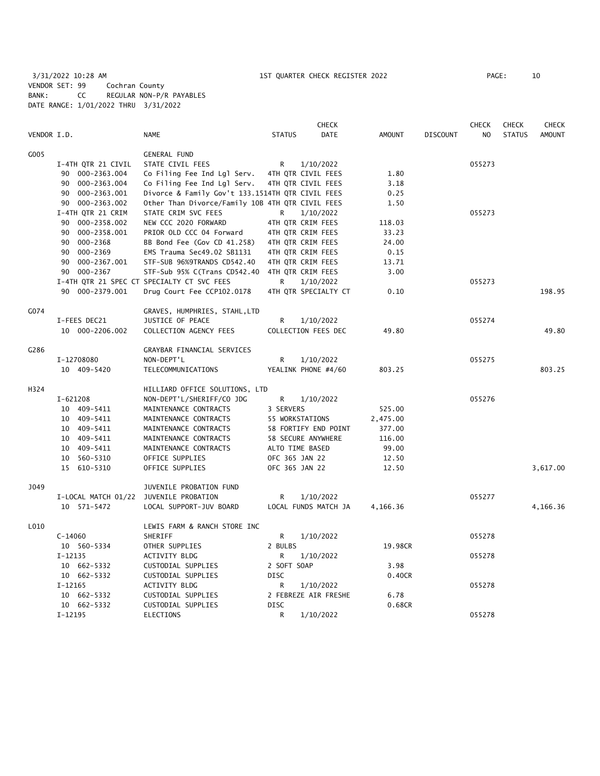3/31/2022 10:28 AM 1ST QUARTER CHECK REGISTER 2022 PAGE: 10 VENDOR SET: 99 Cochran County BANK: CC REGULAR NON-P/R PAYABLES DATE RANGE: 1/01/2022 THRU 3/31/2022

|             |                     |                                                    |                 | <b>CHECK</b>         |               |                 | <b>CHECK</b>   | <b>CHECK</b>  | <b>CHECK</b>  |
|-------------|---------------------|----------------------------------------------------|-----------------|----------------------|---------------|-----------------|----------------|---------------|---------------|
| VENDOR I.D. |                     | <b>NAME</b>                                        | <b>STATUS</b>   | <b>DATE</b>          | <b>AMOUNT</b> | <b>DISCOUNT</b> | N <sub>O</sub> | <b>STATUS</b> | <b>AMOUNT</b> |
| G005        |                     | <b>GENERAL FUND</b>                                |                 |                      |               |                 |                |               |               |
|             | I-4TH QTR 21 CIVIL  | STATE CIVIL FEES                                   | R               | 1/10/2022            |               |                 | 055273         |               |               |
|             | 90 000-2363.004     | Co Filing Fee Ind Lgl Serv.                        |                 | 4TH QTR CIVIL FEES   | 1.80          |                 |                |               |               |
|             | 90 000-2363.004     | Co Filing Fee Ind Lgl Serv.                        |                 | 4TH QTR CIVIL FEES   | 3.18          |                 |                |               |               |
|             | 90 000-2363.001     | Divorce & Family Gov't 133.1514TH QTR CIVIL FEES   |                 |                      | 0.25          |                 |                |               |               |
|             | 90 000-2363.002     | Other Than Divorce/Family 10B 4TH QTR CIVIL FEES   |                 |                      | 1.50          |                 |                |               |               |
|             | I-4TH QTR 21 CRIM   | STATE CRIM SVC FEES                                | R               | 1/10/2022            |               |                 | 055273         |               |               |
|             | 90 000-2358.002     | NEW CCC 2020 FORWARD                               |                 | 4TH QTR CRIM FEES    | 118.03        |                 |                |               |               |
|             | 90 000-2358.001     | PRIOR OLD CCC 04 Forward                           |                 | 4TH QTR CRIM FEES    | 33.23         |                 |                |               |               |
|             | 90 000-2368         | BB Bond Fee (Gov CD 41.258)                        |                 | 4TH QTR CRIM FEES    | 24.00         |                 |                |               |               |
|             | 90 000-2369         | EMS Trauma Sec49.02 SB1131                         |                 | 4TH QTR CRIM FEES    | 0.15          |                 |                |               |               |
|             | 90 000-2367.001     | STF-SUB 96%9TRANDS CD542.40                        |                 | 4TH QTR CRIM FEES    | 13.71         |                 |                |               |               |
|             | 90 000-2367         | STF-Sub 95% C(Trans CD542.40                       |                 | 4TH QTR CRIM FEES    | 3.00          |                 |                |               |               |
|             |                     | I-4TH QTR 21 SPEC CT SPECIALTY CT SVC FEES         | R               | 1/10/2022            |               |                 | 055273         |               |               |
|             |                     |                                                    |                 |                      |               |                 |                |               | 198.95        |
|             | 90 000-2379.001     | Drug Court Fee CCP102.0178                         |                 | 4TH QTR SPECIALTY CT | 0.10          |                 |                |               |               |
| G074        |                     | GRAVES, HUMPHRIES, STAHL, LTD                      |                 |                      |               |                 |                |               |               |
|             | I-FEES DEC21        | JUSTICE OF PEACE                                   | R               | 1/10/2022            |               |                 | 055274         |               |               |
|             | 10 000-2206.002     | COLLECTION AGENCY FEES                             |                 | COLLECTION FEES DEC  | 49.80         |                 |                |               | 49.80         |
| G286        |                     | GRAYBAR FINANCIAL SERVICES                         |                 |                      |               |                 |                |               |               |
|             | I-12708080          | NON-DEPT'L                                         | R               | 1/10/2022            |               |                 | 055275         |               |               |
|             | 10 409-5420         | TELECOMMUNICATIONS                                 |                 | YEALINK PHONE #4/60  | 803.25        |                 |                |               | 803.25        |
| H324        |                     |                                                    |                 |                      |               |                 |                |               |               |
|             | $I - 621208$        | HILLIARD OFFICE SOLUTIONS, LTD                     | R               |                      |               |                 | 055276         |               |               |
|             | 10 409-5411         | NON-DEPT'L/SHERIFF/CO JDG<br>MAINTENANCE CONTRACTS | 3 SERVERS       | 1/10/2022            | 525.00        |                 |                |               |               |
|             | 10 409-5411         |                                                    |                 |                      |               |                 |                |               |               |
|             |                     | MAINTENANCE CONTRACTS                              | 55 WORKSTATIONS |                      | 2,475.00      |                 |                |               |               |
|             | 10 409-5411         | MAINTENANCE CONTRACTS                              |                 | 58 FORTIFY END POINT | 377.00        |                 |                |               |               |
|             | 10 409-5411         | MAINTENANCE CONTRACTS                              |                 | 58 SECURE ANYWHERE   | 116.00        |                 |                |               |               |
|             | 10 409-5411         | MAINTENANCE CONTRACTS                              | ALTO TIME BASED |                      | 99.00         |                 |                |               |               |
|             | 10 560-5310         | OFFICE SUPPLIES                                    | OFC 365 JAN 22  |                      | 12.50         |                 |                |               |               |
|             | 15 610-5310         | OFFICE SUPPLIES                                    | OFC 365 JAN 22  |                      | 12.50         |                 |                |               | 3,617.00      |
| J049        |                     | JUVENILE PROBATION FUND                            |                 |                      |               |                 |                |               |               |
|             | I-LOCAL MATCH 01/22 | JUVENILE PROBATION                                 | R               | 1/10/2022            |               |                 | 055277         |               |               |
|             | 10 571-5472         | LOCAL SUPPORT-JUV BOARD                            |                 | LOCAL FUNDS MATCH JA | 4,166.36      |                 |                |               | 4,166.36      |
| L010        |                     | LEWIS FARM & RANCH STORE INC                       |                 |                      |               |                 |                |               |               |
|             | $C-14060$           | SHERIFF                                            | R               | 1/10/2022            |               |                 | 055278         |               |               |
|             | 10 560-5334         | OTHER SUPPLIES                                     | 2 BULBS         |                      | 19.98CR       |                 |                |               |               |
|             | $I-12135$           | <b>ACTIVITY BLDG</b>                               | R               | 1/10/2022            |               |                 | 055278         |               |               |
|             | 10 662-5332         | CUSTODIAL SUPPLIES                                 | 2 SOFT SOAP     |                      | 3.98          |                 |                |               |               |
|             | 10 662-5332         | CUSTODIAL SUPPLIES                                 | <b>DISC</b>     |                      | 0.40CR        |                 |                |               |               |
|             | $I-12165$           | ACTIVITY BLDG                                      | R               | 1/10/2022            |               |                 | 055278         |               |               |
|             | 10 662-5332         | CUSTODIAL SUPPLIES                                 |                 | 2 FEBREZE AIR FRESHE | 6.78          |                 |                |               |               |
|             | 10 662-5332         | CUSTODIAL SUPPLIES                                 | <b>DISC</b>     |                      | 0.68CR        |                 |                |               |               |
|             | $I-12195$           | ELECTIONS                                          | R               | 1/10/2022            |               |                 | 055278         |               |               |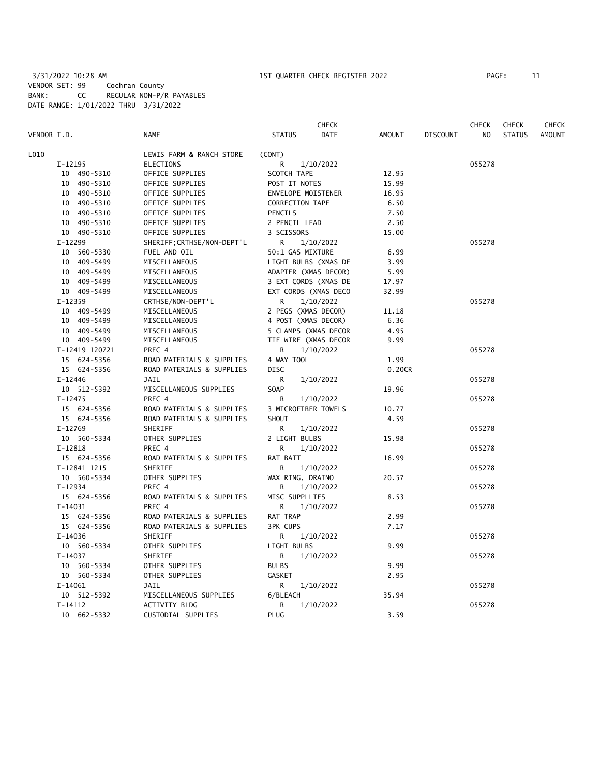|             |                |                            |                      | <b>CHECK</b> |        |                 | <b>CHECK</b>   | <b>CHECK</b>  | CHECK         |
|-------------|----------------|----------------------------|----------------------|--------------|--------|-----------------|----------------|---------------|---------------|
| VENDOR I.D. |                | <b>NAME</b>                | <b>STATUS</b>        | DATE         | AMOUNT | <b>DISCOUNT</b> | N <sub>O</sub> | <b>STATUS</b> | <b>AMOUNT</b> |
| L010        |                | LEWIS FARM & RANCH STORE   | (CONT)               |              |        |                 |                |               |               |
|             | $I-12195$      | ELECTIONS                  | R                    | 1/10/2022    |        |                 | 055278         |               |               |
|             | 10 490-5310    | OFFICE SUPPLIES            | SCOTCH TAPE          |              | 12.95  |                 |                |               |               |
|             | 10 490-5310    | OFFICE SUPPLIES            | POST IT NOTES        |              | 15.99  |                 |                |               |               |
|             | 10 490-5310    | OFFICE SUPPLIES            | ENVELOPE MOISTENER   |              | 16.95  |                 |                |               |               |
|             | 10 490-5310    | OFFICE SUPPLIES            | CORRECTION TAPE      |              | 6.50   |                 |                |               |               |
|             | 10 490-5310    | OFFICE SUPPLIES            | PENCILS              |              | 7.50   |                 |                |               |               |
|             | 10 490-5310    | OFFICE SUPPLIES            | 2 PENCIL LEAD        |              | 2.50   |                 |                |               |               |
|             | 10 490-5310    | OFFICE SUPPLIES            | 3 SCISSORS           |              | 15.00  |                 |                |               |               |
|             | I-12299        | SHERIFF; CRTHSE/NON-DEPT'L | R                    | 1/10/2022    |        |                 | 055278         |               |               |
|             | 10 560-5330    | FUEL AND OIL               | 50:1 GAS MIXTURE     |              | 6.99   |                 |                |               |               |
|             | 10 409-5499    | MISCELLANEOUS              | LIGHT BULBS (XMAS DE |              | 3.99   |                 |                |               |               |
|             | 10 409-5499    | MISCELLANEOUS              | ADAPTER (XMAS DECOR) |              | 5.99   |                 |                |               |               |
|             | 10 409-5499    | MISCELLANEOUS              | 3 EXT CORDS (XMAS DE |              | 17.97  |                 |                |               |               |
|             | 10 409-5499    | MISCELLANEOUS              | EXT CORDS (XMAS DECO |              | 32.99  |                 |                |               |               |
|             | $I-12359$      | CRTHSE/NON-DEPT'L          | R                    | 1/10/2022    |        |                 | 055278         |               |               |
|             | 10 409-5499    | MISCELLANEOUS              | 2 PEGS (XMAS DECOR)  |              | 11.18  |                 |                |               |               |
|             | 10 409-5499    | MISCELLANEOUS              | 4 POST (XMAS DECOR)  |              | 6.36   |                 |                |               |               |
|             | 10 409-5499    | MISCELLANEOUS              | 5 CLAMPS (XMAS DECOR |              | 4.95   |                 |                |               |               |
|             | 10 409-5499    | MISCELLANEOUS              | TIE WIRE (XMAS DECOR |              | 9.99   |                 |                |               |               |
|             | I-12419 120721 | PREC 4                     | R.                   | 1/10/2022    |        |                 | 055278         |               |               |
|             | 15 624-5356    | ROAD MATERIALS & SUPPLIES  | 4 WAY TOOL           |              | 1.99   |                 |                |               |               |
|             | 15 624-5356    | ROAD MATERIALS & SUPPLIES  | <b>DISC</b>          |              | 0.20CR |                 |                |               |               |
|             | $I - 12446$    | JAIL                       | R                    | 1/10/2022    |        |                 | 055278         |               |               |
|             | 10 512-5392    | MISCELLANEOUS SUPPLIES     | SOAP                 |              | 19.96  |                 |                |               |               |
|             | $I - 12475$    | PREC 4                     | R                    | 1/10/2022    |        |                 | 055278         |               |               |
|             | 15 624-5356    | ROAD MATERIALS & SUPPLIES  | 3 MICROFIBER TOWELS  |              | 10.77  |                 |                |               |               |
|             | 15 624-5356    | ROAD MATERIALS & SUPPLIES  | SHOUT                |              | 4.59   |                 |                |               |               |
|             | $I-12769$      | SHERIFF                    | R                    | 1/10/2022    |        |                 | 055278         |               |               |
|             | 10 560-5334    | OTHER SUPPLIES             | 2 LIGHT BULBS        |              | 15.98  |                 |                |               |               |
|             | $I-12818$      | PREC 4                     | R                    | 1/10/2022    |        |                 | 055278         |               |               |
|             | 15 624-5356    | ROAD MATERIALS & SUPPLIES  | RAT BAIT             |              | 16.99  |                 |                |               |               |
|             | I-12841 1215   | SHERIFF                    | R                    | 1/10/2022    |        |                 | 055278         |               |               |
|             | 10 560-5334    | OTHER SUPPLIES             | WAX RING, DRAINO     |              | 20.57  |                 |                |               |               |
|             | I-12934        | PREC 4                     | R                    | 1/10/2022    |        |                 | 055278         |               |               |
|             | 15 624-5356    | ROAD MATERIALS & SUPPLIES  | MISC SUPPLLIES       |              | 8.53   |                 |                |               |               |
|             | $I-14031$      | PREC 4                     | R                    | 1/10/2022    |        |                 | 055278         |               |               |
|             | 15 624-5356    | ROAD MATERIALS & SUPPLIES  | RAT TRAP             |              | 2.99   |                 |                |               |               |
|             | 15 624-5356    | ROAD MATERIALS & SUPPLIES  | <b>3PK CUPS</b>      |              | 7.17   |                 |                |               |               |
|             | $I-14036$      | SHERIFF                    | R                    | 1/10/2022    |        |                 | 055278         |               |               |
|             | 10 560-5334    | OTHER SUPPLIES             | LIGHT BULBS          |              | 9.99   |                 |                |               |               |
|             | $I-14037$      | SHERIFF                    | R                    | 1/10/2022    |        |                 | 055278         |               |               |
|             | 10 560-5334    | OTHER SUPPLIES             | <b>BULBS</b>         |              | 9.99   |                 |                |               |               |
|             | 10 560-5334    | OTHER SUPPLIES             | <b>GASKET</b>        |              | 2.95   |                 |                |               |               |
|             | $I-14061$      | JAIL                       | R                    | 1/10/2022    |        |                 | 055278         |               |               |
|             | 10 512-5392    | MISCELLANEOUS SUPPLIES     | 6/BLEACH             |              | 35.94  |                 |                |               |               |
|             | $I-14112$      | <b>ACTIVITY BLDG</b>       | R                    | 1/10/2022    |        |                 | 055278         |               |               |
|             | 10 662-5332    | CUSTODIAL SUPPLIES         | <b>PLUG</b>          |              | 3.59   |                 |                |               |               |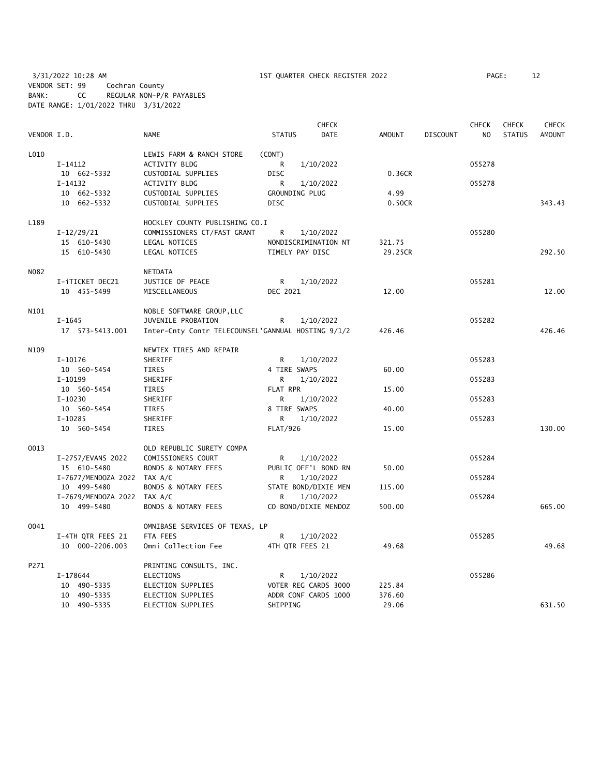3/31/2022 10:28 AM 1ST QUARTER CHECK REGISTER 2022 PAGE: 12 VENDOR SET: 99 Cochran County BANK: CC REGULAR NON-P/R PAYABLES DATE RANGE: 1/01/2022 THRU 3/31/2022

|             |                             |                                                    |                 | <b>CHECK</b>         |         |                 | <b>CHECK</b> | <b>CHECK</b>  | <b>CHECK</b> |
|-------------|-----------------------------|----------------------------------------------------|-----------------|----------------------|---------|-----------------|--------------|---------------|--------------|
| VENDOR I.D. |                             | <b>NAME</b>                                        | <b>STATUS</b>   | <b>DATE</b>          | AMOUNT  | <b>DISCOUNT</b> | NO.          | <b>STATUS</b> | AMOUNT       |
| L010        |                             | LEWIS FARM & RANCH STORE                           | (CONT)          |                      |         |                 |              |               |              |
|             | I-14112                     | <b>ACTIVITY BLDG</b>                               | R               | 1/10/2022            |         |                 | 055278       |               |              |
|             | 10 662-5332                 | CUSTODIAL SUPPLIES                                 | <b>DISC</b>     |                      | 0.36CR  |                 |              |               |              |
|             | $I-14132$                   | ACTIVITY BLDG                                      | R               | 1/10/2022            |         |                 | 055278       |               |              |
|             | 10 662-5332                 | CUSTODIAL SUPPLIES                                 | GROUNDING PLUG  |                      | 4.99    |                 |              |               |              |
|             | 10 662-5332                 | CUSTODIAL SUPPLIES                                 | <b>DISC</b>     |                      | 0.50CR  |                 |              |               | 343.43       |
| L189        |                             | HOCKLEY COUNTY PUBLISHING CO.I                     |                 |                      |         |                 |              |               |              |
|             | $I-12/29/21$                | COMMISSIONERS CT/FAST GRANT                        | R               | 1/10/2022            |         |                 | 055280       |               |              |
|             | 15 610-5430                 | LEGAL NOTICES                                      |                 | NONDISCRIMINATION NT | 321.75  |                 |              |               |              |
|             | 15 610-5430                 | LEGAL NOTICES                                      | TIMELY PAY DISC |                      | 29.25CR |                 |              |               | 292.50       |
| N082        |                             | <b>NETDATA</b>                                     |                 |                      |         |                 |              |               |              |
|             | I-iTICKET DEC21             | JUSTICE OF PEACE                                   | R               | 1/10/2022            |         |                 | 055281       |               |              |
|             | 10 455-5499                 | MISCELLANEOUS                                      | DEC 2021        |                      | 12.00   |                 |              |               | 12.00        |
|             |                             |                                                    |                 |                      |         |                 |              |               |              |
| N101        |                             | NOBLE SOFTWARE GROUP, LLC                          |                 |                      |         |                 |              |               |              |
|             | $I - 1645$                  | JUVENILE PROBATION                                 | R               | 1/10/2022            |         |                 | 055282       |               |              |
|             | 17  573-5413.001            | Inter-Cnty Contr TELECOUNSEL'GANNUAL HOSTING 9/1/2 |                 |                      | 426.46  |                 |              |               | 426.46       |
| N109        |                             | NEWTEX TIRES AND REPAIR                            |                 |                      |         |                 |              |               |              |
|             | $I-10176$                   | SHERIFF                                            | R               | 1/10/2022            |         |                 | 055283       |               |              |
|             | 10 560-5454                 | TIRES                                              | 4 TIRE SWAPS    |                      | 60.00   |                 |              |               |              |
|             | I-10199                     | SHERIFF                                            | R               | 1/10/2022            |         |                 | 055283       |               |              |
|             | 10 560-5454                 | <b>TIRES</b>                                       | FLAT RPR        |                      | 15.00   |                 |              |               |              |
|             | $I-10230$                   | SHERIFF                                            | R               | 1/10/2022            |         |                 | 055283       |               |              |
|             | 10 560-5454                 | TIRES                                              | 8 TIRE SWAPS    |                      | 40.00   |                 |              |               |              |
|             | $I-10285$                   | SHERIFF                                            | R               | 1/10/2022            |         |                 | 055283       |               |              |
|             | 10 560-5454                 | TIRES                                              | <b>FLAT/926</b> |                      | 15.00   |                 |              |               | 130.00       |
| 0013        |                             | OLD REPUBLIC SURETY COMPA                          |                 |                      |         |                 |              |               |              |
|             | I-2757/EVANS 2022           | COMISSIONERS COURT                                 | R               | 1/10/2022            |         |                 | 055284       |               |              |
|             | 15 610-5480                 | BONDS & NOTARY FEES                                |                 | PUBLIC OFF'L BOND RN | 50.00   |                 |              |               |              |
|             | I-7677/MENDOZA 2022 TAX A/C |                                                    | R               | 1/10/2022            |         |                 | 055284       |               |              |
|             | 10 499-5480                 | <b>BONDS &amp; NOTARY FEES</b>                     |                 | STATE BOND/DIXIE MEN | 115.00  |                 |              |               |              |
|             | I-7679/MENDOZA 2022 TAX A/C |                                                    | R               | 1/10/2022            |         |                 | 055284       |               |              |
|             | 10 499-5480                 | BONDS & NOTARY FEES                                |                 | CO BOND/DIXIE MENDOZ | 500.00  |                 |              |               | 665.00       |
| 0041        |                             | OMNIBASE SERVICES OF TEXAS, LP                     |                 |                      |         |                 |              |               |              |
|             | I-4TH QTR FEES 21           | FTA FEES                                           | R               | 1/10/2022            |         |                 | 055285       |               |              |
|             | 10 000-2206.003             | Omni Collection Fee                                | 4TH QTR FEES 21 |                      | 49.68   |                 |              |               | 49.68        |
| P271        |                             | PRINTING CONSULTS, INC.                            |                 |                      |         |                 |              |               |              |
|             | I-178644                    | <b>ELECTIONS</b>                                   | R               | 1/10/2022            |         |                 | 055286       |               |              |
|             | 10 490-5335                 | ELECTION SUPPLIES                                  |                 | VOTER REG CARDS 3000 | 225.84  |                 |              |               |              |
|             | 10 490-5335                 | ELECTION SUPPLIES                                  |                 | ADDR CONF CARDS 1000 | 376.60  |                 |              |               |              |
|             | 10 490-5335                 | ELECTION SUPPLIES                                  | SHIPPING        |                      | 29.06   |                 |              |               | 631.50       |
|             |                             |                                                    |                 |                      |         |                 |              |               |              |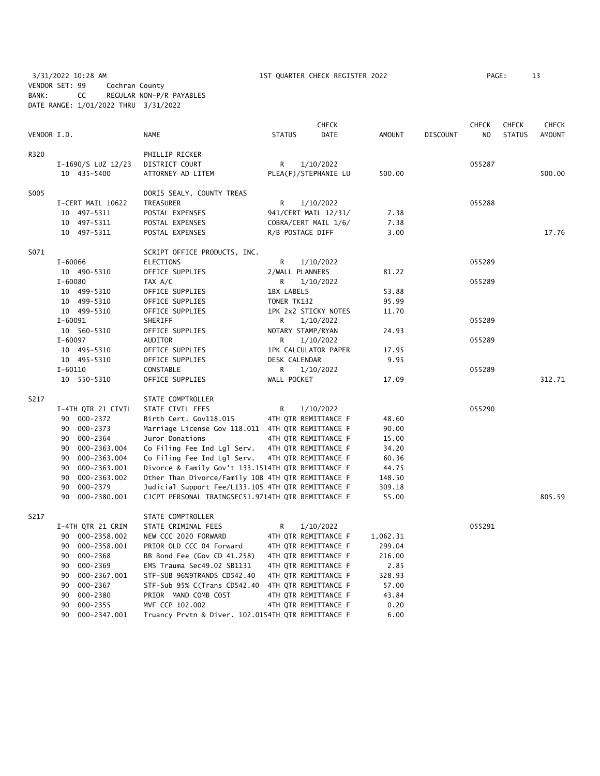3/31/2022 10:28 AM 1ST QUARTER CHECK REGISTER 2022 PAGE: 13 VENDOR SET: 99 Cochran County BANK: CC REGULAR NON-P/R PAYABLES DATE RANGE: 1/01/2022 THRU 3/31/2022

|             |                    |                                                    |                 | <b>CHECK</b>         |               |       |                 | <b>CHECK</b>   | <b>CHECK</b>  | <b>CHECK</b>  |
|-------------|--------------------|----------------------------------------------------|-----------------|----------------------|---------------|-------|-----------------|----------------|---------------|---------------|
| VENDOR I.D. |                    | <b>NAME</b>                                        | <b>STATUS</b>   | <b>DATE</b>          | <b>AMOUNT</b> |       | <b>DISCOUNT</b> | N <sub>O</sub> | <b>STATUS</b> | <b>AMOUNT</b> |
| R320        |                    | PHILLIP RICKER                                     |                 |                      |               |       |                 |                |               |               |
|             | I-1690/S LUZ 12/23 | DISTRICT COURT                                     | R               | 1/10/2022            |               |       |                 | 055287         |               |               |
|             | 10 435-5400        | ATTORNEY AD LITEM                                  |                 | PLEA(F)/STEPHANIE LU | 500.00        |       |                 |                |               | 500.00        |
| S005        |                    | DORIS SEALY, COUNTY TREAS                          |                 |                      |               |       |                 |                |               |               |
|             | I-CERT MAIL 10622  | TREASURER                                          | R               | 1/10/2022            |               |       |                 | 055288         |               |               |
|             | 10 497-5311        | POSTAL EXPENSES                                    |                 | 941/CERT MAIL 12/31/ |               | 7.38  |                 |                |               |               |
|             | 10 497-5311        | POSTAL EXPENSES                                    |                 | COBRA/CERT MAIL 1/6/ |               | 7.38  |                 |                |               |               |
|             | 10 497-5311        | POSTAL EXPENSES                                    |                 | R/B POSTAGE DIFF     |               | 3.00  |                 |                |               | 17.76         |
| S071        |                    | SCRIPT OFFICE PRODUCTS, INC.                       |                 |                      |               |       |                 |                |               |               |
|             | $I - 60066$        | ELECTIONS                                          | R               | 1/10/2022            |               |       |                 | 055289         |               |               |
|             | 10 490-5310        | OFFICE SUPPLIES                                    | 2/WALL PLANNERS |                      |               | 81.22 |                 |                |               |               |
|             | $I - 60080$        | TAX A/C                                            | R               | 1/10/2022            |               |       |                 | 055289         |               |               |
|             | 10 499-5310        | OFFICE SUPPLIES                                    | 1BX LABELS      |                      |               | 53.88 |                 |                |               |               |
|             | 10 499-5310        | OFFICE SUPPLIES                                    | TONER TK132     |                      |               | 95.99 |                 |                |               |               |
|             | 10 499-5310        | OFFICE SUPPLIES                                    |                 | 1PK 2x2 STICKY NOTES |               | 11.70 |                 |                |               |               |
|             | $I - 60091$        | SHERIFF                                            | R               | 1/10/2022            |               |       |                 | 055289         |               |               |
|             | 10 560-5310        | OFFICE SUPPLIES                                    |                 | NOTARY STAMP/RYAN    |               | 24.93 |                 |                |               |               |
|             | $I - 60097$        | AUDITOR                                            | R               | 1/10/2022            |               |       |                 | 055289         |               |               |
|             | 10 495-5310        | OFFICE SUPPLIES                                    |                 | 1PK CALCULATOR PAPER |               | 17.95 |                 |                |               |               |
|             | 10 495-5310        | OFFICE SUPPLIES                                    | DESK CALENDAR   |                      |               | 9.95  |                 |                |               |               |
|             | $I - 60110$        | CONSTABLE                                          | R               | 1/10/2022            |               |       |                 | 055289         |               |               |
|             | 10 550-5310        | OFFICE SUPPLIES                                    | WALL POCKET     |                      |               | 17.09 |                 |                |               | 312.71        |
| S217        |                    | STATE COMPTROLLER                                  |                 |                      |               |       |                 |                |               |               |
|             | I-4TH QTR 21 CIVIL | STATE CIVIL FEES                                   | R               | 1/10/2022            |               |       |                 | 055290         |               |               |
|             | 90 000-2372        | Birth Cert. Gov118.015                             |                 | 4TH QTR REMITTANCE F |               | 48.60 |                 |                |               |               |
|             | 90 000-2373        | Marriage License Gov 118.011 4TH QTR REMITTANCE F  |                 |                      |               | 90.00 |                 |                |               |               |
|             | 000-2364<br>90     | Juror Donations                                    |                 | 4TH QTR REMITTANCE F |               | 15.00 |                 |                |               |               |
|             | 000-2363.004<br>90 | Co Filing Fee Ind Lgl Serv.                        |                 | 4TH QTR REMITTANCE F |               | 34.20 |                 |                |               |               |
|             | 90<br>000-2363.004 | Co Filing Fee Ind Lgl Serv.                        |                 | 4TH QTR REMITTANCE F |               | 60.36 |                 |                |               |               |
|             | 90<br>000-2363.001 | Divorce & Family Gov't 133.1514TH QTR REMITTANCE F |                 |                      |               | 44.75 |                 |                |               |               |
|             | 000-2363.002<br>90 | Other Than Divorce/Family 10B 4TH QTR REMITTANCE F |                 |                      | 148.50        |       |                 |                |               |               |
|             | 000-2379<br>90     | Judicial Support Fee/L133.105 4TH QTR REMITTANCE F |                 |                      | 309.18        |       |                 |                |               |               |
|             | 000-2380.001<br>90 | CJCPT PERSONAL TRAINGSEC51.9714TH QTR REMITTANCE F |                 |                      |               | 55.00 |                 |                |               | 805.59        |
| S217        |                    | STATE COMPTROLLER                                  |                 |                      |               |       |                 |                |               |               |
|             | I-4TH QTR 21 CRIM  | STATE CRIMINAL FEES                                | R               | 1/10/2022            |               |       |                 | 055291         |               |               |
|             | 90 000-2358.002    | NEW CCC 2020 FORWARD                               |                 | 4TH QTR REMITTANCE F | 1,062.31      |       |                 |                |               |               |
|             | 90 000-2358.001    | PRIOR OLD CCC 04 Forward                           |                 | 4TH QTR REMITTANCE F | 299.04        |       |                 |                |               |               |
|             | 000-2368<br>90     | BB Bond Fee (Gov CD 41.258)                        |                 | 4TH QTR REMITTANCE F | 216.00        |       |                 |                |               |               |
|             | 000-2369<br>90     | EMS Trauma Sec49.02 SB1131                         |                 | 4TH QTR REMITTANCE F |               | 2.85  |                 |                |               |               |
|             | 90<br>000-2367.001 | STF-SUB 96%9TRANDS CD542.40                        |                 | 4TH QTR REMITTANCE F | 328.93        |       |                 |                |               |               |
|             | 000-2367<br>90     | STF-Sub 95% C(Trans CD542.40                       |                 | 4TH QTR REMITTANCE F |               | 57.00 |                 |                |               |               |
|             | 90<br>000-2380     | PRIOR MAND COMB COST                               |                 | 4TH QTR REMITTANCE F |               | 43.84 |                 |                |               |               |
|             | 90<br>$000 - 2355$ | MVF CCP 102.002                                    |                 | 4TH QTR REMITTANCE F |               | 0.20  |                 |                |               |               |

90 000-2347.001 Truancy Prvtn & Diver. 102.0154TH QTR REMITTANCE F 6.00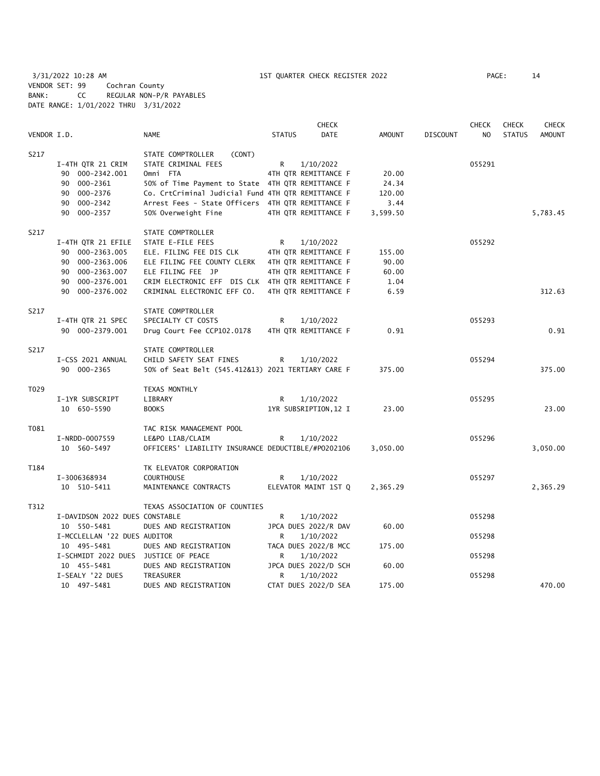3/31/2022 10:28 AM 1ST QUARTER CHECK REGISTER 2022 PAGE: 14 VENDOR SET: 99 Cochran County BANK: CC REGULAR NON-P/R PAYABLES DATE RANGE: 1/01/2022 THRU 3/31/2022

|             |                                |                                                    |               | <b>CHECK</b>          |               |                 | <b>CHECK</b>   | <b>CHECK</b>  | <b>CHECK</b>  |
|-------------|--------------------------------|----------------------------------------------------|---------------|-----------------------|---------------|-----------------|----------------|---------------|---------------|
| VENDOR I.D. |                                | <b>NAME</b>                                        | <b>STATUS</b> | DATE                  | <b>AMOUNT</b> | <b>DISCOUNT</b> | N <sub>O</sub> | <b>STATUS</b> | <b>AMOUNT</b> |
| S217        |                                | STATE COMPTROLLER<br>(CONT)                        |               |                       |               |                 |                |               |               |
|             | I-4TH QTR 21 CRIM              | STATE CRIMINAL FEES                                | R.            | 1/10/2022             |               |                 | 055291         |               |               |
|             | 90 000-2342.001                | Omni FTA                                           |               | 4TH QTR REMITTANCE F  | 20.00         |                 |                |               |               |
|             | 90 000-2361                    | 50% of Time Payment to State 4TH QTR REMITTANCE F  |               |                       | 24.34         |                 |                |               |               |
|             | 90 000-2376                    | Co. CrtCriminal Judicial Fund 4TH QTR REMITTANCE F |               |                       | 120.00        |                 |                |               |               |
|             | 90 000-2342                    | Arrest Fees - State Officers 4TH QTR REMITTANCE F  |               |                       | 3.44          |                 |                |               |               |
|             | 90 000-2357                    | 50% Overweight Fine                                |               | 4TH OTR REMITTANCE F  | 3,599.50      |                 |                |               | 5,783.45      |
| S217        |                                | STATE COMPTROLLER                                  |               |                       |               |                 |                |               |               |
|             | I-4TH QTR 21 EFILE             | STATE E-FILE FEES                                  | R             | 1/10/2022             |               |                 | 055292         |               |               |
|             | 90 000-2363.005                | ELE. FILING FEE DIS CLK                            |               | 4TH QTR REMITTANCE F  | 155.00        |                 |                |               |               |
|             | 90 000-2363.006                | ELE FILING FEE COUNTY CLERK                        |               | 4TH OTR REMITTANCE F  | 90.00         |                 |                |               |               |
|             |                                |                                                    |               |                       |               |                 |                |               |               |
|             | 90 000-2363.007                | ELE FILING FEE JP                                  |               | 4TH QTR REMITTANCE F  | 60.00         |                 |                |               |               |
|             | 90 000-2376.001                | CRIM ELECTRONIC EFF DIS CLK 4TH QTR REMITTANCE F   |               |                       | 1.04          |                 |                |               |               |
|             | 90 000-2376.002                | CRIMINAL ELECTRONIC EFF CO.                        |               | 4TH OTR REMITTANCE F  | 6.59          |                 |                |               | 312.63        |
| S217        |                                | STATE COMPTROLLER                                  |               |                       |               |                 |                |               |               |
|             | I-4TH QTR 21 SPEC              | SPECIALTY CT COSTS                                 | R             | 1/10/2022             |               |                 | 055293         |               |               |
|             | 90 000-2379.001                | Drug Court Fee CCP102.0178                         |               | 4TH QTR REMITTANCE F  | 0.91          |                 |                |               | 0.91          |
| S217        |                                | STATE COMPTROLLER                                  |               |                       |               |                 |                |               |               |
|             | I-CSS 2021 ANNUAL              | CHILD SAFETY SEAT FINES                            | R             | 1/10/2022             |               |                 | 055294         |               |               |
|             | 90 000-2365                    | 50% of Seat Belt (545.412&13) 2021 TERTIARY CARE F |               |                       | 375.00        |                 |                |               | 375.00        |
| T029        |                                | TEXAS MONTHLY                                      |               |                       |               |                 |                |               |               |
|             | I-1YR SUBSCRIPT                | LIBRARY                                            | R             | 1/10/2022             |               |                 | 055295         |               |               |
|             | 10 650-5590                    | <b>BOOKS</b>                                       |               | 1YR SUBSRIPTION, 12 I | 23.00         |                 |                |               | 23.00         |
| T081        |                                | TAC RISK MANAGEMENT POOL                           |               |                       |               |                 |                |               |               |
|             | I-NRDD-0007559                 | LE&PO LIAB/CLAIM                                   | R             | 1/10/2022             |               |                 | 055296         |               |               |
|             | 10 560-5497                    | OFFICERS' LIABILITY INSURANCE DEDUCTIBLE/#P0202106 |               |                       | 3,050.00      |                 |                |               | 3,050.00      |
| T184        |                                | TK ELEVATOR CORPORATION                            |               |                       |               |                 |                |               |               |
|             | I-3006368934                   | COURTHOUSE                                         | R             | 1/10/2022             |               |                 | 055297         |               |               |
|             | 10 510-5411                    | MAINTENANCE CONTRACTS                              |               | ELEVATOR MAINT 1ST Q  | 2,365.29      |                 |                |               | 2,365.29      |
| T312        |                                | TEXAS ASSOCIATION OF COUNTIES                      |               |                       |               |                 |                |               |               |
|             | I-DAVIDSON 2022 DUES CONSTABLE |                                                    | R             | 1/10/2022             |               |                 | 055298         |               |               |
|             | 10 550-5481                    | DUES AND REGISTRATION                              |               | JPCA DUES 2022/R DAV  | 60.00         |                 |                |               |               |
|             | I-MCCLELLAN '22 DUES AUDITOR   |                                                    | R             | 1/10/2022             |               |                 | 055298         |               |               |
|             | 10 495-5481                    | DUES AND REGISTRATION                              |               | TACA DUES 2022/B MCC  | 175.00        |                 |                |               |               |
|             |                                | I-SCHMIDT 2022 DUES JUSTICE OF PEACE               | R             | 1/10/2022             |               |                 | 055298         |               |               |
|             | 10 455-5481                    | DUES AND REGISTRATION                              |               | JPCA DUES 2022/D SCH  | 60.00         |                 |                |               |               |
|             | I-SEALY '22 DUES               | TREASURER                                          | R             | 1/10/2022             |               |                 | 055298         |               |               |
|             | 10 497-5481                    | DUES AND REGISTRATION                              |               | CTAT DUES 2022/D SEA  | 175.00        |                 |                |               | 470.00        |
|             |                                |                                                    |               |                       |               |                 |                |               |               |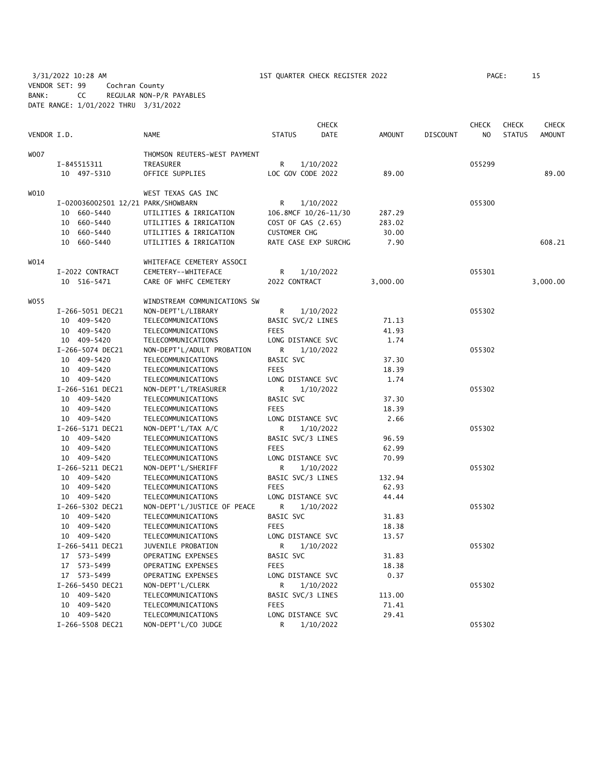3/31/2022 10:28 AM 1ST QUARTER CHECK REGISTER 2022 PAGE: 15 VENDOR SET: 99 Cochran County BANK: CC REGULAR NON-P/R PAYABLES DATE RANGE: 1/01/2022 THRU 3/31/2022

|             |                                    |                              |                      | <b>CHECK</b> |               |                 | <b>CHECK</b>   | <b>CHECK</b>  | <b>CHECK</b>  |
|-------------|------------------------------------|------------------------------|----------------------|--------------|---------------|-----------------|----------------|---------------|---------------|
| VENDOR I.D. |                                    | <b>NAME</b>                  | <b>STATUS</b>        | <b>DATE</b>  | <b>AMOUNT</b> | <b>DISCOUNT</b> | N <sub>O</sub> | <b>STATUS</b> | <b>AMOUNT</b> |
| W007        |                                    | THOMSON REUTERS-WEST PAYMENT |                      |              |               |                 |                |               |               |
|             | I-845515311                        | TREASURER                    | R                    | 1/10/2022    |               |                 | 055299         |               |               |
|             | 10 497-5310                        | OFFICE SUPPLIES              | LOC GOV CODE 2022    |              | 89.00         |                 |                |               | 89.00         |
| WO10        |                                    | WEST TEXAS GAS INC           |                      |              |               |                 |                |               |               |
|             |                                    |                              |                      |              |               |                 |                |               |               |
|             | I-020036002501 12/21 PARK/SHOWBARN |                              | R                    | 1/10/2022    |               |                 | 055300         |               |               |
|             | 10 660-5440                        | UTILITIES & IRRIGATION       | 106.8MCF 10/26-11/30 |              | 287.29        |                 |                |               |               |
|             | 10<br>660-5440                     | UTILITIES & IRRIGATION       | COST OF GAS (2.65)   |              | 283.02        |                 |                |               |               |
|             | 10<br>660-5440                     | UTILITIES & IRRIGATION       | <b>CUSTOMER CHG</b>  |              | 30.00         |                 |                |               |               |
|             | 10 660-5440                        | UTILITIES & IRRIGATION       | RATE CASE EXP SURCHG |              | 7.90          |                 |                |               | 608.21        |
| W014        |                                    | WHITEFACE CEMETERY ASSOCI    |                      |              |               |                 |                |               |               |
|             | I-2022 CONTRACT                    | CEMETERY--WHITEFACE          | R                    | 1/10/2022    |               |                 | 055301         |               |               |
|             | 10 516-5471                        | CARE OF WHFC CEMETERY        | 2022 CONTRACT        |              | 3,000.00      |                 |                |               | 3,000.00      |
| WO55        |                                    | WINDSTREAM COMMUNICATIONS SW |                      |              |               |                 |                |               |               |
|             | I-266-5051 DEC21                   | NON-DEPT'L/LIBRARY           | R                    | 1/10/2022    |               |                 | 055302         |               |               |
|             | 10 409-5420                        | TELECOMMUNICATIONS           | BASIC SVC/2 LINES    |              | 71.13         |                 |                |               |               |
|             | 10 409-5420                        | TELECOMMUNICATIONS           | <b>FEES</b>          |              | 41.93         |                 |                |               |               |
|             | 10 409-5420                        | TELECOMMUNICATIONS           | LONG DISTANCE SVC    |              | 1.74          |                 |                |               |               |
|             | I-266-5074 DEC21                   | NON-DEPT'L/ADULT PROBATION   | R                    | 1/10/2022    |               |                 | 055302         |               |               |
|             | 10 409-5420                        | TELECOMMUNICATIONS           | BASIC SVC            |              | 37.30         |                 |                |               |               |
|             | 10 409-5420                        | TELECOMMUNICATIONS           | <b>FEES</b>          |              | 18.39         |                 |                |               |               |
|             | 10 409-5420                        | TELECOMMUNICATIONS           | LONG DISTANCE SVC    |              | 1.74          |                 |                |               |               |
|             | I-266-5161 DEC21                   | NON-DEPT'L/TREASURER         | R                    | 1/10/2022    |               |                 | 055302         |               |               |
|             | 10 409-5420                        | TELECOMMUNICATIONS           | BASIC SVC            |              | 37.30         |                 |                |               |               |
|             | 10 409-5420                        | TELECOMMUNICATIONS           | <b>FEES</b>          |              | 18.39         |                 |                |               |               |
|             | 10 409-5420                        | TELECOMMUNICATIONS           | LONG DISTANCE SVC    |              | 2.66          |                 |                |               |               |
|             | I-266-5171 DEC21                   | NON-DEPT'L/TAX A/C           | R                    | 1/10/2022    |               |                 | 055302         |               |               |
|             | 10 409-5420                        | TELECOMMUNICATIONS           | BASIC SVC/3 LINES    |              | 96.59         |                 |                |               |               |
|             | 10 409-5420                        | TELECOMMUNICATIONS           | <b>FEES</b>          |              | 62.99         |                 |                |               |               |
|             | 10 409-5420                        | TELECOMMUNICATIONS           | LONG DISTANCE SVC    |              | 70.99         |                 |                |               |               |
|             | I-266-5211 DEC21                   | NON-DEPT'L/SHERIFF           | R                    | 1/10/2022    |               |                 | 055302         |               |               |
|             | 10 409-5420                        | TELECOMMUNICATIONS           | BASIC SVC/3 LINES    |              | 132.94        |                 |                |               |               |
|             | 10 409-5420                        | TELECOMMUNICATIONS           | <b>FEES</b>          |              | 62.93         |                 |                |               |               |
|             | 10 409-5420                        | TELECOMMUNICATIONS           | LONG DISTANCE SVC    |              | 44.44         |                 |                |               |               |
|             | I-266-5302 DEC21                   | NON-DEPT'L/JUSTICE OF PEACE  | R                    | 1/10/2022    |               |                 | 055302         |               |               |
|             | 10 409-5420                        | TELECOMMUNICATIONS           | BASIC SVC            |              | 31.83         |                 |                |               |               |
|             | 10 409-5420                        | TELECOMMUNICATIONS           | <b>FEES</b>          |              | 18.38         |                 |                |               |               |
|             | 10 409-5420                        | TELECOMMUNICATIONS           | LONG DISTANCE SVC    |              | 13.57         |                 |                |               |               |
|             | I-266-5411 DEC21                   | JUVENILE PROBATION           | R                    | 1/10/2022    |               |                 | 055302         |               |               |
|             | 17 573-5499                        | OPERATING EXPENSES           | BASIC SVC            |              | 31.83         |                 |                |               |               |
|             | 17 573-5499                        | OPERATING EXPENSES           | <b>FEES</b>          |              | 18.38         |                 |                |               |               |
|             | 17 573-5499                        | OPERATING EXPENSES           | LONG DISTANCE SVC    |              | 0.37          |                 |                |               |               |
|             | I-266-5450 DEC21                   | NON-DEPT'L/CLERK             | R                    | 1/10/2022    |               |                 | 055302         |               |               |
|             | 10 409-5420                        | TELECOMMUNICATIONS           | BASIC SVC/3 LINES    |              | 113.00        |                 |                |               |               |
|             | 10 409-5420                        | TELECOMMUNICATIONS           | <b>FEES</b>          |              | 71.41         |                 |                |               |               |
|             | 10 409-5420                        | TELECOMMUNICATIONS           | LONG DISTANCE SVC    |              | 29.41         |                 |                |               |               |
|             | I-266-5508 DEC21                   | NON-DEPT'L/CO JUDGE          | R                    | 1/10/2022    |               |                 | 055302         |               |               |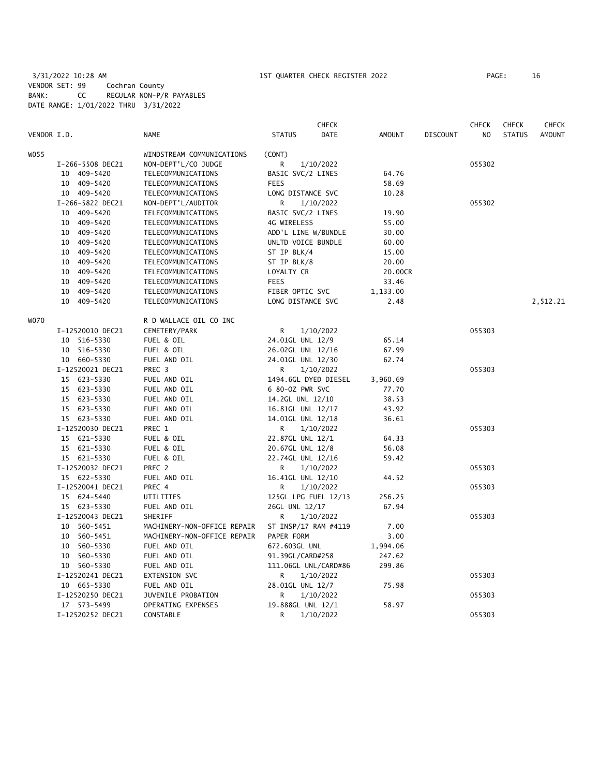# 3/31/2022 10:28 AM 1ST QUARTER CHECK REGISTER 2022 PAGE: 16 VENDOR SET: 99 Cochran County BANK: CC REGULAR NON-P/R PAYABLES DATE RANGE: 1/01/2022 THRU 3/31/2022

|       |                  |                             | <b>CHECK</b>                 |               |                 | CHECK  | <b>CHECK</b>  | <b>CHECK</b>  |
|-------|------------------|-----------------------------|------------------------------|---------------|-----------------|--------|---------------|---------------|
|       | VENDOR I.D.      | <b>NAME</b>                 | <b>DATE</b><br><b>STATUS</b> | <b>AMOUNT</b> | <b>DISCOUNT</b> | NO.    | <b>STATUS</b> | <b>AMOUNT</b> |
| WO 55 |                  | WINDSTREAM COMMUNICATIONS   | (CONT)                       |               |                 |        |               |               |
|       | I-266-5508 DEC21 | NON-DEPT'L/CO JUDGE         | R<br>1/10/2022               |               |                 | 055302 |               |               |
|       | 10 409-5420      | TELECOMMUNICATIONS          | BASIC SVC/2 LINES            | 64.76         |                 |        |               |               |
|       | 10 409-5420      | TELECOMMUNICATIONS          | <b>FEES</b>                  | 58.69         |                 |        |               |               |
|       | 10 409-5420      | TELECOMMUNICATIONS          | LONG DISTANCE SVC            | 10.28         |                 |        |               |               |
|       | I-266-5822 DEC21 | NON-DEPT'L/AUDITOR          | R<br>1/10/2022               |               |                 | 055302 |               |               |
|       | 10 409-5420      | TELECOMMUNICATIONS          | BASIC SVC/2 LINES            | 19.90         |                 |        |               |               |
|       | 10 409-5420      | TELECOMMUNICATIONS          | 4G WIRELESS                  | 55.00         |                 |        |               |               |
|       | 10 409-5420      | TELECOMMUNICATIONS          | ADD'L LINE W/BUNDLE          | 30.00         |                 |        |               |               |
|       | 10 409-5420      | TELECOMMUNICATIONS          | UNLTD VOICE BUNDLE           | 60.00         |                 |        |               |               |
|       | 10 409-5420      | TELECOMMUNICATIONS          | ST IP BLK/4                  | 15.00         |                 |        |               |               |
|       | 10 409-5420      | TELECOMMUNICATIONS          | ST IP BLK/8                  | 20.00         |                 |        |               |               |
|       | 10 409-5420      | TELECOMMUNICATIONS          | LOYALTY CR                   | 20.00CR       |                 |        |               |               |
|       | 10 409-5420      | TELECOMMUNICATIONS          | <b>FEES</b>                  | 33.46         |                 |        |               |               |
|       | 10 409-5420      | TELECOMMUNICATIONS          | FIBER OPTIC SVC              | 1,133.00      |                 |        |               |               |
|       | 10 409-5420      | TELECOMMUNICATIONS          | LONG DISTANCE SVC            | 2.48          |                 |        |               | 2,512.21      |
|       |                  |                             |                              |               |                 |        |               |               |
| WO70  |                  | R D WALLACE OIL CO INC      |                              |               |                 |        |               |               |
|       | I-12520010 DEC21 | CEMETERY/PARK               | R<br>1/10/2022               |               |                 | 055303 |               |               |
|       | 10 516-5330      | FUEL & OIL                  | 24.01GL UNL 12/9             | 65.14         |                 |        |               |               |
|       | 10 516-5330      | FUEL & OIL                  | 26.02GL UNL 12/16            | 67.99         |                 |        |               |               |
|       | 10 660-5330      | FUEL AND OIL                | 24.01GL UNL 12/30            | 62.74         |                 |        |               |               |
|       | I-12520021 DEC21 | PREC 3                      | 1/10/2022<br>R               |               |                 | 055303 |               |               |
|       | 15 623-5330      | FUEL AND OIL                | 1494.6GL DYED DIESEL         | 3,960.69      |                 |        |               |               |
|       | 15 623-5330      | FUEL AND OIL                | 6 80-0Z PWR SVC              | 77.70         |                 |        |               |               |
|       | 15 623-5330      | FUEL AND OIL                | 14.2GL UNL 12/10             | 38.53         |                 |        |               |               |
|       | 15 623-5330      | FUEL AND OIL                | 16.81GL UNL 12/17            | 43.92         |                 |        |               |               |
|       | 15 623-5330      | FUEL AND OIL                | 14.01GL UNL 12/18            | 36.61         |                 |        |               |               |
|       | I-12520030 DEC21 | PREC 1                      | R<br>1/10/2022               |               |                 | 055303 |               |               |
|       | 15 621-5330      | FUEL & OIL                  | 22.87GL UNL 12/1             | 64.33         |                 |        |               |               |
|       | 15 621-5330      | FUEL & OIL                  | 20.67GL UNL 12/8             | 56.08         |                 |        |               |               |
|       | 15 621-5330      | FUEL & OIL                  | 22.74GL UNL 12/16            | 59.42         |                 |        |               |               |
|       | I-12520032 DEC21 | PREC 2                      | R.<br>1/10/2022              |               |                 | 055303 |               |               |
|       | 15 622-5330      | FUEL AND OIL                | 16.41GL UNL 12/10            | 44.52         |                 |        |               |               |
|       | I-12520041 DEC21 | PREC 4                      | R<br>1/10/2022               |               |                 | 055303 |               |               |
|       | 15 624-5440      | UTILITIES                   | 125GL LPG FUEL 12/13         | 256.25        |                 |        |               |               |
|       | 15 623-5330      | FUEL AND OIL                | 26GL UNL 12/17               | 67.94         |                 |        |               |               |
|       | I-12520043 DEC21 | SHERIFF                     | R<br>1/10/2022               |               |                 | 055303 |               |               |
|       | 10 560-5451      | MACHINERY-NON-OFFICE REPAIR | ST INSP/17 RAM #4119         | 7.00          |                 |        |               |               |
|       | 10 560-5451      | MACHINERY-NON-OFFICE REPAIR | PAPER FORM                   | 3.00          |                 |        |               |               |
|       | 10 560-5330      | FUEL AND OIL                | 672.603GL UNL                | 1,994.06      |                 |        |               |               |
|       | 10 560-5330      | FUEL AND OIL                | 91.39GL/CARD#258             | 247.62        |                 |        |               |               |
|       | 10 560-5330      | FUEL AND OIL                | 111.06GL UNL/CARD#86         | 299.86        |                 |        |               |               |
|       | I-12520241 DEC21 | EXTENSION SVC               | R<br>1/10/2022               |               |                 | 055303 |               |               |
|       | 10 665-5330      | FUEL AND OIL                | 28.01GL UNL 12/7             | 75.98         |                 |        |               |               |
|       | I-12520250 DEC21 | JUVENILE PROBATION          | 1/10/2022<br>R               |               |                 | 055303 |               |               |
|       | 17 573-5499      | OPERATING EXPENSES          | 19.888GL UNL 12/1            | 58.97         |                 |        |               |               |
|       | I-12520252 DEC21 | CONSTABLE                   | R<br>1/10/2022               |               |                 | 055303 |               |               |
|       |                  |                             |                              |               |                 |        |               |               |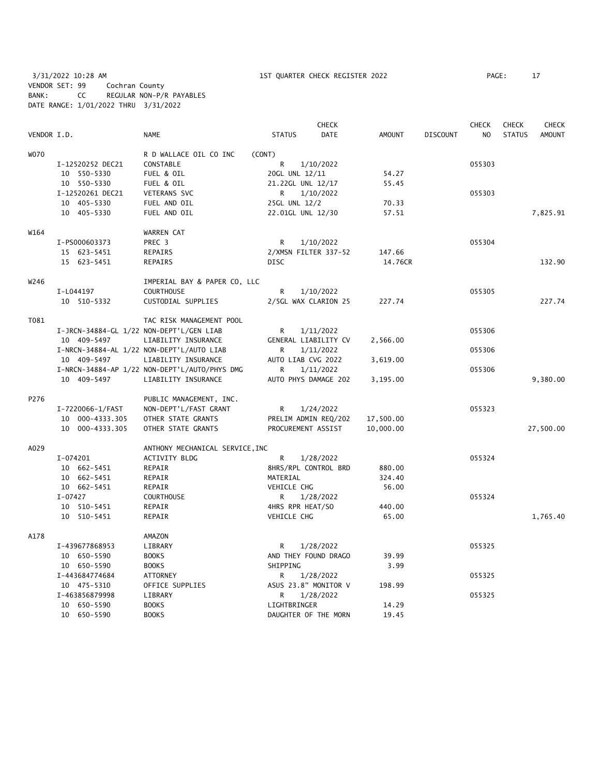3/31/2022 10:28 AM 1ST QUARTER CHECK REGISTER 2022 PAGE: 17 VENDOR SET: 99 Cochran County BANK: CC REGULAR NON-P/R PAYABLES DATE RANGE: 1/01/2022 THRU 3/31/2022

|             |                                          |                                               |                      | <b>CHECK</b> |               |                 | <b>CHECK</b>   | <b>CHECK</b>  | <b>CHECK</b>  |
|-------------|------------------------------------------|-----------------------------------------------|----------------------|--------------|---------------|-----------------|----------------|---------------|---------------|
| VENDOR I.D. |                                          | <b>NAME</b>                                   | <b>STATUS</b>        | <b>DATE</b>  | <b>AMOUNT</b> | <b>DISCOUNT</b> | N <sub>O</sub> | <b>STATUS</b> | <b>AMOUNT</b> |
| <b>WO70</b> |                                          | R D WALLACE OIL CO INC                        | (CONT)               |              |               |                 |                |               |               |
|             | I-12520252 DEC21                         | CONSTABLE                                     | R                    | 1/10/2022    |               |                 | 055303         |               |               |
|             | 10 550-5330                              | FUEL & OIL                                    | 20GL UNL 12/11       |              | 54.27         |                 |                |               |               |
|             | 10 550-5330                              | FUEL & OIL                                    | 21.22GL UNL 12/17    |              | 55.45         |                 |                |               |               |
|             | I-12520261 DEC21                         | VETERANS SVC                                  | R                    | 1/10/2022    |               |                 | 055303         |               |               |
|             | 10 405-5330                              | FUEL AND OIL                                  | 25GL UNL 12/2        |              | 70.33         |                 |                |               |               |
|             | 10 405-5330                              | FUEL AND OIL                                  | 22.01GL UNL 12/30    |              | 57.51         |                 |                |               | 7,825.91      |
| W164        |                                          | WARREN CAT                                    |                      |              |               |                 |                |               |               |
|             | I-PS000603373                            | PREC 3                                        | R                    | 1/10/2022    |               |                 | 055304         |               |               |
|             | 15 623-5451                              | <b>REPAIRS</b>                                | 2/XMSN FILTER 337-52 |              | 147.66        |                 |                |               |               |
|             | 15 623-5451                              | REPAIRS                                       | <b>DISC</b>          |              | 14.76CR       |                 |                |               | 132.90        |
| W246        |                                          | IMPERIAL BAY & PAPER CO, LLC                  |                      |              |               |                 |                |               |               |
|             | I-L044197                                | <b>COURTHOUSE</b>                             | R                    | 1/10/2022    |               |                 | 055305         |               |               |
|             | 10 510-5332                              | CUSTODIAL SUPPLIES                            | 2/5GL WAX CLARION 25 |              | 227.74        |                 |                |               | 227.74        |
| T081        |                                          | TAC RISK MANAGEMENT POOL                      |                      |              |               |                 |                |               |               |
|             | I-JRCN-34884-GL 1/22 NON-DEPT'L/GEN LIAB |                                               | R                    | 1/11/2022    |               |                 | 055306         |               |               |
|             | 10 409-5497                              | LIABILITY INSURANCE                           | GENERAL LIABILITY CV |              | 2,566.00      |                 |                |               |               |
|             |                                          | I-NRCN-34884-AL 1/22 NON-DEPT'L/AUTO LIAB     | R                    | 1/11/2022    |               |                 | 055306         |               |               |
|             | 10 409-5497                              | LIABILITY INSURANCE                           | AUTO LIAB CVG 2022   |              | 3,619.00      |                 |                |               |               |
|             |                                          | I-NRCN-34884-AP 1/22 NON-DEPT'L/AUTO/PHYS DMG | R                    | 1/11/2022    |               |                 | 055306         |               |               |
|             | 10 409-5497                              | LIABILITY INSURANCE                           | AUTO PHYS DAMAGE 202 |              | 3,195.00      |                 |                |               | 9,380.00      |
| P276        |                                          | PUBLIC MANAGEMENT, INC.                       |                      |              |               |                 |                |               |               |
|             | I-7220066-1/FAST                         | NON-DEPT'L/FAST GRANT                         | R                    | 1/24/2022    |               |                 | 055323         |               |               |
|             | 10 000-4333.305                          | OTHER STATE GRANTS                            | PRELIM ADMIN REQ/202 |              | 17,500.00     |                 |                |               |               |
|             | 10 000-4333.305                          | OTHER STATE GRANTS                            | PROCUREMENT ASSIST   |              | 10,000.00     |                 |                |               | 27,500.00     |
| A029        |                                          | ANTHONY MECHANICAL SERVICE, INC               |                      |              |               |                 |                |               |               |
|             | $I-074201$                               | ACTIVITY BLDG                                 | R                    | 1/28/2022    |               |                 | 055324         |               |               |
|             | 10 662-5451                              | REPAIR                                        | 8HRS/RPL CONTROL BRD |              | 880.00        |                 |                |               |               |
|             | 10 662-5451                              | REPAIR                                        | MATERIAL             |              | 324.40        |                 |                |               |               |
|             | 10 662-5451                              | REPAIR                                        | VEHICLE CHG          |              | 56.00         |                 |                |               |               |
|             | $I-07427$                                | <b>COURTHOUSE</b>                             | R                    | 1/28/2022    |               |                 | 055324         |               |               |
|             | 10 510-5451                              | REPAIR                                        | 4HRS RPR HEAT/SO     |              | 440.00        |                 |                |               |               |
|             | 10 510-5451                              | REPAIR                                        | VEHICLE CHG          |              | 65.00         |                 |                |               | 1,765.40      |
| A178        |                                          | AMAZON                                        |                      |              |               |                 |                |               |               |
|             | I-439677868953                           | LIBRARY                                       | R                    | 1/28/2022    |               |                 | 055325         |               |               |
|             | 10 650-5590                              | <b>BOOKS</b>                                  | AND THEY FOUND DRAGO |              | 39.99         |                 |                |               |               |
|             | 10 650-5590                              | <b>BOOKS</b>                                  | SHIPPING             |              | 3.99          |                 |                |               |               |
|             | I-443684774684                           | ATTORNEY                                      | R                    | 1/28/2022    |               |                 | 055325         |               |               |
|             | 10 475-5310                              | OFFICE SUPPLIES                               | ASUS 23.8" MONITOR V |              | 198.99        |                 |                |               |               |
|             | I-463856879998                           | LIBRARY                                       | R                    | 1/28/2022    |               |                 | 055325         |               |               |
|             | 10 650-5590                              | <b>BOOKS</b>                                  | LIGHTBRINGER         |              | 14.29         |                 |                |               |               |
|             | 10 650-5590                              | <b>BOOKS</b>                                  | DAUGHTER OF THE MORN |              | 19.45         |                 |                |               |               |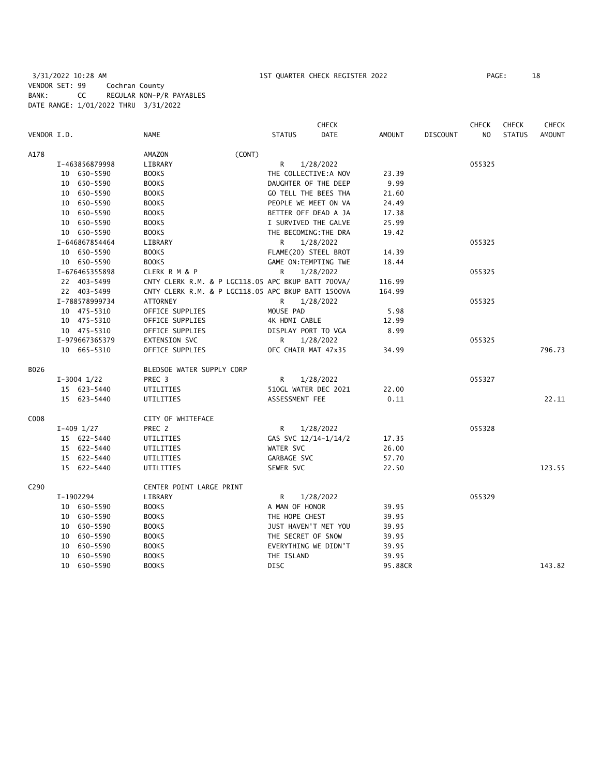3/31/2022 10:28 AM 1ST QUARTER CHECK REGISTER 2022 PAGE: 18 VENDOR SET: 99 Cochran County BANK: CC REGULAR NON-P/R PAYABLES DATE RANGE: 1/01/2022 THRU 3/31/2022

|                  |                 |                                                    |                       | <b>CHECK</b> |               |                 | <b>CHECK</b> | <b>CHECK</b>  | <b>CHECK</b>  |
|------------------|-----------------|----------------------------------------------------|-----------------------|--------------|---------------|-----------------|--------------|---------------|---------------|
| VENDOR I.D.      |                 | <b>NAME</b>                                        | <b>STATUS</b>         | <b>DATE</b>  | <b>AMOUNT</b> | <b>DISCOUNT</b> | NO.          | <b>STATUS</b> | <b>AMOUNT</b> |
| A178             |                 | (CONT)<br><b>AMAZON</b>                            |                       |              |               |                 |              |               |               |
|                  | I-463856879998  | LIBRARY                                            | R                     | 1/28/2022    |               |                 | 055325       |               |               |
|                  | 10 650-5590     | <b>BOOKS</b>                                       | THE COLLECTIVE: A NOV |              | 23.39         |                 |              |               |               |
|                  | 10 650-5590     | <b>BOOKS</b>                                       | DAUGHTER OF THE DEEP  |              | 9.99          |                 |              |               |               |
|                  | 10 650-5590     | <b>BOOKS</b>                                       | GO TELL THE BEES THA  |              | 21.60         |                 |              |               |               |
|                  | 10 650-5590     | <b>BOOKS</b>                                       | PEOPLE WE MEET ON VA  |              | 24.49         |                 |              |               |               |
|                  | 10 650-5590     | <b>BOOKS</b>                                       | BETTER OFF DEAD A JA  |              | 17.38         |                 |              |               |               |
|                  | 10 650-5590     | <b>BOOKS</b>                                       | I SURVIVED THE GALVE  |              | 25.99         |                 |              |               |               |
|                  | 10 650-5590     | <b>BOOKS</b>                                       | THE BECOMING: THE DRA |              | 19.42         |                 |              |               |               |
|                  | I-646867854464  | LIBRARY                                            | R                     | 1/28/2022    |               |                 | 055325       |               |               |
|                  | 10 650-5590     | <b>BOOKS</b>                                       | FLAME(20) STEEL BROT  |              | 14.39         |                 |              |               |               |
|                  | 10 650-5590     | <b>BOOKS</b>                                       | GAME ON: TEMPTING TWE |              | 18.44         |                 |              |               |               |
|                  | I-676465355898  | CLERK R M & P                                      | R                     | 1/28/2022    |               |                 | 055325       |               |               |
|                  | 22 403-5499     | CNTY CLERK R.M. & P LGC118.05 APC BKUP BATT 700VA/ |                       |              | 116.99        |                 |              |               |               |
|                  | 22 403-5499     | CNTY CLERK R.M. & P LGC118.05 APC BKUP BATT 1500VA |                       |              | 164.99        |                 |              |               |               |
|                  | I-788578999734  | ATTORNEY                                           | R                     | 1/28/2022    |               |                 | 055325       |               |               |
|                  | 10 475-5310     | OFFICE SUPPLIES                                    | MOUSE PAD             |              | 5.98          |                 |              |               |               |
|                  | 10 475-5310     | OFFICE SUPPLIES                                    | 4K HDMI CABLE         |              | 12.99         |                 |              |               |               |
|                  | 10 475-5310     | OFFICE SUPPLIES                                    | DISPLAY PORT TO VGA   |              | 8.99          |                 |              |               |               |
|                  | I-979667365379  | <b>EXTENSION SVC</b>                               | R.                    | 1/28/2022    |               |                 | 055325       |               |               |
|                  | 10 665-5310     | OFFICE SUPPLIES                                    | OFC CHAIR MAT 47x35   |              | 34.99         |                 |              |               | 796.73        |
| B026             |                 | BLEDSOE WATER SUPPLY CORP                          |                       |              |               |                 |              |               |               |
|                  | $I-3004$ $1/22$ | PREC 3                                             | R                     | 1/28/2022    |               |                 | 055327       |               |               |
|                  | 15 623-5440     | UTILITIES                                          | 510GL WATER DEC 2021  |              | 22.00         |                 |              |               |               |
|                  | 15 623-5440     | UTILITIES                                          | ASSESSMENT FEE        |              | 0.11          |                 |              |               | 22.11         |
| C008             |                 | CITY OF WHITEFACE                                  |                       |              |               |                 |              |               |               |
|                  | $I-409$ $1/27$  | PREC 2                                             | R                     | 1/28/2022    |               |                 | 055328       |               |               |
|                  | 15 622-5440     | UTILITIES                                          | GAS SVC 12/14-1/14/2  |              | 17.35         |                 |              |               |               |
|                  | 15 622-5440     | UTILITIES                                          | WATER SVC             |              | 26.00         |                 |              |               |               |
|                  | 15 622-5440     | UTILITIES                                          | GARBAGE SVC           |              | 57.70         |                 |              |               |               |
|                  | 15 622-5440     | UTILITIES                                          | SEWER SVC             |              | 22.50         |                 |              |               | 123.55        |
| C <sub>290</sub> |                 | CENTER POINT LARGE PRINT                           |                       |              |               |                 |              |               |               |
|                  | I-1902294       | LIBRARY                                            | R                     | 1/28/2022    |               |                 | 055329       |               |               |
|                  | 10 650-5590     | <b>BOOKS</b>                                       | A MAN OF HONOR        |              | 39.95         |                 |              |               |               |
|                  | 10 650-5590     | <b>BOOKS</b>                                       | THE HOPE CHEST        |              | 39.95         |                 |              |               |               |
|                  | 10 650-5590     | <b>BOOKS</b>                                       | JUST HAVEN'T MET YOU  |              | 39.95         |                 |              |               |               |
|                  | 10 650-5590     | <b>BOOKS</b>                                       | THE SECRET OF SNOW    |              | 39.95         |                 |              |               |               |
|                  | 10 650-5590     | <b>BOOKS</b>                                       | EVERYTHING WE DIDN'T  |              | 39.95         |                 |              |               |               |
|                  | 10 650-5590     | <b>BOOKS</b>                                       | THE ISLAND            |              | 39.95         |                 |              |               |               |
|                  | 10 650-5590     | <b>BOOKS</b>                                       | <b>DISC</b>           |              | 95.88CR       |                 |              |               | 143.82        |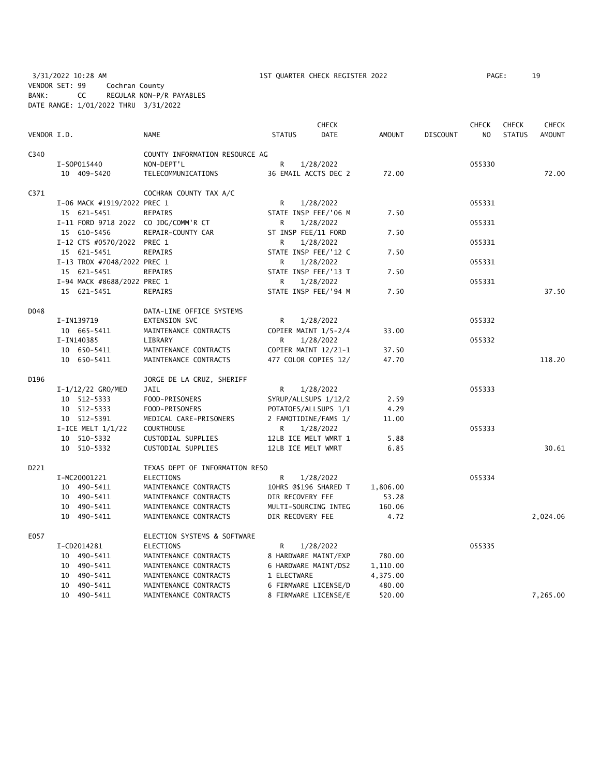3/31/2022 10:28 AM 1ST QUARTER CHECK REGISTER 2022 PAGE: 19 VENDOR SET: 99 Cochran County BANK: CC REGULAR NON-P/R PAYABLES DATE RANGE: 1/01/2022 THRU 3/31/2022

|             |                                      |                                |                     | <b>CHECK</b>          |               |                 | <b>CHECK</b>   | <b>CHECK</b>  | <b>CHECK</b>  |
|-------------|--------------------------------------|--------------------------------|---------------------|-----------------------|---------------|-----------------|----------------|---------------|---------------|
| VENDOR I.D. |                                      | <b>NAME</b>                    | <b>STATUS</b>       | <b>DATE</b>           | <b>AMOUNT</b> | <b>DISCOUNT</b> | N <sub>O</sub> | <b>STATUS</b> | <b>AMOUNT</b> |
| C340        |                                      | COUNTY INFORMATION RESOURCE AG |                     |                       |               |                 |                |               |               |
|             | I-S0P015440                          | NON-DEPT'L                     | R.                  | 1/28/2022             |               |                 | 055330         |               |               |
|             | 10 409-5420                          | TELECOMMUNICATIONS             |                     | 36 EMAIL ACCTS DEC 2  | 72.00         |                 |                |               | 72.00         |
| C371        |                                      | COCHRAN COUNTY TAX A/C         |                     |                       |               |                 |                |               |               |
|             | I-06 MACK #1919/2022 PREC 1          |                                | R                   | 1/28/2022             |               |                 | 055331         |               |               |
|             | 15 621-5451                          | <b>REPAIRS</b>                 |                     | STATE INSP FEE/'06 M  | 7.50          |                 |                |               |               |
|             | I-11 FORD 9718 2022 CO JDG/COMM'R CT |                                | R                   | 1/28/2022             |               |                 | 055331         |               |               |
|             | 15 610-5456                          | REPAIR-COUNTY CAR              | ST INSP FEE/11 FORD |                       | 7.50          |                 |                |               |               |
|             | I-12 CTS #0570/2022 PREC 1           |                                | R                   | 1/28/2022             |               |                 | 055331         |               |               |
|             | 15 621-5451                          | REPAIRS                        |                     | STATE INSP FEE/'12 C  | 7.50          |                 |                |               |               |
|             | I-13 TROX #7048/2022 PREC 1          |                                | R                   | 1/28/2022             |               |                 | 055331         |               |               |
|             | 15 621-5451                          | REPAIRS                        |                     | STATE INSP FEE/'13 T  | 7.50          |                 |                |               |               |
|             | I-94 MACK #8688/2022 PREC 1          |                                | R                   | 1/28/2022             |               |                 | 055331         |               |               |
|             | 15 621-5451                          | <b>REPAIRS</b>                 |                     | STATE INSP FEE/'94 M  | 7.50          |                 |                |               | 37.50         |
| D048        |                                      | DATA-LINE OFFICE SYSTEMS       |                     |                       |               |                 |                |               |               |
|             | I-IN139719                           | EXTENSION SVC                  | R                   | 1/28/2022             |               |                 | 055332         |               |               |
|             | 10 665-5411                          | MAINTENANCE CONTRACTS          |                     | COPIER MAINT 1/5-2/4  | 33.00         |                 |                |               |               |
|             | I-IN140385                           | LIBRARY                        | R                   | 1/28/2022             |               |                 | 055332         |               |               |
|             | 10 650-5411                          | MAINTENANCE CONTRACTS          |                     | COPIER MAINT 12/21-1  | 37.50         |                 |                |               |               |
|             | 10 650-5411                          | MAINTENANCE CONTRACTS          |                     | 477 COLOR COPIES 12/  | 47.70         |                 |                |               | 118.20        |
| D196        |                                      | JORGE DE LA CRUZ, SHERIFF      |                     |                       |               |                 |                |               |               |
|             | I-1/12/22 GRO/MED                    | JAIL                           | R                   | 1/28/2022             |               |                 | 055333         |               |               |
|             | 10 512-5333                          | FOOD-PRISONERS                 |                     | SYRUP/ALLSUPS 1/12/2  | 2.59          |                 |                |               |               |
|             | 10 512-5333                          | FOOD-PRISONERS                 |                     | POTATOES/ALLSUPS 1/1  | 4.29          |                 |                |               |               |
|             | 10 512-5391                          | MEDICAL CARE-PRISONERS         |                     | 2 FAMOTIDINE/FAM\$ 1/ | 11.00         |                 |                |               |               |
|             | I-ICE MELT $1/1/22$                  | <b>COURTHOUSE</b>              | R                   | 1/28/2022             |               |                 | 055333         |               |               |
|             | 10 510-5332                          | CUSTODIAL SUPPLIES             |                     | 12LB ICE MELT WMRT 1  | 5.88          |                 |                |               |               |
|             | 10 510-5332                          | CUSTODIAL SUPPLIES             | 12LB ICE MELT WMRT  |                       | 6.85          |                 |                |               | 30.61         |
| D221        |                                      | TEXAS DEPT OF INFORMATION RESO |                     |                       |               |                 |                |               |               |
|             | I-MC20001221                         | <b>ELECTIONS</b>               | R                   | 1/28/2022             |               |                 | 055334         |               |               |
|             | 10 490-5411                          | MAINTENANCE CONTRACTS          |                     | 10HRS @\$196 SHARED T | 1,806.00      |                 |                |               |               |
|             | 10 490-5411                          | MAINTENANCE CONTRACTS          | DIR RECOVERY FEE    |                       | 53.28         |                 |                |               |               |
|             | 10 490-5411                          | MAINTENANCE CONTRACTS          |                     | MULTI-SOURCING INTEG  | 160.06        |                 |                |               |               |
|             | 10 490-5411                          | MAINTENANCE CONTRACTS          | DIR RECOVERY FEE    |                       | 4.72          |                 |                |               | 2,024.06      |
| E057        |                                      | ELECTION SYSTEMS & SOFTWARE    |                     |                       |               |                 |                |               |               |
|             | I-CD2014281                          | ELECTIONS                      | R                   | 1/28/2022             |               |                 | 055335         |               |               |
|             | 10 490-5411                          | MAINTENANCE CONTRACTS          |                     | 8 HARDWARE MAINT/EXP  | 780.00        |                 |                |               |               |
|             | 10 490-5411                          | MAINTENANCE CONTRACTS          |                     | 6 HARDWARE MAINT/DS2  | 1,110.00      |                 |                |               |               |
|             | 10 490-5411                          | MAINTENANCE CONTRACTS          | 1 ELECTWARE         |                       | 4,375.00      |                 |                |               |               |
|             | 10 490-5411                          | MAINTENANCE CONTRACTS          |                     | 6 FIRMWARE LICENSE/D  | 480.00        |                 |                |               |               |
|             | 10 490-5411                          | MAINTENANCE CONTRACTS          |                     | 8 FIRMWARE LICENSE/E  | 520.00        |                 |                |               | 7,265.00      |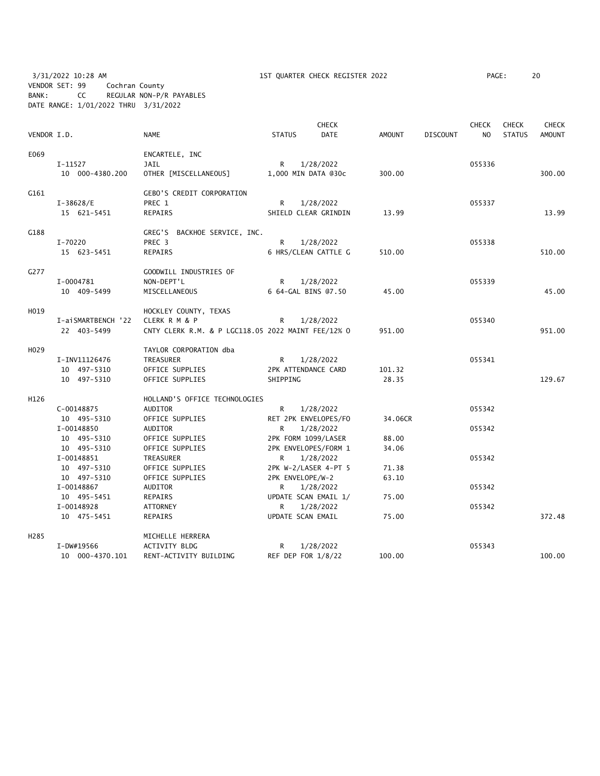3/31/2022 10:28 AM 1ST QUARTER CHECK REGISTER 2022 PAGE: 20 VENDOR SET: 99 Cochran County BANK: CC REGULAR NON-P/R PAYABLES DATE RANGE: 1/01/2022 THRU 3/31/2022

| VENDOR I.D.       |                           | <b>NAME</b>                                        | <b>STATUS</b>       | <b>CHECK</b><br><b>DATE</b>       | AMOUNT  | <b>DISCOUNT</b> | <b>CHECK</b><br>NO | <b>CHECK</b><br><b>STATUS</b> | <b>CHECK</b><br><b>AMOUNT</b> |
|-------------------|---------------------------|----------------------------------------------------|---------------------|-----------------------------------|---------|-----------------|--------------------|-------------------------------|-------------------------------|
| E069              |                           | ENCARTELE, INC                                     |                     |                                   |         |                 |                    |                               |                               |
|                   | I-11527                   | JAIL                                               | R.                  | 1/28/2022                         |         |                 | 055336             |                               |                               |
|                   | 10 000-4380.200           | OTHER [MISCELLANEOUS]                              | 1,000 MIN DATA @30c |                                   | 300.00  |                 |                    |                               | 300.00                        |
| G161              |                           | <b>GEBO'S CREDIT CORPORATION</b>                   |                     |                                   |         |                 |                    |                               |                               |
|                   | $I-38628/E$               | PREC 1                                             | R.                  | 1/28/2022                         |         |                 | 055337             |                               |                               |
|                   | 15 621-5451               | REPAIRS                                            |                     | SHIELD CLEAR GRINDIN              | 13.99   |                 |                    |                               | 13.99                         |
| G188              |                           | GREG'S BACKHOE SERVICE, INC.                       |                     |                                   |         |                 |                    |                               |                               |
|                   | I-70220                   | PREC 3                                             | R                   | 1/28/2022                         |         |                 | 055338             |                               |                               |
|                   | 15 623-5451               | REPAIRS                                            |                     | 6 HRS/CLEAN CATTLE G              | 510.00  |                 |                    |                               | 510.00                        |
| G277              |                           | GOODWILL INDUSTRIES OF                             |                     |                                   |         |                 |                    |                               |                               |
|                   | I-0004781                 | NON-DEPT'L                                         | R                   | 1/28/2022                         |         |                 | 055339             |                               |                               |
|                   | 10 409-5499               | MISCELLANEOUS                                      | 6 64-GAL BINS 07.50 |                                   | 45.00   |                 |                    |                               | 45.00                         |
| H019              |                           | HOCKLEY COUNTY, TEXAS                              |                     |                                   |         |                 |                    |                               |                               |
|                   | I-aiSMARTBENCH '22        | CLERK R M & P                                      | R.                  | 1/28/2022                         |         |                 | 055340             |                               |                               |
|                   | 22 403-5499               | CNTY CLERK R.M. & P LGC118.05 2022 MAINT FEE/12% 0 |                     |                                   | 951.00  |                 |                    |                               | 951.00                        |
| H <sub>029</sub>  |                           | TAYLOR CORPORATION dba                             |                     |                                   |         |                 |                    |                               |                               |
|                   | I-INV11126476             | TREASURER                                          | $\mathsf{R}$        | 1/28/2022                         |         |                 | 055341             |                               |                               |
|                   | 10 497-5310               | OFFICE SUPPLIES                                    | 2PK ATTENDANCE CARD |                                   | 101.32  |                 |                    |                               |                               |
|                   | 10 497-5310               | OFFICE SUPPLIES                                    | SHIPPING            |                                   | 28.35   |                 |                    |                               | 129.67                        |
| H126              |                           | HOLLAND'S OFFICE TECHNOLOGIES                      |                     |                                   |         |                 |                    |                               |                               |
|                   | $C-00148875$              | <b>AUDITOR</b>                                     | R                   | 1/28/2022                         |         |                 | 055342             |                               |                               |
|                   | 10 495-5310               | OFFICE SUPPLIES                                    |                     | RET 2PK ENVELOPES/FO              | 34.06CR |                 |                    |                               |                               |
|                   | I-00148850                | AUDITOR                                            | R                   | 1/28/2022                         |         |                 | 055342             |                               |                               |
|                   | 10 495-5310               | OFFICE SUPPLIES                                    | 2PK FORM 1099/LASER |                                   | 88.00   |                 |                    |                               |                               |
|                   | 10 495-5310<br>I-00148851 | OFFICE SUPPLIES<br>TREASURER                       | $\mathsf{R}$        | 2PK ENVELOPES/FORM 1<br>1/28/2022 | 34.06   |                 | 055342             |                               |                               |
|                   | 10 497-5310               | OFFICE SUPPLIES                                    |                     | 2PK W-2/LASER 4-PT 5              | 71.38   |                 |                    |                               |                               |
|                   | 10 497-5310               | OFFICE SUPPLIES                                    | 2PK ENVELOPE/W-2    |                                   | 63.10   |                 |                    |                               |                               |
|                   | I-00148867                | AUDITOR                                            | R                   | 1/28/2022                         |         |                 | 055342             |                               |                               |
|                   | 10 495-5451               | REPAIRS                                            |                     | UPDATE SCAN EMAIL 1/              | 75.00   |                 |                    |                               |                               |
|                   | I-00148928                | ATTORNEY                                           | R                   | 1/28/2022                         |         |                 | 055342             |                               |                               |
|                   | 10 475-5451               | REPAIRS                                            | UPDATE SCAN EMAIL   |                                   | 75.00   |                 |                    |                               | 372.48                        |
| H <sub>2</sub> 85 |                           | MICHELLE HERRERA                                   |                     |                                   |         |                 |                    |                               |                               |
|                   | I-DW#19566                | <b>ACTIVITY BLDG</b>                               | R                   | 1/28/2022                         |         |                 | 055343             |                               |                               |
|                   | 10 000-4370.101           | RENT-ACTIVITY BUILDING                             | REF DEP FOR 1/8/22  |                                   | 100.00  |                 |                    |                               | 100.00                        |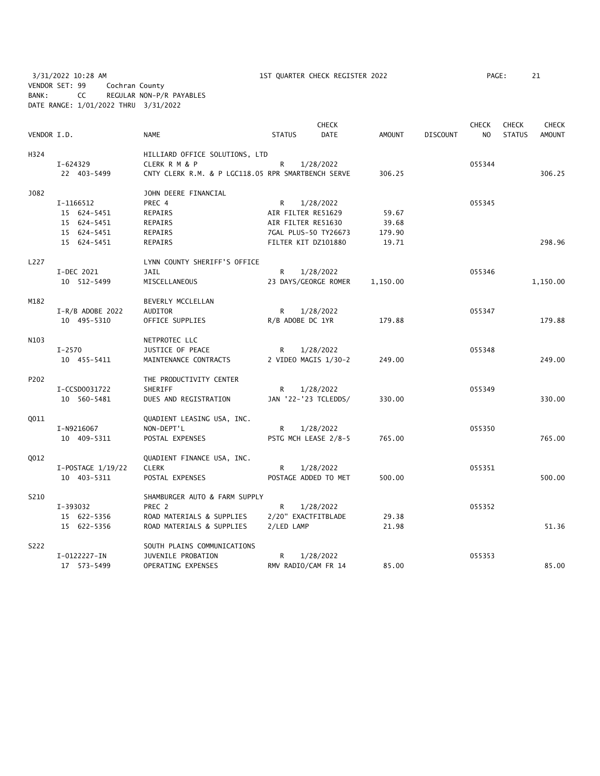3/31/2022 10:28 AM 1ST QUARTER CHECK REGISTER 2022 PAGE: 21 VENDOR SET: 99 Cochran County BANK: CC REGULAR NON-P/R PAYABLES DATE RANGE: 1/01/2022 THRU 3/31/2022

|             |                            |                                                        |                    | <b>CHECK</b>         |                |                 | <b>CHECK</b>   | <b>CHECK</b>  | <b>CHECK</b>  |
|-------------|----------------------------|--------------------------------------------------------|--------------------|----------------------|----------------|-----------------|----------------|---------------|---------------|
| VENDOR I.D. |                            | <b>NAME</b>                                            | <b>STATUS</b>      | <b>DATE</b>          | <b>AMOUNT</b>  | <b>DISCOUNT</b> | N <sub>O</sub> | <b>STATUS</b> | <b>AMOUNT</b> |
| H324        |                            | HILLIARD OFFICE SOLUTIONS, LTD                         |                    |                      |                |                 |                |               |               |
|             | I-624329                   | <b>CLERK R M &amp; P</b>                               | R                  | 1/28/2022            |                |                 | 055344         |               |               |
|             | 22 403-5499                | CNTY CLERK R.M. & P LGC118.05 RPR SMARTBENCH SERVE     |                    |                      | 306.25         |                 |                |               | 306.25        |
| J082        |                            | JOHN DEERE FINANCIAL                                   |                    |                      |                |                 |                |               |               |
|             | I-1166512                  | PREC 4                                                 | R                  | 1/28/2022            |                |                 | 055345         |               |               |
|             | 15 624-5451                | REPAIRS                                                | AIR FILTER RE51629 |                      | 59.67          |                 |                |               |               |
|             | 15 624-5451                | REPAIRS                                                | AIR FILTER RE51630 |                      | 39.68          |                 |                |               |               |
|             | 15 624-5451                | REPAIRS                                                |                    | 7GAL PLUS-50 TY26673 | 179.90         |                 |                |               |               |
|             | 15 624-5451                | REPAIRS                                                |                    | FILTER KIT DZ101880  | 19.71          |                 |                |               | 298.96        |
| L227        |                            | LYNN COUNTY SHERIFF'S OFFICE                           |                    |                      |                |                 |                |               |               |
|             | I-DEC 2021                 | <b>JAIL</b>                                            | R                  | 1/28/2022            |                |                 | 055346         |               |               |
|             | 10 512-5499                | MISCELLANEOUS                                          |                    | 23 DAYS/GEORGE ROMER | 1,150.00       |                 |                |               | 1,150.00      |
| M182        |                            | BEVERLY MCCLELLAN                                      |                    |                      |                |                 |                |               |               |
|             | $I-R/B$ ADOBE 2022         | AUDITOR                                                | R                  | 1/28/2022            |                |                 | 055347         |               |               |
|             | 10 495-5310                | OFFICE SUPPLIES                                        | R/B ADOBE DC 1YR   |                      | 179.88         |                 |                |               | 179.88        |
| N103        |                            | NETPROTEC LLC                                          |                    |                      |                |                 |                |               |               |
|             | $I - 2570$                 | JUSTICE OF PEACE                                       | R                  | 1/28/2022            |                |                 | 055348         |               |               |
|             | 10 455-5411                | MAINTENANCE CONTRACTS                                  |                    | 2 VIDEO MAGIS 1/30-2 | 249.00         |                 |                |               | 249.00        |
| P202        |                            | THE PRODUCTIVITY CENTER                                |                    |                      |                |                 |                |               |               |
|             | I-CCSD0031722              | <b>SHERIFF</b>                                         | R                  | 1/28/2022            |                |                 | 055349         |               |               |
|             | 10 560-5481                | DUES AND REGISTRATION                                  |                    | JAN '22-'23 TCLEDDS/ | 330.00         |                 |                |               | 330.00        |
| <b>Q011</b> |                            | QUADIENT LEASING USA, INC.                             |                    |                      |                |                 |                |               |               |
|             | I-N9216067                 | NON-DEPT'L                                             | R.                 | 1/28/2022            |                |                 | 055350         |               |               |
|             | 10 409-5311                | POSTAL EXPENSES                                        |                    | PSTG MCH LEASE 2/8-5 | 765.00         |                 |                |               | 765.00        |
| 0012        |                            | QUADIENT FINANCE USA, INC.                             |                    |                      |                |                 |                |               |               |
|             | I-POSTAGE 1/19/22          | <b>CLERK</b>                                           | R                  | 1/28/2022            |                |                 | 055351         |               |               |
|             | 10 403-5311                | POSTAL EXPENSES                                        |                    | POSTAGE ADDED TO MET | 500.00         |                 |                |               | 500.00        |
| S210        |                            | SHAMBURGER AUTO & FARM SUPPLY                          |                    |                      |                |                 |                |               |               |
|             | I-393032                   | PREC 2                                                 | R                  | 1/28/2022            |                |                 | 055352         |               |               |
|             | 15 622-5356<br>15 622-5356 | ROAD MATERIALS & SUPPLIES<br>ROAD MATERIALS & SUPPLIES | 2/LED LAMP         | 2/20" EXACTFITBLADE  | 29.38<br>21.98 |                 |                |               | 51.36         |
| S222        |                            | SOUTH PLAINS COMMUNICATIONS                            |                    |                      |                |                 |                |               |               |
|             | I-0122227-IN               | JUVENILE PROBATION                                     | R                  | 1/28/2022            |                |                 | 055353         |               |               |
|             | 17 573-5499                | OPERATING EXPENSES                                     |                    | RMV RADIO/CAM FR 14  | 85.00          |                 |                |               | 85.00         |
|             |                            |                                                        |                    |                      |                |                 |                |               |               |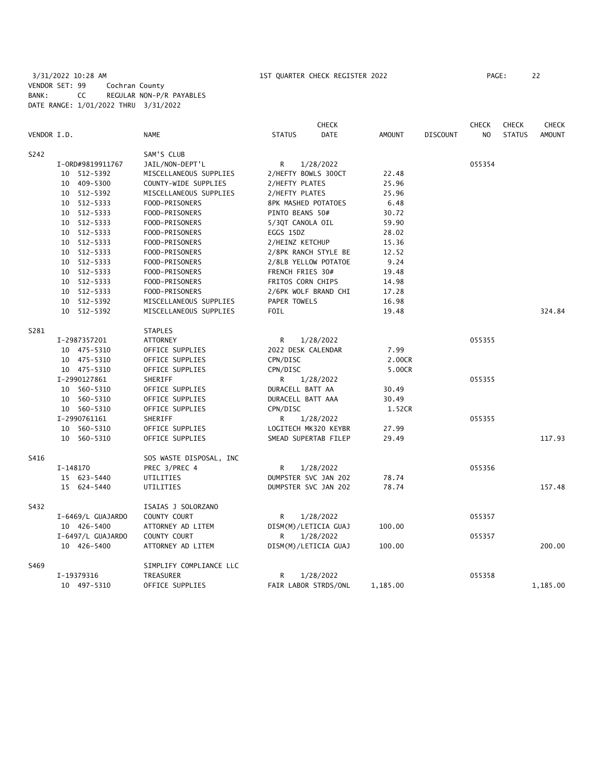3/31/2022 10:28 AM 1ST QUARTER CHECK REGISTER 2022 PAGE: 22 VENDOR SET: 99 Cochran County BANK: CC REGULAR NON-P/R PAYABLES DATE RANGE: 1/01/2022 THRU 3/31/2022

|             |                   |                         |                      | <b>CHECK</b>         |               |                 | <b>CHECK</b>   | <b>CHECK</b>  | <b>CHECK</b>  |
|-------------|-------------------|-------------------------|----------------------|----------------------|---------------|-----------------|----------------|---------------|---------------|
| VENDOR I.D. |                   | NAME                    | <b>STATUS</b>        | <b>DATE</b>          | <b>AMOUNT</b> | <b>DISCOUNT</b> | N <sub>O</sub> | <b>STATUS</b> | <b>AMOUNT</b> |
| S242        |                   | SAM'S CLUB              |                      |                      |               |                 |                |               |               |
|             | I-0RD#9819911767  | JAIL/NON-DEPT'L         | R                    | 1/28/2022            |               |                 | 055354         |               |               |
|             | 10 512-5392       | MISCELLANEOUS SUPPLIES  | 2/HEFTY BOWLS 300CT  |                      | 22.48         |                 |                |               |               |
|             | 10 409-5300       | COUNTY-WIDE SUPPLIES    | 2/HEFTY PLATES       |                      | 25.96         |                 |                |               |               |
|             | 10 512-5392       | MISCELLANEOUS SUPPLIES  | 2/HEFTY PLATES       |                      | 25.96         |                 |                |               |               |
|             | 10 512-5333       | FOOD-PRISONERS          | 8PK MASHED POTATOES  |                      | 6.48          |                 |                |               |               |
|             | 10 512-5333       | FOOD-PRISONERS          | PINTO BEANS 50#      |                      | 30.72         |                 |                |               |               |
|             | 10 512-5333       | FOOD-PRISONERS          | 5/3QT CANOLA OIL     |                      | 59.90         |                 |                |               |               |
|             | 10 512-5333       | FOOD-PRISONERS          | EGGS 15DZ            |                      | 28.02         |                 |                |               |               |
|             | 10 512-5333       | FOOD-PRISONERS          | 2/HEINZ KETCHUP      |                      | 15.36         |                 |                |               |               |
|             | 10 512-5333       | FOOD-PRISONERS          |                      | 2/8PK RANCH STYLE BE | 12.52         |                 |                |               |               |
|             | 10 512-5333       | FOOD-PRISONERS          |                      | 2/8LB YELLOW POTATOE | 9.24          |                 |                |               |               |
|             | 10 512-5333       | FOOD-PRISONERS          | FRENCH FRIES 30#     |                      | 19.48         |                 |                |               |               |
|             | 10 512-5333       | FOOD-PRISONERS          | FRITOS CORN CHIPS    |                      | 14.98         |                 |                |               |               |
|             | 10 512-5333       | FOOD-PRISONERS          |                      | 2/6PK WOLF BRAND CHI | 17.28         |                 |                |               |               |
|             | 10 512-5392       | MISCELLANEOUS SUPPLIES  | PAPER TOWELS         |                      | 16.98         |                 |                |               |               |
|             | 10 512-5392       | MISCELLANEOUS SUPPLIES  | FOIL                 |                      | 19.48         |                 |                |               | 324.84        |
| S281        |                   | <b>STAPLES</b>          |                      |                      |               |                 |                |               |               |
|             | I-2987357201      | <b>ATTORNEY</b>         | R                    | 1/28/2022            |               |                 | 055355         |               |               |
|             | 10 475-5310       | OFFICE SUPPLIES         | 2022 DESK CALENDAR   |                      | 7.99          |                 |                |               |               |
|             | 10 475-5310       | OFFICE SUPPLIES         | CPN/DISC             |                      | 2.00CR        |                 |                |               |               |
|             | 10 475-5310       | OFFICE SUPPLIES         | CPN/DISC             |                      | 5.00CR        |                 |                |               |               |
|             | I-2990127861      | SHERIFF                 | R                    | 1/28/2022            |               |                 | 055355         |               |               |
|             | 10 560-5310       | OFFICE SUPPLIES         | DURACELL BATT AA     |                      | 30.49         |                 |                |               |               |
|             | 10 560-5310       | OFFICE SUPPLIES         | DURACELL BATT AAA    |                      | 30.49         |                 |                |               |               |
|             | 10 560-5310       | OFFICE SUPPLIES         | CPN/DISC             |                      | 1.52CR        |                 |                |               |               |
|             | I-2990761161      | SHERIFF                 | R                    | 1/28/2022            |               |                 | 055355         |               |               |
|             | 10 560-5310       | OFFICE SUPPLIES         |                      | LOGITECH MK320 KEYBR | 27.99         |                 |                |               |               |
|             | 10 560-5310       | OFFICE SUPPLIES         |                      | SMEAD SUPERTAB FILEP | 29.49         |                 |                |               | 117.93        |
| S416        |                   | SOS WASTE DISPOSAL, INC |                      |                      |               |                 |                |               |               |
|             | I-148170          | PREC 3/PREC 4           | R                    | 1/28/2022            |               |                 | 055356         |               |               |
|             | 15 623-5440       | UTILITIES               |                      | DUMPSTER SVC JAN 202 | 78.74         |                 |                |               |               |
|             | 15 624-5440       | UTILITIES               |                      | DUMPSTER SVC JAN 202 | 78.74         |                 |                |               | 157.48        |
| S432        |                   | ISAIAS J SOLORZANO      |                      |                      |               |                 |                |               |               |
|             | I-6469/L GUAJARDO | COUNTY COURT            | R                    | 1/28/2022            |               |                 | 055357         |               |               |
|             | 10 426-5400       | ATTORNEY AD LITEM       | DISM(M)/LETICIA GUAJ |                      | 100.00        |                 |                |               |               |
|             | I-6497/L GUAJARDO | COUNTY COURT            | R                    | 1/28/2022            |               |                 | 055357         |               |               |
|             | 10 426-5400       | ATTORNEY AD LITEM       | DISM(M)/LETICIA GUAJ |                      | 100.00        |                 |                |               | 200.00        |
| S469        |                   | SIMPLIFY COMPLIANCE LLC |                      |                      |               |                 |                |               |               |
|             | I-19379316        | TREASURER               | R                    | 1/28/2022            |               |                 | 055358         |               |               |
|             | 10 497-5310       | OFFICE SUPPLIES         |                      | FAIR LABOR STRDS/ONL | 1,185.00      |                 |                |               | 1,185.00      |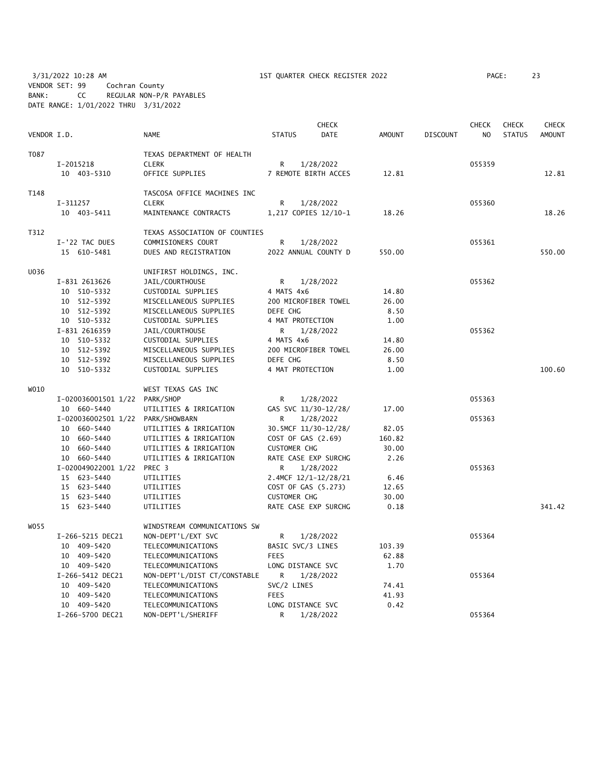3/31/2022 10:28 AM 1ST QUARTER CHECK REGISTER 2022 PAGE: 23 VENDOR SET: 99 Cochran County BANK: CC REGULAR NON-P/R PAYABLES DATE RANGE: 1/01/2022 THRU 3/31/2022

| VENDOR I.D. |                                   | <b>NAME</b>                   | <b>STATUS</b>        | <b>CHECK</b><br><b>DATE</b> | <b>AMOUNT</b> | <b>DISCOUNT</b> | <b>CHECK</b><br>N <sub>O</sub> | <b>CHECK</b><br><b>STATUS</b> | <b>CHECK</b><br><b>AMOUNT</b> |
|-------------|-----------------------------------|-------------------------------|----------------------|-----------------------------|---------------|-----------------|--------------------------------|-------------------------------|-------------------------------|
| T087        |                                   | TEXAS DEPARTMENT OF HEALTH    |                      |                             |               |                 |                                |                               |                               |
|             | I-2015218                         | <b>CLERK</b>                  | R                    | 1/28/2022                   |               |                 | 055359                         |                               |                               |
|             | 10 403-5310                       | OFFICE SUPPLIES               | 7 REMOTE BIRTH ACCES |                             | 12.81         |                 |                                |                               | 12.81                         |
| T148        |                                   | TASCOSA OFFICE MACHINES INC   |                      |                             |               |                 |                                |                               |                               |
|             | $I-311257$                        | <b>CLERK</b>                  | R                    | 1/28/2022                   |               |                 | 055360                         |                               |                               |
|             | 10 403-5411                       | MAINTENANCE CONTRACTS         | 1,217 COPIES 12/10-1 |                             | 18.26         |                 |                                |                               | 18.26                         |
| T312        |                                   | TEXAS ASSOCIATION OF COUNTIES |                      |                             |               |                 |                                |                               |                               |
|             | I-'22 TAC DUES                    | COMMISIONERS COURT            | R                    | 1/28/2022                   |               |                 | 055361                         |                               |                               |
|             | 15 610-5481                       | DUES AND REGISTRATION         | 2022 ANNUAL COUNTY D |                             | 550.00        |                 |                                |                               | 550.00                        |
| U036        |                                   | UNIFIRST HOLDINGS, INC.       |                      |                             |               |                 |                                |                               |                               |
|             | I-831 2613626                     | JAIL/COURTHOUSE               | R                    | 1/28/2022                   |               |                 | 055362                         |                               |                               |
|             | 10 510-5332                       | CUSTODIAL SUPPLIES            | 4 MATS 4x6           |                             | 14.80         |                 |                                |                               |                               |
|             | 10 512-5392                       | MISCELLANEOUS SUPPLIES        | 200 MICROFIBER TOWEL |                             | 26.00         |                 |                                |                               |                               |
|             | 10 512-5392                       | MISCELLANEOUS SUPPLIES        | DEFE CHG             |                             | 8.50          |                 |                                |                               |                               |
|             | 10 510-5332                       | CUSTODIAL SUPPLIES            | 4 MAT PROTECTION     |                             | 1.00          |                 |                                |                               |                               |
|             | I-831 2616359                     | JAIL/COURTHOUSE               | R                    | 1/28/2022                   |               |                 | 055362                         |                               |                               |
|             | 10 510-5332                       | CUSTODIAL SUPPLIES            | 4 MATS 4x6           |                             | 14.80         |                 |                                |                               |                               |
|             | 10 512-5392                       | MISCELLANEOUS SUPPLIES        | 200 MICROFIBER TOWEL |                             | 26.00         |                 |                                |                               |                               |
|             | 10 512-5392                       | MISCELLANEOUS SUPPLIES        | DEFE CHG             |                             | 8.50          |                 |                                |                               |                               |
|             | 10 510-5332                       | CUSTODIAL SUPPLIES            | 4 MAT PROTECTION     |                             | 1.00          |                 |                                |                               | 100.60                        |
| W010        |                                   | WEST TEXAS GAS INC            |                      |                             |               |                 |                                |                               |                               |
|             | I-020036001501 1/22 PARK/SHOP     |                               | R                    | 1/28/2022                   |               |                 | 055363                         |                               |                               |
|             | 10 660-5440                       | UTILITIES & IRRIGATION        | GAS SVC 11/30-12/28/ |                             | 17.00         |                 |                                |                               |                               |
|             | I-020036002501 1/22 PARK/SHOWBARN |                               | R                    | 1/28/2022                   |               |                 | 055363                         |                               |                               |
|             | 10 660-5440                       | UTILITIES & IRRIGATION        | 30.5MCF 11/30-12/28/ |                             | 82.05         |                 |                                |                               |                               |
|             | 10 660-5440                       | UTILITIES & IRRIGATION        | COST OF GAS (2.69)   |                             | 160.82        |                 |                                |                               |                               |
|             | 10 660-5440                       | UTILITIES & IRRIGATION        | <b>CUSTOMER CHG</b>  |                             | 30.00         |                 |                                |                               |                               |
|             | 10 660-5440                       | UTILITIES & IRRIGATION        | RATE CASE EXP SURCHG |                             | 2.26          |                 |                                |                               |                               |
|             | I-020049022001 1/22 PREC 3        |                               | R                    | 1/28/2022                   |               |                 | 055363                         |                               |                               |
|             | 15 623-5440                       | UTILITIES                     | 2.4MCF 12/1-12/28/21 |                             | 6.46          |                 |                                |                               |                               |
|             | 15 623-5440                       | UTILITIES                     | COST OF GAS (5.273)  |                             | 12.65         |                 |                                |                               |                               |
|             | 15 623-5440                       | UTILITIES                     | <b>CUSTOMER CHG</b>  |                             | 30.00         |                 |                                |                               |                               |
|             | 15 623-5440                       | UTILITIES                     | RATE CASE EXP SURCHG |                             | 0.18          |                 |                                |                               | 341.42                        |
| W055        |                                   | WINDSTREAM COMMUNICATIONS SW  |                      |                             |               |                 |                                |                               |                               |
|             | I-266-5215 DEC21                  | NON-DEPT'L/EXT SVC            | R                    | 1/28/2022                   |               |                 | 055364                         |                               |                               |
|             | 10 409-5420                       | TELECOMMUNICATIONS            | BASIC SVC/3 LINES    |                             | 103.39        |                 |                                |                               |                               |
|             | 10 409-5420                       | TELECOMMUNICATIONS            | <b>FEES</b>          |                             | 62.88         |                 |                                |                               |                               |
|             | 10 409-5420                       | TELECOMMUNICATIONS            | LONG DISTANCE SVC    |                             | 1.70          |                 |                                |                               |                               |
|             | I-266-5412 DEC21                  | NON-DEPT'L/DIST CT/CONSTABLE  | R                    | 1/28/2022                   |               |                 | 055364                         |                               |                               |
|             | 10 409-5420                       | TELECOMMUNICATIONS            | SVC/2 LINES          |                             | 74.41         |                 |                                |                               |                               |
|             | 10 409-5420                       | TELECOMMUNICATIONS            | <b>FEES</b>          |                             | 41.93         |                 |                                |                               |                               |
|             | 10 409-5420                       | TELECOMMUNICATIONS            | LONG DISTANCE SVC    |                             | 0.42          |                 |                                |                               |                               |

I-266-5700 DEC21 NON-DEPT'L/SHERIFF R 1/28/2022 055364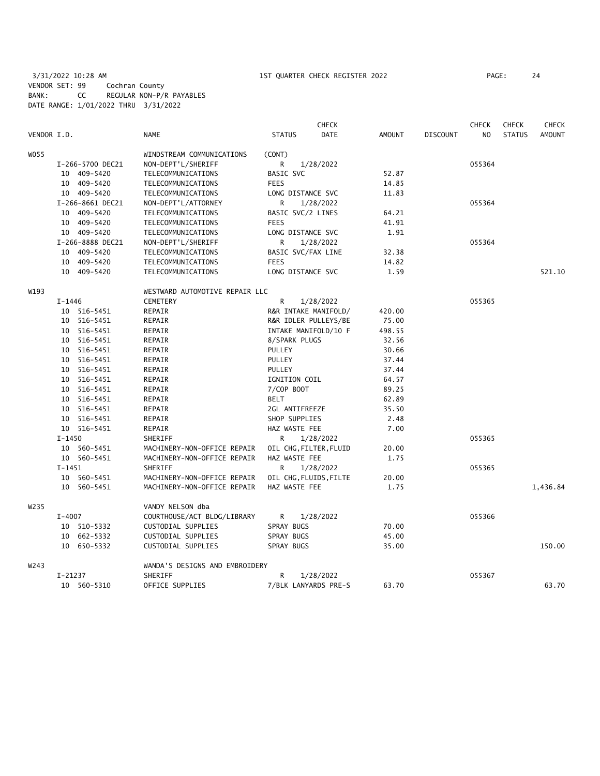3/31/2022 10:28 AM 1ST QUARTER CHECK REGISTER 2022 PAGE: 24 VENDOR SET: 99 Cochran County BANK: CC REGULAR NON-P/R PAYABLES DATE RANGE: 1/01/2022 THRU 3/31/2022

| VENDOR I.D.<br><b>NAME</b><br><b>STATUS</b><br><b>DATE</b><br><b>AMOUNT</b><br><b>DISCOUNT</b><br>NO<br><b>STATUS</b><br><b>AMOUNT</b><br>W055<br>WINDSTREAM COMMUNICATIONS<br>(CONT)<br>NON-DEPT'L/SHERIFF<br>055364<br>I-266-5700 DEC21<br>R<br>1/28/2022<br>10 409-5420<br>BASIC SVC<br>52.87<br>TELECOMMUNICATIONS<br>10 409-5420<br>TELECOMMUNICATIONS<br><b>FEES</b><br>14.85<br>10 409-5420<br>TELECOMMUNICATIONS<br>LONG DISTANCE SVC<br>11.83<br>I-266-8661 DEC21<br>R<br>NON-DEPT'L/ATTORNEY<br>1/28/2022<br>055364<br>10 409-5420<br>BASIC SVC/2 LINES<br>TELECOMMUNICATIONS<br>64.21<br>10 409-5420<br><b>FEES</b><br>41.91<br>TELECOMMUNICATIONS<br>10 409-5420<br>TELECOMMUNICATIONS<br>LONG DISTANCE SVC<br>1.91<br>I-266-8888 DEC21<br>R<br>055364<br>NON-DEPT'L/SHERIFF<br>1/28/2022<br>10 409-5420<br>BASIC SVC/FAX LINE<br>32.38<br>TELECOMMUNICATIONS<br>10 409-5420<br><b>FEES</b><br>TELECOMMUNICATIONS<br>14.82<br>10 409-5420<br>LONG DISTANCE SVC<br>1.59<br>521.10<br>TELECOMMUNICATIONS<br>W193<br>WESTWARD AUTOMOTIVE REPAIR LLC<br><b>CEMETERY</b><br>055365<br>$I - 1446$<br>R<br>1/28/2022<br>10 516-5451<br>REPAIR<br>R&R INTAKE MANIFOLD/<br>420.00<br>10 516-5451<br>REPAIR<br>R&R IDLER PULLEYS/BE<br>75.00<br>10 516-5451<br>INTAKE MANIFOLD/10 F<br>498.55<br>REPAIR<br>10 516-5451<br>REPAIR<br>8/SPARK PLUGS<br>32.56<br>10 516-5451<br>REPAIR<br>PULLEY<br>30.66<br>10 516-5451<br>REPAIR<br>PULLEY<br>37.44<br>10 516-5451<br>REPAIR<br>PULLEY<br>37.44<br>10 516-5451<br>REPAIR<br>IGNITION COIL<br>64.57<br>10 516-5451<br>REPAIR<br>7/COP BOOT<br>89.25<br><b>BELT</b><br>10 516-5451<br>REPAIR<br>62.89<br>10 516-5451<br>REPAIR<br>2GL ANTIFREEZE<br>35.50<br>10 516-5451<br>REPAIR<br>SHOP SUPPLIES<br>2.48<br>10 516-5451<br>REPAIR<br>HAZ WASTE FEE<br>7.00<br>$I - 1450$<br>R.<br>SHERIFF<br>1/28/2022<br>055365<br>10 560-5451<br>MACHINERY-NON-OFFICE REPAIR<br>OIL CHG, FILTER, FLUID<br>20.00<br>10 560-5451<br>MACHINERY-NON-OFFICE REPAIR<br>HAZ WASTE FEE<br>1.75<br>$I-1451$<br>SHERIFF<br>055365<br>R<br>1/28/2022<br>10 560-5451<br>MACHINERY-NON-OFFICE REPAIR<br>OIL CHG, FLUIDS, FILTE<br>20.00<br>1,436.84<br>10 560-5451<br>MACHINERY-NON-OFFICE REPAIR<br>HAZ WASTE FEE<br>1.75<br>W <sub>235</sub><br>VANDY NELSON dba<br>$I - 4007$<br>COURTHOUSE/ACT BLDG/LIBRARY<br>055366<br>R<br>1/28/2022<br>10 510-5332<br>CUSTODIAL SUPPLIES<br>SPRAY BUGS<br>70.00<br>10 662-5332<br>CUSTODIAL SUPPLIES<br>SPRAY BUGS<br>45.00<br>CUSTODIAL SUPPLIES<br>150.00<br>10 650-5332<br>SPRAY BUGS<br>35.00<br>W243<br>WANDA'S DESIGNS AND EMBROIDERY<br>$I-21237$<br>SHERIFF<br>055367<br>R<br>1/28/2022<br>OFFICE SUPPLIES<br>10 560-5310<br>7/BLK LANYARDS PRE-S<br>63.70<br>63.70 |  |  | <b>CHECK</b> |  | <b>CHECK</b> | <b>CHECK</b> | <b>CHECK</b> |
|--------------------------------------------------------------------------------------------------------------------------------------------------------------------------------------------------------------------------------------------------------------------------------------------------------------------------------------------------------------------------------------------------------------------------------------------------------------------------------------------------------------------------------------------------------------------------------------------------------------------------------------------------------------------------------------------------------------------------------------------------------------------------------------------------------------------------------------------------------------------------------------------------------------------------------------------------------------------------------------------------------------------------------------------------------------------------------------------------------------------------------------------------------------------------------------------------------------------------------------------------------------------------------------------------------------------------------------------------------------------------------------------------------------------------------------------------------------------------------------------------------------------------------------------------------------------------------------------------------------------------------------------------------------------------------------------------------------------------------------------------------------------------------------------------------------------------------------------------------------------------------------------------------------------------------------------------------------------------------------------------------------------------------------------------------------------------------------------------------------------------------------------------------------------------------------------------------------------------------------------------------------------------------------------------------------------------------------------------------------------------------------------------------------------------------------------------------------------------------------------------------------------------------------------------------------------------------------------------------------------------------------------------------------------------------------------------------------------------------------------|--|--|--------------|--|--------------|--------------|--------------|
|                                                                                                                                                                                                                                                                                                                                                                                                                                                                                                                                                                                                                                                                                                                                                                                                                                                                                                                                                                                                                                                                                                                                                                                                                                                                                                                                                                                                                                                                                                                                                                                                                                                                                                                                                                                                                                                                                                                                                                                                                                                                                                                                                                                                                                                                                                                                                                                                                                                                                                                                                                                                                                                                                                                                            |  |  |              |  |              |              |              |
|                                                                                                                                                                                                                                                                                                                                                                                                                                                                                                                                                                                                                                                                                                                                                                                                                                                                                                                                                                                                                                                                                                                                                                                                                                                                                                                                                                                                                                                                                                                                                                                                                                                                                                                                                                                                                                                                                                                                                                                                                                                                                                                                                                                                                                                                                                                                                                                                                                                                                                                                                                                                                                                                                                                                            |  |  |              |  |              |              |              |
|                                                                                                                                                                                                                                                                                                                                                                                                                                                                                                                                                                                                                                                                                                                                                                                                                                                                                                                                                                                                                                                                                                                                                                                                                                                                                                                                                                                                                                                                                                                                                                                                                                                                                                                                                                                                                                                                                                                                                                                                                                                                                                                                                                                                                                                                                                                                                                                                                                                                                                                                                                                                                                                                                                                                            |  |  |              |  |              |              |              |
|                                                                                                                                                                                                                                                                                                                                                                                                                                                                                                                                                                                                                                                                                                                                                                                                                                                                                                                                                                                                                                                                                                                                                                                                                                                                                                                                                                                                                                                                                                                                                                                                                                                                                                                                                                                                                                                                                                                                                                                                                                                                                                                                                                                                                                                                                                                                                                                                                                                                                                                                                                                                                                                                                                                                            |  |  |              |  |              |              |              |
|                                                                                                                                                                                                                                                                                                                                                                                                                                                                                                                                                                                                                                                                                                                                                                                                                                                                                                                                                                                                                                                                                                                                                                                                                                                                                                                                                                                                                                                                                                                                                                                                                                                                                                                                                                                                                                                                                                                                                                                                                                                                                                                                                                                                                                                                                                                                                                                                                                                                                                                                                                                                                                                                                                                                            |  |  |              |  |              |              |              |
|                                                                                                                                                                                                                                                                                                                                                                                                                                                                                                                                                                                                                                                                                                                                                                                                                                                                                                                                                                                                                                                                                                                                                                                                                                                                                                                                                                                                                                                                                                                                                                                                                                                                                                                                                                                                                                                                                                                                                                                                                                                                                                                                                                                                                                                                                                                                                                                                                                                                                                                                                                                                                                                                                                                                            |  |  |              |  |              |              |              |
|                                                                                                                                                                                                                                                                                                                                                                                                                                                                                                                                                                                                                                                                                                                                                                                                                                                                                                                                                                                                                                                                                                                                                                                                                                                                                                                                                                                                                                                                                                                                                                                                                                                                                                                                                                                                                                                                                                                                                                                                                                                                                                                                                                                                                                                                                                                                                                                                                                                                                                                                                                                                                                                                                                                                            |  |  |              |  |              |              |              |
|                                                                                                                                                                                                                                                                                                                                                                                                                                                                                                                                                                                                                                                                                                                                                                                                                                                                                                                                                                                                                                                                                                                                                                                                                                                                                                                                                                                                                                                                                                                                                                                                                                                                                                                                                                                                                                                                                                                                                                                                                                                                                                                                                                                                                                                                                                                                                                                                                                                                                                                                                                                                                                                                                                                                            |  |  |              |  |              |              |              |
|                                                                                                                                                                                                                                                                                                                                                                                                                                                                                                                                                                                                                                                                                                                                                                                                                                                                                                                                                                                                                                                                                                                                                                                                                                                                                                                                                                                                                                                                                                                                                                                                                                                                                                                                                                                                                                                                                                                                                                                                                                                                                                                                                                                                                                                                                                                                                                                                                                                                                                                                                                                                                                                                                                                                            |  |  |              |  |              |              |              |
|                                                                                                                                                                                                                                                                                                                                                                                                                                                                                                                                                                                                                                                                                                                                                                                                                                                                                                                                                                                                                                                                                                                                                                                                                                                                                                                                                                                                                                                                                                                                                                                                                                                                                                                                                                                                                                                                                                                                                                                                                                                                                                                                                                                                                                                                                                                                                                                                                                                                                                                                                                                                                                                                                                                                            |  |  |              |  |              |              |              |
|                                                                                                                                                                                                                                                                                                                                                                                                                                                                                                                                                                                                                                                                                                                                                                                                                                                                                                                                                                                                                                                                                                                                                                                                                                                                                                                                                                                                                                                                                                                                                                                                                                                                                                                                                                                                                                                                                                                                                                                                                                                                                                                                                                                                                                                                                                                                                                                                                                                                                                                                                                                                                                                                                                                                            |  |  |              |  |              |              |              |
|                                                                                                                                                                                                                                                                                                                                                                                                                                                                                                                                                                                                                                                                                                                                                                                                                                                                                                                                                                                                                                                                                                                                                                                                                                                                                                                                                                                                                                                                                                                                                                                                                                                                                                                                                                                                                                                                                                                                                                                                                                                                                                                                                                                                                                                                                                                                                                                                                                                                                                                                                                                                                                                                                                                                            |  |  |              |  |              |              |              |
|                                                                                                                                                                                                                                                                                                                                                                                                                                                                                                                                                                                                                                                                                                                                                                                                                                                                                                                                                                                                                                                                                                                                                                                                                                                                                                                                                                                                                                                                                                                                                                                                                                                                                                                                                                                                                                                                                                                                                                                                                                                                                                                                                                                                                                                                                                                                                                                                                                                                                                                                                                                                                                                                                                                                            |  |  |              |  |              |              |              |
|                                                                                                                                                                                                                                                                                                                                                                                                                                                                                                                                                                                                                                                                                                                                                                                                                                                                                                                                                                                                                                                                                                                                                                                                                                                                                                                                                                                                                                                                                                                                                                                                                                                                                                                                                                                                                                                                                                                                                                                                                                                                                                                                                                                                                                                                                                                                                                                                                                                                                                                                                                                                                                                                                                                                            |  |  |              |  |              |              |              |
|                                                                                                                                                                                                                                                                                                                                                                                                                                                                                                                                                                                                                                                                                                                                                                                                                                                                                                                                                                                                                                                                                                                                                                                                                                                                                                                                                                                                                                                                                                                                                                                                                                                                                                                                                                                                                                                                                                                                                                                                                                                                                                                                                                                                                                                                                                                                                                                                                                                                                                                                                                                                                                                                                                                                            |  |  |              |  |              |              |              |
|                                                                                                                                                                                                                                                                                                                                                                                                                                                                                                                                                                                                                                                                                                                                                                                                                                                                                                                                                                                                                                                                                                                                                                                                                                                                                                                                                                                                                                                                                                                                                                                                                                                                                                                                                                                                                                                                                                                                                                                                                                                                                                                                                                                                                                                                                                                                                                                                                                                                                                                                                                                                                                                                                                                                            |  |  |              |  |              |              |              |
|                                                                                                                                                                                                                                                                                                                                                                                                                                                                                                                                                                                                                                                                                                                                                                                                                                                                                                                                                                                                                                                                                                                                                                                                                                                                                                                                                                                                                                                                                                                                                                                                                                                                                                                                                                                                                                                                                                                                                                                                                                                                                                                                                                                                                                                                                                                                                                                                                                                                                                                                                                                                                                                                                                                                            |  |  |              |  |              |              |              |
|                                                                                                                                                                                                                                                                                                                                                                                                                                                                                                                                                                                                                                                                                                                                                                                                                                                                                                                                                                                                                                                                                                                                                                                                                                                                                                                                                                                                                                                                                                                                                                                                                                                                                                                                                                                                                                                                                                                                                                                                                                                                                                                                                                                                                                                                                                                                                                                                                                                                                                                                                                                                                                                                                                                                            |  |  |              |  |              |              |              |
|                                                                                                                                                                                                                                                                                                                                                                                                                                                                                                                                                                                                                                                                                                                                                                                                                                                                                                                                                                                                                                                                                                                                                                                                                                                                                                                                                                                                                                                                                                                                                                                                                                                                                                                                                                                                                                                                                                                                                                                                                                                                                                                                                                                                                                                                                                                                                                                                                                                                                                                                                                                                                                                                                                                                            |  |  |              |  |              |              |              |
|                                                                                                                                                                                                                                                                                                                                                                                                                                                                                                                                                                                                                                                                                                                                                                                                                                                                                                                                                                                                                                                                                                                                                                                                                                                                                                                                                                                                                                                                                                                                                                                                                                                                                                                                                                                                                                                                                                                                                                                                                                                                                                                                                                                                                                                                                                                                                                                                                                                                                                                                                                                                                                                                                                                                            |  |  |              |  |              |              |              |
|                                                                                                                                                                                                                                                                                                                                                                                                                                                                                                                                                                                                                                                                                                                                                                                                                                                                                                                                                                                                                                                                                                                                                                                                                                                                                                                                                                                                                                                                                                                                                                                                                                                                                                                                                                                                                                                                                                                                                                                                                                                                                                                                                                                                                                                                                                                                                                                                                                                                                                                                                                                                                                                                                                                                            |  |  |              |  |              |              |              |
|                                                                                                                                                                                                                                                                                                                                                                                                                                                                                                                                                                                                                                                                                                                                                                                                                                                                                                                                                                                                                                                                                                                                                                                                                                                                                                                                                                                                                                                                                                                                                                                                                                                                                                                                                                                                                                                                                                                                                                                                                                                                                                                                                                                                                                                                                                                                                                                                                                                                                                                                                                                                                                                                                                                                            |  |  |              |  |              |              |              |
|                                                                                                                                                                                                                                                                                                                                                                                                                                                                                                                                                                                                                                                                                                                                                                                                                                                                                                                                                                                                                                                                                                                                                                                                                                                                                                                                                                                                                                                                                                                                                                                                                                                                                                                                                                                                                                                                                                                                                                                                                                                                                                                                                                                                                                                                                                                                                                                                                                                                                                                                                                                                                                                                                                                                            |  |  |              |  |              |              |              |
|                                                                                                                                                                                                                                                                                                                                                                                                                                                                                                                                                                                                                                                                                                                                                                                                                                                                                                                                                                                                                                                                                                                                                                                                                                                                                                                                                                                                                                                                                                                                                                                                                                                                                                                                                                                                                                                                                                                                                                                                                                                                                                                                                                                                                                                                                                                                                                                                                                                                                                                                                                                                                                                                                                                                            |  |  |              |  |              |              |              |
|                                                                                                                                                                                                                                                                                                                                                                                                                                                                                                                                                                                                                                                                                                                                                                                                                                                                                                                                                                                                                                                                                                                                                                                                                                                                                                                                                                                                                                                                                                                                                                                                                                                                                                                                                                                                                                                                                                                                                                                                                                                                                                                                                                                                                                                                                                                                                                                                                                                                                                                                                                                                                                                                                                                                            |  |  |              |  |              |              |              |
|                                                                                                                                                                                                                                                                                                                                                                                                                                                                                                                                                                                                                                                                                                                                                                                                                                                                                                                                                                                                                                                                                                                                                                                                                                                                                                                                                                                                                                                                                                                                                                                                                                                                                                                                                                                                                                                                                                                                                                                                                                                                                                                                                                                                                                                                                                                                                                                                                                                                                                                                                                                                                                                                                                                                            |  |  |              |  |              |              |              |
|                                                                                                                                                                                                                                                                                                                                                                                                                                                                                                                                                                                                                                                                                                                                                                                                                                                                                                                                                                                                                                                                                                                                                                                                                                                                                                                                                                                                                                                                                                                                                                                                                                                                                                                                                                                                                                                                                                                                                                                                                                                                                                                                                                                                                                                                                                                                                                                                                                                                                                                                                                                                                                                                                                                                            |  |  |              |  |              |              |              |
|                                                                                                                                                                                                                                                                                                                                                                                                                                                                                                                                                                                                                                                                                                                                                                                                                                                                                                                                                                                                                                                                                                                                                                                                                                                                                                                                                                                                                                                                                                                                                                                                                                                                                                                                                                                                                                                                                                                                                                                                                                                                                                                                                                                                                                                                                                                                                                                                                                                                                                                                                                                                                                                                                                                                            |  |  |              |  |              |              |              |
|                                                                                                                                                                                                                                                                                                                                                                                                                                                                                                                                                                                                                                                                                                                                                                                                                                                                                                                                                                                                                                                                                                                                                                                                                                                                                                                                                                                                                                                                                                                                                                                                                                                                                                                                                                                                                                                                                                                                                                                                                                                                                                                                                                                                                                                                                                                                                                                                                                                                                                                                                                                                                                                                                                                                            |  |  |              |  |              |              |              |
|                                                                                                                                                                                                                                                                                                                                                                                                                                                                                                                                                                                                                                                                                                                                                                                                                                                                                                                                                                                                                                                                                                                                                                                                                                                                                                                                                                                                                                                                                                                                                                                                                                                                                                                                                                                                                                                                                                                                                                                                                                                                                                                                                                                                                                                                                                                                                                                                                                                                                                                                                                                                                                                                                                                                            |  |  |              |  |              |              |              |
|                                                                                                                                                                                                                                                                                                                                                                                                                                                                                                                                                                                                                                                                                                                                                                                                                                                                                                                                                                                                                                                                                                                                                                                                                                                                                                                                                                                                                                                                                                                                                                                                                                                                                                                                                                                                                                                                                                                                                                                                                                                                                                                                                                                                                                                                                                                                                                                                                                                                                                                                                                                                                                                                                                                                            |  |  |              |  |              |              |              |
|                                                                                                                                                                                                                                                                                                                                                                                                                                                                                                                                                                                                                                                                                                                                                                                                                                                                                                                                                                                                                                                                                                                                                                                                                                                                                                                                                                                                                                                                                                                                                                                                                                                                                                                                                                                                                                                                                                                                                                                                                                                                                                                                                                                                                                                                                                                                                                                                                                                                                                                                                                                                                                                                                                                                            |  |  |              |  |              |              |              |
|                                                                                                                                                                                                                                                                                                                                                                                                                                                                                                                                                                                                                                                                                                                                                                                                                                                                                                                                                                                                                                                                                                                                                                                                                                                                                                                                                                                                                                                                                                                                                                                                                                                                                                                                                                                                                                                                                                                                                                                                                                                                                                                                                                                                                                                                                                                                                                                                                                                                                                                                                                                                                                                                                                                                            |  |  |              |  |              |              |              |
|                                                                                                                                                                                                                                                                                                                                                                                                                                                                                                                                                                                                                                                                                                                                                                                                                                                                                                                                                                                                                                                                                                                                                                                                                                                                                                                                                                                                                                                                                                                                                                                                                                                                                                                                                                                                                                                                                                                                                                                                                                                                                                                                                                                                                                                                                                                                                                                                                                                                                                                                                                                                                                                                                                                                            |  |  |              |  |              |              |              |
|                                                                                                                                                                                                                                                                                                                                                                                                                                                                                                                                                                                                                                                                                                                                                                                                                                                                                                                                                                                                                                                                                                                                                                                                                                                                                                                                                                                                                                                                                                                                                                                                                                                                                                                                                                                                                                                                                                                                                                                                                                                                                                                                                                                                                                                                                                                                                                                                                                                                                                                                                                                                                                                                                                                                            |  |  |              |  |              |              |              |
|                                                                                                                                                                                                                                                                                                                                                                                                                                                                                                                                                                                                                                                                                                                                                                                                                                                                                                                                                                                                                                                                                                                                                                                                                                                                                                                                                                                                                                                                                                                                                                                                                                                                                                                                                                                                                                                                                                                                                                                                                                                                                                                                                                                                                                                                                                                                                                                                                                                                                                                                                                                                                                                                                                                                            |  |  |              |  |              |              |              |
|                                                                                                                                                                                                                                                                                                                                                                                                                                                                                                                                                                                                                                                                                                                                                                                                                                                                                                                                                                                                                                                                                                                                                                                                                                                                                                                                                                                                                                                                                                                                                                                                                                                                                                                                                                                                                                                                                                                                                                                                                                                                                                                                                                                                                                                                                                                                                                                                                                                                                                                                                                                                                                                                                                                                            |  |  |              |  |              |              |              |
|                                                                                                                                                                                                                                                                                                                                                                                                                                                                                                                                                                                                                                                                                                                                                                                                                                                                                                                                                                                                                                                                                                                                                                                                                                                                                                                                                                                                                                                                                                                                                                                                                                                                                                                                                                                                                                                                                                                                                                                                                                                                                                                                                                                                                                                                                                                                                                                                                                                                                                                                                                                                                                                                                                                                            |  |  |              |  |              |              |              |
|                                                                                                                                                                                                                                                                                                                                                                                                                                                                                                                                                                                                                                                                                                                                                                                                                                                                                                                                                                                                                                                                                                                                                                                                                                                                                                                                                                                                                                                                                                                                                                                                                                                                                                                                                                                                                                                                                                                                                                                                                                                                                                                                                                                                                                                                                                                                                                                                                                                                                                                                                                                                                                                                                                                                            |  |  |              |  |              |              |              |
|                                                                                                                                                                                                                                                                                                                                                                                                                                                                                                                                                                                                                                                                                                                                                                                                                                                                                                                                                                                                                                                                                                                                                                                                                                                                                                                                                                                                                                                                                                                                                                                                                                                                                                                                                                                                                                                                                                                                                                                                                                                                                                                                                                                                                                                                                                                                                                                                                                                                                                                                                                                                                                                                                                                                            |  |  |              |  |              |              |              |
|                                                                                                                                                                                                                                                                                                                                                                                                                                                                                                                                                                                                                                                                                                                                                                                                                                                                                                                                                                                                                                                                                                                                                                                                                                                                                                                                                                                                                                                                                                                                                                                                                                                                                                                                                                                                                                                                                                                                                                                                                                                                                                                                                                                                                                                                                                                                                                                                                                                                                                                                                                                                                                                                                                                                            |  |  |              |  |              |              |              |
|                                                                                                                                                                                                                                                                                                                                                                                                                                                                                                                                                                                                                                                                                                                                                                                                                                                                                                                                                                                                                                                                                                                                                                                                                                                                                                                                                                                                                                                                                                                                                                                                                                                                                                                                                                                                                                                                                                                                                                                                                                                                                                                                                                                                                                                                                                                                                                                                                                                                                                                                                                                                                                                                                                                                            |  |  |              |  |              |              |              |
|                                                                                                                                                                                                                                                                                                                                                                                                                                                                                                                                                                                                                                                                                                                                                                                                                                                                                                                                                                                                                                                                                                                                                                                                                                                                                                                                                                                                                                                                                                                                                                                                                                                                                                                                                                                                                                                                                                                                                                                                                                                                                                                                                                                                                                                                                                                                                                                                                                                                                                                                                                                                                                                                                                                                            |  |  |              |  |              |              |              |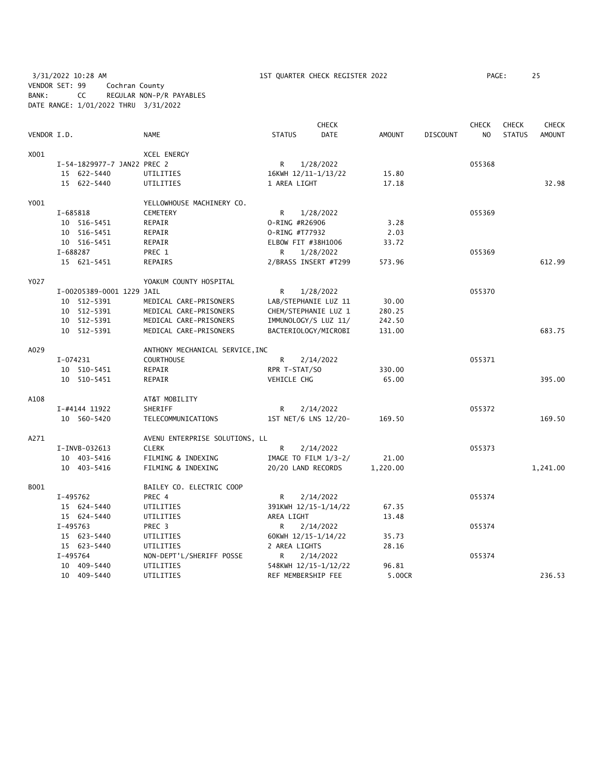3/31/2022 10:28 AM 1ST QUARTER CHECK REGISTER 2022 PAGE: 25 VENDOR SET: 99 Cochran County BANK: CC REGULAR NON-P/R PAYABLES DATE RANGE: 1/01/2022 THRU 3/31/2022

|             |          |                             |                                 |                | <b>CHECK</b>           |               |                 | <b>CHECK</b>   | <b>CHECK</b>  | <b>CHECK</b>  |
|-------------|----------|-----------------------------|---------------------------------|----------------|------------------------|---------------|-----------------|----------------|---------------|---------------|
| VENDOR I.D. |          |                             | <b>NAME</b>                     | <b>STATUS</b>  | <b>DATE</b>            | <b>AMOUNT</b> | <b>DISCOUNT</b> | N <sub>O</sub> | <b>STATUS</b> | <b>AMOUNT</b> |
| X001        |          |                             | <b>XCEL ENERGY</b>              |                |                        |               |                 |                |               |               |
|             |          | I-54-1829977-7 JAN22 PREC 2 |                                 | R              | 1/28/2022              |               |                 | 055368         |               |               |
|             |          | 15 622-5440                 | UTILITIES                       |                | 16KWH 12/11-1/13/22    | 15.80         |                 |                |               |               |
|             |          | 15 622-5440                 | UTILITIES                       | 1 AREA LIGHT   |                        | 17.18         |                 |                |               | 32.98         |
| Y001        |          |                             | YELLOWHOUSE MACHINERY CO.       |                |                        |               |                 |                |               |               |
|             | I-685818 |                             | <b>CEMETERY</b>                 | R              | 1/28/2022              |               |                 | 055369         |               |               |
|             |          | 10 516-5451                 | REPAIR                          | 0-RING #R26906 |                        | 3.28          |                 |                |               |               |
|             |          | 10 516-5451                 | REPAIR                          | 0-RING #T77932 |                        | 2.03          |                 |                |               |               |
|             |          | 10 516-5451                 | REPAIR                          |                | ELBOW FIT #38H1006     | 33.72         |                 |                |               |               |
|             | I-688287 |                             | PREC 1                          | R.             | 1/28/2022              |               |                 | 055369         |               |               |
|             |          | 15 621-5451                 | REPAIRS                         |                | 2/BRASS INSERT #T299   | 573.96        |                 |                |               | 612.99        |
| Y027        |          |                             | YOAKUM COUNTY HOSPITAL          |                |                        |               |                 |                |               |               |
|             |          | I-00205389-0001 1229 JAIL   |                                 | R.             | 1/28/2022              |               |                 | 055370         |               |               |
|             |          | 10 512-5391                 | MEDICAL CARE-PRISONERS          |                | LAB/STEPHANIE LUZ 11   | 30.00         |                 |                |               |               |
|             |          | 10 512-5391                 | MEDICAL CARE-PRISONERS          |                | CHEM/STEPHANIE LUZ 1   | 280.25        |                 |                |               |               |
|             |          | 10 512-5391                 | MEDICAL CARE-PRISONERS          |                | IMMUNOLOGY/S LUZ 11/   | 242.50        |                 |                |               |               |
|             |          | 10 512-5391                 | MEDICAL CARE-PRISONERS          |                | BACTERIOLOGY/MICROBI   | 131.00        |                 |                |               | 683.75        |
| A029        |          |                             | ANTHONY MECHANICAL SERVICE, INC |                |                        |               |                 |                |               |               |
|             | I-074231 |                             | <b>COURTHOUSE</b>               | R              | 2/14/2022              |               |                 | 055371         |               |               |
|             |          | 10 510-5451                 | REPAIR                          | RPR T-STAT/SO  |                        | 330.00        |                 |                |               |               |
|             |          | 10 510-5451                 | REPAIR                          | VEHICLE CHG    |                        | 65.00         |                 |                |               | 395.00        |
| A108        |          |                             | AT&T MOBILITY                   |                |                        |               |                 |                |               |               |
|             |          | I-#4144 11922               | SHERIFF                         | R              | 2/14/2022              |               |                 | 055372         |               |               |
|             |          | 10 560-5420                 | TELECOMMUNICATIONS              |                | 1ST NET/6 LNS 12/20-   | 169.50        |                 |                |               | 169.50        |
| A271        |          |                             | AVENU ENTERPRISE SOLUTIONS, LL  |                |                        |               |                 |                |               |               |
|             |          | I-INVB-032613               | <b>CLERK</b>                    | R              | 2/14/2022              |               |                 | 055373         |               |               |
|             |          | 10 403-5416                 | FILMING & INDEXING              |                | IMAGE TO FILM $1/3-2/$ | 21.00         |                 |                |               |               |
|             |          | 10 403-5416                 | FILMING & INDEXING              |                | 20/20 LAND RECORDS     | 1,220.00      |                 |                |               | 1,241.00      |
| B001        |          |                             | BAILEY CO. ELECTRIC COOP        |                |                        |               |                 |                |               |               |
|             | I-495762 |                             | PREC 4                          | R              | 2/14/2022              |               |                 | 055374         |               |               |
|             |          | 15 624-5440                 | UTILITIES                       |                | 391KWH 12/15-1/14/22   | 67.35         |                 |                |               |               |
|             |          | 15 624-5440                 | UTILITIES                       | AREA LIGHT     |                        | 13.48         |                 |                |               |               |
|             | I-495763 |                             | PREC 3                          | R.             | 2/14/2022              |               |                 | 055374         |               |               |
|             |          | 15 623-5440                 | UTILITIES                       |                | 60KWH 12/15-1/14/22    | 35.73         |                 |                |               |               |
|             |          | 15 623-5440                 | UTILITIES                       | 2 AREA LIGHTS  |                        | 28.16         |                 |                |               |               |
|             | I-495764 |                             | NON-DEPT'L/SHERIFF POSSE        | R              | 2/14/2022              |               |                 | 055374         |               |               |
|             |          | 10 409-5440                 | UTILITIES                       |                | 548KWH 12/15-1/12/22   | 96.81         |                 |                |               |               |
|             |          | 10 409-5440                 | UTILITIES                       |                | REF MEMBERSHIP FEE     | 5.00CR        |                 |                |               | 236.53        |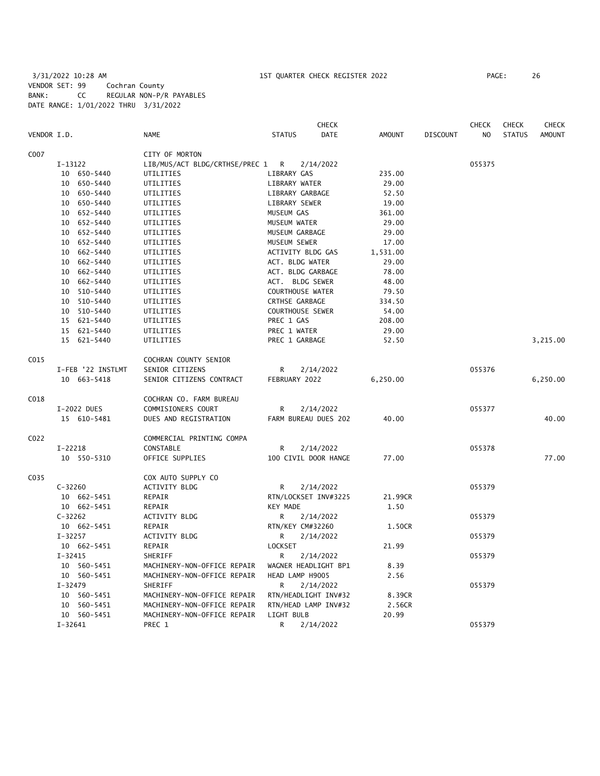3/31/2022 10:28 AM 1ST QUARTER CHECK REGISTER 2022 PAGE: 26 VENDOR SET: 99 Cochran County BANK: CC REGULAR NON-P/R PAYABLES DATE RANGE: 1/01/2022 THRU 3/31/2022

|             |                   |                                | CHECK                 |               |                 | <b>CHECK</b>   | <b>CHECK</b>  | <b>CHECK</b>  |
|-------------|-------------------|--------------------------------|-----------------------|---------------|-----------------|----------------|---------------|---------------|
| VENDOR I.D. |                   | <b>NAME</b>                    | <b>STATUS</b><br>DATE | <b>AMOUNT</b> | <b>DISCOUNT</b> | N <sub>O</sub> | <b>STATUS</b> | <b>AMOUNT</b> |
| C007        |                   | CITY OF MORTON                 |                       |               |                 |                |               |               |
|             | I-13122           | LIB/MUS/ACT BLDG/CRTHSE/PREC 1 | R<br>2/14/2022        |               |                 | 055375         |               |               |
|             | 10 650-5440       | UTILITIES                      | LIBRARY GAS           | 235.00        |                 |                |               |               |
|             | 10 650-5440       | UTILITIES                      | LIBRARY WATER         | 29.00         |                 |                |               |               |
|             | 10 650-5440       | UTILITIES                      | LIBRARY GARBAGE       | 52.50         |                 |                |               |               |
|             | 10 650-5440       | UTILITIES                      | LIBRARY SEWER         | 19.00         |                 |                |               |               |
|             | 10 652-5440       | UTILITIES                      | MUSEUM GAS            | 361.00        |                 |                |               |               |
|             | 10 652-5440       | UTILITIES                      | MUSEUM WATER          | 29.00         |                 |                |               |               |
|             | 10 652-5440       | UTILITIES                      | MUSEUM GARBAGE        | 29.00         |                 |                |               |               |
|             | 10 652-5440       | UTILITIES                      | MUSEUM SEWER          | 17.00         |                 |                |               |               |
|             | 10 662-5440       | UTILITIES                      | ACTIVITY BLDG GAS     | 1,531.00      |                 |                |               |               |
|             | 10 662-5440       | UTILITIES                      | ACT. BLDG WATER       | 29.00         |                 |                |               |               |
|             | 10 662-5440       | UTILITIES                      | ACT. BLDG GARBAGE     | 78.00         |                 |                |               |               |
|             | 10 662-5440       | UTILITIES                      | ACT. BLDG SEWER       | 48.00         |                 |                |               |               |
|             |                   |                                | COURTHOUSE WATER      | 79.50         |                 |                |               |               |
|             | 10 510-5440       | UTILITIES                      |                       |               |                 |                |               |               |
|             | 10 510-5440       | UTILITIES                      | CRTHSE GARBAGE        | 334.50        |                 |                |               |               |
|             | 10 510-5440       | UTILITIES                      | COURTHOUSE SEWER      | 54.00         |                 |                |               |               |
|             | 15 621-5440       | UTILITIES                      | PREC 1 GAS            | 208.00        |                 |                |               |               |
|             | 15 621-5440       | UTILITIES                      | PREC 1 WATER          | 29.00         |                 |                |               |               |
|             | 15 621-5440       | UTILITIES                      | PREC 1 GARBAGE        | 52.50         |                 |                |               | 3,215.00      |
| C015        |                   | COCHRAN COUNTY SENIOR          |                       |               |                 |                |               |               |
|             | I-FEB '22 INSTLMT | SENIOR CITIZENS                | 2/14/2022<br>R        |               |                 | 055376         |               |               |
|             | 10 663-5418       | SENIOR CITIZENS CONTRACT       | FEBRUARY 2022         | 6,250.00      |                 |                |               | 6,250.00      |
| C018        |                   | COCHRAN CO. FARM BUREAU        |                       |               |                 |                |               |               |
|             | I-2022 DUES       | COMMISIONERS COURT             | 2/14/2022<br>R        |               |                 | 055377         |               |               |
|             | 15 610-5481       | DUES AND REGISTRATION          | FARM BUREAU DUES 202  | 40.00         |                 |                |               | 40.00         |
| C022        |                   | COMMERCIAL PRINTING COMPA      |                       |               |                 |                |               |               |
|             | $I-22218$         | CONSTABLE                      | 2/14/2022<br>R        |               |                 | 055378         |               |               |
|             | 10 550-5310       | OFFICE SUPPLIES                | 100 CIVIL DOOR HANGE  | 77.00         |                 |                |               | 77.00         |
|             |                   |                                |                       |               |                 |                |               |               |
| C035        |                   | COX AUTO SUPPLY CO             |                       |               |                 |                |               |               |
|             | $C-32260$         | <b>ACTIVITY BLDG</b>           | R<br>2/14/2022        |               |                 | 055379         |               |               |
|             | 10 662-5451       | REPAIR                         | RTN/LOCKSET INV#3225  | 21.99CR       |                 |                |               |               |
|             | 10 662-5451       | REPAIR                         | <b>KEY MADE</b>       | 1.50          |                 |                |               |               |
|             | $C-32262$         | ACTIVITY BLDG                  | R<br>2/14/2022        |               |                 | 055379         |               |               |
|             | 10 662-5451       | REPAIR                         | RTN/KEY CM#32260      | 1.50CR        |                 |                |               |               |
|             | $I - 32257$       | ACTIVITY BLDG                  | R<br>2/14/2022        |               |                 | 055379         |               |               |
|             | 10 662-5451       | REPAIR                         | LOCKSET               | 21.99         |                 |                |               |               |
|             | $I - 32415$       | SHERIFF                        | R<br>2/14/2022        |               |                 | 055379         |               |               |
|             | 10 560-5451       | MACHINERY-NON-OFFICE REPAIR    | WAGNER HEADLIGHT BP1  | 8.39          |                 |                |               |               |
|             | 10 560-5451       | MACHINERY-NON-OFFICE REPAIR    | HEAD LAMP H9005       | 2.56          |                 |                |               |               |
|             | $I - 32479$       | SHERIFF                        | 2/14/2022<br>R        |               |                 | 055379         |               |               |
|             | 10 560-5451       | MACHINERY-NON-OFFICE REPAIR    | RTN/HEADLIGHT INV#32  | 8.39CR        |                 |                |               |               |
|             | 10 560-5451       | MACHINERY-NON-OFFICE REPAIR    | RTN/HEAD LAMP INV#32  | 2.56CR        |                 |                |               |               |
|             | 10 560-5451       | MACHINERY-NON-OFFICE REPAIR    | LIGHT BULB            | 20.99         |                 |                |               |               |
|             | $I - 32641$       | PREC 1                         | R<br>2/14/2022        |               |                 | 055379         |               |               |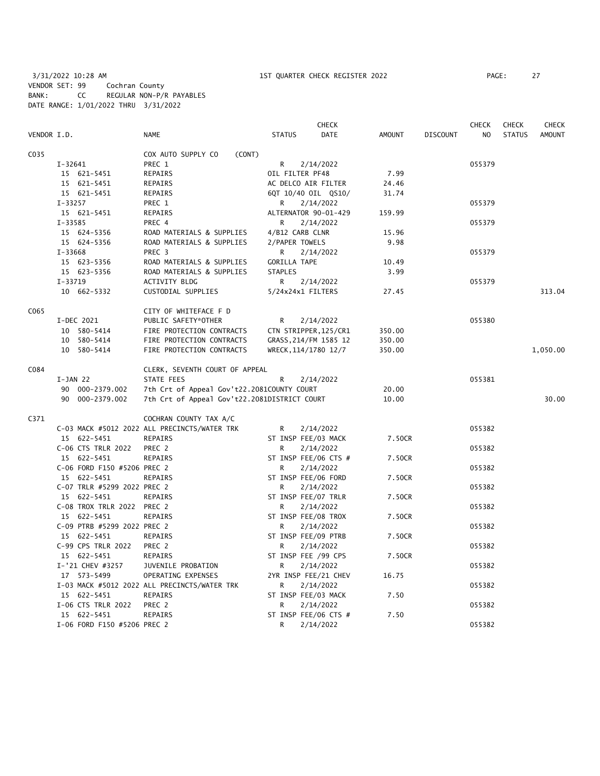3/31/2022 10:28 AM 1ST QUARTER CHECK REGISTER 2022 PAGE: 27 VENDOR SET: 99 Cochran County BANK: CC REGULAR NON-P/R PAYABLES DATE RANGE: 1/01/2022 THRU 3/31/2022

|             |                             |                                                                |                     | <b>CHECK</b>          |               |                 | <b>CHECK</b> | <b>CHECK</b>  | CHECK         |
|-------------|-----------------------------|----------------------------------------------------------------|---------------------|-----------------------|---------------|-----------------|--------------|---------------|---------------|
| VENDOR I.D. |                             | NAME                                                           | <b>STATUS</b>       | <b>DATE</b>           | <b>AMOUNT</b> | <b>DISCOUNT</b> | NO           | <b>STATUS</b> | <b>AMOUNT</b> |
| C035        |                             | COX AUTO SUPPLY CO<br>(CONT)                                   |                     |                       |               |                 |              |               |               |
|             | I-32641                     | PREC 1                                                         | R                   | 2/14/2022             |               |                 | 055379       |               |               |
|             | 15 621-5451                 | <b>REPAIRS</b>                                                 | OIL FILTER PF48     |                       | 7.99          |                 |              |               |               |
|             | 15 621-5451                 | REPAIRS                                                        |                     | AC DELCO AIR FILTER   | 24.46         |                 |              |               |               |
|             | 15 621-5451                 | REPAIRS                                                        |                     | 6QT 10/40 OIL QS10/   | 31.74         |                 |              |               |               |
|             | $I - 33257$                 | PREC 1                                                         | R                   | 2/14/2022             |               |                 | 055379       |               |               |
|             | 15 621-5451                 | REPAIRS                                                        |                     | ALTERNATOR 90-01-429  | 159.99        |                 |              |               |               |
|             | I-33585                     | PREC 4                                                         | R                   | 2/14/2022             |               |                 | 055379       |               |               |
|             | 15 624-5356                 | ROAD MATERIALS & SUPPLIES                                      | 4/B12 CARB CLNR     |                       | 15.96         |                 |              |               |               |
|             | 15 624-5356                 | ROAD MATERIALS & SUPPLIES                                      | 2/PAPER TOWELS      |                       | 9.98          |                 |              |               |               |
|             | $I - 33668$                 | PREC <sub>3</sub>                                              | R                   | 2/14/2022             |               |                 | 055379       |               |               |
|             | 15 623-5356                 | ROAD MATERIALS & SUPPLIES                                      | <b>GORILLA TAPE</b> |                       | 10.49         |                 |              |               |               |
|             | 15 623-5356                 | ROAD MATERIALS & SUPPLIES                                      | <b>STAPLES</b>      |                       | 3.99          |                 |              |               |               |
|             | $I - 33719$                 | ACTIVITY BLDG                                                  | R                   | 2/14/2022             |               |                 | 055379       |               |               |
|             | 10 662-5332                 | CUSTODIAL SUPPLIES                                             |                     | 5/24x24x1 FILTERS     | 27.45         |                 |              |               | 313.04        |
|             |                             |                                                                |                     |                       |               |                 |              |               |               |
| C065        |                             | CITY OF WHITEFACE F D                                          |                     |                       |               |                 |              |               |               |
|             | I-DEC 2021                  | PUBLIC SAFETY*OTHER                                            | R                   | 2/14/2022             |               |                 | 055380       |               |               |
|             | 10 580-5414                 | FIRE PROTECTION CONTRACTS                                      |                     | CTN STRIPPER, 125/CR1 | 350.00        |                 |              |               |               |
|             | 10 580-5414                 | FIRE PROTECTION CONTRACTS                                      |                     | GRASS, 214/FM 1585 12 | 350.00        |                 |              |               |               |
|             | 10 580-5414                 | FIRE PROTECTION CONTRACTS                                      |                     | WRECK, 114/1780 12/7  | 350.00        |                 |              |               | 1,050.00      |
| C084        |                             | CLERK, SEVENTH COURT OF APPEAL                                 |                     |                       |               |                 |              |               |               |
|             | $I-JAN$ 22                  | STATE FEES                                                     | R                   | 2/14/2022             |               |                 | 055381       |               |               |
|             | 90 000-2379.002             | 7th Crt of Appeal Gov't22.2081COUNTY COURT                     |                     |                       | 20.00         |                 |              |               |               |
|             | 90 000-2379.002             | 7th Crt of Appeal Gov't22.2081DISTRICT COURT                   |                     |                       | 10.00         |                 |              |               | 30.00         |
| C371        |                             |                                                                |                     |                       |               |                 |              |               |               |
|             |                             | COCHRAN COUNTY TAX A/C                                         |                     |                       |               |                 | 055382       |               |               |
|             | 15 622-5451                 | C-03 MACK #5012 2022 ALL PRECINCTS/WATER TRK<br><b>REPAIRS</b> | R                   | 2/14/2022             | 7.50CR        |                 |              |               |               |
|             |                             |                                                                |                     | ST INSP FEE/03 MACK   |               |                 |              |               |               |
|             | C-06 CTS TRLR 2022          | PREC 2                                                         | R                   | 2/14/2022             |               |                 | 055382       |               |               |
|             | 15 622-5451                 | REPAIRS                                                        |                     | ST INSP FEE/06 CTS #  | 7.50CR        |                 |              |               |               |
|             | C-06 FORD F150 #5206 PREC 2 |                                                                | R                   | 2/14/2022             |               |                 | 055382       |               |               |
|             | 15 622-5451                 | <b>REPAIRS</b>                                                 |                     | ST INSP FEE/06 FORD   | 7.50CR        |                 |              |               |               |
|             | C-07 TRLR #5299 2022 PREC 2 |                                                                | R                   | 2/14/2022             |               |                 | 055382       |               |               |
|             | 15 622-5451                 | REPAIRS                                                        |                     | ST INSP FEE/07 TRLR   | 7.50CR        |                 |              |               |               |
|             | C-08 TROX TRLR 2022 PREC 2  |                                                                | R                   | 2/14/2022             |               |                 | 055382       |               |               |
|             | 15 622-5451                 | REPAIRS                                                        |                     | ST INSP FEE/08 TROX   | 7.50CR        |                 |              |               |               |
|             | C-09 PTRB #5299 2022 PREC 2 |                                                                | R                   | 2/14/2022             |               |                 | 055382       |               |               |
|             | 15 622-5451                 | REPAIRS                                                        |                     | ST INSP FEE/09 PTRB   | 7.50CR        |                 |              |               |               |
|             | C-99 CPS TRLR 2022          | PREC 2                                                         | R                   | 2/14/2022             |               |                 | 055382       |               |               |
|             | 15 622-5451                 | REPAIRS                                                        |                     | ST INSP FEE /99 CPS   | 7.50CR        |                 |              |               |               |
|             | I-'21 CHEV #3257            | JUVENILE PROBATION                                             | R.                  | 2/14/2022             |               |                 | 055382       |               |               |
|             | 17 573-5499                 | OPERATING EXPENSES                                             |                     | 2YR INSP FEE/21 CHEV  | 16.75         |                 |              |               |               |
|             |                             | I-03 MACK #5012 2022 ALL PRECINCTS/WATER TRK                   | R                   | 2/14/2022             |               |                 | 055382       |               |               |
|             | 15 622-5451                 | <b>REPAIRS</b>                                                 |                     | ST INSP FEE/03 MACK   | 7.50          |                 |              |               |               |
|             | I-06 CTS TRLR 2022          | PREC 2                                                         | R                   | 2/14/2022             |               |                 | 055382       |               |               |
|             | 15 622-5451                 | <b>REPAIRS</b>                                                 |                     | ST INSP FEE/06 CTS #  | 7.50          |                 |              |               |               |
|             | I-06 FORD F150 #5206 PREC 2 |                                                                | R                   | 2/14/2022             |               |                 | 055382       |               |               |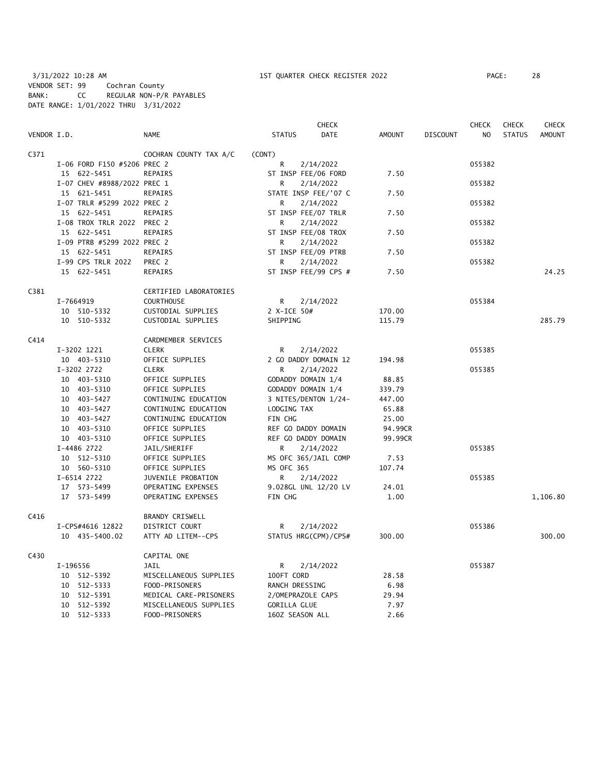3/31/2022 10:28 AM 1ST QUARTER CHECK REGISTER 2022 PAGE: 28 VENDOR SET: 99 Cochran County BANK: CC REGULAR NON-P/R PAYABLES DATE RANGE: 1/01/2022 THRU 3/31/2022

|             |                             |                        |                     | <b>CHECK</b>         |               |                 | <b>CHECK</b> | <b>CHECK</b>  | <b>CHECK</b>  |
|-------------|-----------------------------|------------------------|---------------------|----------------------|---------------|-----------------|--------------|---------------|---------------|
| VENDOR I.D. |                             | <b>NAME</b>            | <b>STATUS</b>       | DATE                 | <b>AMOUNT</b> | <b>DISCOUNT</b> | NO           | <b>STATUS</b> | <b>AMOUNT</b> |
| C371        |                             | COCHRAN COUNTY TAX A/C | (CONT)              |                      |               |                 |              |               |               |
|             | I-06 FORD F150 #5206 PREC 2 |                        | R                   | 2/14/2022            |               |                 | 055382       |               |               |
|             | 15 622-5451                 | <b>REPAIRS</b>         | ST INSP FEE/06 FORD |                      | 7.50          |                 |              |               |               |
|             | I-07 CHEV #8988/2022 PREC 1 |                        | R                   | 2/14/2022            |               |                 | 055382       |               |               |
|             | 15 621-5451                 | <b>REPAIRS</b>         |                     | STATE INSP FEE/'07 C | 7.50          |                 |              |               |               |
|             | I-07 TRLR #5299 2022 PREC 2 |                        | R                   | 2/14/2022            |               |                 | 055382       |               |               |
|             | 15 622-5451                 | REPAIRS                | ST INSP FEE/07 TRLR |                      | 7.50          |                 |              |               |               |
|             | I-08 TROX TRLR 2022 PREC 2  |                        | R                   | 2/14/2022            |               |                 | 055382       |               |               |
|             | 15 622-5451                 | REPAIRS                | ST INSP FEE/08 TROX |                      | 7.50          |                 |              |               |               |
|             | I-09 PTRB #5299 2022 PREC 2 |                        | R                   | 2/14/2022            |               |                 | 055382       |               |               |
|             | 15 622-5451                 | <b>REPAIRS</b>         | ST INSP FEE/09 PTRB |                      | 7.50          |                 |              |               |               |
|             | I-99 CPS TRLR 2022          | PREC 2                 | R                   | 2/14/2022            |               |                 | 055382       |               |               |
|             | 15 622-5451                 | REPAIRS                |                     | ST INSP FEE/99 CPS # | 7.50          |                 |              |               | 24.25         |
| C381        |                             | CERTIFIED LABORATORIES |                     |                      |               |                 |              |               |               |
|             | I-7664919                   | <b>COURTHOUSE</b>      | R                   | 2/14/2022            |               |                 | 055384       |               |               |
|             | 10 510-5332                 | CUSTODIAL SUPPLIES     | 2 X-ICE 50#         |                      | 170.00        |                 |              |               |               |
|             | 10 510-5332                 | CUSTODIAL SUPPLIES     | SHIPPING            |                      | 115.79        |                 |              |               | 285.79        |
| C414        |                             | CARDMEMBER SERVICES    |                     |                      |               |                 |              |               |               |
|             | I-3202 1221                 | <b>CLERK</b>           | R                   | 2/14/2022            |               |                 | 055385       |               |               |
|             | 10 403-5310                 | OFFICE SUPPLIES        |                     | 2 GO DADDY DOMAIN 12 | 194.98        |                 |              |               |               |
|             | I-3202 2722                 | <b>CLERK</b>           | R                   | 2/14/2022            |               |                 | 055385       |               |               |
|             | 10 403-5310                 | OFFICE SUPPLIES        | GODADDY DOMAIN 1/4  |                      | 88.85         |                 |              |               |               |
|             | 10 403-5310                 | OFFICE SUPPLIES        | GODADDY DOMAIN 1/4  |                      | 339.79        |                 |              |               |               |
|             | 10 403-5427                 | CONTINUING EDUCATION   |                     | 3 NITES/DENTON 1/24- | 447.00        |                 |              |               |               |
|             | 10 403-5427                 | CONTINUING EDUCATION   | LODGING TAX         |                      | 65.88         |                 |              |               |               |
|             | 10 403-5427                 | CONTINUING EDUCATION   | FIN CHG             |                      | 25.00         |                 |              |               |               |
|             | 10 403-5310                 | OFFICE SUPPLIES        | REF GO DADDY DOMAIN |                      | 94.99CR       |                 |              |               |               |
|             | 10 403-5310                 | OFFICE SUPPLIES        | REF GO DADDY DOMAIN |                      | 99.99CR       |                 |              |               |               |
|             | I-4486 2722                 | JAIL/SHERIFF           | R                   | 2/14/2022            |               |                 | 055385       |               |               |
|             | 10 512-5310                 | OFFICE SUPPLIES        |                     | MS OFC 365/JAIL COMP | 7.53          |                 |              |               |               |
|             | 10 560-5310                 | OFFICE SUPPLIES        | <b>MS OFC 365</b>   |                      | 107.74        |                 |              |               |               |
|             | I-6514 2722                 | JUVENILE PROBATION     | R                   | 2/14/2022            |               |                 | 055385       |               |               |
|             | 17 573-5499                 | OPERATING EXPENSES     |                     | 9.028GL UNL 12/20 LV | 24.01         |                 |              |               |               |
|             | 17 573-5499                 | OPERATING EXPENSES     | FIN CHG             |                      | 1.00          |                 |              |               | 1,106.80      |
| C416        |                             | <b>BRANDY CRISWELL</b> |                     |                      |               |                 |              |               |               |
|             | I-CPS#4616 12822            | DISTRICT COURT         | R                   | 2/14/2022            |               |                 | 055386       |               |               |
|             | 10 435-5400.02              | ATTY AD LITEM--CPS     |                     | STATUS HRG(CPM)/CPS# | 300.00        |                 |              |               | 300.00        |
| C430        |                             | CAPITAL ONE            |                     |                      |               |                 |              |               |               |
|             | I-196556                    | JAIL                   | R                   | 2/14/2022            |               |                 | 055387       |               |               |
|             | 10 512-5392                 | MISCELLANEOUS SUPPLIES | 100FT CORD          |                      | 28.58         |                 |              |               |               |
|             | 10 512-5333                 | FOOD-PRISONERS         | RANCH DRESSING      |                      | 6.98          |                 |              |               |               |
|             | 10 512-5391                 | MEDICAL CARE-PRISONERS | 2/OMEPRAZOLE CAPS   |                      | 29.94         |                 |              |               |               |
|             | 10 512-5392                 | MISCELLANEOUS SUPPLIES | <b>GORILLA GLUE</b> |                      | 7.97          |                 |              |               |               |
|             | 10 512-5333                 | FOOD-PRISONERS         | 160Z SEASON ALL     |                      | 2.66          |                 |              |               |               |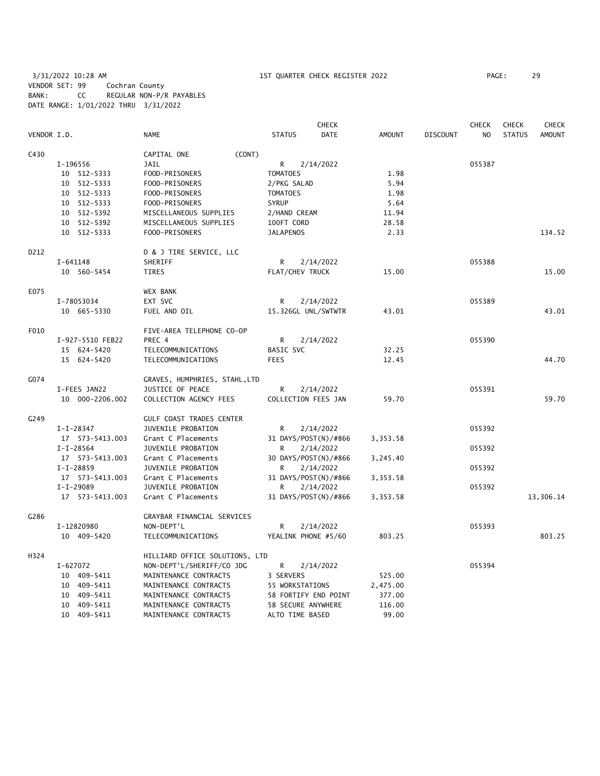3/31/2022 10:28 AM 1ST QUARTER CHECK REGISTER 2022 PAGE: 29 VENDOR SET: 99 Cochran County BANK: CC REGULAR NON-P/R PAYABLES DATE RANGE: 1/01/2022 THRU 3/31/2022

|             |                  |                                |                      | <b>CHECK</b> |          |                 | <b>CHECK</b>   | <b>CHECK</b>  | <b>CHECK</b> |
|-------------|------------------|--------------------------------|----------------------|--------------|----------|-----------------|----------------|---------------|--------------|
| VENDOR I.D. |                  | <b>NAME</b>                    | <b>STATUS</b>        | <b>DATE</b>  | AMOUNT   | <b>DISCOUNT</b> | N <sub>O</sub> | <b>STATUS</b> | AMOUNT       |
| C430        |                  | (CONT)<br>CAPITAL ONE          |                      |              |          |                 |                |               |              |
|             | I-196556         | JAIL                           | R                    | 2/14/2022    |          |                 | 055387         |               |              |
|             | 10 512-5333      | FOOD-PRISONERS                 | <b>TOMATOES</b>      |              | 1.98     |                 |                |               |              |
|             | 10 512-5333      | FOOD-PRISONERS                 | 2/PKG SALAD          |              | 5.94     |                 |                |               |              |
|             | 10 512-5333      | FOOD-PRISONERS                 | <b>TOMATOES</b>      |              | 1.98     |                 |                |               |              |
|             | 10 512-5333      | FOOD-PRISONERS                 | <b>SYRUP</b>         |              | 5.64     |                 |                |               |              |
|             | 10 512-5392      | MISCELLANEOUS SUPPLIES         | 2/HAND CREAM         |              | 11.94    |                 |                |               |              |
|             | 10 512-5392      | MISCELLANEOUS SUPPLIES         | 100FT CORD           |              | 28.58    |                 |                |               |              |
|             | 10 512-5333      | FOOD-PRISONERS                 | <b>JALAPENOS</b>     |              | 2.33     |                 |                |               | 134.52       |
| D212        |                  | D & J TIRE SERVICE, LLC        |                      |              |          |                 |                |               |              |
|             | I-641148         | SHERIFF                        | R                    | 2/14/2022    |          |                 | 055388         |               |              |
|             | 10 560-5454      | TIRES                          | FLAT/CHEV TRUCK      |              | 15.00    |                 |                |               | 15.00        |
| E075        |                  | <b>WEX BANK</b>                |                      |              |          |                 |                |               |              |
|             | I-78053034       | EXT SVC                        | R                    | 2/14/2022    |          |                 | 055389         |               |              |
|             | 10 665-5330      | FUEL AND OIL                   | 15.326GL UNL/SWTWTR  |              | 43.01    |                 |                |               | 43.01        |
| F010        |                  | FIVE-AREA TELEPHONE CO-OP      |                      |              |          |                 |                |               |              |
|             | I-927-5510 FEB22 | PREC 4                         | R                    | 2/14/2022    |          |                 | 055390         |               |              |
|             | 15 624-5420      | TELECOMMUNICATIONS             | BASIC SVC            |              | 32.25    |                 |                |               |              |
|             | 15 624-5420      | TELECOMMUNICATIONS             | <b>FEES</b>          |              | 12.45    |                 |                |               | 44.70        |
| G074        |                  | GRAVES, HUMPHRIES, STAHL, LTD  |                      |              |          |                 |                |               |              |
|             | I-FEES JAN22     | JUSTICE OF PEACE               | R                    | 2/14/2022    |          |                 | 055391         |               |              |
|             | 10 000-2206.002  | COLLECTION AGENCY FEES         | COLLECTION FEES JAN  |              | 59.70    |                 |                |               | 59.70        |
| G249        |                  | GULF COAST TRADES CENTER       |                      |              |          |                 |                |               |              |
|             | $I-I-28347$      | JUVENILE PROBATION             | R                    | 2/14/2022    |          |                 | 055392         |               |              |
|             | 17 573-5413.003  | Grant C Placements             | 31 DAYS/POST(N)/#866 |              | 3,353.58 |                 |                |               |              |
|             | $I-I-28564$      | JUVENILE PROBATION             | R                    | 2/14/2022    |          |                 | 055392         |               |              |
|             | 17  573-5413.003 | Grant C Placements             | 30 DAYS/POST(N)/#866 |              | 3,245.40 |                 |                |               |              |
|             | $I-I-28859$      | JUVENILE PROBATION             | R                    | 2/14/2022    |          |                 | 055392         |               |              |
|             | 17  573-5413.003 | Grant C Placements             | 31 DAYS/POST(N)/#866 |              | 3,353.58 |                 |                |               |              |
|             | $I-I-29089$      | JUVENILE PROBATION             | R                    | 2/14/2022    |          |                 | 055392         |               |              |
|             | 17  573-5413.003 | Grant C Placements             | 31 DAYS/POST(N)/#866 |              | 3,353.58 |                 |                |               | 13,306.14    |
| G286        |                  | GRAYBAR FINANCIAL SERVICES     |                      |              |          |                 |                |               |              |
|             | I-12820980       | NON-DEPT'L                     | R                    | 2/14/2022    |          |                 | 055393         |               |              |
|             | 10 409-5420      | TELECOMMUNICATIONS             | YEALINK PHONE #5/60  |              | 803.25   |                 |                |               | 803.25       |
| H324        |                  | HILLIARD OFFICE SOLUTIONS, LTD |                      |              |          |                 |                |               |              |
|             | I-627072         | NON-DEPT'L/SHERIFF/CO JDG      | R                    | 2/14/2022    |          |                 | 055394         |               |              |
|             | 10 409-5411      | MAINTENANCE CONTRACTS          | 3 SERVERS            |              | 525.00   |                 |                |               |              |
|             | 10 409-5411      | MAINTENANCE CONTRACTS          | 55 WORKSTATIONS      |              | 2,475.00 |                 |                |               |              |
|             | 10 409-5411      | MAINTENANCE CONTRACTS          | 58 FORTIFY END POINT |              | 377.00   |                 |                |               |              |
|             | 10 409-5411      | MAINTENANCE CONTRACTS          | 58 SECURE ANYWHERE   |              | 116.00   |                 |                |               |              |
|             | 10 409-5411      | MAINTENANCE CONTRACTS          | ALTO TIME BASED      |              | 99.00    |                 |                |               |              |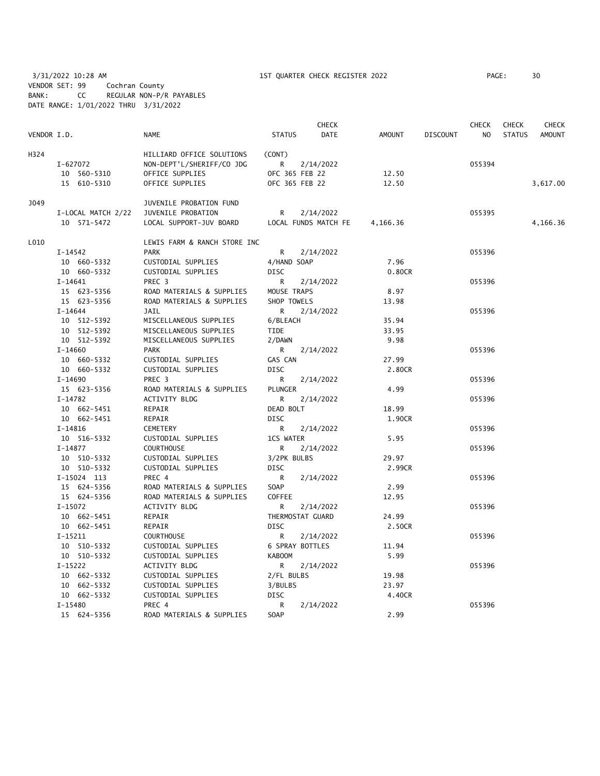3/31/2022 10:28 AM 1ST QUARTER CHECK REGISTER 2022 PAGE: 30 VENDOR SET: 99 Cochran County BANK: CC REGULAR NON-P/R PAYABLES DATE RANGE: 1/01/2022 THRU 3/31/2022

|             |                    |                              |                  | <b>CHECK</b>         |          |                 | CHECK          | <b>CHECK</b>  | CHECK         |
|-------------|--------------------|------------------------------|------------------|----------------------|----------|-----------------|----------------|---------------|---------------|
| VENDOR I.D. |                    | <b>NAME</b>                  | <b>STATUS</b>    | <b>DATE</b>          | AMOUNT   | <b>DISCOUNT</b> | N <sub>O</sub> | <b>STATUS</b> | <b>AMOUNT</b> |
| H324        |                    | HILLIARD OFFICE SOLUTIONS    | (CONT)           |                      |          |                 |                |               |               |
|             | I-627072           | NON-DEPT'L/SHERIFF/CO JDG    | R                | 2/14/2022            |          |                 | 055394         |               |               |
|             | 10 560-5310        | OFFICE SUPPLIES              | OFC 365 FEB 22   |                      | 12.50    |                 |                |               |               |
|             | 15 610-5310        | OFFICE SUPPLIES              | OFC 365 FEB 22   |                      | 12.50    |                 |                |               | 3,617.00      |
| J049        |                    | JUVENILE PROBATION FUND      |                  |                      |          |                 |                |               |               |
|             | I-LOCAL MATCH 2/22 | JUVENILE PROBATION           | R.               | 2/14/2022            |          |                 | 055395         |               |               |
|             | 10 571-5472        | LOCAL SUPPORT-JUV BOARD      |                  | LOCAL FUNDS MATCH FE | 4,166.36 |                 |                |               | 4,166.36      |
| L010        |                    | LEWIS FARM & RANCH STORE INC |                  |                      |          |                 |                |               |               |
|             | I-14542            | <b>PARK</b>                  | R                | 2/14/2022            |          |                 | 055396         |               |               |
|             | 10 660-5332        | CUSTODIAL SUPPLIES           | 4/HAND SOAP      |                      | 7.96     |                 |                |               |               |
|             | 10 660-5332        | CUSTODIAL SUPPLIES           | <b>DISC</b>      |                      | 0.80CR   |                 |                |               |               |
|             | $I-14641$          | PREC 3                       | R                | 2/14/2022            |          |                 | 055396         |               |               |
|             | 15 623-5356        | ROAD MATERIALS & SUPPLIES    | MOUSE TRAPS      |                      | 8.97     |                 |                |               |               |
|             | 15 623-5356        | ROAD MATERIALS & SUPPLIES    | SHOP TOWELS      |                      | 13.98    |                 |                |               |               |
|             | $I-14644$          | JAIL                         | R.               | 2/14/2022            |          |                 | 055396         |               |               |
|             | 10 512-5392        | MISCELLANEOUS SUPPLIES       | 6/BLEACH         |                      | 35.94    |                 |                |               |               |
|             | 10 512-5392        | MISCELLANEOUS SUPPLIES       | TIDE             |                      | 33.95    |                 |                |               |               |
|             | 10 512-5392        | MISCELLANEOUS SUPPLIES       | 2/DAWN           |                      | 9.98     |                 |                |               |               |
|             | $I-14660$          | <b>PARK</b>                  | R.               | 2/14/2022            |          |                 | 055396         |               |               |
|             | 10 660-5332        | CUSTODIAL SUPPLIES           | GAS CAN          |                      | 27.99    |                 |                |               |               |
|             | 10 660-5332        | CUSTODIAL SUPPLIES           | <b>DISC</b>      |                      | 2.80CR   |                 |                |               |               |
|             | I-14690            | PREC 3                       | $\mathsf{R}$     | 2/14/2022            |          |                 | 055396         |               |               |
|             | 15 623-5356        | ROAD MATERIALS & SUPPLIES    | PLUNGER          |                      | 4.99     |                 |                |               |               |
|             | $I-14782$          | <b>ACTIVITY BLDG</b>         | R.               | 2/14/2022            |          |                 | 055396         |               |               |
|             | 10 662-5451        | REPAIR                       | DEAD BOLT        |                      | 18.99    |                 |                |               |               |
|             | 10 662-5451        | REPAIR                       | <b>DISC</b>      |                      | 1.90CR   |                 |                |               |               |
|             | I-14816            | CEMETERY                     | R                | 2/14/2022            |          |                 | 055396         |               |               |
|             | 10 516-5332        | CUSTODIAL SUPPLIES           | 1CS WATER        |                      | 5.95     |                 |                |               |               |
|             | $I-14877$          | <b>COURTHOUSE</b>            | R                | 2/14/2022            |          |                 | 055396         |               |               |
|             | 10 510-5332        | CUSTODIAL SUPPLIES           | 3/2PK BULBS      |                      | 29.97    |                 |                |               |               |
|             | 10 510-5332        | CUSTODIAL SUPPLIES           | <b>DISC</b>      |                      | 2.99CR   |                 |                |               |               |
|             | I-15024 113        | PREC 4                       | R                | 2/14/2022            |          |                 | 055396         |               |               |
|             | 15 624-5356        | ROAD MATERIALS & SUPPLIES    | SOAP             |                      | 2.99     |                 |                |               |               |
|             | 15 624-5356        | ROAD MATERIALS & SUPPLIES    | COFFEE           |                      | 12.95    |                 |                |               |               |
|             | $I-15072$          | <b>ACTIVITY BLDG</b>         | R                | 2/14/2022            |          |                 | 055396         |               |               |
|             | 10 662-5451        | REPAIR                       | THERMOSTAT GUARD |                      | 24.99    |                 |                |               |               |
|             | 10 662-5451        | REPAIR                       | <b>DISC</b>      |                      | 2.50CR   |                 |                |               |               |
|             | $I-15211$          | <b>COURTHOUSE</b>            | R.               | 2/14/2022            |          |                 | 055396         |               |               |
|             | 10 510-5332        | CUSTODIAL SUPPLIES           | 6 SPRAY BOTTLES  |                      | 11.94    |                 |                |               |               |
|             | 10 510-5332        | CUSTODIAL SUPPLIES           | <b>KABOOM</b>    |                      | 5.99     |                 |                |               |               |
|             | $I-15222$          | ACTIVITY BLDG                | R                | 2/14/2022            |          |                 | 055396         |               |               |
|             | 10 662-5332        | CUSTODIAL SUPPLIES           | 2/FL BULBS       |                      | 19.98    |                 |                |               |               |
|             | 10 662-5332        | CUSTODIAL SUPPLIES           | 3/BULBS          |                      | 23.97    |                 |                |               |               |
|             | 10 662-5332        | CUSTODIAL SUPPLIES           | <b>DISC</b>      |                      | 4.40CR   |                 |                |               |               |
|             | $I-15480$          | PREC 4                       | R                | 2/14/2022            |          |                 | 055396         |               |               |
|             | 15 624-5356        | ROAD MATERIALS & SUPPLIES    | SOAP             |                      | 2.99     |                 |                |               |               |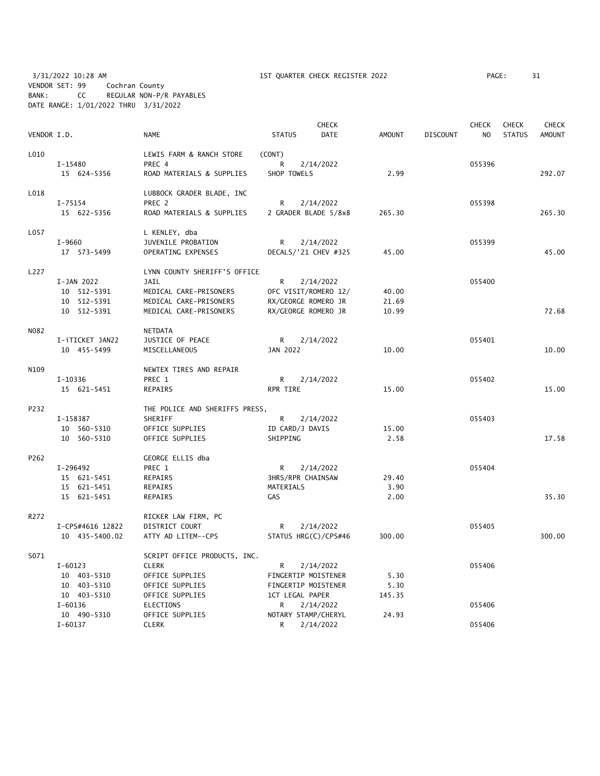3/31/2022 10:28 AM 1ST QUARTER CHECK REGISTER 2022 PAGE: 31 VENDOR SET: 99 Cochran County BANK: CC REGULAR NON-P/R PAYABLES DATE RANGE: 1/01/2022 THRU 3/31/2022

| VENDOR I.D. |                  | <b>NAME</b>                    | <b>STATUS</b>        | <b>CHECK</b><br>DATE | <b>AMOUNT</b> | <b>DISCOUNT</b> | <b>CHECK</b><br>NO. | <b>CHECK</b><br><b>STATUS</b> | <b>CHECK</b><br><b>AMOUNT</b> |
|-------------|------------------|--------------------------------|----------------------|----------------------|---------------|-----------------|---------------------|-------------------------------|-------------------------------|
| L010        |                  | LEWIS FARM & RANCH STORE       | (CONT)               |                      |               |                 |                     |                               |                               |
|             | I-15480          | PREC 4                         | R                    | 2/14/2022            |               |                 | 055396              |                               |                               |
|             | 15 624-5356      | ROAD MATERIALS & SUPPLIES      | SHOP TOWELS          |                      | 2.99          |                 |                     |                               | 292.07                        |
| L018        |                  | LUBBOCK GRADER BLADE, INC      |                      |                      |               |                 |                     |                               |                               |
|             | $I - 75154$      | PREC 2                         | R                    | 2/14/2022            |               |                 | 055398              |                               |                               |
|             | 15 622-5356      | ROAD MATERIALS & SUPPLIES      | 2 GRADER BLADE 5/8x8 |                      | 265.30        |                 |                     |                               | 265.30                        |
| L057        |                  | L KENLEY, dba                  |                      |                      |               |                 |                     |                               |                               |
|             | $I-9660$         | JUVENILE PROBATION             | $\mathsf{R}$         | 2/14/2022            |               |                 | 055399              |                               |                               |
|             | 17 573-5499      | OPERATING EXPENSES             | DECALS/'21 CHEV #325 |                      | 45.00         |                 |                     |                               | 45.00                         |
| L227        |                  | LYNN COUNTY SHERIFF'S OFFICE   |                      |                      |               |                 |                     |                               |                               |
|             | I-JAN 2022       | <b>JAIL</b>                    | R                    | 2/14/2022            |               |                 | 055400              |                               |                               |
|             | 10 512-5391      | MEDICAL CARE-PRISONERS         | OFC VISIT/ROMERO 12/ |                      | 40.00         |                 |                     |                               |                               |
|             | 10 512-5391      | MEDICAL CARE-PRISONERS         | RX/GEORGE ROMERO JR  |                      | 21.69         |                 |                     |                               |                               |
|             | 10 512-5391      | MEDICAL CARE-PRISONERS         | RX/GEORGE ROMERO JR  |                      | 10.99         |                 |                     |                               | 72.68                         |
| N082        |                  | <b>NETDATA</b>                 |                      |                      |               |                 |                     |                               |                               |
|             | I-iTICKET JAN22  | JUSTICE OF PEACE               | $R \Box$             | 2/14/2022            |               |                 | 055401              |                               |                               |
|             | 10 455-5499      | MISCELLANEOUS                  | JAN 2022             |                      | 10.00         |                 |                     |                               | 10.00                         |
| N109        |                  | NEWTEX TIRES AND REPAIR        |                      |                      |               |                 |                     |                               |                               |
|             | I-10336          | PREC 1                         | R.                   | 2/14/2022            |               |                 | 055402              |                               |                               |
|             | 15 621-5451      | REPAIRS                        | RPR TIRE             |                      | 15.00         |                 |                     |                               | 15.00                         |
| P232        |                  | THE POLICE AND SHERIFFS PRESS, |                      |                      |               |                 |                     |                               |                               |
|             | I-158387         | <b>SHERIFF</b>                 | $R \Box$             | 2/14/2022            |               |                 | 055403              |                               |                               |
|             | 10 560-5310      | OFFICE SUPPLIES                | ID CARD/J DAVIS      |                      | 15.00         |                 |                     |                               |                               |
|             | 10 560-5310      | OFFICE SUPPLIES                | SHIPPING             |                      | 2.58          |                 |                     |                               | 17.58                         |
| P262        |                  | GEORGE ELLIS dba               |                      |                      |               |                 |                     |                               |                               |
|             | I-296492         | PREC 1                         | R.                   | 2/14/2022            |               |                 | 055404              |                               |                               |
|             | 15 621-5451      | REPAIRS                        | 3HRS/RPR CHAINSAW    |                      | 29.40         |                 |                     |                               |                               |
|             | 15 621-5451      | REPAIRS                        | MATERIALS            |                      | 3.90          |                 |                     |                               |                               |
|             | 15 621-5451      | REPAIRS                        | GAS                  |                      | 2.00          |                 |                     |                               | 35.30                         |
| R272        |                  | RICKER LAW FIRM, PC            |                      |                      |               |                 |                     |                               |                               |
|             | I-CPS#4616 12822 | DISTRICT COURT                 | R                    | 2/14/2022            |               |                 | 055405              |                               |                               |
|             | 10 435-5400.02   | ATTY AD LITEM--CPS             | STATUS HRG(C)/CPS#46 |                      | 300.00        |                 |                     |                               | 300.00                        |
| S071        |                  | SCRIPT OFFICE PRODUCTS, INC.   |                      |                      |               |                 |                     |                               |                               |
|             | $I - 60123$      | <b>CLERK</b>                   | R                    | 2/14/2022            |               |                 | 055406              |                               |                               |
|             | 10 403-5310      | OFFICE SUPPLIES                | FINGERTIP MOISTENER  |                      | 5.30          |                 |                     |                               |                               |
|             | 10 403-5310      | OFFICE SUPPLIES                | FINGERTIP MOISTENER  |                      | 5.30          |                 |                     |                               |                               |
|             | 10 403-5310      | OFFICE SUPPLIES                | 1CT LEGAL PAPER      |                      | 145.35        |                 |                     |                               |                               |
|             | $I - 60136$      | <b>ELECTIONS</b>               | R                    | 2/14/2022            |               |                 | 055406              |                               |                               |
|             | 10 490-5310      | OFFICE SUPPLIES                | NOTARY STAMP/CHERYL  |                      | 24.93         |                 |                     |                               |                               |

I-60137 CLERK R 2/14/2022 055406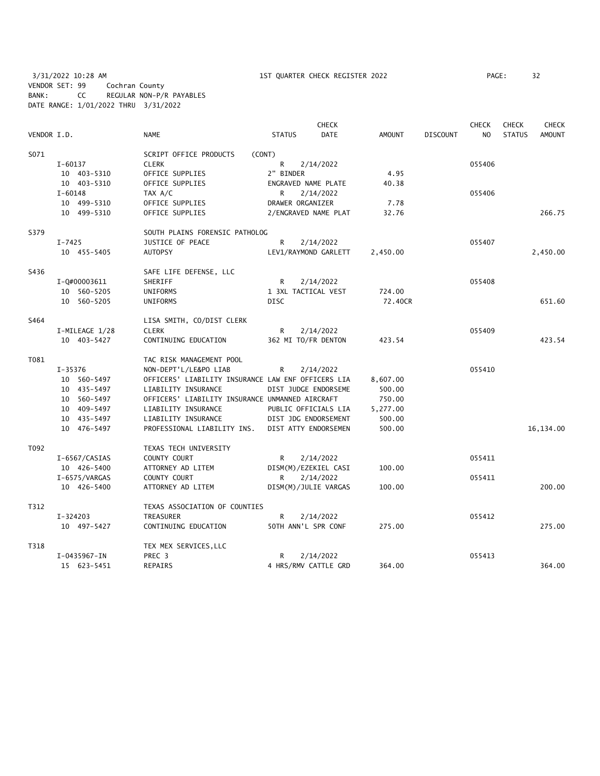3/31/2022 10:28 AM 1ST QUARTER CHECK REGISTER 2022 PAGE: 32 VENDOR SET: 99 Cochran County BANK: CC REGULAR NON-P/R PAYABLES DATE RANGE: 1/01/2022 THRU 3/31/2022

|             |                |                                                    |                     | <b>CHECK</b><br><b>CHECK</b> |               |                 |                | <b>CHECK</b>  | <b>CHECK</b>  |
|-------------|----------------|----------------------------------------------------|---------------------|------------------------------|---------------|-----------------|----------------|---------------|---------------|
| VENDOR I.D. |                | <b>NAME</b>                                        | <b>STATUS</b>       | <b>DATE</b>                  | <b>AMOUNT</b> | <b>DISCOUNT</b> | N <sub>O</sub> | <b>STATUS</b> | <b>AMOUNT</b> |
| S071        |                | SCRIPT OFFICE PRODUCTS<br>(CONT)                   |                     |                              |               |                 |                |               |               |
|             | $I-60137$      | <b>CLERK</b>                                       | R                   | 2/14/2022                    |               |                 | 055406         |               |               |
|             | 10 403-5310    | OFFICE SUPPLIES                                    | 2" BINDER           |                              | 4.95          |                 |                |               |               |
|             | 10 403-5310    | OFFICE SUPPLIES                                    | ENGRAVED NAME PLATE |                              | 40.38         |                 |                |               |               |
|             | $I - 60148$    | TAX A/C                                            | R                   | 2/14/2022                    |               |                 | 055406         |               |               |
|             | 10 499-5310    | OFFICE SUPPLIES                                    | DRAWER ORGANIZER    |                              | 7.78          |                 |                |               |               |
|             | 10 499-5310    | OFFICE SUPPLIES                                    |                     | 2/ENGRAVED NAME PLAT         | 32.76         |                 |                |               | 266.75        |
| S379        |                | SOUTH PLAINS FORENSIC PATHOLOG                     |                     |                              |               |                 |                |               |               |
|             | $I - 7425$     | JUSTICE OF PEACE                                   | R                   | 2/14/2022                    |               |                 | 055407         |               |               |
|             | 10 455-5405    | <b>AUTOPSY</b>                                     |                     | LEV1/RAYMOND GARLETT         | 2,450.00      |                 |                |               | 2,450.00      |
| S436        |                | SAFE LIFE DEFENSE, LLC                             |                     |                              |               |                 |                |               |               |
|             | I-Q#00003611   | SHERIFF                                            | R                   | 2/14/2022                    |               |                 | 055408         |               |               |
|             | 10 560-5205    | <b>UNIFORMS</b>                                    | 1 3XL TACTICAL VEST |                              | 724.00        |                 |                |               |               |
|             | 10 560-5205    | UNIFORMS                                           | <b>DISC</b>         |                              | 72.40CR       |                 |                |               | 651.60        |
| S464        |                | LISA SMITH, CO/DIST CLERK                          |                     |                              |               |                 |                |               |               |
|             | I-MILEAGE 1/28 | <b>CLERK</b>                                       | R                   | 2/14/2022                    |               |                 | 055409         |               |               |
|             | 10 403-5427    | CONTINUING EDUCATION                               | 362 MI TO/FR DENTON |                              | 423.54        |                 |                |               | 423.54        |
| T081        |                | TAC RISK MANAGEMENT POOL                           |                     |                              |               |                 |                |               |               |
|             | $I - 35376$    | NON-DEPT'L/LE&PO LIAB                              | R                   | 2/14/2022                    |               |                 | 055410         |               |               |
|             | 10 560-5497    | OFFICERS' LIABILITY INSURANCE LAW ENF OFFICERS LIA |                     |                              | 8,607.00      |                 |                |               |               |
|             | 10 435-5497    | LIABILITY INSURANCE                                |                     | DIST JUDGE ENDORSEME         | 500.00        |                 |                |               |               |
|             | 10 560-5497    | OFFICERS' LIABILITY INSURANCE UNMANNED AIRCRAFT    |                     |                              | 750.00        |                 |                |               |               |
|             | 10 409-5497    | LIABILITY INSURANCE                                |                     | PUBLIC OFFICIALS LIA         | 5,277.00      |                 |                |               |               |
|             | 10 435-5497    | LIABILITY INSURANCE                                |                     | DIST JDG ENDORSEMENT         | 500.00        |                 |                |               |               |
|             | 10 476-5497    | PROFESSIONAL LIABILITY INS.                        |                     | DIST ATTY ENDORSEMEN         | 500.00        |                 |                |               | 16,134.00     |
| T092        |                | TEXAS TECH UNIVERSITY                              |                     |                              |               |                 |                |               |               |
|             | I-6567/CASIAS  | COUNTY COURT                                       | R                   | 2/14/2022                    |               |                 | 055411         |               |               |
|             | 10 426-5400    | ATTORNEY AD LITEM                                  |                     | DISM(M)/EZEKIEL CASI         | 100.00        |                 |                |               |               |
|             | I-6575/VARGAS  | COUNTY COURT                                       | R                   | 2/14/2022                    |               |                 | 055411         |               |               |
|             | 10 426-5400    | ATTORNEY AD LITEM                                  |                     | DISM(M)/JULIE VARGAS         | 100.00        |                 |                |               | 200.00        |
| T312        |                | TEXAS ASSOCIATION OF COUNTIES                      |                     |                              |               |                 |                |               |               |
|             | I-324203       | TREASURER                                          | R                   | 2/14/2022                    |               |                 | 055412         |               |               |
|             | 10 497-5427    | CONTINUING EDUCATION                               | 50TH ANN'L SPR CONF |                              | 275.00        |                 |                |               | 275.00        |
| T318        |                | TEX MEX SERVICES, LLC                              |                     |                              |               |                 |                |               |               |
|             | I-0435967-IN   | PREC <sub>3</sub>                                  | R                   | 2/14/2022                    |               |                 | 055413         |               |               |
|             | 15 623-5451    | REPAIRS                                            |                     | 4 HRS/RMV CATTLE GRD         | 364.00        |                 |                |               | 364.00        |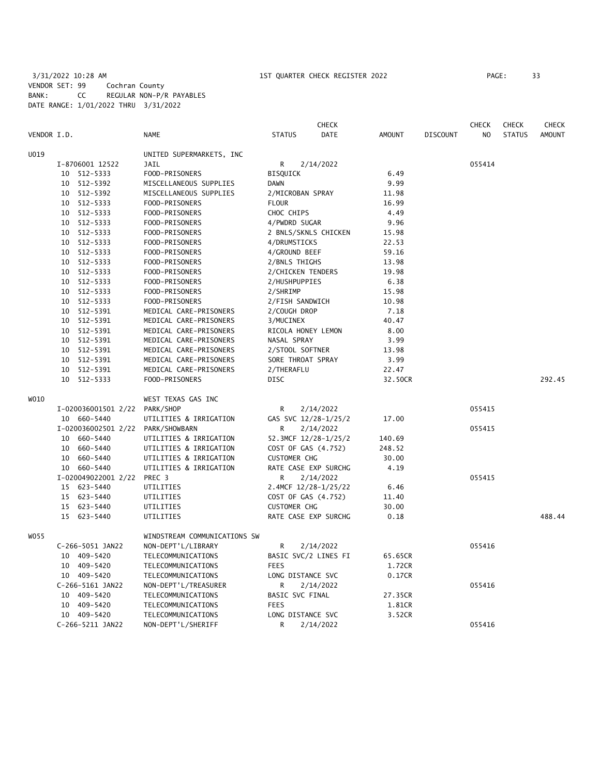# 3/31/2022 10:28 AM 1ST QUARTER CHECK REGISTER 2022 PAGE: 33 VENDOR SET: 99 Cochran County BANK: CC REGULAR NON-P/R PAYABLES DATE RANGE: 1/01/2022 THRU 3/31/2022

|             |                                   |                              |                      | <b>CHECK</b> |               |                 | <b>CHECK</b>   | <b>CHECK</b>  | <b>CHECK</b>  |
|-------------|-----------------------------------|------------------------------|----------------------|--------------|---------------|-----------------|----------------|---------------|---------------|
| VENDOR I.D. |                                   | <b>NAME</b>                  | <b>STATUS</b>        | <b>DATE</b>  | <b>AMOUNT</b> | <b>DISCOUNT</b> | N <sub>O</sub> | <b>STATUS</b> | <b>AMOUNT</b> |
| U019        |                                   | UNITED SUPERMARKETS, INC     |                      |              |               |                 |                |               |               |
|             | I-8706001 12522                   | JAIL                         | R                    | 2/14/2022    |               |                 | 055414         |               |               |
|             | 10 512-5333                       | FOOD-PRISONERS               | <b>BISQUICK</b>      |              | 6.49          |                 |                |               |               |
|             | 10 512-5392                       | MISCELLANEOUS SUPPLIES       | <b>DAWN</b>          |              | 9.99          |                 |                |               |               |
|             | 10 512-5392                       | MISCELLANEOUS SUPPLIES       | 2/MICROBAN SPRAY     |              | 11.98         |                 |                |               |               |
|             | 10 512-5333                       | FOOD-PRISONERS               | <b>FLOUR</b>         |              | 16.99         |                 |                |               |               |
|             | 10 512-5333                       | FOOD-PRISONERS               | CHOC CHIPS           |              | 4.49          |                 |                |               |               |
|             | 10 512-5333                       | FOOD-PRISONERS               | 4/PWDRD SUGAR        |              | 9.96          |                 |                |               |               |
|             | 512-5333<br>10                    | FOOD-PRISONERS               | 2 BNLS/SKNLS CHICKEN |              | 15.98         |                 |                |               |               |
|             | 10 512-5333                       | FOOD-PRISONERS               | 4/DRUMSTICKS         |              | 22.53         |                 |                |               |               |
|             | 10 512-5333                       | FOOD-PRISONERS               | 4/GROUND BEEF        |              | 59.16         |                 |                |               |               |
|             | 10 512-5333                       | FOOD-PRISONERS               | 2/BNLS THIGHS        |              | 13.98         |                 |                |               |               |
|             | 10 512-5333                       | FOOD-PRISONERS               | 2/CHICKEN TENDERS    |              | 19.98         |                 |                |               |               |
|             | 10 512-5333                       | FOOD-PRISONERS               | 2/HUSHPUPPIES        |              | 6.38          |                 |                |               |               |
|             | 10 512-5333                       | FOOD-PRISONERS               | 2/SHRIMP             |              | 15.98         |                 |                |               |               |
|             | 10 512-5333                       | FOOD-PRISONERS               | 2/FISH SANDWICH      |              | 10.98         |                 |                |               |               |
|             | 10 512-5391                       | MEDICAL CARE-PRISONERS       | 2/COUGH DROP         |              | 7.18          |                 |                |               |               |
|             | 10 512-5391                       | MEDICAL CARE-PRISONERS       | 3/MUCINEX            |              | 40.47         |                 |                |               |               |
|             | 10 512-5391                       | MEDICAL CARE-PRISONERS       | RICOLA HONEY LEMON   |              | 8.00          |                 |                |               |               |
|             | 10 512-5391                       | MEDICAL CARE-PRISONERS       | NASAL SPRAY          |              | 3.99          |                 |                |               |               |
|             | 512-5391<br>10                    | MEDICAL CARE-PRISONERS       | 2/STOOL SOFTNER      |              | 13.98         |                 |                |               |               |
|             | 10 512-5391                       | MEDICAL CARE-PRISONERS       | SORE THROAT SPRAY    |              | 3.99          |                 |                |               |               |
|             | 10 512-5391                       | MEDICAL CARE-PRISONERS       | 2/THERAFLU           |              | 22.47         |                 |                |               |               |
|             | 10 512-5333                       | FOOD-PRISONERS               | <b>DISC</b>          |              | 32.50CR       |                 |                |               | 292.45        |
| W010        |                                   | WEST TEXAS GAS INC           |                      |              |               |                 |                |               |               |
|             | I-020036001501 2/22               | PARK/SHOP                    | R                    | 2/14/2022    |               |                 | 055415         |               |               |
|             | 10 660-5440                       |                              | GAS SVC 12/28-1/25/2 |              | 17.00         |                 |                |               |               |
|             |                                   | UTILITIES & IRRIGATION       | R                    |              |               |                 |                |               |               |
|             | I-020036002501 2/22 PARK/SHOWBARN |                              |                      | 2/14/2022    |               |                 | 055415         |               |               |
|             | 10 660-5440                       | UTILITIES & IRRIGATION       | 52.3MCF 12/28-1/25/2 |              | 140.69        |                 |                |               |               |
|             | 10 660-5440                       | UTILITIES & IRRIGATION       | COST OF GAS (4.752)  |              | 248.52        |                 |                |               |               |
|             | 10 660-5440                       | UTILITIES & IRRIGATION       | <b>CUSTOMER CHG</b>  |              | 30.00         |                 |                |               |               |
|             | 10 660-5440                       | UTILITIES & IRRIGATION       | RATE CASE EXP SURCHG |              | 4.19          |                 |                |               |               |
|             | I-020049022001 2/22               | PREC 3                       | R                    | 2/14/2022    |               |                 | 055415         |               |               |
|             | 15 623-5440                       | UTILITIES                    | 2.4MCF 12/28-1/25/22 |              | 6.46          |                 |                |               |               |
|             | 15 623-5440                       | UTILITIES                    | COST OF GAS (4.752)  |              | 11.40         |                 |                |               |               |
|             | 623-5440<br>15                    | UTILITIES                    | <b>CUSTOMER CHG</b>  |              | 30.00         |                 |                |               |               |
|             | 15 623-5440                       | UTILITIES                    | RATE CASE EXP SURCHG |              | 0.18          |                 |                |               | 488.44        |
| W055        |                                   | WINDSTREAM COMMUNICATIONS SW |                      |              |               |                 |                |               |               |
|             | C-266-5051 JAN22                  | NON-DEPT'L/LIBRARY           | R                    | 2/14/2022    |               |                 | 055416         |               |               |
|             | 10 409-5420                       | TELECOMMUNICATIONS           | BASIC SVC/2 LINES FI |              | 65.65CR       |                 |                |               |               |
|             | 10 409-5420                       | TELECOMMUNICATIONS           | <b>FEES</b>          |              | 1.72CR        |                 |                |               |               |
|             | 10 409-5420                       | TELECOMMUNICATIONS           | LONG DISTANCE SVC    |              | 0.17CR        |                 |                |               |               |
|             | C-266-5161 JAN22                  | NON-DEPT'L/TREASURER         | R                    | 2/14/2022    |               |                 | 055416         |               |               |
|             | 10 409-5420                       | TELECOMMUNICATIONS           | BASIC SVC FINAL      |              | 27.35CR       |                 |                |               |               |
|             | 10 409-5420                       | TELECOMMUNICATIONS           | <b>FEES</b>          |              | 1.81CR        |                 |                |               |               |
|             | 10 409-5420                       | TELECOMMUNICATIONS           | LONG DISTANCE SVC    |              | 3.52CR        |                 |                |               |               |
|             | C-266-5211 JAN22                  | NON-DEPT'L/SHERIFF           | R                    | 2/14/2022    |               |                 | 055416         |               |               |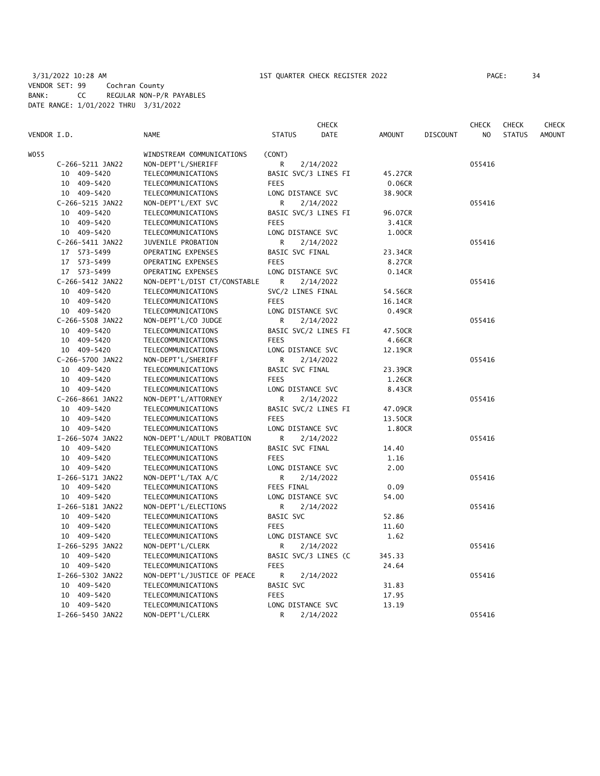# 3/31/2022 10:28 AM 1ST QUARTER CHECK REGISTER 2022 PAGE: 34 VENDOR SET: 99 Cochran County BANK: CC REGULAR NON-P/R PAYABLES DATE RANGE: 1/01/2022 THRU 3/31/2022

|             |                  |                              |                      | <b>CHECK</b> |                   |                 | CHECK  | <b>CHECK</b>  | <b>CHECK</b>  |
|-------------|------------------|------------------------------|----------------------|--------------|-------------------|-----------------|--------|---------------|---------------|
| VENDOR I.D. |                  | <b>NAME</b>                  | <b>STATUS</b>        | DATE         | <b>AMOUNT</b>     | <b>DISCOUNT</b> | NO.    | <b>STATUS</b> | <b>AMOUNT</b> |
| WO55        |                  | WINDSTREAM COMMUNICATIONS    | (CONT)               |              |                   |                 |        |               |               |
|             | C-266-5211 JAN22 | NON-DEPT'L/SHERIFF           | R                    | 2/14/2022    |                   |                 | 055416 |               |               |
|             | 10 409-5420      | TELECOMMUNICATIONS           | BASIC SVC/3 LINES FI |              | 45.27CR           |                 |        |               |               |
|             | 10 409-5420      | TELECOMMUNICATIONS           | <b>FEES</b>          |              | 0.06CR            |                 |        |               |               |
|             | 10 409-5420      | TELECOMMUNICATIONS           | LONG DISTANCE SVC    |              | 38.90CR           |                 |        |               |               |
|             | C-266-5215 JAN22 | NON-DEPT'L/EXT SVC           | R                    | 2/14/2022    |                   |                 | 055416 |               |               |
|             | 10 409-5420      | TELECOMMUNICATIONS           | BASIC SVC/3 LINES FI |              | 96.07CR           |                 |        |               |               |
|             | 10 409-5420      | TELECOMMUNICATIONS           | <b>FEES</b>          |              | 3.41CR            |                 |        |               |               |
|             | 10 409-5420      | TELECOMMUNICATIONS           | LONG DISTANCE SVC    |              | 1.00CR            |                 |        |               |               |
|             | C-266-5411 JAN22 | JUVENILE PROBATION           | R                    | 2/14/2022    |                   |                 | 055416 |               |               |
|             | 17 573-5499      | OPERATING EXPENSES           | BASIC SVC FINAL      |              | 23.34CR           |                 |        |               |               |
|             | 17 573-5499      | OPERATING EXPENSES           | <b>FEES</b>          |              | 8.27CR            |                 |        |               |               |
|             | 17 573-5499      | OPERATING EXPENSES           | LONG DISTANCE SVC    |              | 0.14CR            |                 |        |               |               |
|             | C-266-5412 JAN22 | NON-DEPT'L/DIST CT/CONSTABLE | R                    | 2/14/2022    |                   |                 | 055416 |               |               |
|             | 10 409-5420      | TELECOMMUNICATIONS           | SVC/2 LINES FINAL    |              | 54.56CR           |                 |        |               |               |
|             | 10 409-5420      | TELECOMMUNICATIONS           | <b>FEES</b>          |              |                   |                 |        |               |               |
|             | 10 409-5420      | TELECOMMUNICATIONS           | LONG DISTANCE SVC    |              | 16.14CR<br>0.49CR |                 |        |               |               |
|             |                  |                              |                      |              |                   |                 |        |               |               |
|             | C-266-5508 JAN22 | NON-DEPT'L/CO JUDGE          | R                    | 2/14/2022    |                   |                 | 055416 |               |               |
|             | 10 409-5420      | TELECOMMUNICATIONS           | BASIC SVC/2 LINES FI |              | 47.50CR           |                 |        |               |               |
|             | 10 409-5420      | TELECOMMUNICATIONS           | <b>FEES</b>          |              | 4.66CR            |                 |        |               |               |
|             | 10 409-5420      | TELECOMMUNICATIONS           | LONG DISTANCE SVC    |              | 12.19CR           |                 |        |               |               |
|             | C-266-5700 JAN22 | NON-DEPT'L/SHERIFF           | R                    | 2/14/2022    |                   |                 | 055416 |               |               |
|             | 10 409-5420      | TELECOMMUNICATIONS           | BASIC SVC FINAL      |              | 23.39CR           |                 |        |               |               |
|             | 10 409-5420      | TELECOMMUNICATIONS           | <b>FEES</b>          |              | 1.26CR            |                 |        |               |               |
|             | 10 409-5420      | TELECOMMUNICATIONS           | LONG DISTANCE SVC    |              | 8.43CR            |                 |        |               |               |
|             | C-266-8661 JAN22 | NON-DEPT'L/ATTORNEY          | R                    | 2/14/2022    |                   |                 | 055416 |               |               |
|             | 10 409-5420      | TELECOMMUNICATIONS           | BASIC SVC/2 LINES FI |              | 47.09CR           |                 |        |               |               |
|             | 10 409-5420      | TELECOMMUNICATIONS           | <b>FEES</b>          |              | 13.50CR           |                 |        |               |               |
|             | 10 409-5420      | TELECOMMUNICATIONS           | LONG DISTANCE SVC    |              | 1.80CR            |                 |        |               |               |
|             | I-266-5074 JAN22 | NON-DEPT'L/ADULT PROBATION   | R                    | 2/14/2022    |                   |                 | 055416 |               |               |
|             | 10 409-5420      | TELECOMMUNICATIONS           | BASIC SVC FINAL      |              | 14.40             |                 |        |               |               |
|             | 10 409-5420      | TELECOMMUNICATIONS           | <b>FEES</b>          |              | 1.16              |                 |        |               |               |
|             | 10 409-5420      | TELECOMMUNICATIONS           | LONG DISTANCE SVC    |              | 2.00              |                 |        |               |               |
|             | I-266-5171 JAN22 | NON-DEPT'L/TAX A/C           | R                    | 2/14/2022    |                   |                 | 055416 |               |               |
|             | 10 409-5420      | TELECOMMUNICATIONS           | <b>FEES FINAL</b>    |              | 0.09              |                 |        |               |               |
|             | 10 409-5420      | TELECOMMUNICATIONS           | LONG DISTANCE SVC    |              | 54.00             |                 |        |               |               |
|             | I-266-5181 JAN22 | NON-DEPT'L/ELECTIONS         | R                    | 2/14/2022    |                   |                 | 055416 |               |               |
|             | 10 409-5420      | TELECOMMUNICATIONS           | BASIC SVC            |              | 52.86             |                 |        |               |               |
|             | 10 409-5420      | TELECOMMUNICATIONS           | <b>FEES</b>          |              | 11.60             |                 |        |               |               |
|             | 10 409-5420      | TELECOMMUNICATIONS           | LONG DISTANCE SVC    |              | 1.62              |                 |        |               |               |
|             | I-266-5295 JAN22 | NON-DEPT'L/CLERK             | R                    | 2/14/2022    |                   |                 | 055416 |               |               |
|             | 10 409-5420      | TELECOMMUNICATIONS           | BASIC SVC/3 LINES (C |              | 345.33            |                 |        |               |               |
|             | 10 409-5420      | TELECOMMUNICATIONS           | <b>FEES</b>          |              | 24.64             |                 |        |               |               |
|             | I-266-5302 JAN22 | NON-DEPT'L/JUSTICE OF PEACE  | R                    | 2/14/2022    |                   |                 | 055416 |               |               |
|             | 10 409-5420      | TELECOMMUNICATIONS           | BASIC SVC            |              | 31.83             |                 |        |               |               |
|             | 10 409-5420      | TELECOMMUNICATIONS           | <b>FEES</b>          |              | 17.95             |                 |        |               |               |
|             | 10 409-5420      | TELECOMMUNICATIONS           | LONG DISTANCE SVC    |              | 13.19             |                 |        |               |               |
|             | I-266-5450 JAN22 | NON-DEPT'L/CLERK             | R                    | 2/14/2022    |                   |                 | 055416 |               |               |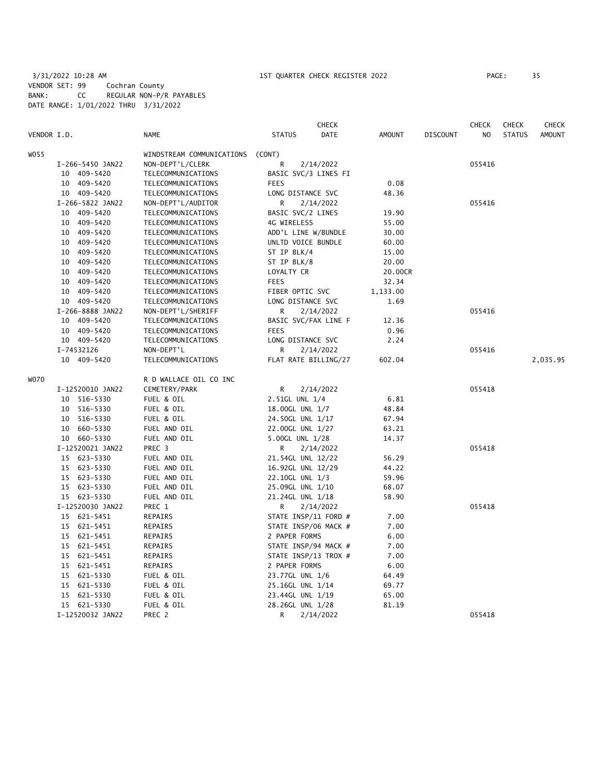# 3/31/2022 10:28 AM 1ST QUARTER CHECK REGISTER 2022 PAGE: 35 VENDOR SET: 99 Cochran County BANK: CC REGULAR NON-P/R PAYABLES DATE RANGE: 1/01/2022 THRU 3/31/2022

|             |                  |                           |                      | <b>CHECK</b> |               |                 | CHECK  | <b>CHECK</b>  | <b>CHECK</b>  |
|-------------|------------------|---------------------------|----------------------|--------------|---------------|-----------------|--------|---------------|---------------|
| VENDOR I.D. |                  | <b>NAME</b>               | <b>STATUS</b>        | <b>DATE</b>  | <b>AMOUNT</b> | <b>DISCOUNT</b> | NO.    | <b>STATUS</b> | <b>AMOUNT</b> |
| WO 55       |                  | WINDSTREAM COMMUNICATIONS | (CONT)               |              |               |                 |        |               |               |
|             | I-266-5450 JAN22 | NON-DEPT'L/CLERK          | R                    | 2/14/2022    |               |                 | 055416 |               |               |
|             | 10 409-5420      | TELECOMMUNICATIONS        | BASIC SVC/3 LINES FI |              |               |                 |        |               |               |
|             | 10 409-5420      | TELECOMMUNICATIONS        | <b>FEES</b>          |              | 0.08          |                 |        |               |               |
|             | 10 409-5420      | TELECOMMUNICATIONS        | LONG DISTANCE SVC    |              | 48.36         |                 |        |               |               |
|             | I-266-5822 JAN22 | NON-DEPT'L/AUDITOR        | R                    | 2/14/2022    |               |                 | 055416 |               |               |
|             | 10 409-5420      | TELECOMMUNICATIONS        | BASIC SVC/2 LINES    |              | 19.90         |                 |        |               |               |
|             | 10 409-5420      | TELECOMMUNICATIONS        | 4G WIRELESS          |              | 55.00         |                 |        |               |               |
|             | 10 409-5420      | TELECOMMUNICATIONS        | ADD'L LINE W/BUNDLE  |              | 30.00         |                 |        |               |               |
|             | 409-5420<br>10   | TELECOMMUNICATIONS        | UNLTD VOICE BUNDLE   |              | 60.00         |                 |        |               |               |
|             | 10 409-5420      | TELECOMMUNICATIONS        | ST IP BLK/4          |              | 15.00         |                 |        |               |               |
|             | 10 409-5420      | TELECOMMUNICATIONS        | ST IP BLK/8          |              | 20.00         |                 |        |               |               |
|             | 10 409-5420      | TELECOMMUNICATIONS        | LOYALTY CR           |              | 20.00CR       |                 |        |               |               |
|             | 10 409-5420      | TELECOMMUNICATIONS        | <b>FEES</b>          |              | 32.34         |                 |        |               |               |
|             | 10 409-5420      |                           | FIBER OPTIC SVC      |              | 1,133.00      |                 |        |               |               |
|             |                  | TELECOMMUNICATIONS        |                      |              |               |                 |        |               |               |
|             | 10 409-5420      | TELECOMMUNICATIONS        | LONG DISTANCE SVC    |              | 1.69          |                 |        |               |               |
|             | I-266-8888 JAN22 | NON-DEPT'L/SHERIFF        | R                    | 2/14/2022    |               |                 | 055416 |               |               |
|             | 10 409-5420      | TELECOMMUNICATIONS        | BASIC SVC/FAX LINE F |              | 12.36         |                 |        |               |               |
|             | 10 409-5420      | TELECOMMUNICATIONS        | <b>FEES</b>          |              | 0.96          |                 |        |               |               |
|             | 10 409-5420      | TELECOMMUNICATIONS        | LONG DISTANCE SVC    |              | 2.24          |                 |        |               |               |
|             | I-74532126       | NON-DEPT'L                | R                    | 2/14/2022    |               |                 | 055416 |               |               |
|             | 10 409-5420      | TELECOMMUNICATIONS        | FLAT RATE BILLING/27 |              | 602.04        |                 |        |               | 2,035.95      |
| WO70        |                  | R D WALLACE OIL CO INC    |                      |              |               |                 |        |               |               |
|             | I-12520010 JAN22 | CEMETERY/PARK             | R                    | 2/14/2022    |               |                 | 055418 |               |               |
|             | 10 516-5330      | FUEL & OIL                | 2.51GL UNL 1/4       |              | 6.81          |                 |        |               |               |
|             | 10 516-5330      | FUEL & OIL                | 18.00GL UNL 1/7      |              | 48.84         |                 |        |               |               |
|             | 10 516-5330      | FUEL & OIL                | 24.50GL UNL 1/17     |              | 67.94         |                 |        |               |               |
|             | 660-5330<br>10   | FUEL AND OIL              | 22.00GL UNL 1/27     |              | 63.21         |                 |        |               |               |
|             | 10 660-5330      | FUEL AND OIL              | 5.00GL UNL 1/28      |              | 14.37         |                 |        |               |               |
|             | I-12520021 JAN22 | PREC 3                    | R                    | 2/14/2022    |               |                 | 055418 |               |               |
|             | 15 623-5330      | FUEL AND OIL              | 21.54GL UNL 12/22    |              | 56.29         |                 |        |               |               |
|             | 15 623-5330      | FUEL AND OIL              | 16.92GL UNL 12/29    |              | 44.22         |                 |        |               |               |
|             | 15 623-5330      | FUEL AND OIL              | 22.10GL UNL 1/3      |              | 59.96         |                 |        |               |               |
|             | 15 623-5330      | FUEL AND OIL              | 25.09GL UNL 1/10     |              | 68.07         |                 |        |               |               |
|             | 15 623-5330      | FUEL AND OIL              | 21.24GL UNL 1/18     |              | 58.90         |                 |        |               |               |
|             | I-12520030 JAN22 | PREC 1                    | R                    | 2/14/2022    |               |                 | 055418 |               |               |
|             | 15 621-5451      | REPAIRS                   | STATE INSP/11 FORD # |              | 7.00          |                 |        |               |               |
|             | 15 621-5451      | REPAIRS                   | STATE INSP/06 MACK # |              | 7.00          |                 |        |               |               |
|             | 15 621-5451      | REPAIRS                   | 2 PAPER FORMS        |              | 6.00          |                 |        |               |               |
|             | 15 621-5451      | REPAIRS                   | STATE INSP/94 MACK # |              | 7.00          |                 |        |               |               |
|             | 15 621-5451      | REPAIRS                   | STATE INSP/13 TROX # |              | 7.00          |                 |        |               |               |
|             | 15 621-5451      | REPAIRS                   | 2 PAPER FORMS        |              | 6.00          |                 |        |               |               |
|             | 15 621-5330      | FUEL & OIL                | 23.77GL UNL 1/6      |              | 64.49         |                 |        |               |               |
|             | 15 621-5330      | FUEL & OIL                | 25.16GL UNL 1/14     |              | 69.77         |                 |        |               |               |
|             | 15 621-5330      | FUEL & OIL                | 23.44GL UNL 1/19     |              | 65.00         |                 |        |               |               |
|             | 15 621-5330      | FUEL & OIL                | 28.26GL UNL 1/28     |              | 81.19         |                 |        |               |               |
|             | I-12520032 JAN22 | PREC <sub>2</sub>         | R                    | 2/14/2022    |               |                 | 055418 |               |               |
|             |                  |                           |                      |              |               |                 |        |               |               |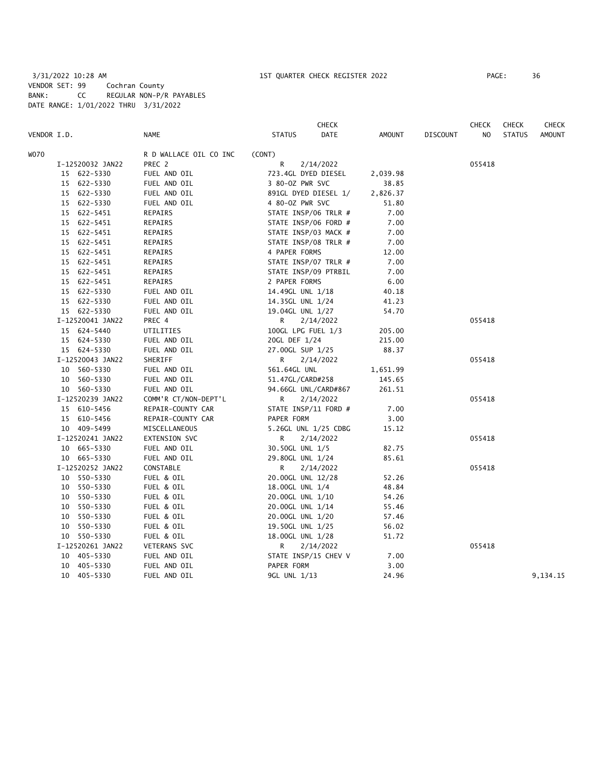# 3/31/2022 10:28 AM 1ST QUARTER CHECK REGISTER 2022 PAGE: 36 VENDOR SET: 99 Cochran County BANK: CC REGULAR NON-P/R PAYABLES DATE RANGE: 1/01/2022 THRU 3/31/2022

|             |                  |                        | <b>CHECK</b>         |                      |          |          | <b>CHECK</b>   | <b>CHECK</b>  | CHECK         |
|-------------|------------------|------------------------|----------------------|----------------------|----------|----------|----------------|---------------|---------------|
| VENDOR I.D. |                  | <b>NAME</b>            | <b>STATUS</b>        | DATE                 | AMOUNT   | DISCOUNT | N <sub>O</sub> | <b>STATUS</b> | <b>AMOUNT</b> |
| WO70        |                  | R D WALLACE OIL CO INC | (CONT)               |                      |          |          |                |               |               |
|             | I-12520032 JAN22 | PREC 2                 | R                    | 2/14/2022            |          |          | 055418         |               |               |
|             | 15 622-5330      | FUEL AND OIL           | 723.4GL DYED DIESEL  |                      | 2,039.98 |          |                |               |               |
|             | 15 622-5330      | FUEL AND OIL           | 3 80-0Z PWR SVC      |                      | 38.85    |          |                |               |               |
|             | 15 622-5330      | FUEL AND OIL           |                      | 891GL DYED DIESEL 1/ | 2,826.37 |          |                |               |               |
|             | 15 622-5330      | FUEL AND OIL           | 4 80-0Z PWR SVC      |                      | 51.80    |          |                |               |               |
|             | 15 622-5451      | REPAIRS                | STATE INSP/06 TRLR # |                      | 7.00     |          |                |               |               |
|             | 15 622-5451      | REPAIRS                | STATE INSP/06 FORD # |                      | 7.00     |          |                |               |               |
|             | 15 622-5451      | REPAIRS                | STATE INSP/03 MACK # |                      | 7.00     |          |                |               |               |
|             | 15 622-5451      | REPAIRS                |                      | STATE INSP/08 TRLR # | 7.00     |          |                |               |               |
|             | 15 622-5451      | REPAIRS                | 4 PAPER FORMS        |                      | 12.00    |          |                |               |               |
|             | 15 622-5451      | REPAIRS                | STATE INSP/07 TRLR # |                      | 7.00     |          |                |               |               |
|             | 15 622-5451      | REPAIRS                | STATE INSP/09 PTRBIL |                      | 7.00     |          |                |               |               |
|             | 15 622-5451      | REPAIRS                | 2 PAPER FORMS        |                      | 6.00     |          |                |               |               |
|             | 15 622-5330      | FUEL AND OIL           | 14.49GL UNL 1/18     |                      | 40.18    |          |                |               |               |
|             | 15 622-5330      | FUEL AND OIL           | 14.35GL UNL 1/24     |                      | 41.23    |          |                |               |               |
|             | 15 622-5330      | FUEL AND OIL           | 19.04GL UNL 1/27     |                      | 54.70    |          |                |               |               |
|             | I-12520041 JAN22 | PREC 4                 | R.                   | 2/14/2022            |          |          | 055418         |               |               |
|             | 15 624-5440      | UTILITIES              | 100GL LPG FUEL 1/3   |                      | 205.00   |          |                |               |               |
|             | 15 624-5330      | FUEL AND OIL           | 20GL DEF 1/24        |                      | 215.00   |          |                |               |               |
|             | 15 624-5330      | FUEL AND OIL           | 27.00GL SUP 1/25     |                      | 88.37    |          |                |               |               |
|             | I-12520043 JAN22 | SHERIFF                | R                    | 2/14/2022            |          |          | 055418         |               |               |
|             | 10 560-5330      | FUEL AND OIL           | 561.64GL UNL         |                      | 1,651.99 |          |                |               |               |
|             | 10 560-5330      | FUEL AND OIL           | 51.47GL/CARD#258     |                      | 145.65   |          |                |               |               |
|             | 10 560-5330      | FUEL AND OIL           |                      | 94.66GL UNL/CARD#867 | 261.51   |          |                |               |               |
|             | I-12520239 JAN22 | COMM'R CT/NON-DEPT'L   | R.                   | 2/14/2022            |          |          | 055418         |               |               |
|             | 15 610-5456      | REPAIR-COUNTY CAR      | STATE INSP/11 FORD # |                      | 7.00     |          |                |               |               |
|             | 15 610-5456      | REPAIR-COUNTY CAR      | PAPER FORM           |                      | 3.00     |          |                |               |               |
|             | 10 409-5499      | MISCELLANEOUS          |                      | 5.26GL UNL 1/25 CDBG | 15.12    |          |                |               |               |
|             | I-12520241 JAN22 | EXTENSION SVC          | R.                   | 2/14/2022            |          |          | 055418         |               |               |
|             | 10 665-5330      | FUEL AND OIL           | 30.50GL UNL 1/5      |                      | 82.75    |          |                |               |               |
|             | 10 665-5330      | FUEL AND OIL           | 29.80GL UNL 1/24     |                      | 85.61    |          |                |               |               |
|             | I-12520252 JAN22 | CONSTABLE              | R                    | 2/14/2022            |          |          | 055418         |               |               |
|             | 10 550-5330      | FUEL & OIL             | 20.00GL UNL 12/28    |                      | 52.26    |          |                |               |               |
|             | 10 550-5330      | FUEL & OIL             | 18.00GL UNL 1/4      |                      | 48.84    |          |                |               |               |
|             | 10 550-5330      | FUEL & OIL             | 20.00GL UNL 1/10     |                      | 54.26    |          |                |               |               |
|             | 10 550-5330      | FUEL & OIL             | 20.00GL UNL 1/14     |                      | 55.46    |          |                |               |               |
|             | 10 550-5330      | FUEL & OIL             | 20.00GL UNL 1/20     |                      | 57.46    |          |                |               |               |
|             | 10 550-5330      | FUEL & OIL             | 19.50GL UNL 1/25     |                      | 56.02    |          |                |               |               |
|             | 10 550-5330      | FUEL & OIL             | 18.00GL UNL 1/28     |                      | 51.72    |          |                |               |               |
|             | I-12520261 JAN22 | VETERANS SVC           | R                    | 2/14/2022            |          |          | 055418         |               |               |
|             | 10 405-5330      | FUEL AND OIL           |                      | STATE INSP/15 CHEV V | 7.00     |          |                |               |               |
|             | 10 405-5330      | FUEL AND OIL           | PAPER FORM           |                      | 3.00     |          |                |               |               |
|             | 10 405-5330      | FUEL AND OIL           | 9GL UNL 1/13         |                      | 24.96    |          |                |               | 9,134.15      |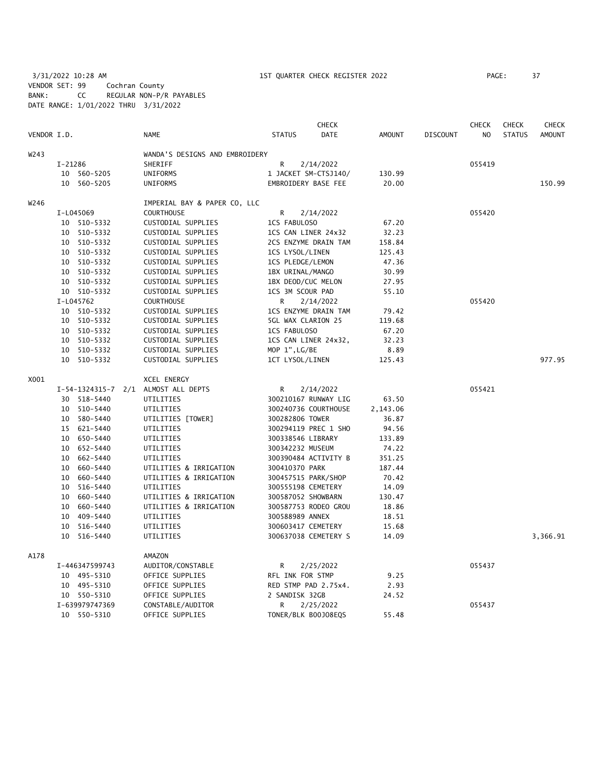3/31/2022 10:28 AM 1ST QUARTER CHECK REGISTER 2022 PAGE: 37 VENDOR SET: 99 Cochran County BANK: CC REGULAR NON-P/R PAYABLES DATE RANGE: 1/01/2022 THRU 3/31/2022

|             |           |                |                                     |                      | CHECK                |               |                 | <b>CHECK</b>   | <b>CHECK</b>  | CHECK         |
|-------------|-----------|----------------|-------------------------------------|----------------------|----------------------|---------------|-----------------|----------------|---------------|---------------|
| VENDOR I.D. |           |                | <b>NAME</b>                         | <b>STATUS</b>        | <b>DATE</b>          | <b>AMOUNT</b> | <b>DISCOUNT</b> | N <sub>O</sub> | <b>STATUS</b> | <b>AMOUNT</b> |
| W243        |           |                | WANDA'S DESIGNS AND EMBROIDERY      |                      |                      |               |                 |                |               |               |
|             | $I-21286$ |                | SHERIFF                             | R                    | 2/14/2022            |               |                 | 055419         |               |               |
|             |           | 10 560-5205    | UNIFORMS                            |                      | 1 JACKET SM-CTSJ140/ | 130.99        |                 |                |               |               |
|             |           | 10 560-5205    | UNIFORMS                            | EMBROIDERY BASE FEE  |                      | 20.00         |                 |                |               | 150.99        |
| W246        |           |                | IMPERIAL BAY & PAPER CO, LLC        |                      |                      |               |                 |                |               |               |
|             |           | I-L045069      | <b>COURTHOUSE</b>                   | R                    | 2/14/2022            |               |                 | 055420         |               |               |
|             |           | 10 510-5332    | CUSTODIAL SUPPLIES                  | 1CS FABULOSO         |                      | 67.20         |                 |                |               |               |
|             |           | 10 510-5332    | CUSTODIAL SUPPLIES                  | 1CS CAN LINER 24x32  |                      | 32.23         |                 |                |               |               |
|             |           | 10 510-5332    | CUSTODIAL SUPPLIES                  |                      | 2CS ENZYME DRAIN TAM | 158.84        |                 |                |               |               |
|             |           | 10 510-5332    | CUSTODIAL SUPPLIES                  | 1CS LYSOL/LINEN      |                      | 125.43        |                 |                |               |               |
|             |           | 10 510-5332    | CUSTODIAL SUPPLIES                  | 1CS PLEDGE/LEMON     |                      | 47.36         |                 |                |               |               |
|             |           | 10 510-5332    | CUSTODIAL SUPPLIES                  | 1BX URINAL/MANGO     |                      | 30.99         |                 |                |               |               |
|             |           | 10 510-5332    | CUSTODIAL SUPPLIES                  | 1BX DEOD/CUC MELON   |                      | 27.95         |                 |                |               |               |
|             |           | 10 510-5332    | CUSTODIAL SUPPLIES                  | 1CS 3M SCOUR PAD     |                      | 55.10         |                 |                |               |               |
|             |           | I-L045762      | <b>COURTHOUSE</b>                   | R                    | 2/14/2022            |               |                 | 055420         |               |               |
|             |           | 10 510-5332    | CUSTODIAL SUPPLIES                  |                      | 1CS ENZYME DRAIN TAM | 79.42         |                 |                |               |               |
|             |           | 10 510-5332    | CUSTODIAL SUPPLIES                  | 5GL WAX CLARION 25   |                      | 119.68        |                 |                |               |               |
|             |           | 10 510-5332    | CUSTODIAL SUPPLIES                  | 1CS FABULOSO         |                      | 67.20         |                 |                |               |               |
|             |           | 10 510-5332    | CUSTODIAL SUPPLIES                  | 1CS CAN LINER 24x32, |                      | 32.23         |                 |                |               |               |
|             |           | 10 510-5332    | CUSTODIAL SUPPLIES                  | MOP 1", LG/BE        |                      | 8.89          |                 |                |               |               |
|             |           | 10 510-5332    | CUSTODIAL SUPPLIES                  | 1CT LYSOL/LINEN      |                      | 125.43        |                 |                |               | 977.95        |
| X001        |           |                | XCEL ENERGY                         |                      |                      |               |                 |                |               |               |
|             |           |                | I-54-1324315-7 2/1 ALMOST ALL DEPTS | R                    | 2/14/2022            |               |                 | 055421         |               |               |
|             |           | 30 518-5440    | UTILITIES                           |                      | 300210167 RUNWAY LIG | 63.50         |                 |                |               |               |
|             |           | 10 510-5440    | UTILITIES                           |                      | 300240736 COURTHOUSE | 2,143.06      |                 |                |               |               |
|             |           | 10 580-5440    | UTILITIES [TOWER]                   | 300282806 TOWER      |                      | 36.87         |                 |                |               |               |
|             |           | 15 621-5440    | UTILITIES                           |                      | 300294119 PREC 1 SHO | 94.56         |                 |                |               |               |
|             |           | 10 650-5440    | UTILITIES                           | 300338546 LIBRARY    |                      | 133.89        |                 |                |               |               |
|             |           | 10 652-5440    | UTILITIES                           | 300342232 MUSEUM     |                      | 74.22         |                 |                |               |               |
|             |           | 10 662-5440    | UTILITIES                           |                      | 300390484 ACTIVITY B | 351.25        |                 |                |               |               |
|             | 10        | 660-5440       | UTILITIES & IRRIGATION              | 300410370 PARK       |                      | 187.44        |                 |                |               |               |
|             | 10        | 660-5440       | UTILITIES & IRRIGATION              | 300457515 PARK/SHOP  |                      | 70.42         |                 |                |               |               |
|             | 10        | 516-5440       | UTILITIES                           | 300555198 CEMETERY   |                      | 14.09         |                 |                |               |               |
|             |           | 10 660-5440    | UTILITIES & IRRIGATION              | 300587052 SHOWBARN   |                      | 130.47        |                 |                |               |               |
|             | 10        | 660-5440       | UTILITIES & IRRIGATION              |                      | 300587753 RODEO GROU | 18.86         |                 |                |               |               |
|             | 10        | 409-5440       | UTILITIES                           | 300588989 ANNEX      |                      | 18.51         |                 |                |               |               |
|             |           | 10 516-5440    | UTILITIES                           | 300603417 CEMETERY   |                      | 15.68         |                 |                |               |               |
|             |           | 10 516-5440    | UTILITIES                           |                      | 300637038 CEMETERY S | 14.09         |                 |                |               | 3,366.91      |
| A178        |           |                | AMAZON                              |                      |                      |               |                 |                |               |               |
|             |           | I-446347599743 | AUDITOR/CONSTABLE                   | R                    | 2/25/2022            |               |                 | 055437         |               |               |
|             |           | 10 495-5310    | OFFICE SUPPLIES                     | RFL INK FOR STMP     |                      | 9.25          |                 |                |               |               |
|             |           | 10 495-5310    | OFFICE SUPPLIES                     |                      | RED STMP PAD 2.75x4. | 2.93          |                 |                |               |               |
|             |           | 10 550-5310    | OFFICE SUPPLIES                     | 2 SANDISK 32GB       |                      | 24.52         |                 |                |               |               |
|             |           | I-639979747369 | CONSTABLE/AUDITOR                   | R                    | 2/25/2022            |               |                 | 055437         |               |               |
|             |           | 10 550-5310    | OFFICE SUPPLIES                     | TONER/BLK B00J08EQS  |                      | 55.48         |                 |                |               |               |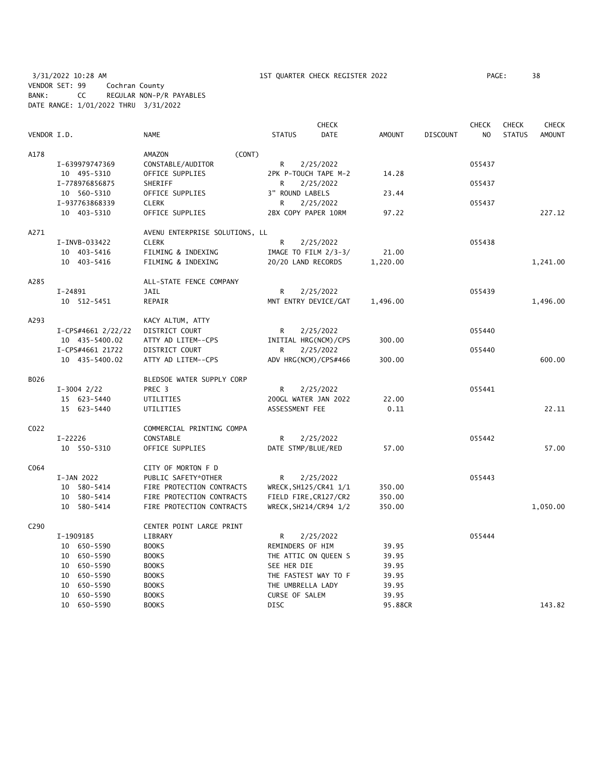3/31/2022 10:28 AM 1ST QUARTER CHECK REGISTER 2022 PAGE: 38 VENDOR SET: 99 Cochran County BANK: CC REGULAR NON-P/R PAYABLES DATE RANGE: 1/01/2022 THRU 3/31/2022

|                  |           |                    |                                |        |                    | <b>CHECK</b>           |               |                 | <b>CHECK</b>   | <b>CHECK</b>  | <b>CHECK</b>  |
|------------------|-----------|--------------------|--------------------------------|--------|--------------------|------------------------|---------------|-----------------|----------------|---------------|---------------|
| VENDOR I.D.      |           |                    | <b>NAME</b>                    |        | <b>STATUS</b>      | DATE                   | <b>AMOUNT</b> | <b>DISCOUNT</b> | N <sub>O</sub> | <b>STATUS</b> | <b>AMOUNT</b> |
| A178             |           |                    | AMAZON                         | (CONT) |                    |                        |               |                 |                |               |               |
|                  |           | I-639979747369     | CONSTABLE/AUDITOR              |        | R                  | 2/25/2022              |               |                 | 055437         |               |               |
|                  |           | 10 495-5310        | OFFICE SUPPLIES                |        |                    | 2PK P-TOUCH TAPE M-2   | 14.28         |                 |                |               |               |
|                  |           | I-778976856875     | SHERIFF                        |        | R                  | 2/25/2022              |               |                 | 055437         |               |               |
|                  |           | 10 560-5310        | OFFICE SUPPLIES                |        | 3" ROUND LABELS    |                        | 23.44         |                 |                |               |               |
|                  |           | I-937763868339     | <b>CLERK</b>                   |        | R                  | 2/25/2022              |               |                 | 055437         |               |               |
|                  |           | 10 403-5310        | OFFICE SUPPLIES                |        |                    | 2BX COPY PAPER 10RM    | 97.22         |                 |                |               | 227.12        |
| A271             |           |                    | AVENU ENTERPRISE SOLUTIONS, LL |        |                    |                        |               |                 |                |               |               |
|                  |           | I-INVB-033422      | <b>CLERK</b>                   |        | R                  | 2/25/2022              |               |                 | 055438         |               |               |
|                  |           | 10 403-5416        | FILMING & INDEXING             |        |                    | IMAGE TO FILM $2/3-3/$ | 21.00         |                 |                |               |               |
|                  |           | 10 403-5416        | FILMING & INDEXING             |        | 20/20 LAND RECORDS |                        | 1,220.00      |                 |                |               | 1,241.00      |
| A285             |           |                    | ALL-STATE FENCE COMPANY        |        |                    |                        |               |                 |                |               |               |
|                  | I-24891   |                    | JAIL                           |        | R                  | 2/25/2022              |               |                 | 055439         |               |               |
|                  |           | 10 512-5451        | REPAIR                         |        |                    | MNT ENTRY DEVICE/GAT   | 1,496.00      |                 |                |               | 1,496.00      |
| A293             |           |                    | KACY ALTUM, ATTY               |        |                    |                        |               |                 |                |               |               |
|                  |           | I-CPS#4661 2/22/22 | DISTRICT COURT                 |        | R                  | 2/25/2022              |               |                 | 055440         |               |               |
|                  |           | 10 435-5400.02     | ATTY AD LITEM--CPS             |        |                    | INITIAL HRG(NCM)/CPS   | 300.00        |                 |                |               |               |
|                  |           | I-CPS#4661 21722   | DISTRICT COURT                 |        | R                  | 2/25/2022              |               |                 | 055440         |               |               |
|                  |           | 10 435-5400.02     | ATTY AD LITEM--CPS             |        |                    | ADV HRG(NCM)/CPS#466   | 300.00        |                 |                |               | 600.00        |
| B026             |           |                    | BLEDSOE WATER SUPPLY CORP      |        |                    |                        |               |                 |                |               |               |
|                  |           | $I-3004$ 2/22      | PREC 3                         |        | R                  | 2/25/2022              |               |                 | 055441         |               |               |
|                  |           | 15 623-5440        | UTILITIES                      |        |                    | 200GL WATER JAN 2022   | 22.00         |                 |                |               |               |
|                  |           | 15 623-5440        | UTILITIES                      |        | ASSESSMENT FEE     |                        | 0.11          |                 |                |               | 22.11         |
| C022             |           |                    | COMMERCIAL PRINTING COMPA      |        |                    |                        |               |                 |                |               |               |
|                  | $I-22226$ |                    | CONSTABLE                      |        | R                  | 2/25/2022              |               |                 | 055442         |               |               |
|                  |           | 10 550-5310        | OFFICE SUPPLIES                |        | DATE STMP/BLUE/RED |                        | 57.00         |                 |                |               | 57.00         |
| C064             |           |                    | CITY OF MORTON F D             |        |                    |                        |               |                 |                |               |               |
|                  |           | I-JAN 2022         | PUBLIC SAFETY*OTHER            |        | R                  | 2/25/2022              |               |                 | 055443         |               |               |
|                  |           | 10 580-5414        | FIRE PROTECTION CONTRACTS      |        |                    | WRECK, SH125/CR41 1/1  | 350.00        |                 |                |               |               |
|                  |           | 10 580-5414        | FIRE PROTECTION CONTRACTS      |        |                    | FIELD FIRE, CR127/CR2  | 350.00        |                 |                |               |               |
|                  |           | 10 580-5414        | FIRE PROTECTION CONTRACTS      |        |                    | WRECK, SH214/CR94 1/2  | 350.00        |                 |                |               | 1,050.00      |
| C <sub>290</sub> |           |                    | CENTER POINT LARGE PRINT       |        |                    |                        |               |                 |                |               |               |
|                  |           | I-1909185          | LIBRARY                        |        | R                  | 2/25/2022              |               |                 | 055444         |               |               |
|                  |           | 10 650-5590        | <b>BOOKS</b>                   |        | REMINDERS OF HIM   |                        | 39.95         |                 |                |               |               |
|                  |           | 10 650-5590        | <b>BOOKS</b>                   |        |                    | THE ATTIC ON QUEEN S   | 39.95         |                 |                |               |               |
|                  |           | 10 650-5590        | <b>BOOKS</b>                   |        | SEE HER DIE        |                        | 39.95         |                 |                |               |               |
|                  |           | 10 650-5590        | <b>BOOKS</b>                   |        |                    | THE FASTEST WAY TO F   | 39.95         |                 |                |               |               |
|                  |           | 10 650-5590        | <b>BOOKS</b>                   |        | THE UMBRELLA LADY  |                        | 39.95         |                 |                |               |               |
|                  |           | 10 650-5590        | <b>BOOKS</b>                   |        | CURSE OF SALEM     |                        | 39.95         |                 |                |               |               |
|                  |           | 10 650-5590        | <b>BOOKS</b>                   |        | <b>DISC</b>        |                        | 95.88CR       |                 |                |               | 143.82        |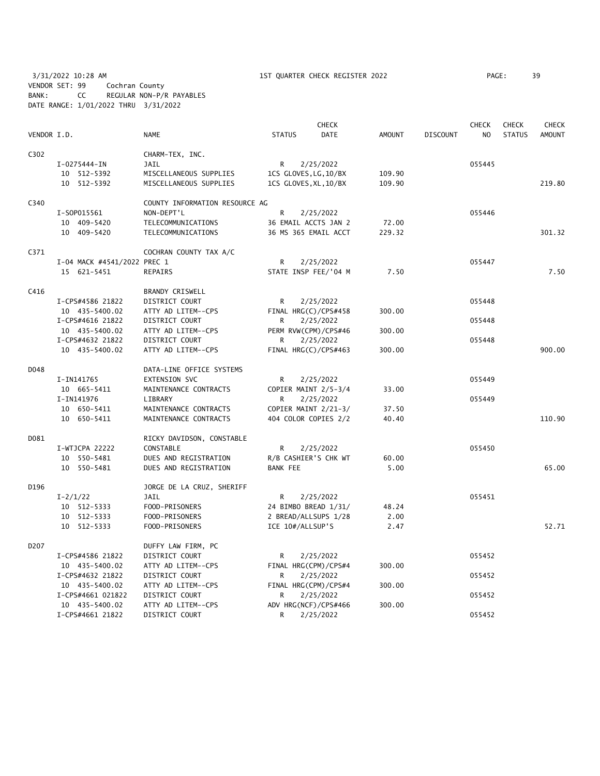3/31/2022 10:28 AM 1ST QUARTER CHECK REGISTER 2022 PAGE: 39 VENDOR SET: 99 Cochran County BANK: CC REGULAR NON-P/R PAYABLES DATE RANGE: 1/01/2022 THRU 3/31/2022

|             |                                    |                                      |                           | <b>CHECK</b> |               |                 | <b>CHECK</b>   | <b>CHECK</b>  | <b>CHECK</b>  |
|-------------|------------------------------------|--------------------------------------|---------------------------|--------------|---------------|-----------------|----------------|---------------|---------------|
| VENDOR I.D. |                                    | <b>NAME</b>                          | <b>STATUS</b>             | <b>DATE</b>  | <b>AMOUNT</b> | <b>DISCOUNT</b> | N <sub>O</sub> | <b>STATUS</b> | <b>AMOUNT</b> |
| C302        |                                    | CHARM-TEX, INC.                      |                           |              |               |                 |                |               |               |
|             | I-0275444-IN                       | <b>JAIL</b>                          | R                         | 2/25/2022    |               |                 | 055445         |               |               |
|             | 10 512-5392                        | MISCELLANEOUS SUPPLIES               | 1CS GLOVES, LG, 10/BX     |              | 109.90        |                 |                |               |               |
|             | 10 512-5392                        | MISCELLANEOUS SUPPLIES               | 1CS GLOVES, XL, 10/BX     |              | 109.90        |                 |                |               | 219.80        |
| C340        |                                    | COUNTY INFORMATION RESOURCE AG       |                           |              |               |                 |                |               |               |
|             | I-S0P015561                        | NON-DEPT'L                           | R                         | 2/25/2022    |               |                 | 055446         |               |               |
|             | 10 409-5420                        | TELECOMMUNICATIONS                   | 36 EMAIL ACCTS JAN 2      |              | 72.00         |                 |                |               |               |
|             | 10 409-5420                        | TELECOMMUNICATIONS                   | 36 MS 365 EMAIL ACCT      |              | 229.32        |                 |                |               | 301.32        |
| C371        |                                    | COCHRAN COUNTY TAX A/C               |                           |              |               |                 |                |               |               |
|             | I-04 MACK #4541/2022 PREC 1        |                                      | R                         | 2/25/2022    |               |                 | 055447         |               |               |
|             | 15 621-5451                        | <b>REPAIRS</b>                       | STATE INSP FEE/'04 M      |              | 7.50          |                 |                |               | 7.50          |
| C416        |                                    | <b>BRANDY CRISWELL</b>               |                           |              |               |                 |                |               |               |
|             | I-CPS#4586 21822                   | DISTRICT COURT                       | R                         | 2/25/2022    |               |                 | 055448         |               |               |
|             | 10 435-5400.02                     | ATTY AD LITEM--CPS                   | FINAL HRG(C)/CPS#458      |              | 300.00        |                 |                |               |               |
|             | I-CPS#4616 21822                   | DISTRICT COURT                       | R                         | 2/25/2022    |               |                 | 055448         |               |               |
|             | 10 435-5400.02                     | ATTY AD LITEM--CPS                   | PERM RVW(CPM)/CPS#46      |              | 300.00        |                 |                |               |               |
|             | I-CPS#4632 21822                   | DISTRICT COURT                       | R                         | 2/25/2022    |               |                 | 055448         |               |               |
|             | 10 435-5400.02                     | ATTY AD LITEM--CPS                   | FINAL HRG(C)/CPS#463      |              | 300.00        |                 |                |               | 900.00        |
| D048        |                                    | DATA-LINE OFFICE SYSTEMS             |                           |              |               |                 |                |               |               |
|             | I-IN141765                         | EXTENSION SVC                        | R                         | 2/25/2022    |               |                 | 055449         |               |               |
|             | 10 665-5411                        | MAINTENANCE CONTRACTS                | COPIER MAINT 2/5-3/4      |              | 33.00         |                 |                |               |               |
|             | I-IN141976                         | LIBRARY                              | R                         | 2/25/2022    |               |                 | 055449         |               |               |
|             | 10 650-5411                        | MAINTENANCE CONTRACTS                | COPIER MAINT 2/21-3/      |              | 37.50         |                 |                |               |               |
|             | 10 650-5411                        | MAINTENANCE CONTRACTS                | 404 COLOR COPIES 2/2      |              | 40.40         |                 |                |               | 110.90        |
| D081        |                                    | RICKY DAVIDSON, CONSTABLE            |                           |              |               |                 |                |               |               |
|             | I-WTJCPA 22222                     | CONSTABLE                            | R                         | 2/25/2022    |               |                 | 055450         |               |               |
|             | 10 550-5481                        | DUES AND REGISTRATION                | R/B CASHIER'S CHK WT      |              | 60.00         |                 |                |               |               |
|             | 10 550-5481                        | DUES AND REGISTRATION                | <b>BANK FEE</b>           |              | 5.00          |                 |                |               | 65.00         |
| D196        |                                    | JORGE DE LA CRUZ, SHERIFF            |                           |              |               |                 |                |               |               |
|             | $I - 2/1/22$                       | JAIL                                 | R                         | 2/25/2022    |               |                 | 055451         |               |               |
|             | 10 512-5333                        | FOOD-PRISONERS                       | 24 BIMBO BREAD 1/31/      |              | 48.24         |                 |                |               |               |
|             | 10 512-5333                        | FOOD-PRISONERS                       | 2 BREAD/ALLSUPS 1/28      |              | 2.00          |                 |                |               |               |
|             | 10 512-5333                        | FOOD-PRISONERS                       | ICE 10#/ALLSUP'S          |              | 2.47          |                 |                |               | 52.71         |
| D207        |                                    | DUFFY LAW FIRM, PC                   |                           |              |               |                 |                |               |               |
|             | I-CPS#4586 21822                   | DISTRICT COURT                       | R                         | 2/25/2022    |               |                 | 055452         |               |               |
|             | 10 435-5400.02                     | ATTY AD LITEM--CPS                   | FINAL HRG(CPM)/CPS#4      |              | 300.00        |                 |                |               |               |
|             | I-CPS#4632 21822                   | DISTRICT COURT                       | R                         | 2/25/2022    |               |                 | 055452         |               |               |
|             | 10 435-5400.02                     | ATTY AD LITEM--CPS                   | FINAL HRG(CPM)/CPS#4      |              | 300.00        |                 |                |               |               |
|             | I-CPS#4661 021822                  | DISTRICT COURT                       | R                         | 2/25/2022    |               |                 | 055452         |               |               |
|             | 10 435-5400.02<br>I-CPS#4661 21822 | ATTY AD LITEM--CPS<br>DISTRICT COURT | ADV HRG(NCF)/CPS#466<br>R |              | 300.00        |                 | 055452         |               |               |
|             |                                    |                                      |                           | 2/25/2022    |               |                 |                |               |               |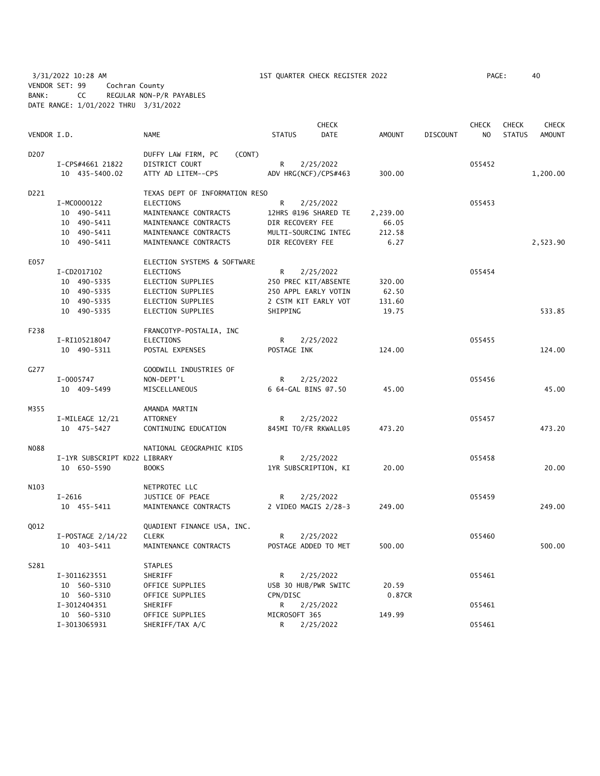3/31/2022 10:28 AM 1ST QUARTER CHECK REGISTER 2022 PAGE: 40 VENDOR SET: 99 Cochran County BANK: CC REGULAR NON-P/R PAYABLES DATE RANGE: 1/01/2022 THRU 3/31/2022

|                  |                              |                                | <b>CHECK</b>         |                      |               |                 | <b>CHECK</b>   | <b>CHECK</b>  | CHECK         |
|------------------|------------------------------|--------------------------------|----------------------|----------------------|---------------|-----------------|----------------|---------------|---------------|
| VENDOR I.D.      |                              | <b>NAME</b>                    | <b>STATUS</b>        | <b>DATE</b>          | <b>AMOUNT</b> | <b>DISCOUNT</b> | N <sub>O</sub> | <b>STATUS</b> | <b>AMOUNT</b> |
| D <sub>207</sub> |                              | DUFFY LAW FIRM, PC<br>(CONT)   |                      |                      |               |                 |                |               |               |
|                  | I-CPS#4661 21822             | DISTRICT COURT                 | R                    | 2/25/2022            |               |                 | 055452         |               |               |
|                  | 10 435-5400.02               | ATTY AD LITEM--CPS             | ADV HRG(NCF)/CPS#463 |                      | 300.00        |                 |                |               | 1,200.00      |
| D221             |                              | TEXAS DEPT OF INFORMATION RESO |                      |                      |               |                 |                |               |               |
|                  | I-MC0000122                  | <b>ELECTIONS</b>               | R                    | 2/25/2022            |               |                 | 055453         |               |               |
|                  | 10 490-5411                  | MAINTENANCE CONTRACTS          |                      | 12HRS @196 SHARED TE | 2,239.00      |                 |                |               |               |
|                  | 10 490-5411                  | MAINTENANCE CONTRACTS          | DIR RECOVERY FEE     |                      | 66.05         |                 |                |               |               |
|                  | 10 490-5411                  | MAINTENANCE CONTRACTS          | MULTI-SOURCING INTEG |                      | 212.58        |                 |                |               |               |
|                  | 10 490-5411                  | MAINTENANCE CONTRACTS          | DIR RECOVERY FEE     |                      | 6.27          |                 |                |               | 2,523.90      |
| E057             |                              | ELECTION SYSTEMS & SOFTWARE    |                      |                      |               |                 |                |               |               |
|                  | I-CD2017102                  | <b>ELECTIONS</b>               | R                    | 2/25/2022            |               |                 | 055454         |               |               |
|                  | 10 490-5335                  | ELECTION SUPPLIES              | 250 PREC KIT/ABSENTE |                      | 320.00        |                 |                |               |               |
|                  | 10 490-5335                  | ELECTION SUPPLIES              | 250 APPL EARLY VOTIN |                      | 62.50         |                 |                |               |               |
|                  | 10 490-5335                  | <b>ELECTION SUPPLIES</b>       | 2 CSTM KIT EARLY VOT |                      | 131.60        |                 |                |               |               |
|                  | 10 490-5335                  | ELECTION SUPPLIES              | SHIPPING             |                      | 19.75         |                 |                |               | 533.85        |
| F238             |                              | FRANCOTYP-POSTALIA, INC        |                      |                      |               |                 |                |               |               |
|                  | I-RI105218047                | ELECTIONS                      | R                    | 2/25/2022            |               |                 | 055455         |               |               |
|                  | 10 490-5311                  | POSTAL EXPENSES                | POSTAGE INK          |                      | 124.00        |                 |                |               | 124.00        |
| G277             |                              | GOODWILL INDUSTRIES OF         |                      |                      |               |                 |                |               |               |
|                  | I-0005747                    | NON-DEPT'L                     | R                    | 2/25/2022            |               |                 | 055456         |               |               |
|                  | 10 409-5499                  | MISCELLANEOUS                  | 6 64-GAL BINS 07.50  |                      | 45.00         |                 |                |               | 45.00         |
| M355             |                              | AMANDA MARTIN                  |                      |                      |               |                 |                |               |               |
|                  | I-MILEAGE 12/21              | <b>ATTORNEY</b>                | R                    | 2/25/2022            |               |                 | 055457         |               |               |
|                  | 10 475-5427                  | CONTINUING EDUCATION           | 845MI TO/FR RKWALL@5 |                      | 473.20        |                 |                |               | 473.20        |
| <b>NO88</b>      |                              | NATIONAL GEOGRAPHIC KIDS       |                      |                      |               |                 |                |               |               |
|                  | I-1YR SUBSCRIPT KD22 LIBRARY |                                | R                    | 2/25/2022            |               |                 | 055458         |               |               |
|                  | 10 650-5590                  | <b>BOOKS</b>                   | 1YR SUBSCRIPTION, KI |                      | 20.00         |                 |                |               | 20.00         |
| N103             |                              | NETPROTEC LLC                  |                      |                      |               |                 |                |               |               |
|                  | $I - 2616$                   | JUSTICE OF PEACE               | R                    | 2/25/2022            |               |                 | 055459         |               |               |
|                  | 10 455-5411                  | MAINTENANCE CONTRACTS          |                      | 2 VIDEO MAGIS 2/28-3 | 249.00        |                 |                |               | 249.00        |
| Q012             |                              | QUADIENT FINANCE USA, INC.     |                      |                      |               |                 |                |               |               |
|                  | I-POSTAGE 2/14/22            | <b>CLERK</b>                   | R                    | 2/25/2022            |               |                 | 055460         |               |               |
|                  | 10 403-5411                  | MAINTENANCE CONTRACTS          |                      | POSTAGE ADDED TO MET | 500.00        |                 |                |               | 500.00        |
| S281             |                              | <b>STAPLES</b>                 |                      |                      |               |                 |                |               |               |
|                  | I-3011623551                 | SHERIFF                        | R                    | 2/25/2022            |               |                 | 055461         |               |               |
|                  | 10 560-5310                  | OFFICE SUPPLIES                | USB 30 HUB/PWR SWITC |                      | 20.59         |                 |                |               |               |
|                  | 10 560-5310                  | OFFICE SUPPLIES                | CPN/DISC             |                      | 0.87CR        |                 |                |               |               |
|                  | I-3012404351                 | SHERIFF                        | R                    | 2/25/2022            |               |                 | 055461         |               |               |
|                  | 10 560-5310                  | OFFICE SUPPLIES                | MICROSOFT 365        |                      | 149.99        |                 |                |               |               |
|                  | I-3013065931                 | SHERIFF/TAX A/C                | R                    | 2/25/2022            |               |                 | 055461         |               |               |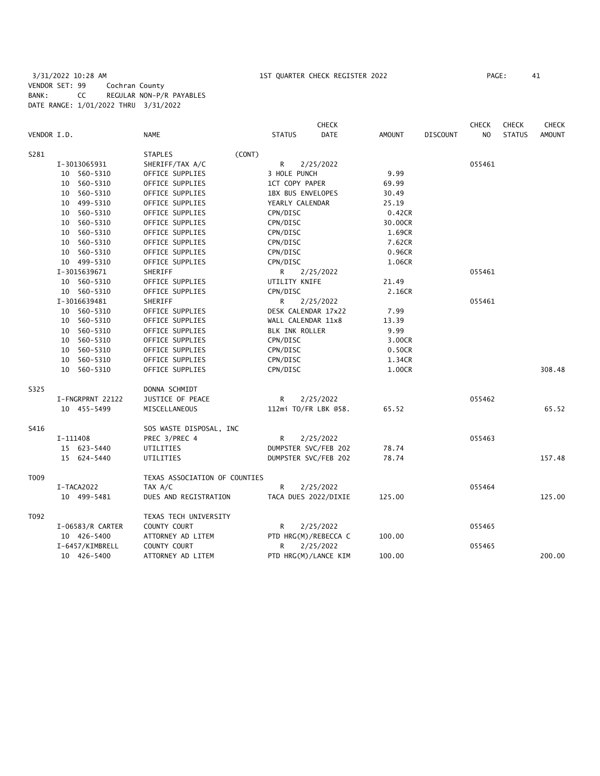3/31/2022 10:28 AM 1ST QUARTER CHECK REGISTER 2022 PAGE: 41 VENDOR SET: 99 Cochran County BANK: CC REGULAR NON-P/R PAYABLES DATE RANGE: 1/01/2022 THRU 3/31/2022

| VENDOR I.D. |                  | NAME                          | <b>STATUS</b>            | <b>CHECK</b><br><b>DATE</b> | <b>AMOUNT</b> | <b>DISCOUNT</b> | CHECK<br>NO. | <b>CHECK</b><br><b>STATUS</b> | <b>CHECK</b><br><b>AMOUNT</b> |
|-------------|------------------|-------------------------------|--------------------------|-----------------------------|---------------|-----------------|--------------|-------------------------------|-------------------------------|
|             |                  |                               |                          |                             |               |                 |              |                               |                               |
| S281        |                  | (CONT)<br><b>STAPLES</b>      |                          |                             |               |                 |              |                               |                               |
|             | I-3013065931     | SHERIFF/TAX A/C               | R                        | 2/25/2022                   |               |                 | 055461       |                               |                               |
|             | 10 560-5310      | OFFICE SUPPLIES               | 3 HOLE PUNCH             |                             | 9.99          |                 |              |                               |                               |
|             | 10 560-5310      | OFFICE SUPPLIES               | 1CT COPY PAPER           |                             | 69.99         |                 |              |                               |                               |
|             | 10 560-5310      | OFFICE SUPPLIES               | <b>1BX BUS ENVELOPES</b> |                             | 30.49         |                 |              |                               |                               |
|             | 10 499-5310      | OFFICE SUPPLIES               | YEARLY CALENDAR          |                             | 25.19         |                 |              |                               |                               |
|             | 10 560-5310      | OFFICE SUPPLIES               | CPN/DISC                 |                             | 0.42CR        |                 |              |                               |                               |
|             | 10 560-5310      | OFFICE SUPPLIES               | CPN/DISC                 |                             | 30.00CR       |                 |              |                               |                               |
|             | 10 560-5310      | OFFICE SUPPLIES               | CPN/DISC                 |                             | 1.69CR        |                 |              |                               |                               |
|             | 10 560-5310      | OFFICE SUPPLIES               | CPN/DISC                 |                             | 7.62CR        |                 |              |                               |                               |
|             | 10 560-5310      | OFFICE SUPPLIES               | CPN/DISC                 |                             | 0.96CR        |                 |              |                               |                               |
|             | 10 499-5310      | OFFICE SUPPLIES               | CPN/DISC                 |                             | 1.06CR        |                 |              |                               |                               |
|             | I-3015639671     | SHERIFF                       | R                        | 2/25/2022                   |               |                 | 055461       |                               |                               |
|             | 10 560-5310      | OFFICE SUPPLIES               | UTILITY KNIFE            |                             | 21.49         |                 |              |                               |                               |
|             | 10 560-5310      | OFFICE SUPPLIES               | CPN/DISC                 |                             | 2.16CR        |                 |              |                               |                               |
|             | I-3016639481     | SHERIFF                       | R                        | 2/25/2022                   |               |                 | 055461       |                               |                               |
|             | 10 560-5310      | OFFICE SUPPLIES               | DESK CALENDAR 17x22      |                             | 7.99          |                 |              |                               |                               |
|             | 10 560-5310      | OFFICE SUPPLIES               | WALL CALENDAR 11x8       |                             | 13.39         |                 |              |                               |                               |
|             | 10 560-5310      | OFFICE SUPPLIES               | BLK INK ROLLER           |                             | 9.99          |                 |              |                               |                               |
|             | 10 560-5310      | OFFICE SUPPLIES               | CPN/DISC                 |                             | 3.00CR        |                 |              |                               |                               |
|             | 10 560-5310      | OFFICE SUPPLIES               | CPN/DISC                 |                             | 0.50CR        |                 |              |                               |                               |
|             | 10 560-5310      | OFFICE SUPPLIES               | CPN/DISC                 |                             | 1.34CR        |                 |              |                               |                               |
|             | 10 560-5310      | OFFICE SUPPLIES               | CPN/DISC                 |                             | 1.00CR        |                 |              |                               | 308.48                        |
| S325        |                  | DONNA SCHMIDT                 |                          |                             |               |                 |              |                               |                               |
|             | I-FNGRPRNT 22122 | JUSTICE OF PEACE              | R                        | 2/25/2022                   |               |                 | 055462       |                               |                               |
|             | 10 455-5499      | MISCELLANEOUS                 |                          | 112mi TO/FR LBK @58.        | 65.52         |                 |              |                               | 65.52                         |
| S416        |                  | SOS WASTE DISPOSAL, INC       |                          |                             |               |                 |              |                               |                               |
|             | I-111408         | PREC 3/PREC 4                 | R                        | 2/25/2022                   |               |                 | 055463       |                               |                               |
|             | 15 623-5440      | UTILITIES                     |                          | DUMPSTER SVC/FEB 202        | 78.74         |                 |              |                               |                               |
|             | 15 624-5440      | UTILITIES                     |                          | DUMPSTER SVC/FEB 202        | 78.74         |                 |              |                               | 157.48                        |
| T009        |                  | TEXAS ASSOCIATION OF COUNTIES |                          |                             |               |                 |              |                               |                               |
|             | I-TACA2022       | TAX A/C                       | R                        | 2/25/2022                   |               |                 | 055464       |                               |                               |
|             | 10 499-5481      | DUES AND REGISTRATION         |                          | TACA DUES 2022/DIXIE        | 125.00        |                 |              |                               | 125.00                        |
| T092        |                  | TEXAS TECH UNIVERSITY         |                          |                             |               |                 |              |                               |                               |
|             | I-06583/R CARTER | COUNTY COURT                  | R                        | 2/25/2022                   |               |                 | 055465       |                               |                               |
|             | 10 426-5400      | ATTORNEY AD LITEM             |                          | PTD HRG(M)/REBECCA C        | 100.00        |                 |              |                               |                               |
|             | I-6457/KIMBRELL  | COUNTY COURT                  | R                        | 2/25/2022                   |               |                 | 055465       |                               |                               |
|             | 10 426-5400      | ATTORNEY AD LITEM             |                          | PTD HRG(M)/LANCE KIM        | 100.00        |                 |              |                               | 200.00                        |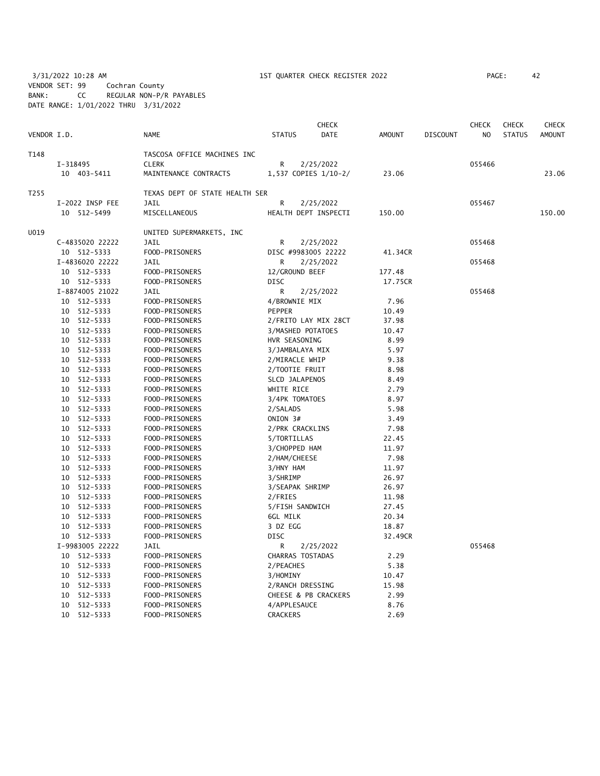3/31/2022 10:28 AM 1ST QUARTER CHECK REGISTER 2022 PAGE: 42 VENDOR SET: 99 Cochran County BANK: CC REGULAR NON-P/R PAYABLES DATE RANGE: 1/01/2022 THRU 3/31/2022

| VENDOR I.D. |                 | <b>NAME</b>                    | <b>STATUS</b>     | <b>CHECK</b><br><b>DATE</b> | <b>AMOUNT</b> | <b>DISCOUNT</b> | <b>CHECK</b><br>N <sub>O</sub> | <b>CHECK</b><br><b>STATUS</b> | CHECK<br><b>AMOUNT</b> |
|-------------|-----------------|--------------------------------|-------------------|-----------------------------|---------------|-----------------|--------------------------------|-------------------------------|------------------------|
|             |                 |                                |                   |                             |               |                 |                                |                               |                        |
| T148        |                 | TASCOSA OFFICE MACHINES INC    |                   |                             |               |                 |                                |                               |                        |
|             | I-318495        | <b>CLERK</b>                   | R                 | 2/25/2022                   |               |                 | 055466                         |                               |                        |
|             | 10 403-5411     | MAINTENANCE CONTRACTS          |                   | 1,537 COPIES 1/10-2/        | 23.06         |                 |                                |                               | 23.06                  |
| T255        |                 | TEXAS DEPT OF STATE HEALTH SER |                   |                             |               |                 |                                |                               |                        |
|             | I-2022 INSP FEE | JAIL                           | R                 | 2/25/2022                   |               |                 | 055467                         |                               |                        |
|             | 10 512-5499     | MISCELLANEOUS                  |                   | HEALTH DEPT INSPECTI        | 150.00        |                 |                                |                               | 150.00                 |
| U019        |                 | UNITED SUPERMARKETS, INC       |                   |                             |               |                 |                                |                               |                        |
|             | C-4835020 22222 | JAIL                           | R                 | 2/25/2022                   |               |                 | 055468                         |                               |                        |
|             | 10 512-5333     | FOOD-PRISONERS                 |                   | DISC #9983005 22222         | 41.34CR       |                 |                                |                               |                        |
|             | I-4836020 22222 | JAIL                           | R                 | 2/25/2022                   |               |                 | 055468                         |                               |                        |
|             | 10 512-5333     | FOOD-PRISONERS                 | 12/GROUND BEEF    |                             | 177.48        |                 |                                |                               |                        |
|             | 10 512-5333     | FOOD-PRISONERS                 | <b>DISC</b>       |                             | 17.75CR       |                 |                                |                               |                        |
|             | I-8874005 21022 | <b>JAIL</b>                    | R                 | 2/25/2022                   |               |                 | 055468                         |                               |                        |
|             | 10 512-5333     | FOOD-PRISONERS                 | 4/BROWNIE MIX     |                             | 7.96          |                 |                                |                               |                        |
|             | 10 512-5333     | FOOD-PRISONERS                 | <b>PEPPER</b>     |                             | 10.49         |                 |                                |                               |                        |
|             | 10 512-5333     | FOOD-PRISONERS                 |                   | 2/FRITO LAY MIX 28CT        | 37.98         |                 |                                |                               |                        |
|             | 512-5333<br>10  | FOOD-PRISONERS                 | 3/MASHED POTATOES |                             | 10.47         |                 |                                |                               |                        |
|             | 512-5333<br>10  | FOOD-PRISONERS                 | HVR SEASONING     |                             | 8.99          |                 |                                |                               |                        |
|             | 512-5333<br>10  | FOOD-PRISONERS                 | 3/JAMBALAYA MIX   |                             | 5.97          |                 |                                |                               |                        |
|             | 10<br>512-5333  | FOOD-PRISONERS                 | 2/MIRACLE WHIP    |                             | 9.38          |                 |                                |                               |                        |
|             | 512-5333<br>10  | FOOD-PRISONERS                 | 2/TOOTIE FRUIT    |                             | 8.98          |                 |                                |                               |                        |
|             | 512-5333<br>10  | FOOD-PRISONERS                 | SLCD JALAPENOS    |                             | 8.49          |                 |                                |                               |                        |
|             | 10 512-5333     | FOOD-PRISONERS                 | WHITE RICE        |                             | 2.79          |                 |                                |                               |                        |
|             | 10 512-5333     | FOOD-PRISONERS                 | 3/4PK TOMATOES    |                             | 8.97          |                 |                                |                               |                        |
|             | 10 512-5333     | FOOD-PRISONERS                 | 2/SALADS          |                             | 5.98          |                 |                                |                               |                        |
|             | 10 512-5333     | FOOD-PRISONERS                 | ONION 3#          |                             | 3.49          |                 |                                |                               |                        |
|             | 10 512-5333     | FOOD-PRISONERS                 | 2/PRK CRACKLINS   |                             | 7.98          |                 |                                |                               |                        |
|             | 512-5333<br>10  | FOOD-PRISONERS                 | 5/TORTILLAS       |                             | 22.45         |                 |                                |                               |                        |
|             | 10 512-5333     | FOOD-PRISONERS                 | 3/CHOPPED HAM     |                             | 11.97         |                 |                                |                               |                        |
|             | 10 512-5333     | FOOD-PRISONERS                 | 2/HAM/CHEESE      |                             | 7.98          |                 |                                |                               |                        |
|             | 10 512-5333     | FOOD-PRISONERS                 | 3/HNY HAM         |                             | 11.97         |                 |                                |                               |                        |
|             | 512-5333<br>10  | FOOD-PRISONERS                 | 3/SHRIMP          |                             | 26.97         |                 |                                |                               |                        |
|             | 512-5333<br>10  | FOOD-PRISONERS                 | 3/SEAPAK SHRIMP   |                             | 26.97         |                 |                                |                               |                        |
|             | 512-5333<br>10  | FOOD-PRISONERS                 | 2/FRIES           |                             | 11.98         |                 |                                |                               |                        |
|             | 512-5333<br>10  | FOOD-PRISONERS                 | 5/FISH SANDWICH   |                             | 27.45         |                 |                                |                               |                        |
|             | 10 512-5333     | FOOD-PRISONERS                 | 6GL MILK          |                             | 20.34         |                 |                                |                               |                        |
|             | 10 512-5333     | FOOD-PRISONERS                 | 3 DZ EGG          |                             | 18.87         |                 |                                |                               |                        |
|             | 10 512-5333     | FOOD-PRISONERS                 | <b>DISC</b>       |                             | 32.49CR       |                 |                                |                               |                        |
|             | I-9983005 22222 | JAIL                           | R                 | 2/25/2022                   |               |                 | 055468                         |                               |                        |
|             | 10 512-5333     | FOOD-PRISONERS                 | CHARRAS TOSTADAS  |                             | 2.29          |                 |                                |                               |                        |
|             | 512-5333<br>10  | FOOD-PRISONERS                 | 2/PEACHES         |                             | 5.38          |                 |                                |                               |                        |
|             | 512-5333<br>10  | FOOD-PRISONERS                 | 3/HOMINY          |                             | 10.47         |                 |                                |                               |                        |
|             | 10<br>512-5333  | FOOD-PRISONERS                 | 2/RANCH DRESSING  |                             | 15.98         |                 |                                |                               |                        |
|             | 512-5333<br>10  | FOOD-PRISONERS                 |                   | CHEESE & PB CRACKERS        | 2.99          |                 |                                |                               |                        |
|             | 512-5333<br>10  | FOOD-PRISONERS                 | 4/APPLESAUCE      |                             | 8.76          |                 |                                |                               |                        |
|             | 10<br>512-5333  | FOOD-PRISONERS                 | <b>CRACKERS</b>   |                             | 2.69          |                 |                                |                               |                        |
|             |                 |                                |                   |                             |               |                 |                                |                               |                        |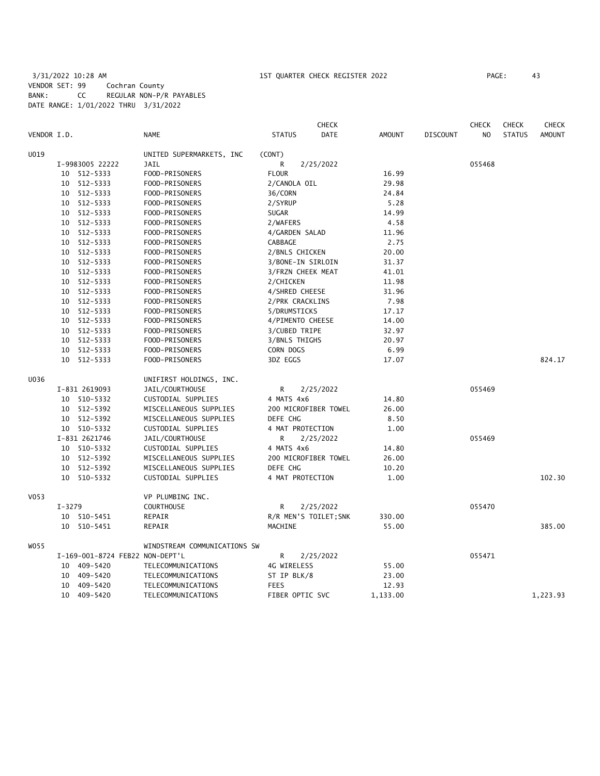### 3/31/2022 10:28 AM 1ST QUARTER CHECK REGISTER 2022 PAGE: 43 VENDOR SET: 99 Cochran County BANK: CC REGULAR NON-P/R PAYABLES DATE RANGE: 1/01/2022 THRU 3/31/2022

|             |                 |                                 |                   | <b>CHECK</b>          |               |                 | <b>CHECK</b>   | <b>CHECK</b>  | <b>CHECK</b>  |
|-------------|-----------------|---------------------------------|-------------------|-----------------------|---------------|-----------------|----------------|---------------|---------------|
| VENDOR I.D. |                 | <b>NAME</b>                     | <b>STATUS</b>     | <b>DATE</b>           | <b>AMOUNT</b> | <b>DISCOUNT</b> | N <sub>O</sub> | <b>STATUS</b> | <b>AMOUNT</b> |
| U019        |                 | UNITED SUPERMARKETS, INC        | (CONT)            |                       |               |                 |                |               |               |
|             | I-9983005 22222 | <b>JAIL</b>                     | R                 | 2/25/2022             |               |                 | 055468         |               |               |
|             | 10 512-5333     | FOOD-PRISONERS                  | <b>FLOUR</b>      |                       | 16.99         |                 |                |               |               |
|             | 10 512-5333     | FOOD-PRISONERS                  | 2/CANOLA OIL      |                       | 29.98         |                 |                |               |               |
|             | 10 512-5333     | FOOD-PRISONERS                  | 36/CORN           |                       | 24.84         |                 |                |               |               |
|             | 10 512-5333     | FOOD-PRISONERS                  | 2/SYRUP           |                       | 5.28          |                 |                |               |               |
|             | 10 512-5333     | FOOD-PRISONERS                  | SUGAR             |                       | 14.99         |                 |                |               |               |
|             | 10 512-5333     | FOOD-PRISONERS                  | 2/WAFERS          |                       | 4.58          |                 |                |               |               |
|             | 10 512-5333     | FOOD-PRISONERS                  | 4/GARDEN SALAD    |                       | 11.96         |                 |                |               |               |
|             | 10 512-5333     | FOOD-PRISONERS                  | CABBAGE           |                       | 2.75          |                 |                |               |               |
|             | 10 512-5333     | FOOD-PRISONERS                  | 2/BNLS CHICKEN    |                       | 20.00         |                 |                |               |               |
|             | 10 512-5333     | FOOD-PRISONERS                  | 3/BONE-IN SIRLOIN |                       | 31.37         |                 |                |               |               |
|             | 10 512-5333     | FOOD-PRISONERS                  | 3/FRZN CHEEK MEAT |                       | 41.01         |                 |                |               |               |
|             | 10 512-5333     | FOOD-PRISONERS                  | 2/CHICKEN         |                       | 11.98         |                 |                |               |               |
|             | 10 512-5333     | FOOD-PRISONERS                  | 4/SHRED CHEESE    |                       | 31.96         |                 |                |               |               |
|             | 10 512-5333     | FOOD-PRISONERS                  | 2/PRK CRACKLINS   |                       | 7.98          |                 |                |               |               |
|             | 10 512-5333     | FOOD-PRISONERS                  | 5/DRUMSTICKS      |                       | 17.17         |                 |                |               |               |
|             | 10 512-5333     | FOOD-PRISONERS                  | 4/PIMENTO CHEESE  |                       | 14.00         |                 |                |               |               |
|             | 10 512-5333     | FOOD-PRISONERS                  | 3/CUBED TRIPE     |                       | 32.97         |                 |                |               |               |
|             | 10 512-5333     | FOOD-PRISONERS                  | 3/BNLS THIGHS     |                       | 20.97         |                 |                |               |               |
|             | 10 512-5333     | FOOD-PRISONERS                  | CORN DOGS         |                       | 6.99          |                 |                |               |               |
|             | 10 512-5333     | FOOD-PRISONERS                  | 3DZ EGGS          |                       | 17.07         |                 |                |               | 824.17        |
| U036        |                 | UNIFIRST HOLDINGS, INC.         |                   |                       |               |                 |                |               |               |
|             | I-831 2619093   | JAIL/COURTHOUSE                 | R                 | 2/25/2022             |               |                 | 055469         |               |               |
|             | 10 510-5332     | CUSTODIAL SUPPLIES              | 4 MATS 4x6        |                       | 14.80         |                 |                |               |               |
|             | 10 512-5392     | MISCELLANEOUS SUPPLIES          |                   | 200 MICROFIBER TOWEL  | 26.00         |                 |                |               |               |
|             | 10 512-5392     | MISCELLANEOUS SUPPLIES          | DEFE CHG          |                       | 8.50          |                 |                |               |               |
|             | 10 510-5332     | CUSTODIAL SUPPLIES              | 4 MAT PROTECTION  |                       | 1.00          |                 |                |               |               |
|             | I-831 2621746   | JAIL/COURTHOUSE                 | R                 | 2/25/2022             |               |                 | 055469         |               |               |
|             | 10 510-5332     | CUSTODIAL SUPPLIES              | 4 MATS 4x6        |                       | 14.80         |                 |                |               |               |
|             | 10 512-5392     | MISCELLANEOUS SUPPLIES          |                   | 200 MICROFIBER TOWEL  | 26.00         |                 |                |               |               |
|             | 10 512-5392     | MISCELLANEOUS SUPPLIES          | DEFE CHG          |                       | 10.20         |                 |                |               |               |
|             | 10<br>510-5332  | CUSTODIAL SUPPLIES              | 4 MAT PROTECTION  |                       | 1.00          |                 |                |               | 102.30        |
| V053        |                 | VP PLUMBING INC.                |                   |                       |               |                 |                |               |               |
|             | $I - 3279$      | <b>COURTHOUSE</b>               | R                 | 2/25/2022             |               |                 | 055470         |               |               |
|             | 10<br>510-5451  | REPAIR                          |                   | R/R MEN'S TOILET; SNK | 330.00        |                 |                |               |               |
|             | 10 510-5451     | REPAIR                          | MACHINE           |                       | 55.00         |                 |                |               | 385.00        |
| W055        |                 | WINDSTREAM COMMUNICATIONS SW    |                   |                       |               |                 |                |               |               |
|             |                 | I-169-001-8724 FEB22 NON-DEPT'L | R                 | 2/25/2022             |               |                 | 055471         |               |               |
|             | 10 409-5420     | TELECOMMUNICATIONS              | 4G WIRELESS       |                       | 55.00         |                 |                |               |               |
|             | 409–5420<br>10  | TELECOMMUNICATIONS              | ST IP BLK/8       |                       | 23.00         |                 |                |               |               |
|             | 409-5420<br>10  | TELECOMMUNICATIONS              | <b>FEES</b>       |                       | 12.93         |                 |                |               |               |
|             | 10 409-5420     | TELECOMMUNICATIONS              | FIBER OPTIC SVC   |                       | 1,133.00      |                 |                |               | 1,223.93      |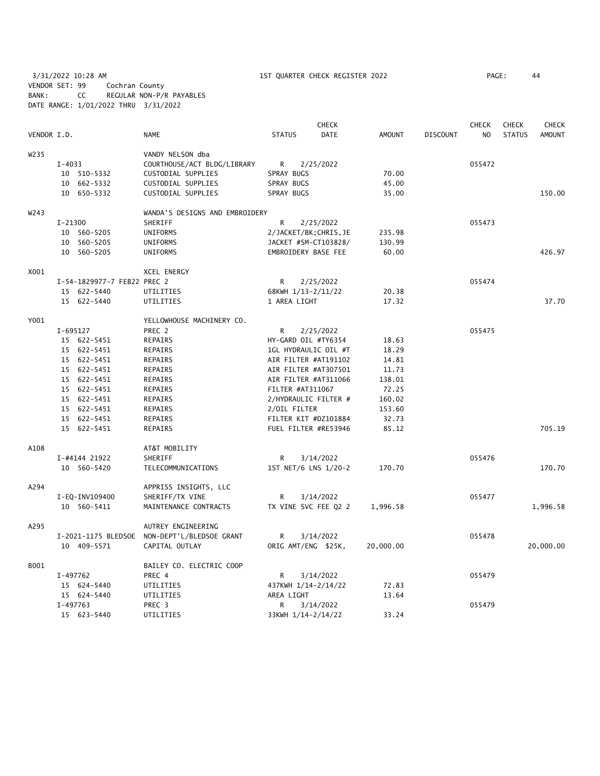3/31/2022 10:28 AM 1ST QUARTER CHECK REGISTER 2022 PAGE: 44 VENDOR SET: 99 Cochran County BANK: CC REGULAR NON-P/R PAYABLES DATE RANGE: 1/01/2022 THRU 3/31/2022

|                  |                             |                                              |               |                  | <b>CHECK</b>           |               |                 | <b>CHECK</b>   | <b>CHECK</b>  | <b>CHECK</b>  |
|------------------|-----------------------------|----------------------------------------------|---------------|------------------|------------------------|---------------|-----------------|----------------|---------------|---------------|
| VENDOR I.D.      |                             | <b>NAME</b>                                  | <b>STATUS</b> |                  | DATE                   | <b>AMOUNT</b> | <b>DISCOUNT</b> | N <sub>O</sub> | <b>STATUS</b> | <b>AMOUNT</b> |
| W <sub>235</sub> |                             | VANDY NELSON dba                             |               |                  |                        |               |                 |                |               |               |
|                  | $I-4033$                    | COURTHOUSE/ACT BLDG/LIBRARY                  | R.            |                  | 2/25/2022              |               |                 | 055472         |               |               |
|                  | 10 510-5332                 | CUSTODIAL SUPPLIES                           | SPRAY BUGS    |                  |                        | 70.00         |                 |                |               |               |
|                  | 10 662-5332                 | CUSTODIAL SUPPLIES                           | SPRAY BUGS    |                  |                        | 45.00         |                 |                |               |               |
|                  | 10 650-5332                 | CUSTODIAL SUPPLIES                           | SPRAY BUGS    |                  |                        | 35.00         |                 |                |               | 150.00        |
| W243             |                             | WANDA'S DESIGNS AND EMBROIDERY               |               |                  |                        |               |                 |                |               |               |
|                  | $I - 21300$                 | SHERIFF                                      | R             |                  | 2/25/2022              |               |                 | 055473         |               |               |
|                  | 10 560-5205                 | UNIFORMS                                     |               |                  | 2/JACKET/BK; CHRIS, JE | 235.98        |                 |                |               |               |
|                  | 10 560-5205                 | UNIFORMS                                     |               |                  | JACKET #SM-CT103828/   | 130.99        |                 |                |               |               |
|                  | 10 560-5205                 | UNIFORMS                                     |               |                  | EMBROIDERY BASE FEE    | 60.00         |                 |                |               | 426.97        |
| X001             |                             | XCEL ENERGY                                  |               |                  |                        |               |                 |                |               |               |
|                  | I-54-1829977-7 FEB22 PREC 2 |                                              | R             |                  | 2/25/2022              |               |                 | 055474         |               |               |
|                  | 15 622-5440                 | UTILITIES                                    |               |                  | 68KWH 1/13-2/11/22     | 20.38         |                 |                |               |               |
|                  | 15 622-5440                 | UTILITIES                                    |               | 1 AREA LIGHT     |                        | 17.32         |                 |                |               | 37.70         |
| Y001             |                             | YELLOWHOUSE MACHINERY CO.                    |               |                  |                        |               |                 |                |               |               |
|                  | I-695127                    | PREC 2                                       | R             |                  | 2/25/2022              |               |                 | 055475         |               |               |
|                  | 15 622-5451                 | REPAIRS                                      |               |                  | HY-GARD OIL #TY6354    | 18.63         |                 |                |               |               |
|                  | 15 622-5451                 | REPAIRS                                      |               |                  | 1GL HYDRAULIC OIL #T   | 18.29         |                 |                |               |               |
|                  | 15 622-5451                 | REPAIRS                                      |               |                  | AIR FILTER #AT191102   | 14.81         |                 |                |               |               |
|                  | 15 622-5451                 | REPAIRS                                      |               |                  | AIR FILTER #AT307501   | 11.73         |                 |                |               |               |
|                  | 15 622-5451                 | REPAIRS                                      |               |                  | AIR FILTER #AT311066   | 138.01        |                 |                |               |               |
|                  | 15 622-5451                 | REPAIRS                                      |               | FILTER #AT311067 |                        | 72.25         |                 |                |               |               |
|                  | 15 622-5451                 | REPAIRS                                      |               |                  | 2/HYDRAULIC FILTER #   | 160.02        |                 |                |               |               |
|                  | 15 622-5451                 | REPAIRS                                      |               | 2/OIL FILTER     |                        | 153.60        |                 |                |               |               |
|                  | 15 622-5451                 | REPAIRS                                      |               |                  | FILTER KIT #DZ101884   | 32.73         |                 |                |               |               |
|                  | 15 622-5451                 | REPAIRS                                      |               |                  | FUEL FILTER #RE53946   | 85.12         |                 |                |               | 705.19        |
| A108             |                             | AT&T MOBILITY                                |               |                  |                        |               |                 |                |               |               |
|                  | I-#4144 21922               | SHERIFF                                      | R             |                  | 3/14/2022              |               |                 | 055476         |               |               |
|                  | 10 560-5420                 | TELECOMMUNICATIONS                           |               |                  | 1ST NET/6 LNS 1/20-2   | 170.70        |                 |                |               | 170.70        |
| A294             |                             | APPRISS INSIGHTS, LLC                        |               |                  |                        |               |                 |                |               |               |
|                  | I-EQ-INV109400              | SHERIFF/TX VINE                              | R             |                  | 3/14/2022              |               |                 | 055477         |               |               |
|                  | 10 560-5411                 | MAINTENANCE CONTRACTS                        |               |                  | TX VINE SVC FEE Q2 2   | 1,996.58      |                 |                |               | 1,996.58      |
| A295             |                             | AUTREY ENGINEERING                           |               |                  |                        |               |                 |                |               |               |
|                  |                             | I-2021-1175 BLEDSOE NON-DEPT'L/BLEDSOE GRANT | R             |                  | 3/14/2022              |               |                 | 055478         |               |               |
|                  | 10 409-5571                 | CAPITAL OUTLAY                               |               |                  | ORIG AMT/ENG \$25K,    | 20,000.00     |                 |                |               | 20,000.00     |
| B001             |                             | BAILEY CO. ELECTRIC COOP                     |               |                  |                        |               |                 |                |               |               |
|                  | I-497762                    | PREC 4                                       | R             |                  | 3/14/2022              |               |                 | 055479         |               |               |
|                  | 15 624-5440                 | UTILITIES                                    |               |                  | 437KWH 1/14-2/14/22    | 72.83         |                 |                |               |               |
|                  | 15 624-5440                 | UTILITIES                                    | AREA LIGHT    |                  |                        | 13.64         |                 |                |               |               |
|                  | I-497763                    | PREC 3                                       | R             |                  | 3/14/2022              |               |                 | 055479         |               |               |
|                  | 15 623-5440                 | UTILITIES                                    |               |                  | 33KWH 1/14-2/14/22     | 33.24         |                 |                |               |               |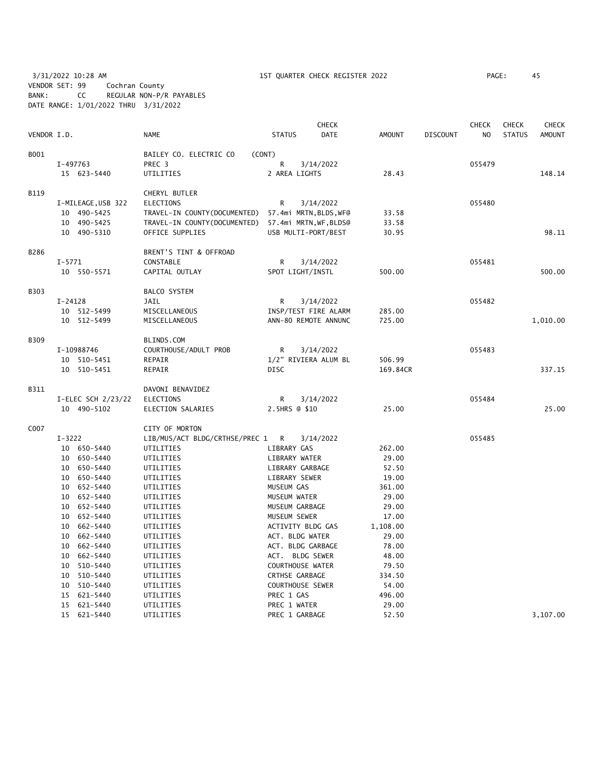3/31/2022 10:28 AM 1ST QUARTER CHECK REGISTER 2022 PAGE: 45 VENDOR SET: 99 Cochran County BANK: CC REGULAR NON-P/R PAYABLES DATE RANGE: 1/01/2022 THRU 3/31/2022

| VENDOR I.D. |                                  | <b>NAME</b>                                      | <b>STATUS</b>              | <b>CHECK</b><br><b>DATE</b> | <b>AMOUNT</b>   | <b>DISCOUNT</b> | <b>CHECK</b><br>NO | <b>CHECK</b><br><b>STATUS</b> | <b>CHECK</b><br><b>AMOUNT</b> |
|-------------|----------------------------------|--------------------------------------------------|----------------------------|-----------------------------|-----------------|-----------------|--------------------|-------------------------------|-------------------------------|
|             |                                  |                                                  |                            |                             |                 |                 |                    |                               |                               |
| B001        |                                  | BAILEY CO. ELECTRIC CO<br>(CONT)                 |                            |                             |                 |                 |                    |                               |                               |
|             | I-497763                         | PREC 3                                           | R                          | 3/14/2022                   |                 |                 | 055479             |                               |                               |
|             | 15 623-5440                      | UTILITIES                                        | 2 AREA LIGHTS              |                             | 28.43           |                 |                    |                               | 148.14                        |
| <b>B119</b> |                                  | CHERYL BUTLER                                    |                            |                             |                 |                 |                    |                               |                               |
|             | I-MILEAGE, USB 322               | <b>ELECTIONS</b>                                 | R                          | 3/14/2022                   |                 |                 | 055480             |                               |                               |
|             | 10 490-5425                      | TRAVEL-IN COUNTY (DOCUMENTED)                    |                            | 57.4mi MRTN, BLDS, WF@      | 33.58           |                 |                    |                               |                               |
|             | 10 490-5425                      | TRAVEL-IN COUNTY (DOCUMENTED)                    |                            | 57.4mi MRTN, WF, BLDS@      | 33.58           |                 |                    |                               |                               |
|             | 10 490-5310                      | OFFICE SUPPLIES                                  |                            | USB MULTI-PORT/BEST         | 30.95           |                 |                    |                               | 98.11                         |
| B286        |                                  | BRENT'S TINT & OFFROAD                           |                            |                             |                 |                 |                    |                               |                               |
|             | $I - 5771$                       | CONSTABLE                                        | R                          | 3/14/2022                   |                 |                 | 055481             |                               |                               |
|             | 10 550-5571                      | CAPITAL OUTLAY                                   | SPOT LIGHT/INSTL           |                             | 500.00          |                 |                    |                               | 500.00                        |
| <b>B303</b> |                                  | <b>BALCO SYSTEM</b>                              |                            |                             |                 |                 |                    |                               |                               |
|             | $I-24128$                        | JAIL                                             | R                          | 3/14/2022                   |                 |                 | 055482             |                               |                               |
|             | 10 512-5499                      | MISCELLANEOUS                                    |                            | INSP/TEST FIRE ALARM        | 285.00          |                 |                    |                               |                               |
|             | 10 512-5499                      | MISCELLANEOUS                                    |                            | ANN-80 REMOTE ANNUNC        | 725.00          |                 |                    |                               | 1,010.00                      |
| <b>B309</b> |                                  | BLINDS.COM                                       |                            |                             |                 |                 |                    |                               |                               |
|             | I-10988746                       | COURTHOUSE/ADULT PROB                            | R                          | 3/14/2022                   |                 |                 | 055483             |                               |                               |
|             | 10 510-5451                      | REPAIR                                           |                            | 1/2" RIVIERA ALUM BL        | 506.99          |                 |                    |                               |                               |
|             | 10 510-5451                      | REPAIR                                           | <b>DISC</b>                |                             | 169.84CR        |                 |                    |                               | 337.15                        |
| B311        |                                  | DAVONI BENAVIDEZ                                 |                            |                             |                 |                 |                    |                               |                               |
|             | I-ELEC SCH 2/23/22               | ELECTIONS                                        | R                          | 3/14/2022                   |                 |                 | 055484             |                               |                               |
|             | 10 490-5102                      | ELECTION SALARIES                                | 2.5HRS @ \$10              |                             | 25.00           |                 |                    |                               | 25.00                         |
|             |                                  |                                                  |                            |                             |                 |                 |                    |                               |                               |
| C007        | $I - 3222$                       | CITY OF MORTON<br>LIB/MUS/ACT BLDG/CRTHSE/PREC 1 | $\mathsf{R}$               | 3/14/2022                   |                 |                 | 055485             |                               |                               |
|             | 10 650-5440                      | UTILITIES                                        | LIBRARY GAS                |                             | 262.00          |                 |                    |                               |                               |
|             | 10 650-5440                      | UTILITIES                                        | LIBRARY WATER              |                             | 29.00           |                 |                    |                               |                               |
|             | 10<br>650–5440                   | UTILITIES                                        | LIBRARY GARBAGE            |                             | 52.50           |                 |                    |                               |                               |
|             | 10 650-5440                      | UTILITIES                                        | LIBRARY SEWER              |                             | 19.00           |                 |                    |                               |                               |
|             | 652-5440<br>10                   | UTILITIES                                        | MUSEUM GAS                 |                             | 361.00          |                 |                    |                               |                               |
|             | 652-5440<br>10                   | UTILITIES                                        | MUSEUM WATER               |                             | 29.00           |                 |                    |                               |                               |
|             | 652-5440<br>10                   | UTILITIES                                        | MUSEUM GARBAGE             |                             | 29.00           |                 |                    |                               |                               |
|             | 10<br>652-5440                   | UTILITIES                                        | MUSEUM SEWER               |                             | 17.00           |                 |                    |                               |                               |
|             | 10<br>662-5440                   | UTILITIES                                        | ACTIVITY BLDG GAS          |                             | 1,108.00        |                 |                    |                               |                               |
|             | 662-5440<br>10                   | UTILITIES                                        | ACT. BLDG WATER            |                             | 29.00           |                 |                    |                               |                               |
|             | 10<br>662-5440                   | UTILITIES                                        | ACT. BLDG GARBAGE          |                             | 78.00           |                 |                    |                               |                               |
|             | 10<br>662-5440                   | UTILITIES                                        | ACT. BLDG SEWER            |                             | 48.00           |                 |                    |                               |                               |
|             | 510-5440<br>10                   | UTILITIES                                        | <b>COURTHOUSE WATER</b>    |                             | 79.50           |                 |                    |                               |                               |
|             | 10<br>510-5440                   | UTILITIES                                        | <b>CRTHSE GARBAGE</b>      |                             | 334.50          |                 |                    |                               |                               |
|             | 10<br>510-5440                   | UTILITIES                                        | COURTHOUSE SEWER           |                             | 54.00           |                 |                    |                               |                               |
|             | 621-5440<br>15<br>621-5440<br>15 | UTILITIES<br>UTILITIES                           | PREC 1 GAS<br>PREC 1 WATER |                             | 496.00<br>29.00 |                 |                    |                               |                               |
|             | 621-5440<br>15                   | UTILITIES                                        | PREC 1 GARBAGE             |                             | 52.50           |                 |                    |                               | 3,107.00                      |
|             |                                  |                                                  |                            |                             |                 |                 |                    |                               |                               |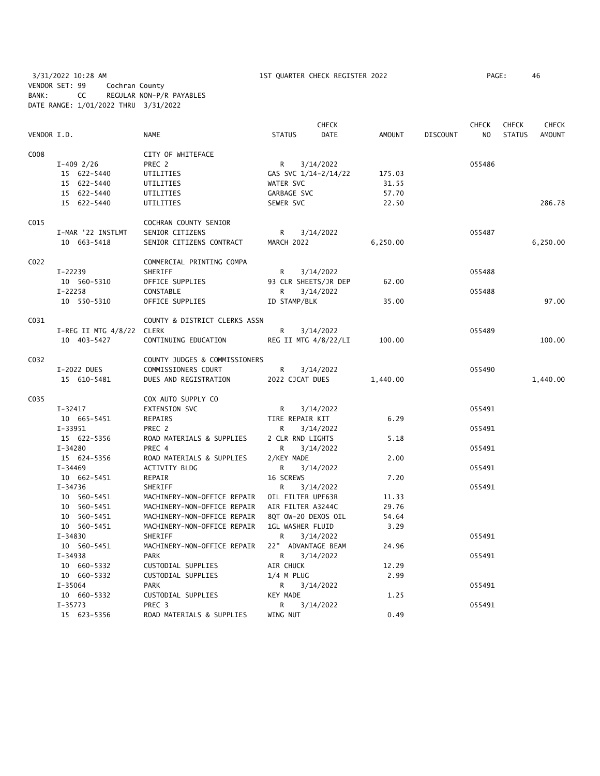3/31/2022 10:28 AM 1ST QUARTER CHECK REGISTER 2022 PAGE: 46 VENDOR SET: 99 Cochran County BANK: CC REGULAR NON-P/R PAYABLES DATE RANGE: 1/01/2022 THRU 3/31/2022

|             |                           |                               |                         | <b>CHECK</b>         |               |                 | <b>CHECK</b>   | <b>CHECK</b>  | CHECK         |
|-------------|---------------------------|-------------------------------|-------------------------|----------------------|---------------|-----------------|----------------|---------------|---------------|
| VENDOR I.D. |                           | <b>NAME</b>                   | <b>STATUS</b>           | DATE                 | <b>AMOUNT</b> | <b>DISCOUNT</b> | N <sub>O</sub> | <b>STATUS</b> | <b>AMOUNT</b> |
| C008        |                           | CITY OF WHITEFACE             |                         |                      |               |                 |                |               |               |
|             | $I-409$ 2/26              | PREC 2                        | $\mathsf{R}$            | 3/14/2022            |               |                 | 055486         |               |               |
|             | 15 622-5440               | UTILITIES                     |                         | GAS SVC 1/14-2/14/22 | 175.03        |                 |                |               |               |
|             | 15 622-5440               | UTILITIES                     | WATER SVC               |                      | 31.55         |                 |                |               |               |
|             | 15 622-5440               | UTILITIES                     | GARBAGE SVC             |                      | 57.70         |                 |                |               |               |
|             | 15 622-5440               | UTILITIES                     | SEWER SVC               |                      | 22.50         |                 |                |               | 286.78        |
| C015        |                           | COCHRAN COUNTY SENIOR         |                         |                      |               |                 |                |               |               |
|             | I-MAR '22 INSTLMT         | SENIOR CITIZENS               | R.                      | 3/14/2022            |               |                 | 055487         |               |               |
|             | 10 663-5418               | SENIOR CITIZENS CONTRACT      | MARCH 2022              |                      | 6,250.00      |                 |                |               | 6,250.00      |
| C022        |                           | COMMERCIAL PRINTING COMPA     |                         |                      |               |                 |                |               |               |
|             | $I-22239$                 | SHERIFF                       | R                       | 3/14/2022            |               |                 | 055488         |               |               |
|             | 10 560-5310               | OFFICE SUPPLIES               |                         | 93 CLR SHEETS/JR DEP | 62.00         |                 |                |               |               |
|             | $I-22258$                 | CONSTABLE                     | R                       | 3/14/2022            |               |                 | 055488         |               |               |
|             | 10 550-5310               | OFFICE SUPPLIES               | ID STAMP/BLK            |                      | 35.00         |                 |                |               | 97.00         |
| C031        |                           | COUNTY & DISTRICT CLERKS ASSN |                         |                      |               |                 |                |               |               |
|             | I-REG II MTG 4/8/22 CLERK |                               | R.                      | 3/14/2022            |               |                 | 055489         |               |               |
|             | 10 403-5427               | CONTINUING EDUCATION          |                         | REG II MTG 4/8/22/LI | 100.00        |                 |                |               | 100.00        |
| C032        |                           | COUNTY JUDGES & COMMISSIONERS |                         |                      |               |                 |                |               |               |
|             | I-2022 DUES               | COMMISSIONERS COURT           | R                       | 3/14/2022            |               |                 | 055490         |               |               |
|             | 15 610-5481               | DUES AND REGISTRATION         | 2022 CJCAT DUES         |                      | 1,440.00      |                 |                |               | 1,440.00      |
| C035        |                           | COX AUTO SUPPLY CO            |                         |                      |               |                 |                |               |               |
|             | I-32417                   | EXTENSION SVC                 | R                       | 3/14/2022            |               |                 | 055491         |               |               |
|             | 10 665-5451               | <b>REPAIRS</b>                | TIRE REPAIR KIT         |                      | 6.29          |                 |                |               |               |
|             | $I-33951$                 | PREC 2                        | R                       | 3/14/2022            |               |                 | 055491         |               |               |
|             | 15 622-5356               | ROAD MATERIALS & SUPPLIES     | 2 CLR RND LIGHTS        |                      | 5.18          |                 |                |               |               |
|             | $I - 34280$               | PREC 4                        | R                       | 3/14/2022            |               |                 | 055491         |               |               |
|             | 15 624-5356               | ROAD MATERIALS & SUPPLIES     | 2/KEY MADE              |                      | 2.00          |                 |                |               |               |
|             | $I - 34469$               | <b>ACTIVITY BLDG</b>          | R                       | 3/14/2022            |               |                 | 055491         |               |               |
|             | 10 662-5451               | REPAIR                        | 16 SCREWS               |                      | 7.20          |                 |                |               |               |
|             | I-34736                   | SHERIFF                       | R                       | 3/14/2022            |               |                 | 055491         |               |               |
|             | 10 560-5451               | MACHINERY-NON-OFFICE REPAIR   | OIL FILTER UPF63R       |                      | 11.33         |                 |                |               |               |
|             | 10 560-5451               | MACHINERY-NON-OFFICE REPAIR   | AIR FILTER A3244C       |                      | 29.76         |                 |                |               |               |
|             | 10 560-5451               | MACHINERY-NON-OFFICE REPAIR   | 8QT OW-20 DEXOS OIL     |                      | 54.64         |                 |                |               |               |
|             | 10 560-5451               | MACHINERY-NON-OFFICE REPAIR   | <b>1GL WASHER FLUID</b> |                      | 3.29          |                 |                |               |               |
|             | $I - 34830$               | SHERIFF                       | R                       | 3/14/2022            |               |                 | 055491         |               |               |
|             | 10 560-5451               | MACHINERY-NON-OFFICE REPAIR   | 22" ADVANTAGE BEAM      |                      | 24.96         |                 |                |               |               |
|             | $I-34938$                 | <b>PARK</b>                   | R                       | 3/14/2022            |               |                 | 055491         |               |               |
|             | 10 660-5332               | CUSTODIAL SUPPLIES            | AIR CHUCK               |                      | 12.29         |                 |                |               |               |
|             | 10 660-5332               | CUSTODIAL SUPPLIES            | $1/4$ M PLUG            |                      | 2.99          |                 |                |               |               |
|             | I-35064                   | PARK                          | R                       | 3/14/2022            |               |                 | 055491         |               |               |
|             | 10 660-5332               | CUSTODIAL SUPPLIES            | <b>KEY MADE</b>         |                      | 1.25          |                 |                |               |               |
|             | $I - 35773$               | PREC 3                        | R                       | 3/14/2022            | 0.49          |                 | 055491         |               |               |
|             | 15 623-5356               | ROAD MATERIALS & SUPPLIES     | WING NUT                |                      |               |                 |                |               |               |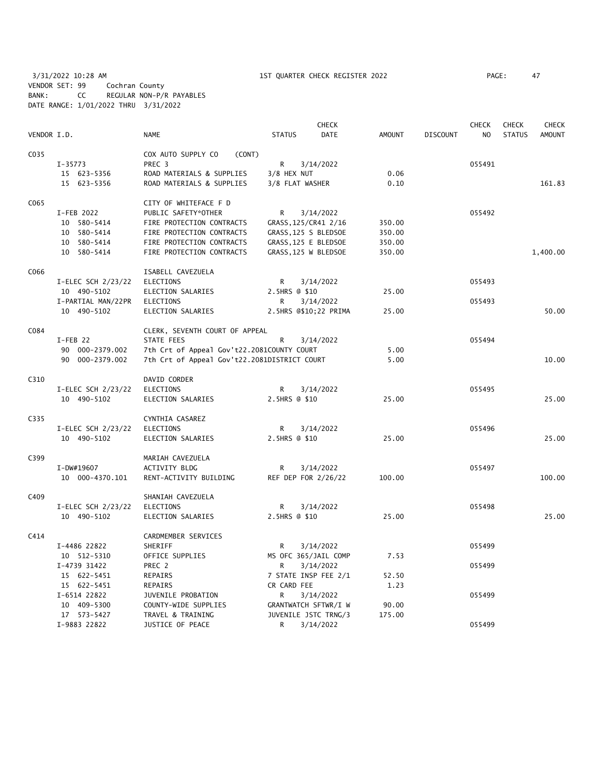3/31/2022 10:28 AM 1ST QUARTER CHECK REGISTER 2022 PAGE: 47 VENDOR SET: 99 Cochran County BANK: CC REGULAR NON-P/R PAYABLES DATE RANGE: 1/01/2022 THRU 3/31/2022

| VENDOR I.D. |                    | <b>NAME</b>                                  | <b>STATUS</b>         | <b>CHECK</b><br>DATE | <b>AMOUNT</b> | <b>DISCOUNT</b> | <b>CHECK</b><br>N <sub>O</sub> | <b>CHECK</b><br><b>STATUS</b> | CHECK<br><b>AMOUNT</b> |
|-------------|--------------------|----------------------------------------------|-----------------------|----------------------|---------------|-----------------|--------------------------------|-------------------------------|------------------------|
|             |                    |                                              |                       |                      |               |                 |                                |                               |                        |
| C035        |                    | COX AUTO SUPPLY CO<br>(CONT)                 |                       |                      |               |                 |                                |                               |                        |
|             | $I-35773$          | PREC 3                                       | R                     | 3/14/2022            |               |                 | 055491                         |                               |                        |
|             | 15 623-5356        | ROAD MATERIALS & SUPPLIES                    | 3/8 HEX NUT           |                      | 0.06          |                 |                                |                               |                        |
|             | 15 623-5356        | ROAD MATERIALS & SUPPLIES                    | 3/8 FLAT WASHER       |                      | 0.10          |                 |                                |                               | 161.83                 |
| C065        |                    | CITY OF WHITEFACE F D                        |                       |                      |               |                 |                                |                               |                        |
|             | I-FEB 2022         | PUBLIC SAFETY*OTHER                          | R                     | 3/14/2022            |               |                 | 055492                         |                               |                        |
|             | 10 580-5414        | FIRE PROTECTION CONTRACTS                    | GRASS, 125/CR41 2/16  |                      | 350.00        |                 |                                |                               |                        |
|             | 10 580-5414        | FIRE PROTECTION CONTRACTS                    | GRASS, 125 S BLEDSOE  |                      | 350.00        |                 |                                |                               |                        |
|             | 10 580-5414        | FIRE PROTECTION CONTRACTS                    | GRASS, 125 E BLEDSOE  |                      | 350.00        |                 |                                |                               |                        |
|             | 10 580-5414        | FIRE PROTECTION CONTRACTS                    | GRASS, 125 W BLEDSOE  |                      | 350.00        |                 |                                |                               | 1,400.00               |
| C066        |                    | ISABELL CAVEZUELA                            |                       |                      |               |                 |                                |                               |                        |
|             | I-ELEC SCH 2/23/22 | ELECTIONS                                    | R                     | 3/14/2022            |               |                 | 055493                         |                               |                        |
|             | 10 490-5102        | ELECTION SALARIES                            | 2.5HRS @ \$10         |                      | 25.00         |                 |                                |                               |                        |
|             | I-PARTIAL MAN/22PR | <b>ELECTIONS</b>                             | R                     | 3/14/2022            |               |                 | 055493                         |                               |                        |
|             | 10 490-5102        | ELECTION SALARIES                            | 2.5HRS @\$10;22 PRIMA |                      | 25.00         |                 |                                |                               | 50.00                  |
| C084        |                    | CLERK, SEVENTH COURT OF APPEAL               |                       |                      |               |                 |                                |                               |                        |
|             | $I$ -FEB 22        | STATE FEES                                   | R                     | 3/14/2022            |               |                 | 055494                         |                               |                        |
|             | 90 000-2379.002    | 7th Crt of Appeal Gov't22.2081COUNTY COURT   |                       |                      | 5.00          |                 |                                |                               |                        |
|             | 90 000-2379.002    | 7th Crt of Appeal Gov't22.2081DISTRICT COURT |                       |                      | 5.00          |                 |                                |                               | 10.00                  |
| C310        |                    | DAVID CORDER                                 |                       |                      |               |                 |                                |                               |                        |
|             | I-ELEC SCH 2/23/22 | <b>ELECTIONS</b>                             | R                     | 3/14/2022            |               |                 | 055495                         |                               |                        |
|             | 10 490-5102        | ELECTION SALARIES                            | 2.5HRS @ \$10         |                      | 25.00         |                 |                                |                               | 25.00                  |
|             |                    |                                              |                       |                      |               |                 |                                |                               |                        |
| C335        |                    | CYNTHIA CASAREZ                              |                       |                      |               |                 |                                |                               |                        |
|             | I-ELEC SCH 2/23/22 | <b>ELECTIONS</b>                             | R                     | 3/14/2022            |               |                 | 055496                         |                               |                        |
|             | 10 490-5102        | ELECTION SALARIES                            | 2.5HRS @ \$10         |                      | 25.00         |                 |                                |                               | 25.00                  |
| C399        |                    | MARIAH CAVEZUELA                             |                       |                      |               |                 |                                |                               |                        |
|             | I-DW#19607         | ACTIVITY BLDG                                | R                     | 3/14/2022            |               |                 | 055497                         |                               |                        |
|             | 10 000-4370.101    | RENT-ACTIVITY BUILDING                       | REF DEP FOR 2/26/22   |                      | 100.00        |                 |                                |                               | 100.00                 |
| C409        |                    | SHANIAH CAVEZUELA                            |                       |                      |               |                 |                                |                               |                        |
|             | I-ELEC SCH 2/23/22 | <b>ELECTIONS</b>                             | R                     | 3/14/2022            |               |                 | 055498                         |                               |                        |
|             | 10 490-5102        | ELECTION SALARIES                            | 2.5HRS @ \$10         |                      | 25.00         |                 |                                |                               | 25.00                  |
| C414        |                    | CARDMEMBER SERVICES                          |                       |                      |               |                 |                                |                               |                        |
|             | I-4486 22822       | SHERIFF                                      | R                     | 3/14/2022            |               |                 | 055499                         |                               |                        |
|             | 10 512-5310        | OFFICE SUPPLIES                              | MS OFC 365/JAIL COMP  |                      | 7.53          |                 |                                |                               |                        |
|             | I-4739 31422       | PREC 2                                       | R                     | 3/14/2022            |               |                 | 055499                         |                               |                        |
|             | 15 622-5451        | REPAIRS                                      | 7 STATE INSP FEE 2/1  |                      | 52.50         |                 |                                |                               |                        |
|             | 15 622-5451        | REPAIRS                                      | CR CARD FEE           |                      | 1.23          |                 |                                |                               |                        |
|             | I-6514 22822       | JUVENILE PROBATION                           | R                     | 3/14/2022            |               |                 | 055499                         |                               |                        |
|             | 10 409-5300        | COUNTY-WIDE SUPPLIES                         | GRANTWATCH SFTWR/I W  |                      | 90.00         |                 |                                |                               |                        |
|             | 17 573-5427        | TRAVEL & TRAINING                            | JUVENILE JSTC TRNG/3  |                      | 175.00        |                 |                                |                               |                        |
|             | I-9883 22822       | JUSTICE OF PEACE                             | R                     | 3/14/2022            |               |                 | 055499                         |                               |                        |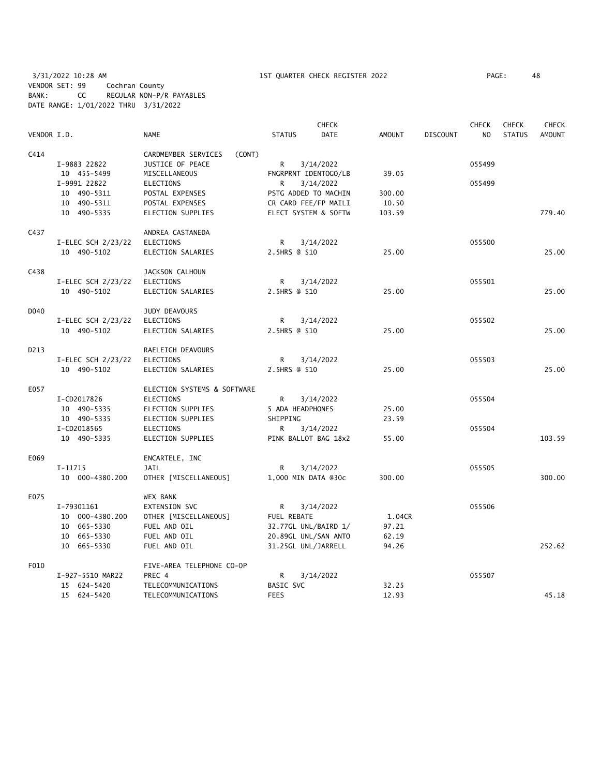3/31/2022 10:28 AM 1ST QUARTER CHECK REGISTER 2022 PAGE: 48 VENDOR SET: 99 Cochran County BANK: CC REGULAR NON-P/R PAYABLES DATE RANGE: 1/01/2022 THRU 3/31/2022

|             |                    |                               | <b>CHECK</b>         |           |               |                 | <b>CHECK</b>   | <b>CHECK</b>  | <b>CHECK</b>  |
|-------------|--------------------|-------------------------------|----------------------|-----------|---------------|-----------------|----------------|---------------|---------------|
| VENDOR I.D. |                    | NAME                          | <b>STATUS</b>        | DATE      | <b>AMOUNT</b> | <b>DISCOUNT</b> | N <sub>O</sub> | <b>STATUS</b> | <b>AMOUNT</b> |
| C414        |                    | CARDMEMBER SERVICES<br>(CONT) |                      |           |               |                 |                |               |               |
|             | I-9883 22822       | JUSTICE OF PEACE              | R                    | 3/14/2022 |               |                 | 055499         |               |               |
|             | 10 455-5499        | MISCELLANEOUS                 | FNGRPRNT IDENTOGO/LB |           | 39.05         |                 |                |               |               |
|             | I-9991 22822       | <b>ELECTIONS</b>              | R                    | 3/14/2022 |               |                 | 055499         |               |               |
|             | 10 490-5311        | POSTAL EXPENSES               | PSTG ADDED TO MACHIN |           | 300.00        |                 |                |               |               |
|             | 10 490-5311        | POSTAL EXPENSES               | CR CARD FEE/FP MAILI |           | 10.50         |                 |                |               |               |
|             | 10 490-5335        | <b>ELECTION SUPPLIES</b>      | ELECT SYSTEM & SOFTW |           | 103.59        |                 |                |               | 779.40        |
| C437        |                    | ANDREA CASTANEDA              |                      |           |               |                 |                |               |               |
|             | I-ELEC SCH 2/23/22 | ELECTIONS                     | R                    | 3/14/2022 |               |                 | 055500         |               |               |
|             | 10 490-5102        | ELECTION SALARIES             | 2.5HRS @ \$10        |           | 25.00         |                 |                |               | 25.00         |
| C438        |                    | JACKSON CALHOUN               |                      |           |               |                 |                |               |               |
|             | I-ELEC SCH 2/23/22 | <b>ELECTIONS</b>              | R                    | 3/14/2022 |               |                 | 055501         |               |               |
|             | 10 490-5102        | ELECTION SALARIES             | 2.5HRS @ \$10        |           | 25.00         |                 |                |               | 25.00         |
| D040        |                    | <b>JUDY DEAVOURS</b>          |                      |           |               |                 |                |               |               |
|             | I-ELEC SCH 2/23/22 | ELECTIONS                     | R                    | 3/14/2022 |               |                 | 055502         |               |               |
|             | 10 490-5102        | ELECTION SALARIES             | 2.5HRS @ \$10        |           | 25.00         |                 |                |               | 25.00         |
| D213        |                    | RAELEIGH DEAVOURS             |                      |           |               |                 |                |               |               |
|             | I-ELEC SCH 2/23/22 | <b>ELECTIONS</b>              | R                    | 3/14/2022 |               |                 | 055503         |               |               |
|             | 10 490-5102        | ELECTION SALARIES             | 2.5HRS @ \$10        |           | 25.00         |                 |                |               | 25.00         |
| E057        |                    | ELECTION SYSTEMS & SOFTWARE   |                      |           |               |                 |                |               |               |
|             | I-CD2017826        | <b>ELECTIONS</b>              | R                    | 3/14/2022 |               |                 | 055504         |               |               |
|             | 10 490-5335        | ELECTION SUPPLIES             | 5 ADA HEADPHONES     |           | 25.00         |                 |                |               |               |
|             | 10 490-5335        | ELECTION SUPPLIES             | SHIPPING             |           | 23.59         |                 |                |               |               |
|             | I-CD2018565        | <b>ELECTIONS</b>              | R                    | 3/14/2022 |               |                 | 055504         |               |               |
|             | 10 490-5335        | ELECTION SUPPLIES             | PINK BALLOT BAG 18x2 |           | 55.00         |                 |                |               | 103.59        |
| E069        |                    | ENCARTELE, INC                |                      |           |               |                 |                |               |               |
|             | I-11715            | JAIL                          | R                    | 3/14/2022 |               |                 | 055505         |               |               |
|             | 10 000-4380.200    | OTHER [MISCELLANEOUS]         | 1,000 MIN DATA @30c  |           | 300.00        |                 |                |               | 300.00        |
| E075        |                    | <b>WEX BANK</b>               |                      |           |               |                 |                |               |               |
|             | I-79301161         | <b>EXTENSION SVC</b>          | R                    | 3/14/2022 |               |                 | 055506         |               |               |
|             | 10 000-4380.200    | OTHER [MISCELLANEOUS]         | FUEL REBATE          |           | 1.04CR        |                 |                |               |               |
|             | 10 665-5330        | FUEL AND OIL                  | 32.77GL UNL/BAIRD 1/ |           | 97.21         |                 |                |               |               |
|             | 10 665-5330        | FUEL AND OIL                  | 20.89GL UNL/SAN ANTO |           | 62.19         |                 |                |               |               |
|             | 10 665-5330        | FUEL AND OIL                  | 31.25GL UNL/JARRELL  |           | 94.26         |                 |                |               | 252.62        |
| F010        |                    | FIVE-AREA TELEPHONE CO-OP     |                      |           |               |                 |                |               |               |
|             | I-927-5510 MAR22   | PREC 4                        | R                    | 3/14/2022 |               |                 | 055507         |               |               |
|             | 15 624-5420        | TELECOMMUNICATIONS            | BASIC SVC            |           | 32.25         |                 |                |               | 45.18         |
|             | 15 624-5420        | TELECOMMUNICATIONS            | <b>FEES</b>          |           | 12.93         |                 |                |               |               |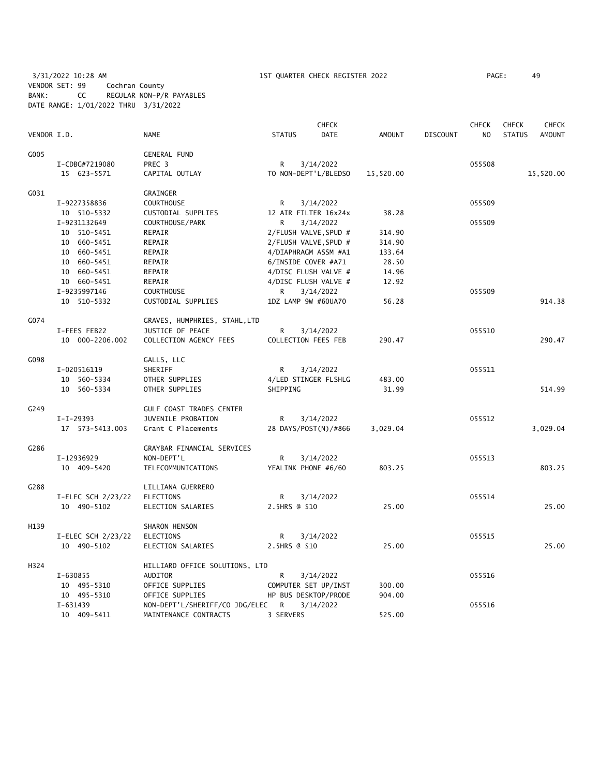3/31/2022 10:28 AM 1ST QUARTER CHECK REGISTER 2022 PAGE: 49 VENDOR SET: 99 Cochran County BANK: CC REGULAR NON-P/R PAYABLES DATE RANGE: 1/01/2022 THRU 3/31/2022

|             |                    |                                |                     | <b>CHECK</b>          |               |                 | <b>CHECK</b>   | <b>CHECK</b>  | <b>CHECK</b>  |
|-------------|--------------------|--------------------------------|---------------------|-----------------------|---------------|-----------------|----------------|---------------|---------------|
| VENDOR I.D. |                    | <b>NAME</b>                    | <b>STATUS</b>       | DATE                  | <b>AMOUNT</b> | <b>DISCOUNT</b> | N <sub>O</sub> | <b>STATUS</b> | <b>AMOUNT</b> |
| G005        |                    | <b>GENERAL FUND</b>            |                     |                       |               |                 |                |               |               |
|             | I-CDBG#7219080     | PREC 3                         | R                   | 3/14/2022             |               |                 | 055508         |               |               |
|             | 15 623-5571        | CAPITAL OUTLAY                 |                     | TO NON-DEPT'L/BLEDSO  | 15,520.00     |                 |                |               | 15,520.00     |
| G031        |                    | GRAINGER                       |                     |                       |               |                 |                |               |               |
|             | I-9227358836       | <b>COURTHOUSE</b>              | R                   | 3/14/2022             |               |                 | 055509         |               |               |
|             | 10 510-5332        | CUSTODIAL SUPPLIES             |                     | 12 AIR FILTER 16x24x  | 38.28         |                 |                |               |               |
|             | I-9231132649       | COURTHOUSE/PARK                | R                   | 3/14/2022             |               |                 | 055509         |               |               |
|             | 10 510-5451        | REPAIR                         |                     | 2/FLUSH VALVE, SPUD # | 314.90        |                 |                |               |               |
|             | 10 660-5451        | REPAIR                         |                     | 2/FLUSH VALVE, SPUD # | 314.90        |                 |                |               |               |
|             | 10 660-5451        | REPAIR                         |                     | 4/DIAPHRAGM ASSM #A1  | 133.64        |                 |                |               |               |
|             | 10 660-5451        | REPAIR                         | 6/INSIDE COVER #A71 |                       | 28.50         |                 |                |               |               |
|             | 10 660-5451        | REPAIR                         |                     | 4/DISC FLUSH VALVE #  | 14.96         |                 |                |               |               |
|             | 10 660-5451        | REPAIR                         |                     | 4/DISC FLUSH VALVE #  | 12.92         |                 |                |               |               |
|             | I-9235997146       | <b>COURTHOUSE</b>              | R.                  | 3/14/2022             |               |                 | 055509         |               |               |
|             | 10 510-5332        | CUSTODIAL SUPPLIES             | 1DZ LAMP 9W #60UA70 |                       | 56.28         |                 |                |               | 914.38        |
| G074        |                    | GRAVES, HUMPHRIES, STAHL, LTD  |                     |                       |               |                 |                |               |               |
|             | I-FEES FEB22       | JUSTICE OF PEACE               | R                   | 3/14/2022             |               |                 | 055510         |               |               |
|             | 10 000-2206.002    | COLLECTION AGENCY FEES         | COLLECTION FEES FEB |                       | 290.47        |                 |                |               | 290.47        |
| G098        |                    | GALLS, LLC                     |                     |                       |               |                 |                |               |               |
|             | I-020516119        | SHERIFF                        | R                   | 3/14/2022             |               |                 | 055511         |               |               |
|             | 10 560-5334        | OTHER SUPPLIES                 |                     | 4/LED STINGER FLSHLG  | 483.00        |                 |                |               |               |
|             | 10 560-5334        | OTHER SUPPLIES                 | SHIPPING            |                       | 31.99         |                 |                |               | 514.99        |
| G249        |                    | GULF COAST TRADES CENTER       |                     |                       |               |                 |                |               |               |
|             | $I-I-29393$        | JUVENILE PROBATION             | R.                  | 3/14/2022             |               |                 | 055512         |               |               |
|             | 17 573-5413.003    | Grant C Placements             |                     | 28 DAYS/POST(N)/#866  | 3,029.04      |                 |                |               | 3,029.04      |
| G286        |                    | GRAYBAR FINANCIAL SERVICES     |                     |                       |               |                 |                |               |               |
|             | I-12936929         | NON-DEPT'L                     | R                   | 3/14/2022             |               |                 | 055513         |               |               |
|             | 10 409-5420        | TELECOMMUNICATIONS             | YEALINK PHONE #6/60 |                       | 803.25        |                 |                |               | 803.25        |
| G288        |                    | LILLIANA GUERRERO              |                     |                       |               |                 |                |               |               |
|             | I-ELEC SCH 2/23/22 | <b>ELECTIONS</b>               | R                   | 3/14/2022             |               |                 | 055514         |               |               |
|             | 10 490-5102        | ELECTION SALARIES              | 2.5HRS @ \$10       |                       | 25.00         |                 |                |               | 25.00         |
| H139        |                    | SHARON HENSON                  |                     |                       |               |                 |                |               |               |
|             | I-ELEC SCH 2/23/22 | <b>ELECTIONS</b>               | R                   | 3/14/2022             |               |                 | 055515         |               |               |
|             | 10 490-5102        | ELECTION SALARIES              | 2.5HRS @ \$10       |                       | 25.00         |                 |                |               | 25.00         |
| H324        |                    | HILLIARD OFFICE SOLUTIONS, LTD |                     |                       |               |                 |                |               |               |
|             | I-630855           | AUDITOR                        | R                   | 3/14/2022             |               |                 | 055516         |               |               |
|             | 10 495-5310        | OFFICE SUPPLIES                |                     | COMPUTER SET UP/INST  | 300.00        |                 |                |               |               |
|             | 10 495-5310        | OFFICE SUPPLIES                |                     | HP BUS DESKTOP/PRODE  | 904.00        |                 |                |               |               |
|             | $I-631439$         | NON-DEPT'L/SHERIFF/CO JDG/ELEC | R                   | 3/14/2022             |               |                 | 055516         |               |               |
|             | 10 409-5411        | MAINTENANCE CONTRACTS          | 3 SERVERS           |                       | 525.00        |                 |                |               |               |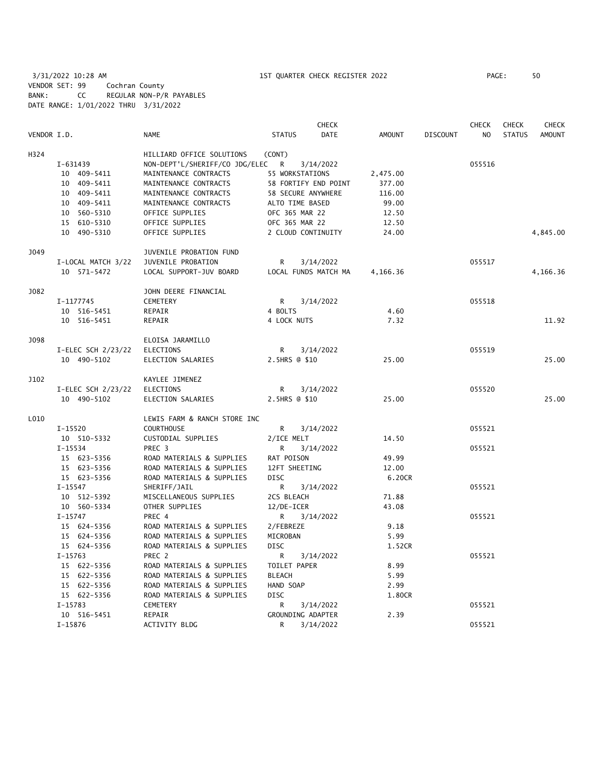3/31/2022 10:28 AM 1ST QUARTER CHECK REGISTER 2022 PAGE: 50 VENDOR SET: 99 Cochran County BANK: CC REGULAR NON-P/R PAYABLES DATE RANGE: 1/01/2022 THRU 3/31/2022

|             |                      |                                |                      | <b>CHECK</b>         |               |                 | <b>CHECK</b> | <b>CHECK</b>  | <b>CHECK</b>  |
|-------------|----------------------|--------------------------------|----------------------|----------------------|---------------|-----------------|--------------|---------------|---------------|
| VENDOR I.D. |                      | <b>NAME</b>                    | <b>STATUS</b>        | <b>DATE</b>          | <b>AMOUNT</b> | <b>DISCOUNT</b> | NO           | <b>STATUS</b> | <b>AMOUNT</b> |
| H324        |                      | HILLIARD OFFICE SOLUTIONS      | (CONT)               |                      |               |                 |              |               |               |
|             | I-631439             | NON-DEPT'L/SHERIFF/CO JDG/ELEC | R                    | 3/14/2022            |               |                 | 055516       |               |               |
|             | 10 409-5411          | MAINTENANCE CONTRACTS          | 55 WORKSTATIONS      |                      | 2,475.00      |                 |              |               |               |
|             | 10 409-5411          | MAINTENANCE CONTRACTS          | 58 FORTIFY END POINT |                      | 377.00        |                 |              |               |               |
|             | 10 409-5411          | MAINTENANCE CONTRACTS          | 58 SECURE ANYWHERE   |                      | 116.00        |                 |              |               |               |
|             | 10 409-5411          | MAINTENANCE CONTRACTS          | ALTO TIME BASED      |                      | 99.00         |                 |              |               |               |
|             | 10 560-5310          | OFFICE SUPPLIES                | OFC 365 MAR 22       |                      | 12.50         |                 |              |               |               |
|             | 15 610-5310          | OFFICE SUPPLIES                | OFC 365 MAR 22       |                      | 12.50         |                 |              |               |               |
|             | 10 490-5310          | OFFICE SUPPLIES                | 2 CLOUD CONTINUITY   |                      | 24.00         |                 |              |               | 4,845.00      |
|             |                      |                                |                      |                      |               |                 |              |               |               |
| J049        |                      | JUVENILE PROBATION FUND        |                      |                      |               |                 |              |               |               |
|             | I-LOCAL MATCH 3/22   | JUVENILE PROBATION             | R                    | 3/14/2022            |               |                 | 055517       |               |               |
|             | 10 571-5472          | LOCAL SUPPORT-JUV BOARD        |                      | LOCAL FUNDS MATCH MA | 4,166.36      |                 |              |               | 4,166.36      |
| J082        |                      | JOHN DEERE FINANCIAL           |                      |                      |               |                 |              |               |               |
|             | I-1177745            | CEMETERY                       | R                    | 3/14/2022            |               |                 | 055518       |               |               |
|             | 10 516-5451          | REPAIR                         | 4 BOLTS              |                      | 4.60          |                 |              |               |               |
|             | 10 516-5451          | REPAIR                         | 4 LOCK NUTS          |                      | 7.32          |                 |              |               | 11.92         |
| J098        |                      | ELOISA JARAMILLO               |                      |                      |               |                 |              |               |               |
|             | I-ELEC SCH $2/23/22$ | <b>ELECTIONS</b>               | R                    | 3/14/2022            |               |                 | 055519       |               |               |
|             | 10 490-5102          | ELECTION SALARIES              | 2.5HRS @ \$10        |                      | 25.00         |                 |              |               | 25.00         |
|             |                      |                                |                      |                      |               |                 |              |               |               |
| J102        |                      | KAYLEE JIMENEZ                 |                      |                      |               |                 |              |               |               |
|             | I-ELEC SCH 2/23/22   | <b>ELECTIONS</b>               | R                    | 3/14/2022            |               |                 | 055520       |               |               |
|             | 10 490-5102          | ELECTION SALARIES              | 2.5HRS @ \$10        |                      | 25.00         |                 |              |               | 25.00         |
| L010        |                      | LEWIS FARM & RANCH STORE INC   |                      |                      |               |                 |              |               |               |
|             | $I-15520$            | <b>COURTHOUSE</b>              | R                    | 3/14/2022            |               |                 | 055521       |               |               |
|             | 10 510-5332          | CUSTODIAL SUPPLIES             | 2/ICE MELT           |                      | 14.50         |                 |              |               |               |
|             | I-15534              | PREC <sub>3</sub>              | R.                   | 3/14/2022            |               |                 | 055521       |               |               |
|             | 15 623-5356          | ROAD MATERIALS & SUPPLIES      | RAT POISON           |                      | 49.99         |                 |              |               |               |
|             | 15 623-5356          | ROAD MATERIALS & SUPPLIES      | 12FT SHEETING        |                      | 12.00         |                 |              |               |               |
|             | 15 623-5356          | ROAD MATERIALS & SUPPLIES      | <b>DISC</b>          |                      | 6.20CR        |                 |              |               |               |
|             | $I-15547$            | SHERIFF/JAIL                   | R.                   | 3/14/2022            |               |                 | 055521       |               |               |
|             | 10 512-5392          | MISCELLANEOUS SUPPLIES         | 2CS BLEACH           |                      | 71.88         |                 |              |               |               |
|             | 10 560-5334          | OTHER SUPPLIES                 | 12/DE-ICER           |                      | 43.08         |                 |              |               |               |
|             | $I-15747$            | PREC 4                         | R                    | 3/14/2022            |               |                 | 055521       |               |               |
|             | 15 624-5356          | ROAD MATERIALS & SUPPLIES      | 2/FEBREZE            |                      | 9.18          |                 |              |               |               |
|             | 15 624-5356          | ROAD MATERIALS & SUPPLIES      | MICROBAN             |                      | 5.99          |                 |              |               |               |
|             | 15 624-5356          | ROAD MATERIALS & SUPPLIES      | <b>DISC</b>          |                      | 1.52CR        |                 |              |               |               |
|             | $I-15763$            | PREC 2                         | R                    | 3/14/2022            |               |                 | 055521       |               |               |
|             | 15 622-5356          | ROAD MATERIALS & SUPPLIES      | TOILET PAPER         |                      | 8.99          |                 |              |               |               |
|             | 15 622-5356          | ROAD MATERIALS & SUPPLIES      | <b>BLEACH</b>        |                      | 5.99          |                 |              |               |               |
|             | 15 622-5356          | ROAD MATERIALS & SUPPLIES      | HAND SOAP            |                      | 2.99          |                 |              |               |               |
|             | 15 622-5356          | ROAD MATERIALS & SUPPLIES      | <b>DISC</b>          |                      | 1.80CR        |                 |              |               |               |
|             | I-15783              | CEMETERY                       | R                    | 3/14/2022            |               |                 | 055521       |               |               |
|             | 10 516-5451          | REPAIR                         | GROUNDING ADAPTER    |                      | 2.39          |                 |              |               |               |
|             | $I-15876$            | ACTIVITY BLDG                  | R                    | 3/14/2022            |               |                 | 055521       |               |               |
|             |                      |                                |                      |                      |               |                 |              |               |               |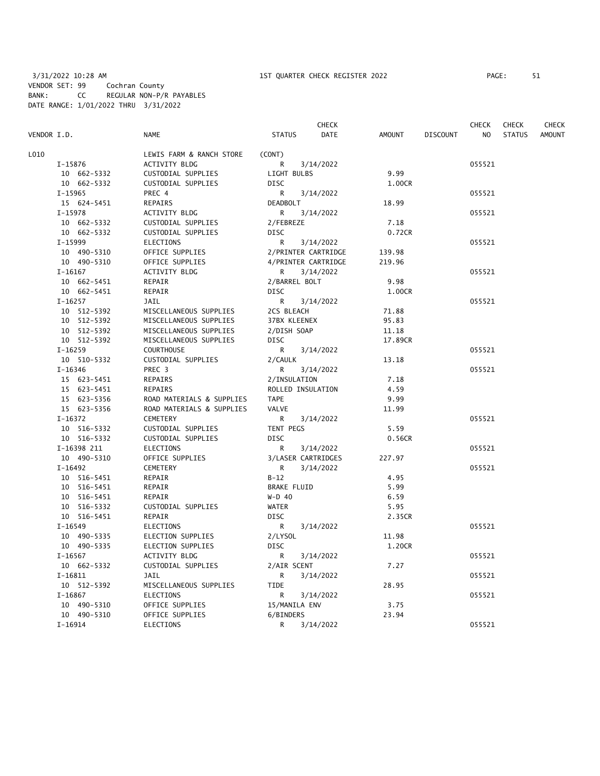|             |                           |                     | <b>CHECK</b> |         |                 | <b>CHECK</b>   | <b>CHECK</b>  | CHECK         |
|-------------|---------------------------|---------------------|--------------|---------|-----------------|----------------|---------------|---------------|
| VENDOR I.D. | <b>NAME</b>               | <b>STATUS</b>       | <b>DATE</b>  | AMOUNT  | <b>DISCOUNT</b> | N <sub>O</sub> | <b>STATUS</b> | <b>AMOUNT</b> |
| L010        | LEWIS FARM & RANCH STORE  | (CONT)              |              |         |                 |                |               |               |
| I-15876     | ACTIVITY BLDG             | R                   | 3/14/2022    |         |                 | 055521         |               |               |
| 10 662-5332 | CUSTODIAL SUPPLIES        | LIGHT BULBS         |              | 9.99    |                 |                |               |               |
| 10 662-5332 | CUSTODIAL SUPPLIES        | <b>DISC</b>         |              | 1.00CR  |                 |                |               |               |
| $I-15965$   | PREC 4                    | R                   | 3/14/2022    |         |                 | 055521         |               |               |
| 15 624-5451 | REPAIRS                   | <b>DEADBOLT</b>     |              | 18.99   |                 |                |               |               |
| $I-15978$   | ACTIVITY BLDG             | R                   | 3/14/2022    |         |                 | 055521         |               |               |
| 10 662-5332 | CUSTODIAL SUPPLIES        | 2/FEBREZE           |              | 7.18    |                 |                |               |               |
| 10 662-5332 | CUSTODIAL SUPPLIES        | <b>DISC</b>         |              | 0.72CR  |                 |                |               |               |
| I-15999     | <b>ELECTIONS</b>          | R                   | 3/14/2022    |         |                 | 055521         |               |               |
| 10 490-5310 | OFFICE SUPPLIES           | 2/PRINTER CARTRIDGE |              | 139.98  |                 |                |               |               |
| 10 490-5310 | OFFICE SUPPLIES           | 4/PRINTER CARTRIDGE |              | 219.96  |                 |                |               |               |
| $I-16167$   | ACTIVITY BLDG             | R                   | 3/14/2022    |         |                 | 055521         |               |               |
| 10 662-5451 | REPAIR                    | 2/BARREL BOLT       |              | 9.98    |                 |                |               |               |
| 10 662-5451 | REPAIR                    | DISC                |              | 1.00CR  |                 |                |               |               |
| $I-16257$   | JAIL                      | R                   | 3/14/2022    |         |                 | 055521         |               |               |
| 10 512-5392 | MISCELLANEOUS SUPPLIES    | 2CS BLEACH          |              | 71.88   |                 |                |               |               |
| 10 512-5392 | MISCELLANEOUS SUPPLIES    | 37BX KLEENEX        |              | 95.83   |                 |                |               |               |
| 10 512-5392 | MISCELLANEOUS SUPPLIES    | 2/DISH SOAP         |              | 11.18   |                 |                |               |               |
| 10 512-5392 | MISCELLANEOUS SUPPLIES    | <b>DISC</b>         |              | 17.89CR |                 |                |               |               |
| $I-16259$   | <b>COURTHOUSE</b>         | R                   | 3/14/2022    |         |                 | 055521         |               |               |
| 10 510-5332 | CUSTODIAL SUPPLIES        | 2/CAULK             |              | 13.18   |                 |                |               |               |
| $I - 16346$ | PREC <sub>3</sub>         | R                   | 3/14/2022    |         |                 | 055521         |               |               |
| 15 623-5451 | REPAIRS                   | 2/INSULATION        |              | 7.18    |                 |                |               |               |
| 15 623-5451 | REPAIRS                   | ROLLED INSULATION   |              | 4.59    |                 |                |               |               |
| 15 623-5356 | ROAD MATERIALS & SUPPLIES | <b>TAPE</b>         |              | 9.99    |                 |                |               |               |
| 15 623-5356 | ROAD MATERIALS & SUPPLIES | <b>VALVE</b>        |              | 11.99   |                 |                |               |               |
| $I-16372$   | CEMETERY                  | R                   | 3/14/2022    |         |                 | 055521         |               |               |
| 10 516-5332 | CUSTODIAL SUPPLIES        | TENT PEGS           |              | 5.59    |                 |                |               |               |
| 10 516-5332 | CUSTODIAL SUPPLIES        | <b>DISC</b>         |              | 0.56CR  |                 |                |               |               |
| I-16398 211 | <b>ELECTIONS</b>          | R                   | 3/14/2022    |         |                 | 055521         |               |               |
| 10 490-5310 | OFFICE SUPPLIES           | 3/LASER CARTRIDGES  |              | 227.97  |                 |                |               |               |
| $I-16492$   | CEMETERY                  | R                   | 3/14/2022    |         |                 | 055521         |               |               |
| 10 516-5451 | REPAIR                    | $B-12$              |              | 4.95    |                 |                |               |               |
| 10 516-5451 | REPAIR                    | <b>BRAKE FLUID</b>  |              | 5.99    |                 |                |               |               |
| 10 516-5451 | REPAIR                    | $W-D$ 40            |              | 6.59    |                 |                |               |               |
| 10 516-5332 | CUSTODIAL SUPPLIES        | <b>WATER</b>        |              | 5.95    |                 |                |               |               |
| 10 516-5451 | REPAIR                    | <b>DISC</b>         |              | 2.35CR  |                 |                |               |               |
| $I-16549$   | ELECTIONS                 | R                   | 3/14/2022    |         |                 | 055521         |               |               |
| 10 490-5335 | ELECTION SUPPLIES         | 2/LYSOL             |              | 11.98   |                 |                |               |               |
| 10 490-5335 | ELECTION SUPPLIES         | <b>DISC</b>         |              | 1.20CR  |                 |                |               |               |
| $I-16567$   | <b>ACTIVITY BLDG</b>      | R                   | 3/14/2022    |         |                 | 055521         |               |               |
| 10 662-5332 | CUSTODIAL SUPPLIES        | 2/AIR SCENT         |              | 7.27    |                 |                |               |               |
| $I - 16811$ | JAIL                      | R                   | 3/14/2022    |         |                 | 055521         |               |               |
| 10 512-5392 | MISCELLANEOUS SUPPLIES    | <b>TIDE</b>         |              | 28.95   |                 |                |               |               |
| $I-16867$   | ELECTIONS                 | R                   | 3/14/2022    |         |                 | 055521         |               |               |
| 10 490-5310 | OFFICE SUPPLIES           | 15/MANILA ENV       |              | 3.75    |                 |                |               |               |
| 10 490-5310 | OFFICE SUPPLIES           | 6/BINDERS           |              | 23.94   |                 |                |               |               |
| $I-16914$   | <b>ELECTIONS</b>          | R                   | 3/14/2022    |         |                 | 055521         |               |               |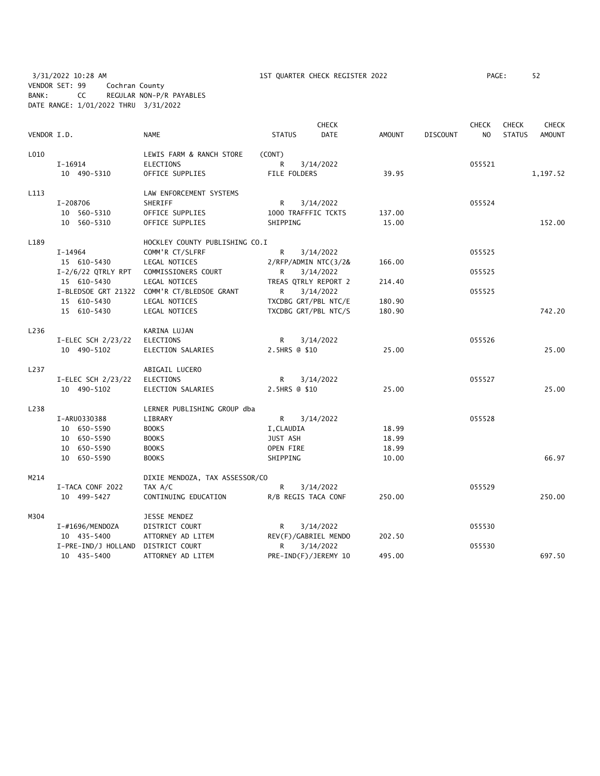3/31/2022 10:28 AM 1ST QUARTER CHECK REGISTER 2022 PAGE: 52 VENDOR SET: 99 Cochran County BANK: CC REGULAR NON-P/R PAYABLES DATE RANGE: 1/01/2022 THRU 3/31/2022

| VENDOR I.D. |                      | <b>NAME</b>                    | <b>STATUS</b>       | <b>CHECK</b><br><b>DATE</b> | <b>AMOUNT</b> | <b>DISCOUNT</b> | <b>CHECK</b><br>N <sub>O</sub> | <b>CHECK</b><br><b>STATUS</b> | <b>CHECK</b><br><b>AMOUNT</b> |
|-------------|----------------------|--------------------------------|---------------------|-----------------------------|---------------|-----------------|--------------------------------|-------------------------------|-------------------------------|
| L010        |                      | LEWIS FARM & RANCH STORE       | (CONT)              |                             |               |                 |                                |                               |                               |
|             | $I-16914$            | <b>ELECTIONS</b>               | R                   | 3/14/2022                   |               |                 | 055521                         |                               |                               |
|             | 10 490-5310          | OFFICE SUPPLIES                | FILE FOLDERS        |                             | 39.95         |                 |                                |                               | 1,197.52                      |
| L113        |                      | LAW ENFORCEMENT SYSTEMS        |                     |                             |               |                 |                                |                               |                               |
|             | I-208706             | SHERIFF                        | R                   | 3/14/2022                   |               |                 | 055524                         |                               |                               |
|             | 10 560-5310          | OFFICE SUPPLIES                | 1000 TRAFFFIC TCKTS |                             | 137.00        |                 |                                |                               |                               |
|             | 10 560-5310          | OFFICE SUPPLIES                | SHIPPING            |                             | 15.00         |                 |                                |                               | 152.00                        |
| L189        |                      | HOCKLEY COUNTY PUBLISHING CO.I |                     |                             |               |                 |                                |                               |                               |
|             | I-14964              | COMM'R CT/SLFRF                | R                   | 3/14/2022                   |               |                 | 055525                         |                               |                               |
|             | 15 610-5430          | LEGAL NOTICES                  |                     | 2/RFP/ADMIN NTC(3/2&        | 166.00        |                 |                                |                               |                               |
|             | $I-2/6/22$ QTRLY RPT | COMMISSIONERS COURT            | R                   | 3/14/2022                   |               |                 | 055525                         |                               |                               |
|             | 15 610-5430          | LEGAL NOTICES                  |                     | TREAS QTRLY REPORT 2        | 214.40        |                 |                                |                               |                               |
|             | I-BLEDSOE GRT 21322  | COMM'R CT/BLEDSOE GRANT        | R                   | 3/14/2022                   |               |                 | 055525                         |                               |                               |
|             | 15 610-5430          | LEGAL NOTICES                  |                     | TXCDBG GRT/PBL NTC/E        | 180.90        |                 |                                |                               |                               |
|             | 15 610-5430          | LEGAL NOTICES                  |                     | TXCDBG GRT/PBL NTC/S        | 180.90        |                 |                                |                               | 742.20                        |
| L236        |                      | KARINA LUJAN                   |                     |                             |               |                 |                                |                               |                               |
|             | I-ELEC SCH 2/23/22   | ELECTIONS                      | R                   | 3/14/2022                   |               |                 | 055526                         |                               |                               |
|             | 10 490-5102          | ELECTION SALARIES              | 2.5HRS @ \$10       |                             | 25.00         |                 |                                |                               | 25.00                         |
| L237        |                      | ABIGAIL LUCERO                 |                     |                             |               |                 |                                |                               |                               |
|             | I-ELEC SCH 2/23/22   | ELECTIONS                      | R                   | 3/14/2022                   |               |                 | 055527                         |                               |                               |
|             | 10 490-5102          | ELECTION SALARIES              | 2.5HRS @ \$10       |                             | 25.00         |                 |                                |                               | 25.00                         |
| L238        |                      | LERNER PUBLISHING GROUP dba    |                     |                             |               |                 |                                |                               |                               |
|             | I-ARU0330388         | LIBRARY                        | R                   | 3/14/2022                   |               |                 | 055528                         |                               |                               |
|             | 10 650-5590          | <b>BOOKS</b>                   | I, CLAUDIA          |                             | 18.99         |                 |                                |                               |                               |
|             | 10 650-5590          | <b>BOOKS</b>                   | JUST ASH            |                             | 18.99         |                 |                                |                               |                               |
|             | 10 650-5590          | <b>BOOKS</b>                   | OPEN FIRE           |                             | 18.99         |                 |                                |                               |                               |
|             | 10 650-5590          | <b>BOOKS</b>                   | SHIPPING            |                             | 10.00         |                 |                                |                               | 66.97                         |
| M214        |                      | DIXIE MENDOZA, TAX ASSESSOR/CO |                     |                             |               |                 |                                |                               |                               |
|             | I-TACA CONF 2022     | TAX A/C                        | R                   | 3/14/2022                   |               |                 | 055529                         |                               |                               |
|             | 10 499-5427          | CONTINUING EDUCATION           | R/B REGIS TACA CONF |                             | 250.00        |                 |                                |                               | 250.00                        |
| M304        |                      | JESSE MENDEZ                   |                     |                             |               |                 |                                |                               |                               |
|             | I-#1696/MENDOZA      | <b>DISTRICT COURT</b>          | R                   | 3/14/2022                   |               |                 | 055530                         |                               |                               |
|             | 10 435-5400          | ATTORNEY AD LITEM              |                     | REV(F)/GABRIEL MENDO        | 202.50        |                 |                                |                               |                               |
|             | I-PRE-IND/J HOLLAND  | DISTRICT COURT                 | R                   | 3/14/2022                   |               |                 | 055530                         |                               |                               |
|             | 10 435-5400          | ATTORNEY AD LITEM              |                     | PRE-IND(F)/JEREMY 10        | 495.00        |                 |                                |                               | 697.50                        |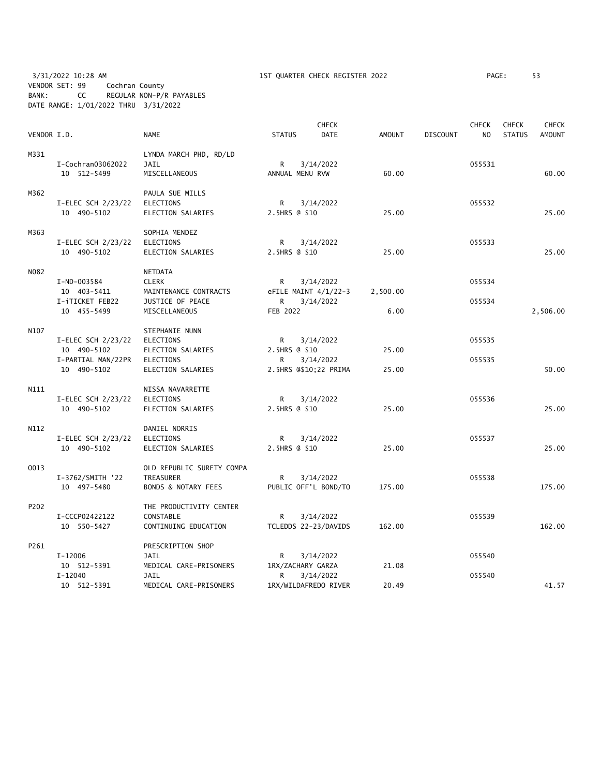3/31/2022 10:28 AM 1ST QUARTER CHECK REGISTER 2022 PAGE: 53 VENDOR SET: 99 Cochran County BANK: CC REGULAR NON-P/R PAYABLES DATE RANGE: 1/01/2022 THRU 3/31/2022

|             |                    |                                |                 | <b>CHECK</b>           |               |                 | <b>CHECK</b>   | <b>CHECK</b>  | <b>CHECK</b>  |
|-------------|--------------------|--------------------------------|-----------------|------------------------|---------------|-----------------|----------------|---------------|---------------|
| VENDOR I.D. |                    | <b>NAME</b>                    | <b>STATUS</b>   | <b>DATE</b>            | <b>AMOUNT</b> | <b>DISCOUNT</b> | N <sub>O</sub> | <b>STATUS</b> | <b>AMOUNT</b> |
| M331        |                    | LYNDA MARCH PHD, RD/LD         |                 |                        |               |                 |                |               |               |
|             | I-Cochran03062022  | <b>JAIL</b>                    | R               | 3/14/2022              |               |                 | 055531         |               |               |
|             | 10 512-5499        | MISCELLANEOUS                  | ANNUAL MENU RVW |                        | 60.00         |                 |                |               | 60.00         |
| M362        |                    | PAULA SUE MILLS                |                 |                        |               |                 |                |               |               |
|             | I-ELEC SCH 2/23/22 | ELECTIONS                      | R               | 3/14/2022              |               |                 | 055532         |               |               |
|             | 10 490-5102        | ELECTION SALARIES              | 2.5HRS @ \$10   |                        | 25.00         |                 |                |               | 25.00         |
| M363        |                    | SOPHIA MENDEZ                  |                 |                        |               |                 |                |               |               |
|             | I-ELEC SCH 2/23/22 | ELECTIONS                      | R               | 3/14/2022              |               |                 | 055533         |               |               |
|             | 10 490-5102        | ELECTION SALARIES              | 2.5HRS @ \$10   |                        | 25.00         |                 |                |               | 25.00         |
| N082        |                    | NETDATA                        |                 |                        |               |                 |                |               |               |
|             | I-ND-003584        | <b>CLERK</b>                   | R.              | 3/14/2022              |               |                 | 055534         |               |               |
|             | 10 403-5411        | MAINTENANCE CONTRACTS          |                 | eFILE MAINT $4/1/22-3$ | 2,500.00      |                 |                |               |               |
|             | I-iTICKET FEB22    | JUSTICE OF PEACE               | R               | 3/14/2022              |               |                 | 055534         |               |               |
|             | 10 455-5499        | MISCELLANEOUS                  | FEB 2022        |                        | 6.00          |                 |                |               | 2,506.00      |
| N107        |                    | STEPHANIE NUNN                 |                 |                        |               |                 |                |               |               |
|             | I-ELEC SCH 2/23/22 | ELECTIONS                      | R               | 3/14/2022              |               |                 | 055535         |               |               |
|             | 10 490-5102        | ELECTION SALARIES              | 2.5HRS @ \$10   |                        | 25.00         |                 |                |               |               |
|             | I-PARTIAL MAN/22PR | ELECTIONS                      | R               | 3/14/2022              |               |                 | 055535         |               |               |
|             | 10 490-5102        | ELECTION SALARIES              |                 | 2.5HRS @\$10;22 PRIMA  | 25.00         |                 |                |               | 50.00         |
| N111        |                    | NISSA NAVARRETTE               |                 |                        |               |                 |                |               |               |
|             | I-ELEC SCH 2/23/22 | ELECTIONS                      | R               | 3/14/2022              |               |                 | 055536         |               |               |
|             | 10 490-5102        | ELECTION SALARIES              | 2.5HRS @ \$10   |                        | 25.00         |                 |                |               | 25.00         |
| N112        |                    | DANIEL NORRIS                  |                 |                        |               |                 |                |               |               |
|             | I-ELEC SCH 2/23/22 | ELECTIONS                      | R               | 3/14/2022              |               |                 | 055537         |               |               |
|             | 10 490-5102        | ELECTION SALARIES              | 2.5HRS @ \$10   |                        | 25.00         |                 |                |               | 25.00         |
| 0013        |                    | OLD REPUBLIC SURETY COMPA      |                 |                        |               |                 |                |               |               |
|             | I-3762/SMITH '22   | TREASURER                      | R.              | 3/14/2022              |               |                 | 055538         |               |               |
|             | 10 497-5480        | <b>BONDS &amp; NOTARY FEES</b> |                 | PUBLIC OFF'L BOND/TO   | 175.00        |                 |                |               | 175.00        |
| P202        |                    | THE PRODUCTIVITY CENTER        |                 |                        |               |                 |                |               |               |
|             | I-CCCP02422122     | CONSTABLE                      | R               | 3/14/2022              |               |                 | 055539         |               |               |
|             | 10 550-5427        | CONTINUING EDUCATION           |                 | TCLEDDS 22-23/DAVIDS   | 162.00        |                 |                |               | 162.00        |
| P261        |                    | PRESCRIPTION SHOP              |                 |                        |               |                 |                |               |               |
|             | I-12006            | JAIL                           | R               | 3/14/2022              |               |                 | 055540         |               |               |
|             | 10 512-5391        | MEDICAL CARE-PRISONERS         |                 | 1RX/ZACHARY GARZA      | 21.08         |                 |                |               |               |
|             | $I - 12040$        | JAIL                           | R               | 3/14/2022              |               |                 | 055540         |               |               |
|             | 10 512-5391        | MEDICAL CARE-PRISONERS         |                 | 1RX/WILDAFREDO RIVER   | 20.49         |                 |                |               | 41.57         |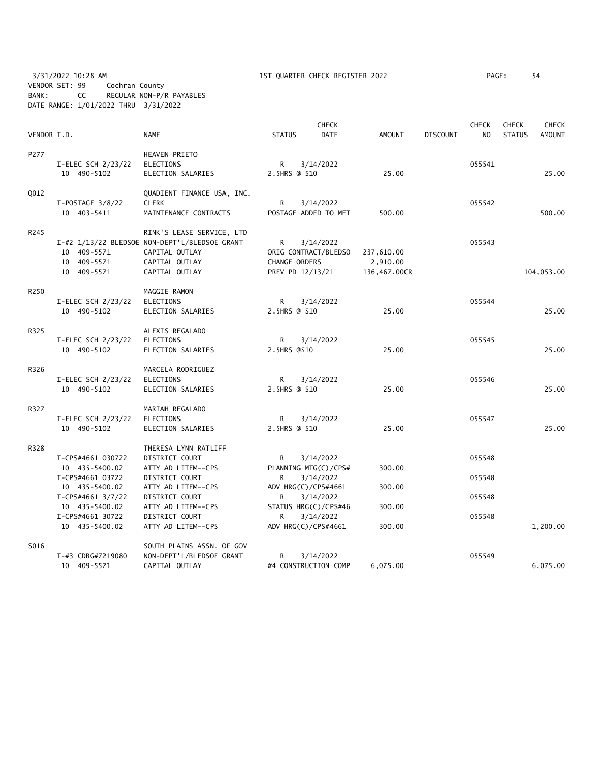3/31/2022 10:28 AM 1ST QUARTER CHECK REGISTER 2022 PAGE: 54 VENDOR SET: 99 Cochran County BANK: CC REGULAR NON-P/R PAYABLES DATE RANGE: 1/01/2022 THRU 3/31/2022

| VENDOR I.D. |                                                         | <b>NAME</b>                                                                                                                      | <b>STATUS</b>                          | <b>CHECK</b><br><b>DATE</b>       | AMOUNT                                 | <b>DISCOUNT</b> | <b>CHECK</b><br>NO. | <b>CHECK</b><br><b>STATUS</b> | <b>CHECK</b><br>AMOUNT |
|-------------|---------------------------------------------------------|----------------------------------------------------------------------------------------------------------------------------------|----------------------------------------|-----------------------------------|----------------------------------------|-----------------|---------------------|-------------------------------|------------------------|
| P277        | $I-ELEC SCH$ $2/23/22$<br>10 490-5102                   | <b>HEAVEN PRIETO</b><br><b>ELECTIONS</b><br>ELECTION SALARIES                                                                    | R<br>2.5HRS @ \$10                     | 3/14/2022                         | 25.00                                  |                 | 055541              |                               | 25.00                  |
| Q012        | $I-POSTAGE$ 3/8/22<br>10 403-5411                       | QUADIENT FINANCE USA, INC.<br><b>CLERK</b><br>MAINTENANCE CONTRACTS                                                              | R                                      | 3/14/2022<br>POSTAGE ADDED TO MET | 500.00                                 |                 | 055542              |                               | 500.00                 |
| R245        | 10 409-5571<br>10 409-5571<br>10 409-5571               | RINK'S LEASE SERVICE, LTD<br>I-#2 1/13/22 BLEDSOE NON-DEPT'L/BLEDSOE GRANT<br>CAPITAL OUTLAY<br>CAPITAL OUTLAY<br>CAPITAL OUTLAY | R<br>CHANGE ORDERS<br>PREV PD 12/13/21 | 3/14/2022<br>ORIG CONTRACT/BLEDSO | 237,610.00<br>2,910.00<br>136,467.00CR |                 | 055543              |                               | 104,053.00             |
| R250        | I-ELEC SCH 2/23/22<br>10 490-5102                       | MAGGIE RAMON<br><b>ELECTIONS</b><br>ELECTION SALARIES                                                                            | R<br>2.5HRS @ \$10                     | 3/14/2022                         | 25.00                                  |                 | 055544              |                               | 25.00                  |
| R325        | I-ELEC SCH 2/23/22<br>10 490-5102                       | ALEXIS REGALADO<br><b>ELECTIONS</b><br>ELECTION SALARIES                                                                         | R<br>2.5HRS @\$10                      | 3/14/2022                         | 25.00                                  |                 | 055545              |                               | 25.00                  |
| R326        | I-ELEC SCH 2/23/22<br>10 490-5102                       | MARCELA RODRIGUEZ<br><b>ELECTIONS</b><br>ELECTION SALARIES                                                                       | R<br>2.5HRS @ \$10                     | 3/14/2022                         | 25.00                                  |                 | 055546              |                               | 25.00                  |
| R327        | $I-ELEC SCH$ $2/23/22$<br>10 490-5102                   | MARIAH REGALADO<br><b>ELECTIONS</b><br>ELECTION SALARIES                                                                         | R<br>2.5HRS @ \$10                     | 3/14/2022                         | 25.00                                  |                 | 055547              |                               | 25.00                  |
| R328        | I-CPS#4661 030722<br>10 435-5400.02                     | THERESA LYNN RATLIFF<br>DISTRICT COURT<br>ATTY AD LITEM--CPS                                                                     | R.                                     | 3/14/2022<br>PLANNING MTG(C)/CPS# | 300.00                                 |                 | 055548              |                               |                        |
|             | I-CPS#4661 03722<br>10 435-5400.02<br>I-CPS#4661 3/7/22 | DISTRICT COURT<br>ATTY AD LITEM--CPS<br>DISTRICT COURT                                                                           | R.<br>ADV HRG(C)/CPS#4661<br>R         | 3/14/2022<br>3/14/2022            | 300.00                                 |                 | 055548<br>055548    |                               |                        |
|             | 10 435-5400.02<br>I-CPS#4661 30722<br>10 435-5400.02    | ATTY AD LITEM--CPS<br>DISTRICT COURT<br>ATTY AD LITEM--CPS                                                                       | R<br>ADV HRG(C)/CPS#4661               | STATUS HRG(C)/CPS#46<br>3/14/2022 | 300.00<br>300.00                       |                 | 055548              |                               | 1,200.00               |
| S016        | I-#3 CDBG#7219080<br>10 409-5571                        | SOUTH PLAINS ASSN. OF GOV<br>NON-DEPT'L/BLEDSOE GRANT<br>CAPITAL OUTLAY                                                          | R                                      | 3/14/2022<br>#4 CONSTRUCTION COMP | 6,075.00                               |                 | 055549              |                               | 6,075.00               |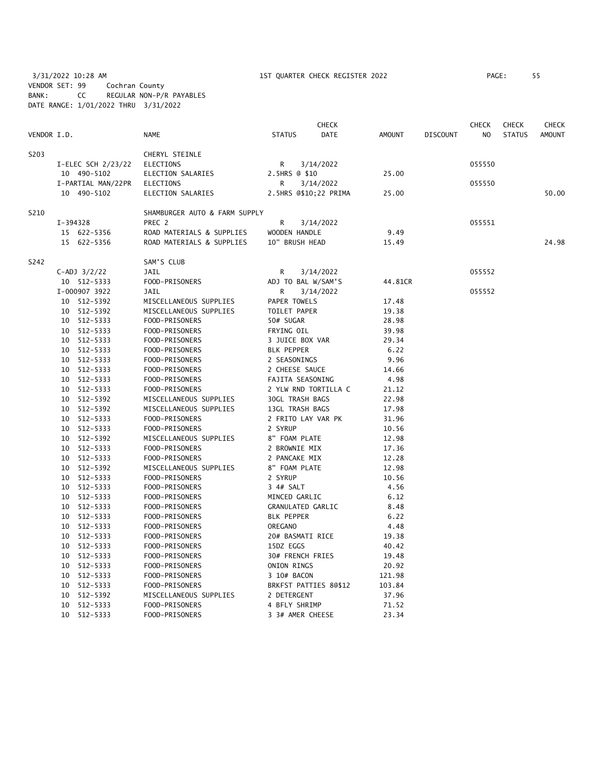3/31/2022 10:28 AM 1ST QUARTER CHECK REGISTER 2022 PAGE: 55 VENDOR SET: 99 Cochran County BANK: CC REGULAR NON-P/R PAYABLES DATE RANGE: 1/01/2022 THRU 3/31/2022

|             |          |                    |                               | <b>CHECK</b>             |                       |               |                 |                | <b>CHECK</b>  | <b>CHECK</b>  |
|-------------|----------|--------------------|-------------------------------|--------------------------|-----------------------|---------------|-----------------|----------------|---------------|---------------|
| VENDOR I.D. |          |                    | NAME                          | <b>STATUS</b>            | <b>DATE</b>           | <b>AMOUNT</b> | <b>DISCOUNT</b> | N <sub>O</sub> | <b>STATUS</b> | <b>AMOUNT</b> |
| S203        |          |                    | CHERYL STEINLE                |                          |                       |               |                 |                |               |               |
|             |          | I-ELEC SCH 2/23/22 | ELECTIONS                     | R                        | 3/14/2022             |               |                 | 055550         |               |               |
|             |          | 10 490-5102        | ELECTION SALARIES             | 2.5HRS @ \$10            |                       | 25.00         |                 |                |               |               |
|             |          | I-PARTIAL MAN/22PR | <b>ELECTIONS</b>              | R                        | 3/14/2022             |               |                 | 055550         |               |               |
|             |          | 10 490-5102        | ELECTION SALARIES             |                          | 2.5HRS @\$10;22 PRIMA | 25.00         |                 |                |               | 50.00         |
| S210        |          |                    | SHAMBURGER AUTO & FARM SUPPLY |                          |                       |               |                 |                |               |               |
|             | I-394328 |                    | PREC 2                        | R                        | 3/14/2022             |               |                 | 055551         |               |               |
|             |          | 15 622-5356        | ROAD MATERIALS & SUPPLIES     | WOODEN HANDLE            |                       | 9.49          |                 |                |               |               |
|             |          | 15 622-5356        | ROAD MATERIALS & SUPPLIES     | 10" BRUSH HEAD           |                       | 15.49         |                 |                |               | 24.98         |
| S242        |          |                    | SAM'S CLUB                    |                          |                       |               |                 |                |               |               |
|             |          | $C-ADJ$ $3/2/22$   | JAIL                          | R                        | 3/14/2022             |               |                 | 055552         |               |               |
|             |          | 10 512-5333        | FOOD-PRISONERS                | ADJ TO BAL W/SAM'S       |                       | 44.81CR       |                 |                |               |               |
|             |          | I-000907 3922      | JAIL                          | R                        | 3/14/2022             |               |                 | 055552         |               |               |
|             |          | 10 512-5392        | MISCELLANEOUS SUPPLIES        | PAPER TOWELS             |                       | 17.48         |                 |                |               |               |
|             |          | 10 512-5392        | MISCELLANEOUS SUPPLIES        | TOILET PAPER             |                       | 19.38         |                 |                |               |               |
|             |          | 10 512-5333        | FOOD-PRISONERS                | 50# SUGAR                |                       | 28.98         |                 |                |               |               |
|             |          | 10 512-5333        | FOOD-PRISONERS                | FRYING OIL               |                       | 39.98         |                 |                |               |               |
|             |          | 10 512-5333        | FOOD-PRISONERS                | 3 JUICE BOX VAR          |                       | 29.34         |                 |                |               |               |
|             |          | 10 512-5333        | FOOD-PRISONERS                | <b>BLK PEPPER</b>        |                       | 6.22          |                 |                |               |               |
|             |          | 10 512-5333        | FOOD-PRISONERS                | 2 SEASONINGS             |                       | 9.96          |                 |                |               |               |
|             |          | 10 512-5333        | FOOD-PRISONERS                | 2 CHEESE SAUCE           |                       | 14.66         |                 |                |               |               |
|             |          | 10 512-5333        | FOOD-PRISONERS                | FAJITA SEASONING         |                       | 4.98          |                 |                |               |               |
|             |          | 10 512-5333        | FOOD-PRISONERS                |                          | 2 YLW RND TORTILLA C  | 21.12         |                 |                |               |               |
|             | 10       | 512-5392           | MISCELLANEOUS SUPPLIES        | <b>30GL TRASH BAGS</b>   |                       | 22.98         |                 |                |               |               |
|             | 10       | 512-5392           | MISCELLANEOUS SUPPLIES        | 13GL TRASH BAGS          |                       | 17.98         |                 |                |               |               |
|             |          | 10 512-5333        | FOOD-PRISONERS                | 2 FRITO LAY VAR PK       |                       | 31.96         |                 |                |               |               |
|             |          | 10 512-5333        | FOOD-PRISONERS                | 2 SYRUP                  |                       | 10.56         |                 |                |               |               |
|             |          | 10 512-5392        | MISCELLANEOUS SUPPLIES        | 8" FOAM PLATE            |                       | 12.98         |                 |                |               |               |
|             |          | 10 512-5333        | FOOD-PRISONERS                | 2 BROWNIE MIX            |                       | 17.36         |                 |                |               |               |
|             |          | 10 512-5333        | FOOD-PRISONERS                | 2 PANCAKE MIX            |                       | 12.28         |                 |                |               |               |
|             | 10       | 512-5392           | MISCELLANEOUS SUPPLIES        | 8" FOAM PLATE            |                       | 12.98         |                 |                |               |               |
|             |          | 10 512-5333        | FOOD-PRISONERS                | 2 SYRUP                  |                       | 10.56         |                 |                |               |               |
|             |          | 10 512-5333        | FOOD-PRISONERS                | 3 4# SALT                |                       | 4.56          |                 |                |               |               |
|             |          | 10 512-5333        | FOOD-PRISONERS                | MINCED GARLIC            |                       | 6.12          |                 |                |               |               |
|             |          | 10 512-5333        | FOOD-PRISONERS                | <b>GRANULATED GARLIC</b> |                       | 8.48          |                 |                |               |               |
|             |          | 10 512-5333        | FOOD-PRISONERS                | <b>BLK PEPPER</b>        |                       | 6.22          |                 |                |               |               |
|             |          | 10 512-5333        | FOOD-PRISONERS                | <b>OREGANO</b>           |                       | 4.48          |                 |                |               |               |
|             |          | 10 512-5333        | FOOD-PRISONERS                | 20# BASMATI RICE         |                       | 19.38         |                 |                |               |               |
|             |          | 10 512-5333        | FOOD-PRISONERS                | 15DZ EGGS                |                       | 40.42         |                 |                |               |               |
|             |          | 10 512-5333        | FOOD-PRISONERS                | 30# FRENCH FRIES         |                       | 19.48         |                 |                |               |               |
|             |          | 10 512-5333        | FOOD-PRISONERS                | <b>ONION RINGS</b>       |                       | 20.92         |                 |                |               |               |
|             |          | 10 512-5333        | FOOD-PRISONERS                | 3 10# BACON              |                       | 121.98        |                 |                |               |               |
|             | 10       | 512-5333           | FOOD-PRISONERS                |                          | BRKFST PATTIES 80\$12 | 103.84        |                 |                |               |               |
|             | 10       | 512-5392           | MISCELLANEOUS SUPPLIES        | 2 DETERGENT              |                       | 37.96         |                 |                |               |               |
|             | 10       | 512-5333           | FOOD-PRISONERS                | 4 BFLY SHRIMP            |                       | 71.52         |                 |                |               |               |
|             | 10       | 512-5333           | FOOD-PRISONERS                | 3 3# AMER CHEESE         |                       | 23.34         |                 |                |               |               |
|             |          |                    |                               |                          |                       |               |                 |                |               |               |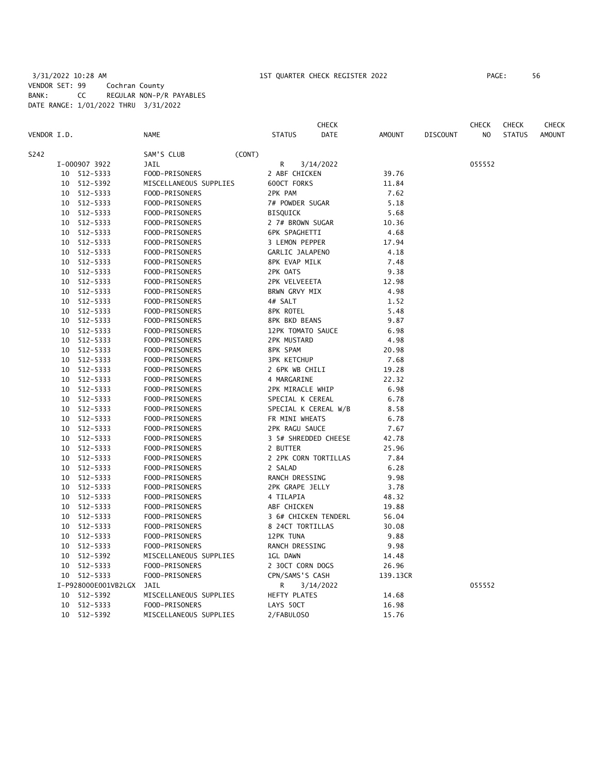### 3/31/2022 10:28 AM 1ST QUARTER CHECK REGISTER 2022 PAGE: 56 VENDOR SET: 99 Cochran County BANK: CC REGULAR NON-P/R PAYABLES DATE RANGE: 1/01/2022 THRU 3/31/2022

|             |                     |                        |                      | <b>CHECK</b> |               |                 | <b>CHECK</b>   | <b>CHECK</b>  | <b>CHECK</b>  |
|-------------|---------------------|------------------------|----------------------|--------------|---------------|-----------------|----------------|---------------|---------------|
| VENDOR I.D. |                     | <b>NAME</b>            | <b>STATUS</b>        | DATE         | <b>AMOUNT</b> | <b>DISCOUNT</b> | N <sub>O</sub> | <b>STATUS</b> | <b>AMOUNT</b> |
| S242        |                     | (CONT)<br>SAM'S CLUB   |                      |              |               |                 |                |               |               |
|             | I-000907 3922       | JAIL                   | R                    | 3/14/2022    |               |                 | 055552         |               |               |
|             | 10 512-5333         | FOOD-PRISONERS         | 2 ABF CHICKEN        |              | 39.76         |                 |                |               |               |
|             | 10 512-5392         | MISCELLANEOUS SUPPLIES | 600CT FORKS          |              | 11.84         |                 |                |               |               |
|             | 10 512-5333         | FOOD-PRISONERS         | 2PK PAM              |              | 7.62          |                 |                |               |               |
|             | 10 512-5333         | FOOD-PRISONERS         | 7# POWDER SUGAR      |              | 5.18          |                 |                |               |               |
|             | 10 512-5333         | FOOD-PRISONERS         | <b>BISQUICK</b>      |              | 5.68          |                 |                |               |               |
| 10          | 512-5333            | FOOD-PRISONERS         | 2 7# BROWN SUGAR     |              | 10.36         |                 |                |               |               |
| 10          | 512-5333            | FOOD-PRISONERS         | <b>6PK SPAGHETTI</b> |              | 4.68          |                 |                |               |               |
|             | 10 512-5333         | FOOD-PRISONERS         | 3 LEMON PEPPER       |              | 17.94         |                 |                |               |               |
|             | 10 512-5333         | FOOD-PRISONERS         | GARLIC JALAPENO      |              | 4.18          |                 |                |               |               |
|             | 10 512-5333         | FOOD-PRISONERS         | 8PK EVAP MILK        |              | 7.48          |                 |                |               |               |
|             | 10 512-5333         | FOOD-PRISONERS         | 2PK OATS             |              | 9.38          |                 |                |               |               |
|             | 10 512-5333         | FOOD-PRISONERS         | 2PK VELVEEETA        |              | 12.98         |                 |                |               |               |
|             | 10 512-5333         | FOOD-PRISONERS         | BRWN GRVY MIX        |              | 4.98          |                 |                |               |               |
|             | 10 512-5333         | FOOD-PRISONERS         | 4# SALT              |              | 1.52          |                 |                |               |               |
|             | 10 512-5333         | FOOD-PRISONERS         | 8PK ROTEL            |              | 5.48          |                 |                |               |               |
|             | 10 512-5333         | FOOD-PRISONERS         | <b>8PK BKD BEANS</b> |              | 9.87          |                 |                |               |               |
|             | 10 512-5333         | FOOD-PRISONERS         | 12PK TOMATO SAUCE    |              | 6.98          |                 |                |               |               |
|             | 10 512-5333         | FOOD-PRISONERS         | 2PK MUSTARD          |              | 4.98          |                 |                |               |               |
|             | 10 512-5333         | FOOD-PRISONERS         | 8PK SPAM             |              | 20.98         |                 |                |               |               |
|             | 10 512-5333         | FOOD-PRISONERS         | <b>3PK KETCHUP</b>   |              | 7.68          |                 |                |               |               |
|             | 10 512-5333         | FOOD-PRISONERS         | 2 6PK WB CHILI       |              | 19.28         |                 |                |               |               |
|             | 10 512-5333         | FOOD-PRISONERS         | 4 MARGARINE          |              | 22.32         |                 |                |               |               |
|             | 10 512-5333         | FOOD-PRISONERS         | 2PK MIRACLE WHIP     |              | 6.98          |                 |                |               |               |
|             | 10 512-5333         | FOOD-PRISONERS         | SPECIAL K CEREAL     |              | 6.78          |                 |                |               |               |
|             | 10 512-5333         | FOOD-PRISONERS         | SPECIAL K CEREAL W/B |              | 8.58          |                 |                |               |               |
|             | 10 512-5333         | FOOD-PRISONERS         | FR MINI WHEATS       |              | 6.78          |                 |                |               |               |
|             | 10 512-5333         | FOOD-PRISONERS         | 2PK RAGU SAUCE       |              | 7.67          |                 |                |               |               |
|             | 10 512-5333         | FOOD-PRISONERS         | 3 5# SHREDDED CHEESE |              | 42.78         |                 |                |               |               |
|             | 10 512-5333         | FOOD-PRISONERS         | 2 BUTTER             |              | 25.96         |                 |                |               |               |
|             | 10 512-5333         | FOOD-PRISONERS         | 2 2PK CORN TORTILLAS |              | 7.84          |                 |                |               |               |
|             | 10 512-5333         | FOOD-PRISONERS         | 2 SALAD              |              | 6.28          |                 |                |               |               |
|             | 10 512-5333         | FOOD-PRISONERS         | RANCH DRESSING       |              | 9.98          |                 |                |               |               |
| 10          | 512-5333            | FOOD-PRISONERS         | 2PK GRAPE JELLY      |              | 3.78          |                 |                |               |               |
|             | 512-5333<br>10      | FOOD-PRISONERS         | 4 TILAPIA            |              | 48.32         |                 |                |               |               |
|             | 10 512-5333         | FOOD-PRISONERS         | ABF CHICKEN          |              | 19.88         |                 |                |               |               |
|             | 10 512-5333         | FOOD-PRISONERS         | 3 6# CHICKEN TENDERL |              | 56.04         |                 |                |               |               |
|             | 10 512-5333         | FOOD-PRISONERS         | 8 24CT TORTILLAS     |              | 30.08         |                 |                |               |               |
|             | 10 512-5333         | FOOD-PRISONERS         | 12PK TUNA            |              | 9.88          |                 |                |               |               |
|             | 10 512-5333         | FOOD-PRISONERS         | RANCH DRESSING       |              | 9.98          |                 |                |               |               |
| 10          | 512-5392            | MISCELLANEOUS SUPPLIES | 1GL DAWN             |              | 14.48         |                 |                |               |               |
| 10          | 512-5333            | FOOD-PRISONERS         | 2 30CT CORN DOGS     |              | 26.96         |                 |                |               |               |
|             | 10 512-5333         | FOOD-PRISONERS         | CPN/SAMS'S CASH      |              | 139.13CR      |                 |                |               |               |
|             | I-P928000E001VB2LGX | JAIL                   | R                    | 3/14/2022    |               |                 | 055552         |               |               |
|             | 10 512-5392         | MISCELLANEOUS SUPPLIES | HEFTY PLATES         |              | 14.68         |                 |                |               |               |
| 10          | 512-5333            | FOOD-PRISONERS         | LAYS 50CT            |              | 16.98         |                 |                |               |               |
|             | 10 512-5392         | MISCELLANEOUS SUPPLIES | 2/FABULOSO           |              | 15.76         |                 |                |               |               |
|             |                     |                        |                      |              |               |                 |                |               |               |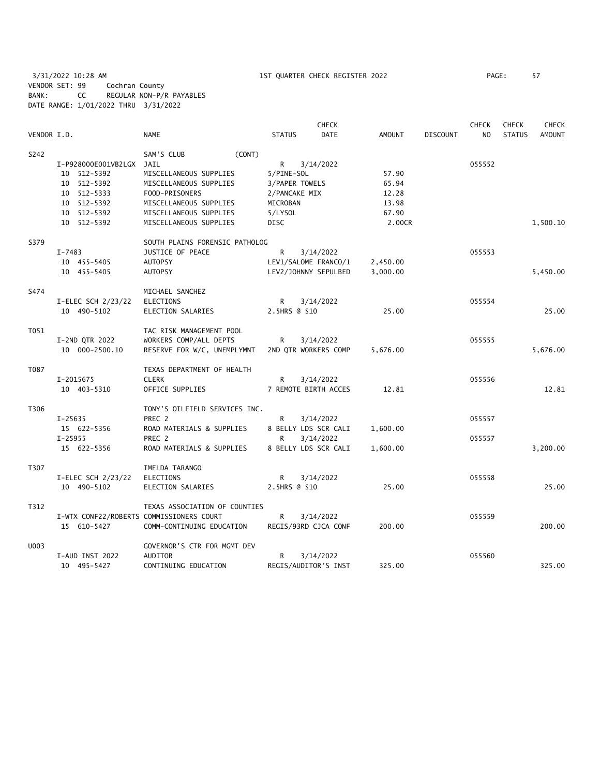3/31/2022 10:28 AM 1ST QUARTER CHECK REGISTER 2022 PAGE: 57 VENDOR SET: 99 Cochran County BANK: CC REGULAR NON-P/R PAYABLES DATE RANGE: 1/01/2022 THRU 3/31/2022

|             |                          |                                          |                | <b>CHECK</b>         |               |                 | <b>CHECK</b>   | <b>CHECK</b>  | <b>CHECK</b>  |
|-------------|--------------------------|------------------------------------------|----------------|----------------------|---------------|-----------------|----------------|---------------|---------------|
| VENDOR I.D. |                          | <b>NAME</b>                              | <b>STATUS</b>  | <b>DATE</b>          | <b>AMOUNT</b> | <b>DISCOUNT</b> | N <sub>O</sub> | <b>STATUS</b> | <b>AMOUNT</b> |
| S242        |                          | SAM'S CLUB<br>(CONT)                     |                |                      |               |                 |                |               |               |
|             | I-P928000E001VB2LGX JAIL |                                          | R              | 3/14/2022            |               |                 | 055552         |               |               |
|             | 10 512-5392              | MISCELLANEOUS SUPPLIES                   | 5/PINE-SOL     |                      | 57.90         |                 |                |               |               |
|             | 10 512-5392              | MISCELLANEOUS SUPPLIES                   | 3/PAPER TOWELS |                      | 65.94         |                 |                |               |               |
|             | 10 512-5333              | FOOD-PRISONERS                           | 2/PANCAKE MIX  |                      | 12.28         |                 |                |               |               |
|             | 10 512-5392              | MISCELLANEOUS SUPPLIES                   | MICROBAN       |                      | 13.98         |                 |                |               |               |
|             | 10 512-5392              | MISCELLANEOUS SUPPLIES                   | 5/LYSOL        |                      | 67.90         |                 |                |               |               |
|             | 10 512-5392              | MISCELLANEOUS SUPPLIES                   | <b>DISC</b>    |                      | 2.00CR        |                 |                |               | 1,500.10      |
| S379        |                          | SOUTH PLAINS FORENSIC PATHOLOG           |                |                      |               |                 |                |               |               |
|             | $I - 7483$               | <b>JUSTICE OF PEACE</b>                  | R              | 3/14/2022            |               |                 | 055553         |               |               |
|             | 10 455-5405              | <b>AUTOPSY</b>                           |                | LEV1/SALOME FRANCO/1 | 2,450.00      |                 |                |               |               |
|             | 10 455-5405              | <b>AUTOPSY</b>                           |                | LEV2/JOHNNY SEPULBED | 3,000.00      |                 |                |               | 5,450.00      |
|             |                          |                                          |                |                      |               |                 |                |               |               |
| S474        |                          | MICHAEL SANCHEZ                          |                |                      |               |                 |                |               |               |
|             | I-ELEC SCH 2/23/22       | ELECTIONS                                | R.             | 3/14/2022            |               |                 | 055554         |               |               |
|             | 10 490-5102              | ELECTION SALARIES                        | 2.5HRS @ \$10  |                      | 25.00         |                 |                |               | 25.00         |
| T051        |                          | TAC RISK MANAGEMENT POOL                 |                |                      |               |                 |                |               |               |
|             | I-2ND QTR 2022           | WORKERS COMP/ALL DEPTS                   | R              | 3/14/2022            |               |                 | 055555         |               |               |
|             | 10 000-2500.10           | RESERVE FOR W/C, UNEMPLYMNT              |                | 2ND QTR WORKERS COMP | 5,676.00      |                 |                |               | 5,676.00      |
| T087        |                          | TEXAS DEPARTMENT OF HEALTH               |                |                      |               |                 |                |               |               |
|             | I-2015675                | <b>CLERK</b>                             | R              | 3/14/2022            |               |                 | 055556         |               |               |
|             | 10 403-5310              | OFFICE SUPPLIES                          |                | 7 REMOTE BIRTH ACCES | 12.81         |                 |                |               | 12.81         |
| T306        |                          | TONY'S OILFIELD SERVICES INC.            |                |                      |               |                 |                |               |               |
|             | $I - 25635$              | PREC 2                                   | R              | 3/14/2022            |               |                 | 055557         |               |               |
|             | 15 622-5356              | ROAD MATERIALS & SUPPLIES                |                | 8 BELLY LDS SCR CALI | 1,600.00      |                 |                |               |               |
|             | $I - 25955$              | PREC 2                                   | R              | 3/14/2022            |               |                 | 055557         |               |               |
|             | 15 622-5356              | ROAD MATERIALS & SUPPLIES                |                | 8 BELLY LDS SCR CALI | 1,600.00      |                 |                |               | 3,200.00      |
| T307        |                          | IMELDA TARANGO                           |                |                      |               |                 |                |               |               |
|             | I-ELEC SCH 2/23/22       | ELECTIONS                                | R              | 3/14/2022            |               |                 | 055558         |               |               |
|             | 10 490-5102              | ELECTION SALARIES                        | 2.5HRS @ \$10  |                      | 25.00         |                 |                |               | 25.00         |
| T312        |                          | TEXAS ASSOCIATION OF COUNTIES            |                |                      |               |                 |                |               |               |
|             |                          | I-WTX CONF22/ROBERTS COMMISSIONERS COURT | R              | 3/14/2022            |               |                 | 055559         |               |               |
|             | 15 610-5427              | COMM-CONTINUING EDUCATION                |                | REGIS/93RD CJCA CONF | 200.00        |                 |                |               | 200.00        |
| U003        |                          | GOVERNOR'S CTR FOR MGMT DEV              |                |                      |               |                 |                |               |               |
|             | I-AUD INST 2022          | AUDITOR                                  | R              | 3/14/2022            |               |                 | 055560         |               |               |
|             | 10 495-5427              | CONTINUING EDUCATION                     |                | REGIS/AUDITOR'S INST | 325.00        |                 |                |               | 325.00        |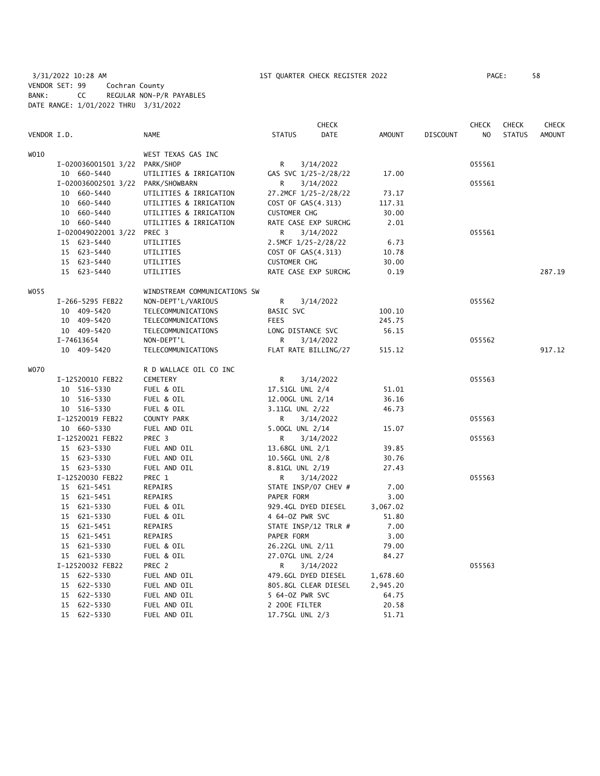3/31/2022 10:28 AM 1ST QUARTER CHECK REGISTER 2022 PAGE: 58 VENDOR SET: 99 Cochran County BANK: CC REGULAR NON-P/R PAYABLES DATE RANGE: 1/01/2022 THRU 3/31/2022

|             |                                   |                              |                      | <b>CHECK</b> |          |                 | <b>CHECK</b> | <b>CHECK</b>  | <b>CHECK</b> |
|-------------|-----------------------------------|------------------------------|----------------------|--------------|----------|-----------------|--------------|---------------|--------------|
| VENDOR I.D. |                                   | <b>NAME</b>                  | <b>STATUS</b>        | DATE         | AMOUNT   | <b>DISCOUNT</b> | NO.          | <b>STATUS</b> | AMOUNT       |
| WO10        |                                   | WEST TEXAS GAS INC           |                      |              |          |                 |              |               |              |
|             | I-020036001501 3/22 PARK/SHOP     |                              | R                    | 3/14/2022    |          |                 | 055561       |               |              |
|             | 10 660-5440                       | UTILITIES & IRRIGATION       | GAS SVC 1/25-2/28/22 |              | 17.00    |                 |              |               |              |
|             | I-020036002501 3/22 PARK/SHOWBARN |                              | R                    | 3/14/2022    |          |                 | 055561       |               |              |
|             | 10 660-5440                       | UTILITIES & IRRIGATION       | 27.2MCF 1/25-2/28/22 |              | 73.17    |                 |              |               |              |
|             | 10 660-5440                       | UTILITIES & IRRIGATION       | COST OF GAS(4.313)   |              | 117.31   |                 |              |               |              |
|             | 10 660-5440                       | UTILITIES & IRRIGATION       | <b>CUSTOMER CHG</b>  |              | 30.00    |                 |              |               |              |
|             | 10 660-5440                       | UTILITIES & IRRIGATION       | RATE CASE EXP SURCHG |              | 2.01     |                 |              |               |              |
|             | I-020049022001 3/22 PREC 3        |                              | R                    | 3/14/2022    |          |                 | 055561       |               |              |
|             | 15 623-5440                       | UTILITIES                    | 2.5MCF 1/25-2/28/22  |              | 6.73     |                 |              |               |              |
|             | 15 623-5440                       | UTILITIES                    | COST OF GAS(4.313)   |              | 10.78    |                 |              |               |              |
|             | 15 623-5440                       | UTILITIES                    | <b>CUSTOMER CHG</b>  |              | 30.00    |                 |              |               |              |
|             | 15 623-5440                       | UTILITIES                    | RATE CASE EXP SURCHG |              | 0.19     |                 |              |               | 287.19       |
| WO 55       |                                   | WINDSTREAM COMMUNICATIONS SW |                      |              |          |                 |              |               |              |
|             | I-266-5295 FEB22                  | NON-DEPT'L/VARIOUS           | R                    | 3/14/2022    |          |                 | 055562       |               |              |
|             | 10 409-5420                       | TELECOMMUNICATIONS           | BASIC SVC            |              | 100.10   |                 |              |               |              |
|             | 10 409-5420                       | TELECOMMUNICATIONS           | FEES                 |              | 245.75   |                 |              |               |              |
|             | 10 409-5420                       | TELECOMMUNICATIONS           | LONG DISTANCE SVC    |              | 56.15    |                 |              |               |              |
|             | I-74613654                        | NON-DEPT'L                   | R                    | 3/14/2022    |          |                 | 055562       |               |              |
|             | 10 409-5420                       | TELECOMMUNICATIONS           | FLAT RATE BILLING/27 |              | 515.12   |                 |              |               | 917.12       |
| W070        |                                   | R D WALLACE OIL CO INC       |                      |              |          |                 |              |               |              |
|             | I-12520010 FEB22                  | CEMETERY                     | R                    | 3/14/2022    |          |                 | 055563       |               |              |
|             | 10 516-5330                       | FUEL & OIL                   | 17.51GL UNL 2/4      |              | 51.01    |                 |              |               |              |
|             | 10 516-5330                       | FUEL & OIL                   | 12.00GL UNL 2/14     |              | 36.16    |                 |              |               |              |
|             | 10 516-5330                       | FUEL & OIL                   | 3.11GL UNL 2/22      |              | 46.73    |                 |              |               |              |
|             | I-12520019 FEB22                  | COUNTY PARK                  | $\mathsf{R}$         | 3/14/2022    |          |                 | 055563       |               |              |
|             | 10 660-5330                       | FUEL AND OIL                 | 5.00GL UNL 2/14      |              | 15.07    |                 |              |               |              |
|             | I-12520021 FEB22                  | PREC 3                       | R                    | 3/14/2022    |          |                 | 055563       |               |              |
|             | 15 623-5330                       | FUEL AND OIL                 | 13.68GL UNL 2/1      |              | 39.85    |                 |              |               |              |
|             | 15 623-5330                       | FUEL AND OIL                 | 10.56GL UNL 2/8      |              | 30.76    |                 |              |               |              |
|             | 15 623-5330                       | FUEL AND OIL                 | 8.81GL UNL 2/19      |              | 27.43    |                 |              |               |              |
|             | I-12520030 FEB22                  | PREC 1                       | R                    | 3/14/2022    |          |                 | 055563       |               |              |
|             | 15 621-5451                       | REPAIRS                      | STATE INSP/07 CHEV # |              | 7.00     |                 |              |               |              |
|             | 15 621-5451                       | REPAIRS                      | PAPER FORM           |              | 3.00     |                 |              |               |              |
|             | 15 621-5330                       | FUEL & OIL                   | 929.4GL DYED DIESEL  |              | 3,067.02 |                 |              |               |              |
|             | 15 621-5330                       | FUEL & OIL                   | 4 64-0Z PWR SVC      |              | 51.80    |                 |              |               |              |
|             | 15 621-5451                       | REPAIRS                      | STATE INSP/12 TRLR # |              | 7.00     |                 |              |               |              |
|             | 15 621-5451                       | REPAIRS                      | PAPER FORM           |              | 3.00     |                 |              |               |              |
|             | 15 621-5330                       | FUEL & OIL                   | 26.22GL UNL 2/11     |              | 79.00    |                 |              |               |              |
|             |                                   |                              |                      |              | 84.27    |                 |              |               |              |
|             | 15 621-5330                       | FUEL & OIL                   | 27.07GL UNL 2/24     |              |          |                 |              |               |              |
|             | I-12520032 FEB22                  | PREC 2                       | R                    | 3/14/2022    |          |                 | 055563       |               |              |
|             | 15 622-5330                       | FUEL AND OIL                 | 479.6GL DYED DIESEL  |              | 1,678.60 |                 |              |               |              |
|             | 15 622-5330                       | FUEL AND OIL                 | 805.8GL CLEAR DIESEL |              | 2,945.20 |                 |              |               |              |
|             | 15 622-5330                       | FUEL AND OIL                 | 5 64-02 PWR SVC      |              | 64.75    |                 |              |               |              |
|             | 15 622-5330                       | FUEL AND OIL                 | 2 200E FILTER        |              | 20.58    |                 |              |               |              |
|             | 15 622-5330                       | FUEL AND OIL                 | 17.75GL UNL 2/3      |              | 51.71    |                 |              |               |              |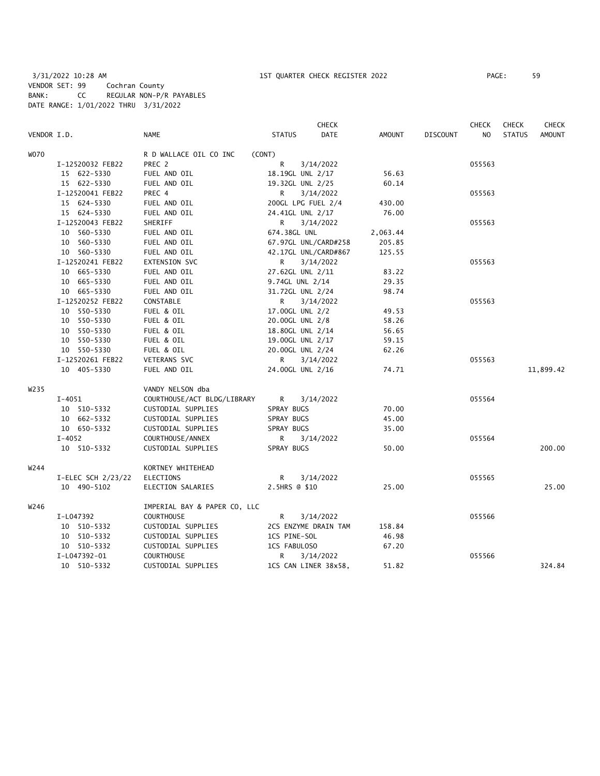3/31/2022 10:28 AM 1ST QUARTER CHECK REGISTER 2022 PAGE: 59 VENDOR SET: 99 Cochran County BANK: CC REGULAR NON-P/R PAYABLES DATE RANGE: 1/01/2022 THRU 3/31/2022

|                   |                    |                              |                  | CHECK                |               |                 | <b>CHECK</b>   | <b>CHECK</b>  | CHECK         |
|-------------------|--------------------|------------------------------|------------------|----------------------|---------------|-----------------|----------------|---------------|---------------|
| VENDOR I.D.       |                    | NAME                         | <b>STATUS</b>    | <b>DATE</b>          | <b>AMOUNT</b> | <b>DISCOUNT</b> | N <sub>O</sub> | <b>STATUS</b> | <b>AMOUNT</b> |
| <b>WO70</b>       |                    | R D WALLACE OIL CO INC       | (CONT)           |                      |               |                 |                |               |               |
|                   | I-12520032 FEB22   | PREC 2                       | R                | 3/14/2022            |               |                 | 055563         |               |               |
|                   | 15 622-5330        | FUEL AND OIL                 | 18.19GL UNL 2/17 |                      | 56.63         |                 |                |               |               |
|                   | 15 622-5330        | FUEL AND OIL                 | 19.32GL UNL 2/25 |                      | 60.14         |                 |                |               |               |
|                   | I-12520041 FEB22   | PREC 4                       | R.               | 3/14/2022            |               |                 | 055563         |               |               |
|                   | 15 624-5330        | FUEL AND OIL                 |                  | 200GL LPG FUEL 2/4   | 430.00        |                 |                |               |               |
|                   | 15 624-5330        | FUEL AND OIL                 | 24.41GL UNL 2/17 |                      | 76.00         |                 |                |               |               |
|                   | I-12520043 FEB22   | SHERIFF                      | R.               | 3/14/2022            |               |                 | 055563         |               |               |
|                   | 10 560-5330        | FUEL AND OIL                 | 674.38GL UNL     |                      | 2,063.44      |                 |                |               |               |
|                   | 10 560-5330        | FUEL AND OIL                 |                  | 67.97GL UNL/CARD#258 | 205.85        |                 |                |               |               |
|                   | 10 560-5330        | FUEL AND OIL                 |                  | 42.17GL UNL/CARD#867 | 125.55        |                 |                |               |               |
|                   | I-12520241 FEB22   | <b>EXTENSION SVC</b>         | R                | 3/14/2022            |               |                 | 055563         |               |               |
|                   | 10 665-5330        | FUEL AND OIL                 | 27.62GL UNL 2/11 |                      | 83.22         |                 |                |               |               |
|                   | 10 665-5330        | FUEL AND OIL                 | 9.74GL UNL 2/14  |                      | 29.35         |                 |                |               |               |
|                   | 10 665-5330        | FUEL AND OIL                 | 31.72GL UNL 2/24 |                      | 98.74         |                 |                |               |               |
|                   | I-12520252 FEB22   | CONSTABLE                    | R                | 3/14/2022            |               |                 | 055563         |               |               |
|                   | 10 550-5330        | FUEL & OIL                   | 17.00GL UNL 2/2  |                      | 49.53         |                 |                |               |               |
|                   | 10 550-5330        | FUEL & OIL                   | 20.00GL UNL 2/8  |                      | 58.26         |                 |                |               |               |
|                   | 10 550-5330        | FUEL & OIL                   | 18.80GL UNL 2/14 |                      | 56.65         |                 |                |               |               |
|                   | 10 550-5330        | FUEL & OIL                   | 19.00GL UNL 2/17 |                      | 59.15         |                 |                |               |               |
|                   | 10 550-5330        | FUEL & OIL                   | 20.00GL UNL 2/24 |                      | 62.26         |                 |                |               |               |
|                   | I-12520261 FEB22   | <b>VETERANS SVC</b>          | R                | 3/14/2022            |               |                 | 055563         |               |               |
|                   | 10 405-5330        | FUEL AND OIL                 | 24.00GL UNL 2/16 |                      | 74.71         |                 |                |               | 11,899.42     |
| W <sub>2</sub> 35 |                    | VANDY NELSON dba             |                  |                      |               |                 |                |               |               |
|                   | $I-4051$           | COURTHOUSE/ACT BLDG/LIBRARY  | R.               | 3/14/2022            |               |                 | 055564         |               |               |
|                   | 10 510-5332        | CUSTODIAL SUPPLIES           | SPRAY BUGS       |                      | 70.00         |                 |                |               |               |
|                   | 10 662-5332        | CUSTODIAL SUPPLIES           | SPRAY BUGS       |                      | 45.00         |                 |                |               |               |
|                   | 10 650-5332        | CUSTODIAL SUPPLIES           | SPRAY BUGS       |                      | 35.00         |                 |                |               |               |
|                   | $I - 4052$         | COURTHOUSE/ANNEX             | R                | 3/14/2022            |               |                 | 055564         |               |               |
|                   | 10 510-5332        | CUSTODIAL SUPPLIES           | SPRAY BUGS       |                      | 50.00         |                 |                |               | 200.00        |
| W244              |                    | KORTNEY WHITEHEAD            |                  |                      |               |                 |                |               |               |
|                   | I-ELEC SCH 2/23/22 | ELECTIONS                    | R                | 3/14/2022            |               |                 | 055565         |               |               |
|                   | 10 490-5102        | ELECTION SALARIES            | 2.5HRS @ \$10    |                      | 25.00         |                 |                |               | 25.00         |
| W246              |                    | IMPERIAL BAY & PAPER CO, LLC |                  |                      |               |                 |                |               |               |
|                   | I-L047392          | <b>COURTHOUSE</b>            | R                | 3/14/2022            |               |                 | 055566         |               |               |
|                   | 10 510-5332        | CUSTODIAL SUPPLIES           |                  | 2CS ENZYME DRAIN TAM | 158.84        |                 |                |               |               |
|                   | 10 510-5332        | CUSTODIAL SUPPLIES           | 1CS PINE-SOL     |                      | 46.98         |                 |                |               |               |
|                   | 10 510-5332        | CUSTODIAL SUPPLIES           | 1CS FABULOSO     |                      | 67.20         |                 |                |               |               |
|                   | I-L047392-01       | <b>COURTHOUSE</b>            | R                | 3/14/2022            |               |                 | 055566         |               |               |
|                   | 10 510-5332        | CUSTODIAL SUPPLIES           |                  | 1CS CAN LINER 38x58, | 51.82         |                 |                |               | 324.84        |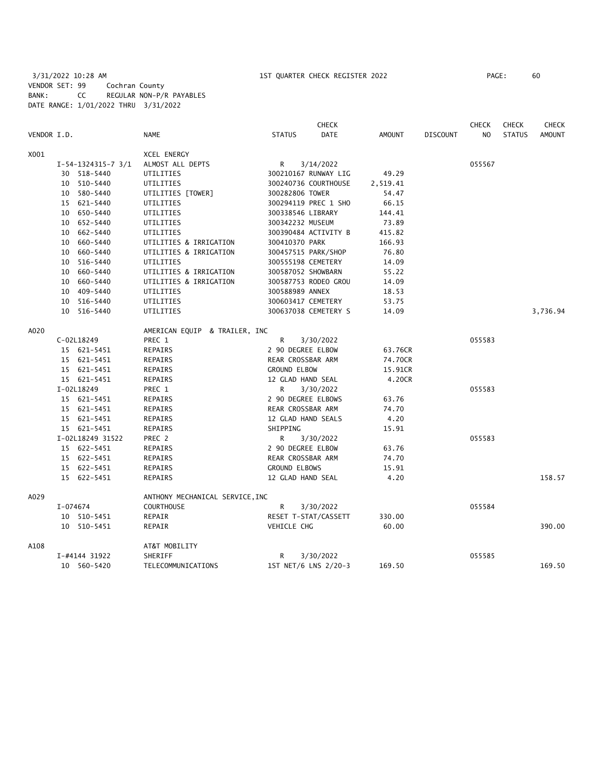3/31/2022 10:28 AM 1ST QUARTER CHECK REGISTER 2022 PAGE: 60 VENDOR SET: 99 Cochran County BANK: CC REGULAR NON-P/R PAYABLES DATE RANGE: 1/01/2022 THRU 3/31/2022

|             |               |                      |                                 |                      | <b>CHECK</b>         |               |                 | <b>CHECK</b> | <b>CHECK</b>  | <b>CHECK</b>  |
|-------------|---------------|----------------------|---------------------------------|----------------------|----------------------|---------------|-----------------|--------------|---------------|---------------|
| VENDOR I.D. |               |                      | <b>NAME</b>                     | <b>STATUS</b>        | <b>DATE</b>          | <b>AMOUNT</b> | <b>DISCOUNT</b> | NO.          | <b>STATUS</b> | <b>AMOUNT</b> |
| X001        |               |                      | <b>XCEL ENERGY</b>              |                      |                      |               |                 |              |               |               |
|             |               | $I-54-1324315-7$ 3/1 | ALMOST ALL DEPTS                | R                    | 3/14/2022            |               |                 | 055567       |               |               |
|             |               | 30 518-5440          | UTILITIES                       |                      | 300210167 RUNWAY LIG | 49.29         |                 |              |               |               |
|             |               | 10 510-5440          | UTILITIES                       |                      | 300240736 COURTHOUSE | 2,519.41      |                 |              |               |               |
|             |               | 10 580-5440          | UTILITIES [TOWER]               | 300282806 TOWER      |                      | 54.47         |                 |              |               |               |
|             |               | 15 621-5440          | UTILITIES                       |                      | 300294119 PREC 1 SHO | 66.15         |                 |              |               |               |
|             |               | 10 650-5440          | UTILITIES                       | 300338546 LIBRARY    |                      | 144.41        |                 |              |               |               |
|             |               | 10 652-5440          | UTILITIES                       | 300342232 MUSEUM     |                      | 73.89         |                 |              |               |               |
|             |               | 10 662-5440          | UTILITIES                       |                      | 300390484 ACTIVITY B | 415.82        |                 |              |               |               |
|             |               | 10 660-5440          | UTILITIES & IRRIGATION          | 300410370 PARK       |                      | 166.93        |                 |              |               |               |
|             |               | 10 660-5440          | UTILITIES & IRRIGATION          |                      | 300457515 PARK/SHOP  | 76.80         |                 |              |               |               |
|             |               | 10 516-5440          | UTILITIES                       | 300555198 CEMETERY   |                      | 14.09         |                 |              |               |               |
|             |               | 10 660-5440          | UTILITIES & IRRIGATION          | 300587052 SHOWBARN   |                      | 55.22         |                 |              |               |               |
|             |               | 10 660-5440          | UTILITIES & IRRIGATION          |                      | 300587753 RODEO GROU | 14.09         |                 |              |               |               |
|             |               | 10 409-5440          | UTILITIES                       | 300588989 ANNEX      |                      | 18.53         |                 |              |               |               |
|             |               | 10 516-5440          | UTILITIES                       | 300603417 CEMETERY   |                      | 53.75         |                 |              |               |               |
|             |               | 10 516-5440          | UTILITIES                       |                      | 300637038 CEMETERY S | 14.09         |                 |              |               | 3,736.94      |
| A020        |               |                      | AMERICAN EQUIP & TRAILER, INC   |                      |                      |               |                 |              |               |               |
|             | C-02L18249    |                      | PREC 1                          | R                    | 3/30/2022            |               |                 | 055583       |               |               |
|             |               | 15 621-5451          | REPAIRS                         | 2 90 DEGREE ELBOW    |                      | 63.76CR       |                 |              |               |               |
|             |               | 15 621-5451          | REPAIRS                         | REAR CROSSBAR ARM    |                      | 74.70CR       |                 |              |               |               |
|             |               | 15 621-5451          | REPAIRS                         | <b>GROUND ELBOW</b>  |                      | 15.91CR       |                 |              |               |               |
|             |               | 15 621-5451          | REPAIRS                         | 12 GLAD HAND SEAL    |                      | 4.20CR        |                 |              |               |               |
|             | I-02L18249    |                      | PREC 1                          | R.                   | 3/30/2022            |               |                 | 055583       |               |               |
|             |               | 15 621-5451          | REPAIRS                         | 2 90 DEGREE ELBOWS   |                      | 63.76         |                 |              |               |               |
|             |               | 15 621-5451          | REPAIRS                         | REAR CROSSBAR ARM    |                      | 74.70         |                 |              |               |               |
|             |               | 15 621-5451          | REPAIRS                         | 12 GLAD HAND SEALS   |                      | 4.20          |                 |              |               |               |
|             |               | 15 621-5451          | REPAIRS                         | SHIPPING             |                      | 15.91         |                 |              |               |               |
|             |               | I-02L18249 31522     | PREC 2                          | R                    | 3/30/2022            |               |                 | 055583       |               |               |
|             |               | 15 622-5451          | REPAIRS                         | 2 90 DEGREE ELBOW    |                      | 63.76         |                 |              |               |               |
|             |               | 15 622-5451          | REPAIRS                         | REAR CROSSBAR ARM    |                      | 74.70         |                 |              |               |               |
|             |               | 15 622-5451          | REPAIRS                         | <b>GROUND ELBOWS</b> |                      | 15.91         |                 |              |               |               |
|             |               | 15 622-5451          | REPAIRS                         | 12 GLAD HAND SEAL    |                      | 4.20          |                 |              |               | 158.57        |
| A029        |               |                      | ANTHONY MECHANICAL SERVICE, INC |                      |                      |               |                 |              |               |               |
|             | I-074674      |                      | COURTHOUSE                      | R                    | 3/30/2022            |               |                 | 055584       |               |               |
|             |               | 10 510-5451          | REPAIR                          |                      | RESET T-STAT/CASSETT | 330.00        |                 |              |               |               |
|             |               | 10 510-5451          | REPAIR                          | <b>VEHICLE CHG</b>   |                      | 60.00         |                 |              |               | 390.00        |
| A108        |               |                      | AT&T MOBILITY                   |                      |                      |               |                 |              |               |               |
|             | I-#4144 31922 |                      | SHERIFF                         | R                    | 3/30/2022            |               |                 | 055585       |               |               |
|             |               | 10 560-5420          | TELECOMMUNICATIONS              |                      | 1ST NET/6 LNS 2/20-3 | 169.50        |                 |              |               | 169.50        |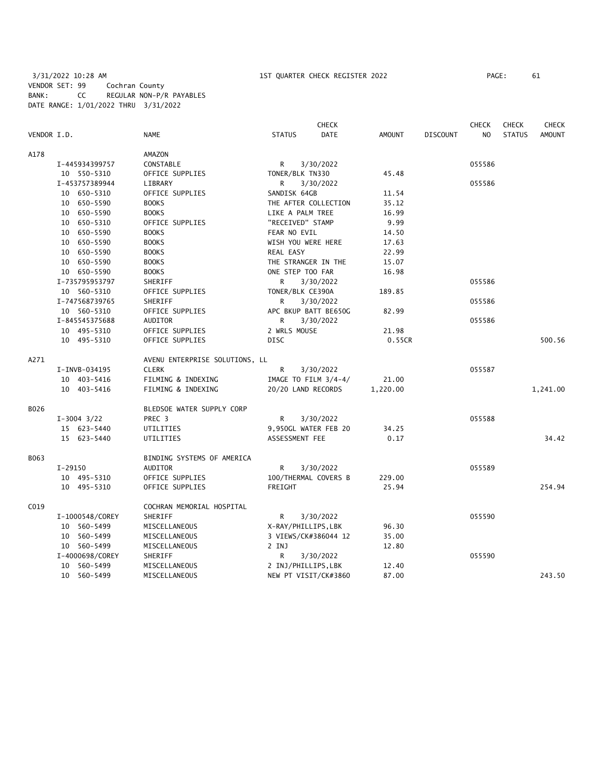3/31/2022 10:28 AM 1ST QUARTER CHECK REGISTER 2022 PAGE: 61 VENDOR SET: 99 Cochran County BANK: CC REGULAR NON-P/R PAYABLES DATE RANGE: 1/01/2022 THRU 3/31/2022

|             |                 |                                |                     | CHECK                  |               |                 | <b>CHECK</b>   | <b>CHECK</b>  | <b>CHECK</b>  |
|-------------|-----------------|--------------------------------|---------------------|------------------------|---------------|-----------------|----------------|---------------|---------------|
| VENDOR I.D. |                 | <b>NAME</b>                    | <b>STATUS</b>       | <b>DATE</b>            | <b>AMOUNT</b> | <b>DISCOUNT</b> | N <sub>O</sub> | <b>STATUS</b> | <b>AMOUNT</b> |
| A178        |                 | AMAZON                         |                     |                        |               |                 |                |               |               |
|             | I-445934399757  | CONSTABLE                      | R                   | 3/30/2022              |               |                 | 055586         |               |               |
|             | 10 550-5310     | OFFICE SUPPLIES                | TONER/BLK TN330     |                        | 45.48         |                 |                |               |               |
|             | I-453757389944  | LIBRARY                        | R                   | 3/30/2022              |               |                 | 055586         |               |               |
|             | 10 650-5310     | OFFICE SUPPLIES                | SANDISK 64GB        |                        | 11.54         |                 |                |               |               |
|             | 10 650-5590     | <b>BOOKS</b>                   |                     | THE AFTER COLLECTION   | 35.12         |                 |                |               |               |
|             | 10 650-5590     | <b>BOOKS</b>                   | LIKE A PALM TREE    |                        | 16.99         |                 |                |               |               |
|             | 10 650-5310     | OFFICE SUPPLIES                | "RECEIVED" STAMP    |                        | 9.99          |                 |                |               |               |
|             | 10 650-5590     | <b>BOOKS</b>                   | FEAR NO EVIL        |                        | 14.50         |                 |                |               |               |
|             | 10 650-5590     | <b>BOOKS</b>                   | WISH YOU WERE HERE  |                        | 17.63         |                 |                |               |               |
|             | 10 650-5590     | <b>BOOKS</b>                   | REAL EASY           |                        | 22.99         |                 |                |               |               |
|             | 10 650-5590     | <b>BOOKS</b>                   | THE STRANGER IN THE |                        | 15.07         |                 |                |               |               |
|             | 10 650-5590     | <b>BOOKS</b>                   | ONE STEP TOO FAR    |                        | 16.98         |                 |                |               |               |
|             | I-735795953797  | SHERIFF                        | R                   | 3/30/2022              |               |                 | 055586         |               |               |
|             | 10 560-5310     | OFFICE SUPPLIES                | TONER/BLK CE390A    |                        | 189.85        |                 |                |               |               |
|             | I-747568739765  | SHERIFF                        | R                   | 3/30/2022              |               |                 | 055586         |               |               |
|             | 10 560-5310     | OFFICE SUPPLIES                |                     | APC BKUP BATT BE650G   | 82.99         |                 |                |               |               |
|             | I-845545375688  | <b>AUDITOR</b>                 | R.                  | 3/30/2022              |               |                 | 055586         |               |               |
|             | 10 495-5310     | OFFICE SUPPLIES                | 2 WRLS MOUSE        |                        | 21.98         |                 |                |               |               |
|             | 10 495-5310     | OFFICE SUPPLIES                | <b>DISC</b>         |                        | 0.55CR        |                 |                |               | 500.56        |
| A271        |                 | AVENU ENTERPRISE SOLUTIONS, LL |                     |                        |               |                 |                |               |               |
|             | I-INVB-034195   | <b>CLERK</b>                   | R                   | 3/30/2022              |               |                 | 055587         |               |               |
|             | 10 403-5416     | FILMING & INDEXING             |                     | IMAGE TO FILM $3/4-4/$ | 21.00         |                 |                |               |               |
|             | 10 403-5416     | FILMING & INDEXING             | 20/20 LAND RECORDS  |                        | 1,220.00      |                 |                |               | 1,241.00      |
| B026        |                 | BLEDSOE WATER SUPPLY CORP      |                     |                        |               |                 |                |               |               |
|             | $I-3004$ $3/22$ | PREC <sub>3</sub>              | R                   | 3/30/2022              |               |                 | 055588         |               |               |
|             | 15 623-5440     | UTILITIES                      |                     | 9,950GL WATER FEB 20   | 34.25         |                 |                |               |               |
|             | 15 623-5440     | UTILITIES                      | ASSESSMENT FEE      |                        | 0.17          |                 |                |               | 34.42         |
| B063        |                 | BINDING SYSTEMS OF AMERICA     |                     |                        |               |                 |                |               |               |
|             | I-29150         | AUDITOR                        | R                   | 3/30/2022              |               |                 | 055589         |               |               |
|             | 10 495-5310     | OFFICE SUPPLIES                |                     | 100/THERMAL COVERS B   | 229.00        |                 |                |               |               |
|             | 10 495-5310     | OFFICE SUPPLIES                | FREIGHT             |                        | 25.94         |                 |                |               | 254.94        |
| C019        |                 | COCHRAN MEMORIAL HOSPITAL      |                     |                        |               |                 |                |               |               |
|             | I-1000548/COREY | SHERIFF                        | R                   | 3/30/2022              |               |                 | 055590         |               |               |
|             | 10 560-5499     | MISCELLANEOUS                  | X-RAY/PHILLIPS, LBK |                        | 96.30         |                 |                |               |               |
|             | 10 560-5499     | MISCELLANEOUS                  |                     | 3 VIEWS/CK#386044 12   | 35.00         |                 |                |               |               |
|             | 10 560-5499     | MISCELLANEOUS                  | 2 INJ               |                        | 12.80         |                 |                |               |               |
|             | I-4000698/COREY | SHERIFF                        | R                   | 3/30/2022              |               |                 | 055590         |               |               |
|             | 10 560-5499     | MISCELLANEOUS                  | 2 INJ/PHILLIPS, LBK |                        | 12.40         |                 |                |               |               |
|             | 10 560-5499     | MISCELLANEOUS                  |                     | NEW PT VISIT/CK#3860   | 87.00         |                 |                |               | 243.50        |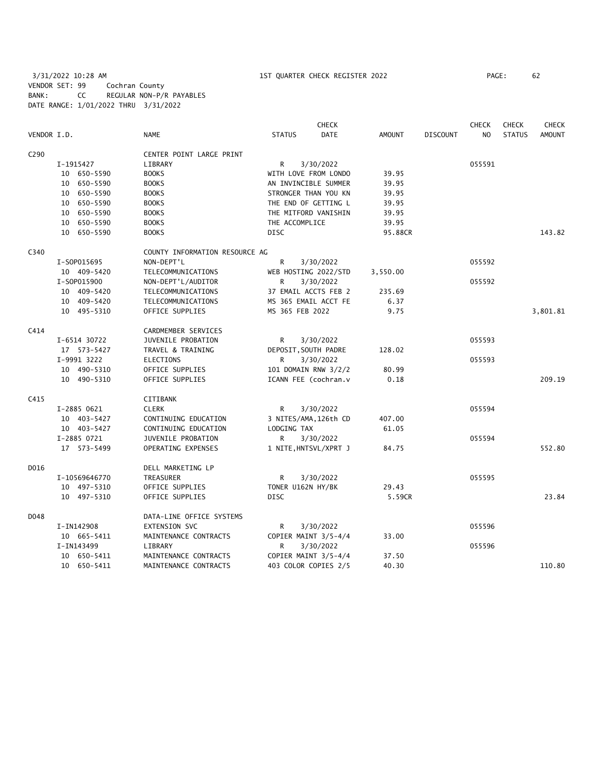### 3/31/2022 10:28 AM 1ST QUARTER CHECK REGISTER 2022 PAGE: 62 VENDOR SET: 99 Cochran County BANK: CC REGULAR NON-P/R PAYABLES DATE RANGE: 1/01/2022 THRU 3/31/2022

|                  |               |                                |                       | <b>CHECK</b> |               |                 | <b>CHECK</b>   | <b>CHECK</b>  | <b>CHECK</b>  |
|------------------|---------------|--------------------------------|-----------------------|--------------|---------------|-----------------|----------------|---------------|---------------|
| VENDOR I.D.      |               | <b>NAME</b>                    | <b>STATUS</b>         | <b>DATE</b>  | <b>AMOUNT</b> | <b>DISCOUNT</b> | N <sub>O</sub> | <b>STATUS</b> | <b>AMOUNT</b> |
| C <sub>290</sub> |               | CENTER POINT LARGE PRINT       |                       |              |               |                 |                |               |               |
|                  | I-1915427     | LIBRARY                        | R                     | 3/30/2022    |               |                 | 055591         |               |               |
|                  | 10 650-5590   | <b>BOOKS</b>                   | WITH LOVE FROM LONDO  |              | 39.95         |                 |                |               |               |
|                  | 10 650-5590   | <b>BOOKS</b>                   | AN INVINCIBLE SUMMER  |              | 39.95         |                 |                |               |               |
|                  | 10 650-5590   | <b>BOOKS</b>                   | STRONGER THAN YOU KN  |              | 39.95         |                 |                |               |               |
|                  | 10 650-5590   | <b>BOOKS</b>                   | THE END OF GETTING L  |              | 39.95         |                 |                |               |               |
|                  | 10 650-5590   | <b>BOOKS</b>                   | THE MITFORD VANISHIN  |              | 39.95         |                 |                |               |               |
|                  | 10 650-5590   | <b>BOOKS</b>                   | THE ACCOMPLICE        |              | 39.95         |                 |                |               |               |
|                  | 10 650-5590   | <b>BOOKS</b>                   | <b>DISC</b>           |              | 95.88CR       |                 |                |               | 143.82        |
| C340             |               | COUNTY INFORMATION RESOURCE AG |                       |              |               |                 |                |               |               |
|                  | I-S0P015695   | NON-DEPT'L                     | R                     | 3/30/2022    |               |                 | 055592         |               |               |
|                  | 10 409-5420   | TELECOMMUNICATIONS             | WEB HOSTING 2022/STD  |              | 3,550.00      |                 |                |               |               |
|                  | I-S0P015900   | NON-DEPT'L/AUDITOR             | R.                    | 3/30/2022    |               |                 | 055592         |               |               |
|                  | 10 409-5420   | TELECOMMUNICATIONS             | 37 EMAIL ACCTS FEB 2  |              | 235.69        |                 |                |               |               |
|                  | 10 409-5420   | TELECOMMUNICATIONS             | MS 365 EMAIL ACCT FE  |              | 6.37          |                 |                |               |               |
|                  | 10 495-5310   | OFFICE SUPPLIES                | MS 365 FEB 2022       |              | 9.75          |                 |                |               | 3,801.81      |
| C414             |               | CARDMEMBER SERVICES            |                       |              |               |                 |                |               |               |
|                  | I-6514 30722  | JUVENILE PROBATION             | R                     | 3/30/2022    |               |                 | 055593         |               |               |
|                  | 17 573-5427   | TRAVEL & TRAINING              | DEPOSIT, SOUTH PADRE  |              | 128.02        |                 |                |               |               |
|                  | I-9991 3222   | <b>ELECTIONS</b>               | R.                    | 3/30/2022    |               |                 | 055593         |               |               |
|                  | 10 490-5310   | OFFICE SUPPLIES                | 101 DOMAIN RNW 3/2/2  |              | 80.99         |                 |                |               |               |
|                  | 10 490-5310   | OFFICE SUPPLIES                | ICANN FEE (cochran.v  |              | 0.18          |                 |                |               | 209.19        |
| C415             |               | CITIBANK                       |                       |              |               |                 |                |               |               |
|                  | I-2885 0621   | <b>CLERK</b>                   | R                     | 3/30/2022    |               |                 | 055594         |               |               |
|                  | 10 403-5427   | CONTINUING EDUCATION           | 3 NITES/AMA, 126th CD |              | 407.00        |                 |                |               |               |
|                  | 10 403-5427   | CONTINUING EDUCATION           | LODGING TAX           |              | 61.05         |                 |                |               |               |
|                  | I-2885 0721   | JUVENILE PROBATION             | R.                    | 3/30/2022    |               |                 | 055594         |               |               |
|                  | 17 573-5499   | OPERATING EXPENSES             | 1 NITE, HNTSVL/XPRT J |              | 84.75         |                 |                |               | 552.80        |
| D016             |               | DELL MARKETING LP              |                       |              |               |                 |                |               |               |
|                  | I-10569646770 | TREASURER                      | R                     | 3/30/2022    |               |                 | 055595         |               |               |
|                  | 10 497-5310   | OFFICE SUPPLIES                | TONER U162N HY/BK     |              | 29.43         |                 |                |               |               |
|                  | 10 497-5310   | OFFICE SUPPLIES                | <b>DISC</b>           |              | 5.59CR        |                 |                |               | 23.84         |
| D048             |               | DATA-LINE OFFICE SYSTEMS       |                       |              |               |                 |                |               |               |
|                  | I-IN142908    | EXTENSION SVC                  | R                     | 3/30/2022    |               |                 | 055596         |               |               |
|                  | 10 665-5411   | MAINTENANCE CONTRACTS          | COPIER MAINT 3/5-4/4  |              | 33.00         |                 |                |               |               |
|                  | I-IN143499    | LIBRARY                        | R.                    | 3/30/2022    |               |                 | 055596         |               |               |
|                  | 10 650-5411   | MAINTENANCE CONTRACTS          | COPIER MAINT 3/5-4/4  |              | 37.50         |                 |                |               |               |
|                  | 10 650-5411   | MAINTENANCE CONTRACTS          | 403 COLOR COPIES 2/5  |              | 40.30         |                 |                |               | 110.80        |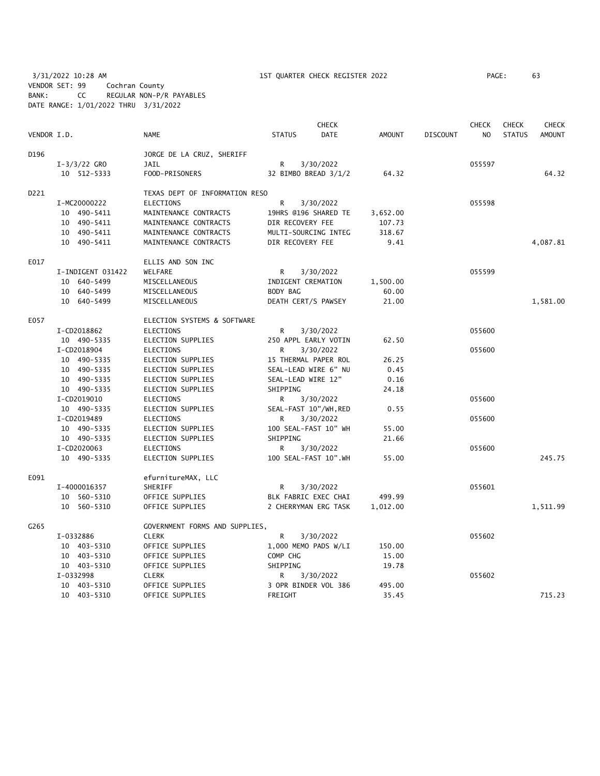3/31/2022 10:28 AM 1ST QUARTER CHECK REGISTER 2022 PAGE: 63 VENDOR SET: 99 Cochran County BANK: CC REGULAR NON-P/R PAYABLES DATE RANGE: 1/01/2022 THRU 3/31/2022

|             |                   |                                |                      | CHECK                 |               |                 | <b>CHECK</b>   | <b>CHECK</b>  | CHECK         |
|-------------|-------------------|--------------------------------|----------------------|-----------------------|---------------|-----------------|----------------|---------------|---------------|
| VENDOR I.D. |                   | <b>NAME</b>                    | <b>STATUS</b>        | <b>DATE</b>           | <b>AMOUNT</b> | <b>DISCOUNT</b> | N <sub>O</sub> | <b>STATUS</b> | <b>AMOUNT</b> |
| D196        |                   | JORGE DE LA CRUZ, SHERIFF      |                      |                       |               |                 |                |               |               |
|             | $I-3/3/22$ GRO    | <b>JAIL</b>                    | R                    | 3/30/2022             |               |                 | 055597         |               |               |
|             | 10 512-5333       | FOOD-PRISONERS                 |                      | 32 BIMBO BREAD 3/1/2  | 64.32         |                 |                |               | 64.32         |
| D221        |                   | TEXAS DEPT OF INFORMATION RESO |                      |                       |               |                 |                |               |               |
|             | I-MC20000222      | <b>ELECTIONS</b>               | R                    | 3/30/2022             |               |                 | 055598         |               |               |
|             | 10 490-5411       | MAINTENANCE CONTRACTS          |                      | 19HRS @196 SHARED TE  | 3,652.00      |                 |                |               |               |
|             | 10 490-5411       | MAINTENANCE CONTRACTS          | DIR RECOVERY FEE     |                       | 107.73        |                 |                |               |               |
|             | 10 490-5411       | MAINTENANCE CONTRACTS          |                      | MULTI-SOURCING INTEG  | 318.67        |                 |                |               |               |
|             | 10 490-5411       | MAINTENANCE CONTRACTS          | DIR RECOVERY FEE     |                       | 9.41          |                 |                |               | 4,087.81      |
| E017        |                   | ELLIS AND SON INC              |                      |                       |               |                 |                |               |               |
|             | I-INDIGENT 031422 | WELFARE                        | R                    | 3/30/2022             |               |                 | 055599         |               |               |
|             | 10 640-5499       | MISCELLANEOUS                  | INDIGENT CREMATION   |                       | 1,500.00      |                 |                |               |               |
|             | 10 640-5499       | MISCELLANEOUS                  | BODY BAG             |                       | 60.00         |                 |                |               |               |
|             | 10 640-5499       | MISCELLANEOUS                  | DEATH CERT/S PAWSEY  |                       | 21.00         |                 |                |               | 1,581.00      |
| E057        |                   | ELECTION SYSTEMS & SOFTWARE    |                      |                       |               |                 |                |               |               |
|             | I-CD2018862       | <b>ELECTIONS</b>               | R                    | 3/30/2022             |               |                 | 055600         |               |               |
|             | 10 490-5335       | ELECTION SUPPLIES              |                      | 250 APPL EARLY VOTIN  | 62.50         |                 |                |               |               |
|             | I-CD2018904       | <b>ELECTIONS</b>               | R                    | 3/30/2022             |               |                 | 055600         |               |               |
|             | 10 490-5335       | ELECTION SUPPLIES              | 15 THERMAL PAPER ROL |                       | 26.25         |                 |                |               |               |
|             | 10 490-5335       | ELECTION SUPPLIES              |                      | SEAL-LEAD WIRE 6" NU  | 0.45          |                 |                |               |               |
|             | 10 490-5335       | ELECTION SUPPLIES              | SEAL-LEAD WIRE 12"   |                       | 0.16          |                 |                |               |               |
|             | 10 490-5335       | ELECTION SUPPLIES              | SHIPPING             |                       | 24.18         |                 |                |               |               |
|             | I-CD2019010       | <b>ELECTIONS</b>               | R                    | 3/30/2022             |               |                 | 055600         |               |               |
|             | 10 490-5335       | ELECTION SUPPLIES              |                      | SEAL-FAST 10"/WH, RED | 0.55          |                 |                |               |               |
|             | I-CD2019489       | <b>ELECTIONS</b>               | R                    | 3/30/2022             |               |                 | 055600         |               |               |
|             | 10 490-5335       | ELECTION SUPPLIES              | 100 SEAL-FAST 10" WH |                       | 55.00         |                 |                |               |               |
|             | 10 490-5335       | ELECTION SUPPLIES              | SHIPPING             |                       | 21.66         |                 |                |               |               |
|             | I-CD2020063       | <b>ELECTIONS</b>               | R                    | 3/30/2022             |               |                 | 055600         |               |               |
|             | 10 490-5335       | ELECTION SUPPLIES              |                      | 100 SEAL-FAST 10".WH  | 55.00         |                 |                |               | 245.75        |
| E091        |                   | efurnitureMAX, LLC             |                      |                       |               |                 |                |               |               |
|             | I-4000016357      | SHERIFF                        | R                    | 3/30/2022             |               |                 | 055601         |               |               |
|             | 10 560-5310       | OFFICE SUPPLIES                |                      | BLK FABRIC EXEC CHAI  | 499.99        |                 |                |               |               |
|             | 10 560-5310       | OFFICE SUPPLIES                |                      | 2 CHERRYMAN ERG TASK  | 1,012.00      |                 |                |               | 1,511.99      |
| G265        |                   | GOVERNMENT FORMS AND SUPPLIES, |                      |                       |               |                 |                |               |               |
|             | I-0332886         | <b>CLERK</b>                   | R                    | 3/30/2022             |               |                 | 055602         |               |               |
|             | 10 403-5310       | OFFICE SUPPLIES                |                      | 1,000 MEMO PADS W/LI  | 150.00        |                 |                |               |               |
|             | 10 403-5310       | OFFICE SUPPLIES                | COMP CHG             |                       | 15.00         |                 |                |               |               |
|             | 10 403-5310       | OFFICE SUPPLIES                | SHIPPING             |                       | 19.78         |                 |                |               |               |
|             | I-0332998         | <b>CLERK</b>                   | R                    | 3/30/2022             |               |                 | 055602         |               |               |
|             | 10 403-5310       | OFFICE SUPPLIES                |                      | 3 OPR BINDER VOL 386  | 495.00        |                 |                |               |               |
|             | 10 403-5310       | OFFICE SUPPLIES                | FREIGHT              |                       | 35.45         |                 |                |               | 715.23        |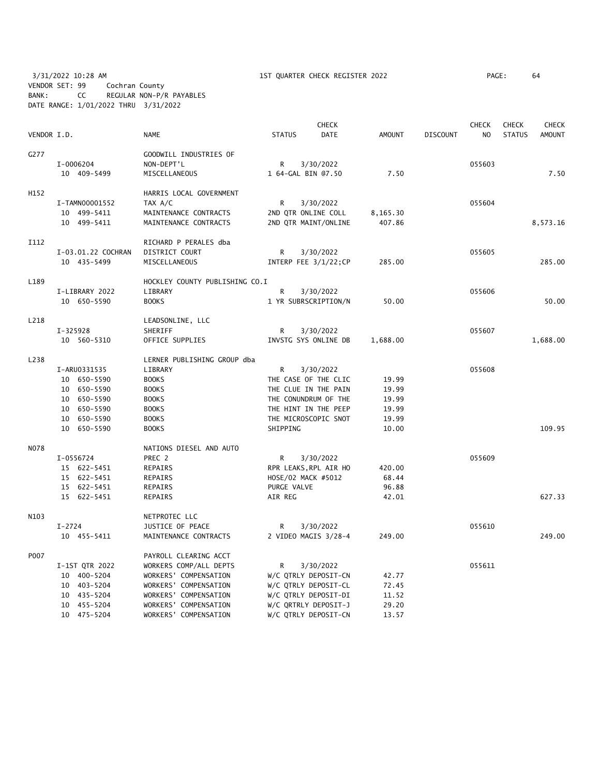3/31/2022 10:28 AM 1ST QUARTER CHECK REGISTER 2022 PAGE: 64 VENDOR SET: 99 Cochran County BANK: CC REGULAR NON-P/R PAYABLES DATE RANGE: 1/01/2022 THRU 3/31/2022

|             |                    |                                |                      | CHECK                 |               |                 | <b>CHECK</b> | CHECK         | CHECK         |
|-------------|--------------------|--------------------------------|----------------------|-----------------------|---------------|-----------------|--------------|---------------|---------------|
| VENDOR I.D. |                    | <b>NAME</b>                    | <b>STATUS</b>        | <b>DATE</b>           | <b>AMOUNT</b> | <b>DISCOUNT</b> | NO           | <b>STATUS</b> | <b>AMOUNT</b> |
| G277        |                    | GOODWILL INDUSTRIES OF         |                      |                       |               |                 |              |               |               |
|             | I-0006204          | NON-DEPT'L                     | R                    | 3/30/2022             |               |                 | 055603       |               |               |
|             | 10 409-5499        | MISCELLANEOUS                  | 1 64-GAL BIN 07.50   |                       | 7.50          |                 |              |               | 7.50          |
| H152        |                    | HARRIS LOCAL GOVERNMENT        |                      |                       |               |                 |              |               |               |
|             | I-TAMN00001552     | TAX A/C                        | R                    | 3/30/2022             |               |                 | 055604       |               |               |
|             | 10 499-5411        | MAINTENANCE CONTRACTS          | 2ND QTR ONLINE COLL  |                       | 8,165.30      |                 |              |               |               |
|             | 10 499-5411        | MAINTENANCE CONTRACTS          |                      | 2ND QTR MAINT/ONLINE  | 407.86        |                 |              |               | 8,573.16      |
| I112        |                    | RICHARD P PERALES dba          |                      |                       |               |                 |              |               |               |
|             | I-03.01.22 COCHRAN | DISTRICT COURT                 | R                    | 3/30/2022             |               |                 | 055605       |               |               |
|             | 10 435-5499        | MISCELLANEOUS                  |                      | INTERP FEE 3/1/22; CP | 285.00        |                 |              |               | 285.00        |
| L189        |                    | HOCKLEY COUNTY PUBLISHING CO.I |                      |                       |               |                 |              |               |               |
|             | I-LIBRARY 2022     | LIBRARY                        | R                    | 3/30/2022             |               |                 | 055606       |               |               |
|             | 10 650-5590        | <b>BOOKS</b>                   |                      | 1 YR SUBRSCRIPTION/N  | 50.00         |                 |              |               | 50.00         |
| L218        |                    | LEADSONLINE, LLC               |                      |                       |               |                 |              |               |               |
|             | I-325928           | SHERIFF                        | R                    | 3/30/2022             |               |                 | 055607       |               |               |
|             | 10 560-5310        | OFFICE SUPPLIES                |                      | INVSTG SYS ONLINE DB  | 1,688.00      |                 |              |               | 1,688.00      |
| L238        |                    | LERNER PUBLISHING GROUP dba    |                      |                       |               |                 |              |               |               |
|             | I-ARU0331535       | LIBRARY                        | R                    | 3/30/2022             |               |                 | 055608       |               |               |
|             | 10 650-5590        | <b>BOOKS</b>                   |                      | THE CASE OF THE CLIC  | 19.99         |                 |              |               |               |
|             | 10 650-5590        | <b>BOOKS</b>                   | THE CLUE IN THE PAIN |                       | 19.99         |                 |              |               |               |
|             | 10 650-5590        | <b>BOOKS</b>                   |                      | THE CONUNDRUM OF THE  | 19.99         |                 |              |               |               |
|             | 10 650-5590        | <b>BOOKS</b>                   | THE HINT IN THE PEEP |                       | 19.99         |                 |              |               |               |
|             | 10 650-5590        | <b>BOOKS</b>                   | THE MICROSCOPIC SNOT |                       | 19.99         |                 |              |               |               |
|             | 10 650-5590        | <b>BOOKS</b>                   | SHIPPING             |                       | 10.00         |                 |              |               | 109.95        |
| <b>NO78</b> |                    | NATIONS DIESEL AND AUTO        |                      |                       |               |                 |              |               |               |
|             | I-0556724          | PREC 2                         | R                    | 3/30/2022             |               |                 | 055609       |               |               |
|             | 15 622-5451        | <b>REPAIRS</b>                 |                      | RPR LEAKS, RPL AIR HO | 420.00        |                 |              |               |               |
|             | 15 622-5451        | REPAIRS                        | HOSE/02 MACK #5012   |                       | 68.44         |                 |              |               |               |
|             | 15 622-5451        | REPAIRS                        | PURGE VALVE          |                       | 96.88         |                 |              |               |               |
|             | 15 622-5451        | <b>REPAIRS</b>                 | AIR REG              |                       | 42.01         |                 |              |               | 627.33        |
| N103        |                    | NETPROTEC LLC                  |                      |                       |               |                 |              |               |               |
|             | $I - 2724$         | JUSTICE OF PEACE               | R                    | 3/30/2022             |               |                 | 055610       |               |               |
|             | 10 455-5411        | MAINTENANCE CONTRACTS          |                      | 2 VIDEO MAGIS 3/28-4  | 249.00        |                 |              |               | 249.00        |
| P007        |                    | PAYROLL CLEARING ACCT          |                      |                       |               |                 |              |               |               |
|             | I-1ST QTR 2022     | WORKERS COMP/ALL DEPTS         | R                    | 3/30/2022             |               |                 | 055611       |               |               |
|             | 10 400-5204        | WORKERS' COMPENSATION          |                      | W/C QTRLY DEPOSIT-CN  | 42.77         |                 |              |               |               |
|             | 10 403-5204        | WORKERS' COMPENSATION          |                      | W/C QTRLY DEPOSIT-CL  | 72.45         |                 |              |               |               |
|             | 10 435-5204        | WORKERS' COMPENSATION          |                      | W/C QTRLY DEPOSIT-DI  | 11.52         |                 |              |               |               |
|             | 10 455-5204        | WORKERS' COMPENSATION          |                      | W/C QRTRLY DEPOSIT-J  | 29.20         |                 |              |               |               |
|             | 10 475-5204        | WORKERS' COMPENSATION          |                      | W/C QTRLY DEPOSIT-CN  | 13.57         |                 |              |               |               |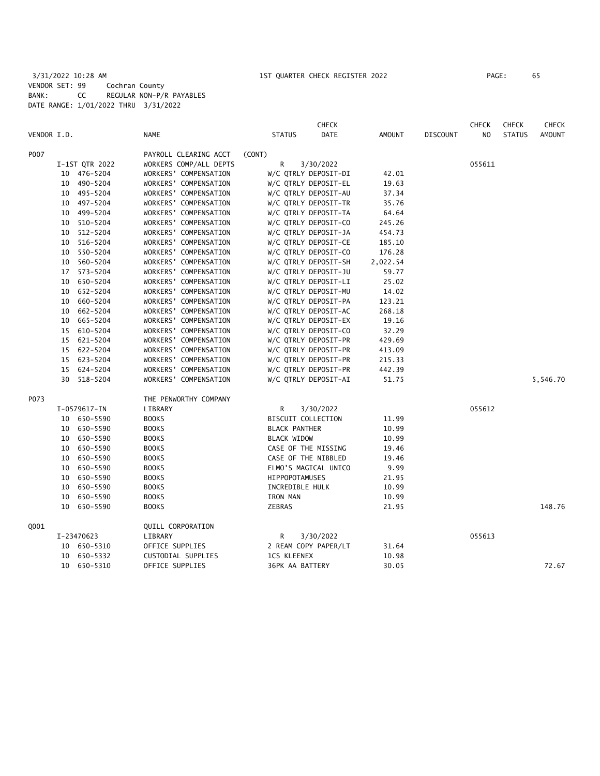3/31/2022 10:28 AM 1ST QUARTER CHECK REGISTER 2022 PAGE: 65 VENDOR SET: 99 Cochran County BANK: CC REGULAR NON-P/R PAYABLES DATE RANGE: 1/01/2022 THRU 3/31/2022

|             |    |                |                        |                       | <b>CHECK</b>         |               |                 | <b>CHECK</b>   | <b>CHECK</b>  | <b>CHECK</b> |
|-------------|----|----------------|------------------------|-----------------------|----------------------|---------------|-----------------|----------------|---------------|--------------|
| VENDOR I.D. |    |                | <b>NAME</b>            | <b>STATUS</b>         | DATE                 | <b>AMOUNT</b> | <b>DISCOUNT</b> | N <sub>O</sub> | <b>STATUS</b> | AMOUNT       |
| P007        |    |                | PAYROLL CLEARING ACCT  | (CONT)                |                      |               |                 |                |               |              |
|             |    | I-1ST QTR 2022 | WORKERS COMP/ALL DEPTS | R                     | 3/30/2022            |               |                 | 055611         |               |              |
|             |    | 10 476-5204    | WORKERS' COMPENSATION  |                       | W/C QTRLY DEPOSIT-DI | 42.01         |                 |                |               |              |
|             |    | 10 490-5204    | WORKERS' COMPENSATION  |                       | W/C QTRLY DEPOSIT-EL | 19.63         |                 |                |               |              |
|             | 10 | 495-5204       | WORKERS' COMPENSATION  |                       | W/C QTRLY DEPOSIT-AU | 37.34         |                 |                |               |              |
|             | 10 | 497–5204       | WORKERS' COMPENSATION  |                       | W/C QTRLY DEPOSIT-TR | 35.76         |                 |                |               |              |
|             | 10 | 499-5204       | WORKERS' COMPENSATION  |                       | W/C QTRLY DEPOSIT-TA | 64.64         |                 |                |               |              |
|             | 10 | 510-5204       | WORKERS' COMPENSATION  |                       | W/C QTRLY DEPOSIT-CO | 245.26        |                 |                |               |              |
|             | 10 | 512-5204       | WORKERS' COMPENSATION  |                       | W/C QTRLY DEPOSIT-JA | 454.73        |                 |                |               |              |
|             | 10 | 516-5204       | WORKERS' COMPENSATION  |                       | W/C QTRLY DEPOSIT-CE | 185.10        |                 |                |               |              |
|             | 10 | 550-5204       | WORKERS' COMPENSATION  |                       | W/C QTRLY DEPOSIT-CO | 176.28        |                 |                |               |              |
|             | 10 | 560-5204       | WORKERS' COMPENSATION  |                       | W/C QTRLY DEPOSIT-SH | 2,022.54      |                 |                |               |              |
|             | 17 | 573-5204       | WORKERS' COMPENSATION  |                       | W/C QTRLY DEPOSIT-JU | 59.77         |                 |                |               |              |
|             | 10 | 650-5204       | WORKERS' COMPENSATION  |                       | W/C QTRLY DEPOSIT-LI | 25.02         |                 |                |               |              |
|             | 10 | 652-5204       | WORKERS' COMPENSATION  |                       | W/C QTRLY DEPOSIT-MU | 14.02         |                 |                |               |              |
|             | 10 | 660-5204       | WORKERS' COMPENSATION  |                       | W/C QTRLY DEPOSIT-PA | 123.21        |                 |                |               |              |
|             | 10 | 662-5204       | WORKERS' COMPENSATION  |                       | W/C QTRLY DEPOSIT-AC | 268.18        |                 |                |               |              |
|             | 10 | 665-5204       | WORKERS' COMPENSATION  |                       | W/C QTRLY DEPOSIT-EX | 19.16         |                 |                |               |              |
|             | 15 | 610-5204       | WORKERS' COMPENSATION  |                       | W/C QTRLY DEPOSIT-CO | 32.29         |                 |                |               |              |
|             | 15 | 621-5204       | WORKERS' COMPENSATION  |                       | W/C QTRLY DEPOSIT-PR | 429.69        |                 |                |               |              |
|             | 15 | 622-5204       | WORKERS' COMPENSATION  |                       | W/C QTRLY DEPOSIT-PR | 413.09        |                 |                |               |              |
|             | 15 | 623-5204       | WORKERS' COMPENSATION  |                       | W/C QTRLY DEPOSIT-PR | 215.33        |                 |                |               |              |
|             | 15 | 624-5204       | WORKERS' COMPENSATION  |                       | W/C QTRLY DEPOSIT-PR | 442.39        |                 |                |               |              |
|             |    | 30 518-5204    | WORKERS' COMPENSATION  |                       | W/C QTRLY DEPOSIT-AI | 51.75         |                 |                |               | 5,546.70     |
| P073        |    |                | THE PENWORTHY COMPANY  |                       |                      |               |                 |                |               |              |
|             |    | I-0579617-IN   | LIBRARY                | R                     | 3/30/2022            |               |                 | 055612         |               |              |
|             |    | 10 650-5590    | <b>BOOKS</b>           | BISCUIT COLLECTION    |                      | 11.99         |                 |                |               |              |
|             |    | 10 650-5590    | <b>BOOKS</b>           | <b>BLACK PANTHER</b>  |                      | 10.99         |                 |                |               |              |
|             | 10 | 650-5590       | <b>BOOKS</b>           | <b>BLACK WIDOW</b>    |                      | 10.99         |                 |                |               |              |
|             | 10 | 650-5590       | <b>BOOKS</b>           |                       | CASE OF THE MISSING  | 19.46         |                 |                |               |              |
|             | 10 | 650-5590       | <b>BOOKS</b>           |                       | CASE OF THE NIBBLED  | 19.46         |                 |                |               |              |
|             | 10 | 650-5590       | <b>BOOKS</b>           |                       | ELMO'S MAGICAL UNICO | 9.99          |                 |                |               |              |
|             | 10 | 650-5590       | <b>BOOKS</b>           | <b>HIPPOPOTAMUSES</b> |                      | 21.95         |                 |                |               |              |
|             | 10 | 650-5590       | <b>BOOKS</b>           | INCREDIBLE HULK       |                      | 10.99         |                 |                |               |              |
|             | 10 | 650-5590       | <b>BOOKS</b>           | IRON MAN              |                      | 10.99         |                 |                |               |              |
|             |    | 10 650-5590    | <b>BOOKS</b>           | <b>ZEBRAS</b>         |                      | 21.95         |                 |                |               | 148.76       |
| Q001        |    |                | QUILL CORPORATION      |                       |                      |               |                 |                |               |              |
|             |    | I-23470623     | LIBRARY                | R                     | 3/30/2022            |               |                 | 055613         |               |              |
|             |    | 10 650-5310    | OFFICE SUPPLIES        |                       | 2 REAM COPY PAPER/LT | 31.64         |                 |                |               |              |
|             | 10 | 650-5332       | CUSTODIAL SUPPLIES     | <b>1CS KLEENEX</b>    |                      | 10.98         |                 |                |               |              |
|             |    | 10 650-5310    | OFFICE SUPPLIES        | 36PK AA BATTERY       |                      | 30.05         |                 |                |               | 72.67        |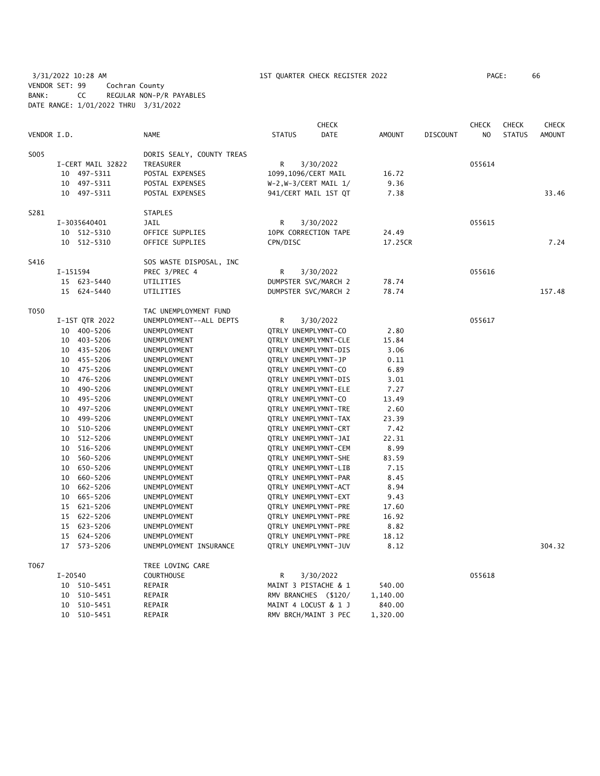3/31/2022 10:28 AM 1ST QUARTER CHECK REGISTER 2022 PAGE: 66 VENDOR SET: 99 Cochran County BANK: CC REGULAR NON-P/R PAYABLES DATE RANGE: 1/01/2022 THRU 3/31/2022

| VENDOR I.D. |             |                                |                           | <b>STATUS</b>           | <b>CHECK</b> | <b>AMOUNT</b> |                 | <b>CHECK</b><br>N <sub>O</sub> | <b>CHECK</b>  | <b>CHECK</b> |
|-------------|-------------|--------------------------------|---------------------------|-------------------------|--------------|---------------|-----------------|--------------------------------|---------------|--------------|
|             |             |                                | <b>NAME</b>               |                         | DATE         |               | <b>DISCOUNT</b> |                                | <b>STATUS</b> | AMOUNT       |
| S005        |             |                                | DORIS SEALY, COUNTY TREAS |                         |              |               |                 |                                |               |              |
|             |             | I-CERT MAIL 32822<br>TREASURER |                           | R                       | 3/30/2022    |               |                 | 055614                         |               |              |
|             |             | 10 497-5311                    | POSTAL EXPENSES           | 1099,1096/CERT MAIL     |              | 16.72         |                 |                                |               |              |
|             |             | 10 497-5311                    | POSTAL EXPENSES           | $W-2, W-3/CERT MAIL 1/$ |              | 9.36          |                 |                                |               |              |
|             |             | 10 497-5311                    | POSTAL EXPENSES           | 941/CERT MAIL 1ST QT    |              | 7.38          |                 |                                |               | 33.46        |
| S281        |             |                                | <b>STAPLES</b>            |                         |              |               |                 |                                |               |              |
|             |             | I-3035640401                   | JAIL                      | R                       | 3/30/2022    |               |                 | 055615                         |               |              |
|             |             | 10 512-5310                    | OFFICE SUPPLIES           | 10PK CORRECTION TAPE    |              | 24.49         |                 |                                |               |              |
|             | 10          | 512-5310                       | OFFICE SUPPLIES           | CPN/DISC                |              | 17.25CR       |                 |                                |               | 7.24         |
| S416        |             |                                | SOS WASTE DISPOSAL, INC   |                         |              |               |                 |                                |               |              |
|             | I-151594    |                                | PREC 3/PREC 4             | R                       | 3/30/2022    |               |                 | 055616                         |               |              |
|             |             | 15 623-5440                    | UTILITIES                 | DUMPSTER SVC/MARCH 2    |              | 78.74         |                 |                                |               |              |
|             |             | 15 624-5440                    | UTILITIES                 | DUMPSTER SVC/MARCH 2    |              | 78.74         |                 |                                |               | 157.48       |
| T050        |             |                                | TAC UNEMPLOYMENT FUND     |                         |              |               |                 |                                |               |              |
|             |             | I-1ST QTR 2022                 | UNEMPLOYMENT--ALL DEPTS   | R                       | 3/30/2022    |               |                 | 055617                         |               |              |
|             |             | 10 400-5206                    | UNEMPLOYMENT              | QTRLY UNEMPLYMNT-CO     |              | 2.80          |                 |                                |               |              |
|             |             | 10 403-5206                    | UNEMPLOYMENT              | QTRLY UNEMPLYMNT-CLE    |              | 15.84         |                 |                                |               |              |
|             |             | 10 435-5206                    | UNEMPLOYMENT              | QTRLY UNEMPLYMNT-DIS    |              | 3.06          |                 |                                |               |              |
|             |             | 10 455-5206                    | UNEMPLOYMENT              | QTRLY UNEMPLYMNT-JP     |              | 0.11          |                 |                                |               |              |
|             |             | 10 475-5206                    | UNEMPLOYMENT              | QTRLY UNEMPLYMNT-CO     |              | 6.89          |                 |                                |               |              |
|             |             | 10 476-5206                    | UNEMPLOYMENT              | QTRLY UNEMPLYMNT-DIS    |              | 3.01          |                 |                                |               |              |
|             |             | 10 490-5206                    | UNEMPLOYMENT              | QTRLY UNEMPLYMNT-ELE    |              | 7.27          |                 |                                |               |              |
|             |             | 10 495-5206                    | UNEMPLOYMENT              | QTRLY UNEMPLYMNT-CO     |              | 13.49         |                 |                                |               |              |
|             |             | 10 497-5206                    | UNEMPLOYMENT              | QTRLY UNEMPLYMNT-TRE    |              | 2.60          |                 |                                |               |              |
|             |             | 10 499-5206                    | UNEMPLOYMENT              | QTRLY UNEMPLYMNT-TAX    |              | 23.39         |                 |                                |               |              |
|             |             | 10 510-5206                    | UNEMPLOYMENT              | QTRLY UNEMPLYMNT-CRT    |              | 7.42          |                 |                                |               |              |
|             | 10          | 512-5206                       | UNEMPLOYMENT              | QTRLY UNEMPLYMNT-JAI    |              | 22.31         |                 |                                |               |              |
|             |             | 10 516-5206                    | UNEMPLOYMENT              | QTRLY UNEMPLYMNT-CEM    |              | 8.99          |                 |                                |               |              |
|             | 10          | 560-5206                       | UNEMPLOYMENT              | QTRLY UNEMPLYMNT-SHE    |              | 83.59         |                 |                                |               |              |
|             | 10          | 650-5206                       | UNEMPLOYMENT              | QTRLY UNEMPLYMNT-LIB    |              | 7.15          |                 |                                |               |              |
|             | 10          | 660-5206                       | UNEMPLOYMENT              | QTRLY UNEMPLYMNT-PAR    |              | 8.45          |                 |                                |               |              |
|             | 10          | 662-5206                       | UNEMPLOYMENT              | QTRLY UNEMPLYMNT-ACT    |              | 8.94          |                 |                                |               |              |
|             |             | 10 665-5206                    | UNEMPLOYMENT              | QTRLY UNEMPLYMNT-EXT    |              | 9.43          |                 |                                |               |              |
|             | 15          | 621-5206                       | UNEMPLOYMENT              | QTRLY UNEMPLYMNT-PRE    |              | 17.60         |                 |                                |               |              |
|             |             | 15 622-5206                    | UNEMPLOYMENT              | QTRLY UNEMPLYMNT-PRE    |              | 16.92         |                 |                                |               |              |
|             |             | 15 623-5206                    | UNEMPLOYMENT              | QTRLY UNEMPLYMNT-PRE    |              | 8.82          |                 |                                |               |              |
|             |             | 15 624-5206                    | UNEMPLOYMENT              | QTRLY UNEMPLYMNT-PRE    |              | 18.12         |                 |                                |               | 304.32       |
|             |             | 17 573-5206                    | UNEMPLOYMENT INSURANCE    | QTRLY UNEMPLYMNT-JUV    |              | 8.12          |                 |                                |               |              |
| T067        |             |                                | TREE LOVING CARE          |                         |              |               |                 |                                |               |              |
|             | $I - 20540$ |                                | <b>COURTHOUSE</b>         | R                       | 3/30/2022    |               |                 | 055618                         |               |              |
|             | 10          | 510-5451                       | REPAIR                    | MAINT 3 PISTACHE & 1    |              | 540.00        |                 |                                |               |              |
|             | 10          | 510-5451                       | REPAIR                    | RMV BRANCHES (\$120/    |              | 1,140.00      |                 |                                |               |              |
|             | 10          | 510-5451                       | REPAIR                    | MAINT 4 LOCUST & 1 J    |              | 840.00        |                 |                                |               |              |
|             | 10          | 510-5451                       | REPAIR                    | RMV BRCH/MAINT 3 PEC    |              | 1,320.00      |                 |                                |               |              |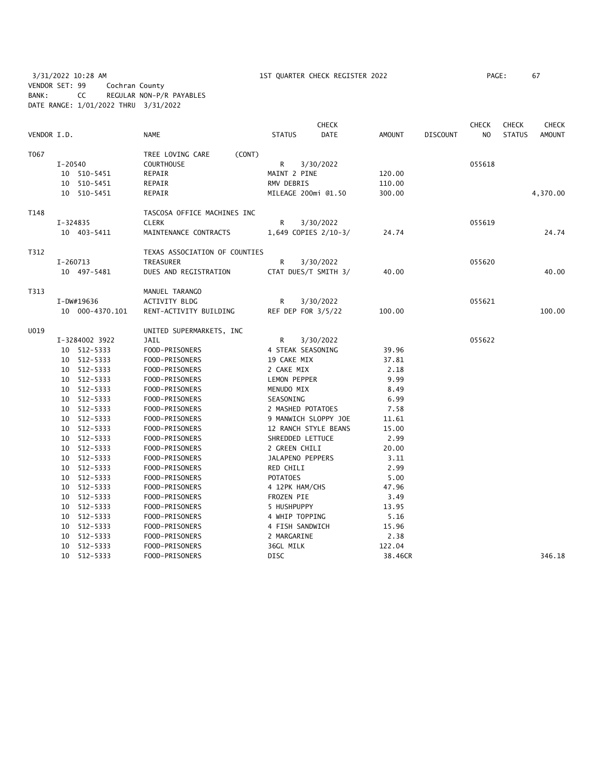3/31/2022 10:28 AM 1ST QUARTER CHECK REGISTER 2022 PAGE: 67 VENDOR SET: 99 Cochran County BANK: CC REGULAR NON-P/R PAYABLES DATE RANGE: 1/01/2022 THRU 3/31/2022

| VENDOR I.D. |              |                 | <b>NAME</b>                   | <b>STATUS</b>       | <b>CHECK</b><br><b>DATE</b> | <b>AMOUNT</b> | <b>DISCOUNT</b> | <b>CHECK</b><br>N <sub>O</sub> | <b>CHECK</b><br><b>STATUS</b> | <b>CHECK</b><br><b>AMOUNT</b> |
|-------------|--------------|-----------------|-------------------------------|---------------------|-----------------------------|---------------|-----------------|--------------------------------|-------------------------------|-------------------------------|
|             |              |                 |                               |                     |                             |               |                 |                                |                               |                               |
| T067        |              |                 | (CONT)<br>TREE LOVING CARE    |                     |                             |               |                 |                                |                               |                               |
|             | I-20540      |                 | <b>COURTHOUSE</b>             | R                   | 3/30/2022                   |               |                 | 055618                         |                               |                               |
|             |              | 10 510-5451     | REPAIR                        | MAINT 2 PINE        |                             | 120.00        |                 |                                |                               |                               |
|             |              | 10 510-5451     | REPAIR                        | RMV DEBRIS          |                             | 110.00        |                 |                                |                               |                               |
|             |              | 10 510-5451     | REPAIR                        | MILEAGE 200mi @1.50 |                             | 300.00        |                 |                                |                               | 4,370.00                      |
| T148        |              |                 | TASCOSA OFFICE MACHINES INC   |                     |                             |               |                 |                                |                               |                               |
|             | $I - 324835$ |                 | <b>CLERK</b>                  | R                   | 3/30/2022                   |               |                 | 055619                         |                               |                               |
|             |              | 10 403-5411     | MAINTENANCE CONTRACTS         |                     | 1,649 COPIES 2/10-3/        | 24.74         |                 |                                |                               | 24.74                         |
| T312        |              |                 | TEXAS ASSOCIATION OF COUNTIES |                     |                             |               |                 |                                |                               |                               |
|             | $I-260713$   |                 | TREASURER                     | R                   | 3/30/2022                   |               |                 | 055620                         |                               |                               |
|             |              | 10 497-5481     | DUES AND REGISTRATION         |                     | CTAT DUES/T SMITH 3/        | 40.00         |                 |                                |                               | 40.00                         |
| T313        |              |                 | MANUEL TARANGO                |                     |                             |               |                 |                                |                               |                               |
|             |              | I-DW#19636      | ACTIVITY BLDG                 | R                   | 3/30/2022                   |               |                 | 055621                         |                               |                               |
|             |              | 10 000-4370.101 | RENT-ACTIVITY BUILDING        | REF DEP FOR 3/5/22  |                             | 100.00        |                 |                                |                               | 100.00                        |
| U019        |              |                 | UNITED SUPERMARKETS, INC      |                     |                             |               |                 |                                |                               |                               |
|             |              | I-3284002 3922  | JAIL                          | R                   | 3/30/2022                   |               |                 | 055622                         |                               |                               |
|             |              | 10 512-5333     | FOOD-PRISONERS                | 4 STEAK SEASONING   |                             | 39.96         |                 |                                |                               |                               |
|             |              | 10 512-5333     | FOOD-PRISONERS                | 19 CAKE MIX         |                             | 37.81         |                 |                                |                               |                               |
|             |              | 10 512-5333     | FOOD-PRISONERS                | 2 CAKE MIX          |                             | 2.18          |                 |                                |                               |                               |
|             |              | 10 512-5333     | FOOD-PRISONERS                | LEMON PEPPER        |                             | 9.99          |                 |                                |                               |                               |
|             |              | 10 512-5333     | FOOD-PRISONERS                | MENUDO MIX          |                             | 8.49          |                 |                                |                               |                               |
|             | 10           | 512-5333        | FOOD-PRISONERS                | SEASONING           |                             | 6.99          |                 |                                |                               |                               |
|             |              | 10 512-5333     | FOOD-PRISONERS                | 2 MASHED POTATOES   |                             | 7.58          |                 |                                |                               |                               |
|             |              | 10 512-5333     | FOOD-PRISONERS                |                     | 9 MANWICH SLOPPY JOE        | 11.61         |                 |                                |                               |                               |
|             | 10           | 512-5333        | FOOD-PRISONERS                |                     | 12 RANCH STYLE BEANS        | 15.00         |                 |                                |                               |                               |
|             |              | 10 512-5333     | FOOD-PRISONERS                | SHREDDED LETTUCE    |                             | 2.99          |                 |                                |                               |                               |
|             | 10           | 512-5333        | FOOD-PRISONERS                | 2 GREEN CHILI       |                             | 20.00         |                 |                                |                               |                               |
|             | 10           | 512-5333        | FOOD-PRISONERS                | JALAPENO PEPPERS    |                             | 3.11          |                 |                                |                               |                               |
|             |              | 10 512-5333     | FOOD-PRISONERS                | RED CHILI           |                             | 2.99          |                 |                                |                               |                               |
|             |              | 10 512-5333     | FOOD-PRISONERS                | <b>POTATOES</b>     |                             | 5.00          |                 |                                |                               |                               |
|             |              | 10 512-5333     | FOOD-PRISONERS                | 4 12PK HAM/CHS      |                             | 47.96         |                 |                                |                               |                               |
|             | 10           | 512-5333        | FOOD-PRISONERS                | FROZEN PIE          |                             | 3.49          |                 |                                |                               |                               |
|             |              | 10 512-5333     | FOOD-PRISONERS                | 5 HUSHPUPPY         |                             | 13.95         |                 |                                |                               |                               |
|             |              | 10 512-5333     | FOOD-PRISONERS                | 4 WHIP TOPPING      |                             | 5.16          |                 |                                |                               |                               |
|             |              | 10 512-5333     | FOOD-PRISONERS                | 4 FISH SANDWICH     |                             | 15.96         |                 |                                |                               |                               |
|             |              | 10 512-5333     | FOOD-PRISONERS                | 2 MARGARINE         |                             | 2.38          |                 |                                |                               |                               |
|             |              | 10 512-5333     | FOOD-PRISONERS                | 36GL MILK           |                             | 122.04        |                 |                                |                               |                               |
|             |              | 10 512-5333     | FOOD-PRISONERS                | <b>DISC</b>         |                             | 38.46CR       |                 |                                |                               | 346.18                        |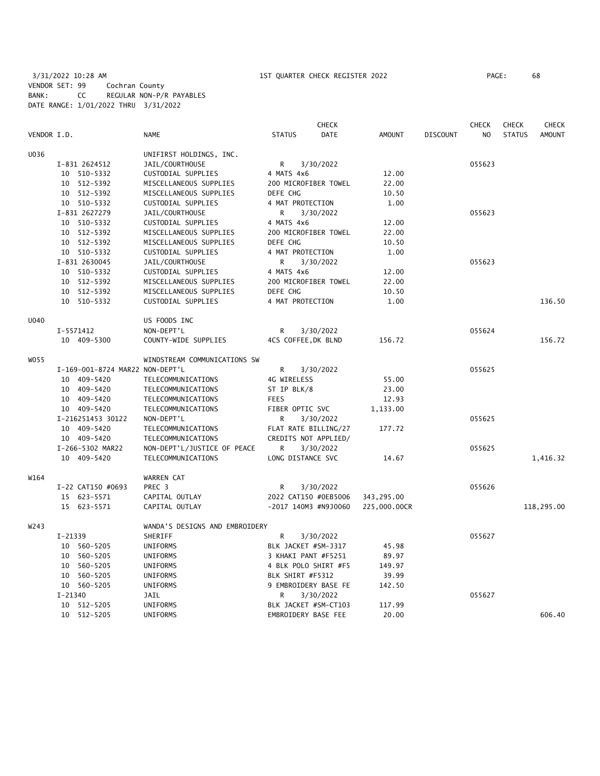3/31/2022 10:28 AM 1ST QUARTER CHECK REGISTER 2022 PAGE: 68 VENDOR SET: 99 Cochran County BANK: CC REGULAR NON-P/R PAYABLES DATE RANGE: 1/01/2022 THRU 3/31/2022

|             |               |                                 |                                |                      | <b>CHECK</b>           |               |                 | <b>CHECK</b> | <b>CHECK</b>  | <b>CHECK</b>  |
|-------------|---------------|---------------------------------|--------------------------------|----------------------|------------------------|---------------|-----------------|--------------|---------------|---------------|
| VENDOR I.D. |               |                                 | <b>NAME</b>                    | <b>STATUS</b>        | <b>DATE</b>            | <b>AMOUNT</b> | <b>DISCOUNT</b> | NO           | <b>STATUS</b> | <b>AMOUNT</b> |
| U036        |               |                                 | UNIFIRST HOLDINGS, INC.        |                      |                        |               |                 |              |               |               |
|             | I-831 2624512 |                                 | JAIL/COURTHOUSE                | R                    | 3/30/2022              |               |                 | 055623       |               |               |
|             | 10 510-5332   |                                 | CUSTODIAL SUPPLIES             | 4 MATS 4x6           |                        | 12.00         |                 |              |               |               |
|             | 10 512-5392   |                                 | MISCELLANEOUS SUPPLIES         |                      | 200 MICROFIBER TOWEL   | 22.00         |                 |              |               |               |
|             | 10 512-5392   |                                 | MISCELLANEOUS SUPPLIES         | DEFE CHG             |                        | 10.50         |                 |              |               |               |
|             | 10 510-5332   |                                 | CUSTODIAL SUPPLIES             | 4 MAT PROTECTION     |                        | 1.00          |                 |              |               |               |
|             | I-831 2627279 |                                 | JAIL/COURTHOUSE                | R                    | 3/30/2022              |               |                 | 055623       |               |               |
|             | 10 510-5332   |                                 | CUSTODIAL SUPPLIES             | 4 MATS 4x6           |                        | 12.00         |                 |              |               |               |
|             | 10 512-5392   |                                 | MISCELLANEOUS SUPPLIES         |                      | 200 MICROFIBER TOWEL   | 22.00         |                 |              |               |               |
|             | 10 512-5392   |                                 | MISCELLANEOUS SUPPLIES         | DEFE CHG             |                        | 10.50         |                 |              |               |               |
|             | 10 510-5332   |                                 | CUSTODIAL SUPPLIES             | 4 MAT PROTECTION     |                        | 1.00          |                 |              |               |               |
|             | I-831 2630045 |                                 | JAIL/COURTHOUSE                | R                    | 3/30/2022              |               |                 | 055623       |               |               |
|             | 10 510-5332   |                                 | CUSTODIAL SUPPLIES             | 4 MATS 4x6           |                        | 12.00         |                 |              |               |               |
|             | 10 512-5392   |                                 | MISCELLANEOUS SUPPLIES         |                      | 200 MICROFIBER TOWEL   | 22.00         |                 |              |               |               |
|             | 10 512-5392   |                                 | MISCELLANEOUS SUPPLIES         | DEFE CHG             |                        | 10.50         |                 |              |               |               |
|             | 10 510-5332   |                                 | CUSTODIAL SUPPLIES             | 4 MAT PROTECTION     |                        | 1.00          |                 |              |               | 136.50        |
| <b>U040</b> |               |                                 | US FOODS INC                   |                      |                        |               |                 |              |               |               |
|             | I-5571412     |                                 | NON-DEPT'L                     | R                    | 3/30/2022              |               |                 | 055624       |               |               |
|             | 10 409-5300   |                                 | COUNTY-WIDE SUPPLIES           | 4CS COFFEE, DK BLND  |                        | 156.72        |                 |              |               | 156.72        |
| W055        |               |                                 | WINDSTREAM COMMUNICATIONS SW   |                      |                        |               |                 |              |               |               |
|             |               | I-169-001-8724 MAR22 NON-DEPT'L |                                | R                    | 3/30/2022              |               |                 | 055625       |               |               |
|             | 10 409-5420   |                                 | TELECOMMUNICATIONS             | 4G WIRELESS          |                        | 55.00         |                 |              |               |               |
|             | 10 409-5420   |                                 | TELECOMMUNICATIONS             | ST IP BLK/8          |                        | 23.00         |                 |              |               |               |
|             | 10 409-5420   |                                 | TELECOMMUNICATIONS             | <b>FEES</b>          |                        | 12.93         |                 |              |               |               |
|             | 10 409-5420   |                                 | TELECOMMUNICATIONS             | FIBER OPTIC SVC      |                        | 1,133.00      |                 |              |               |               |
|             |               | I-216251453 30122               | NON-DEPT'L                     | R                    | 3/30/2022              |               |                 | 055625       |               |               |
|             | 10 409-5420   |                                 | TELECOMMUNICATIONS             |                      | FLAT RATE BILLING/27   | 177.72        |                 |              |               |               |
|             | 10 409-5420   |                                 | TELECOMMUNICATIONS             |                      | CREDITS NOT APPLIED/   |               |                 |              |               |               |
|             |               | I-266-5302 MAR22                | NON-DEPT'L/JUSTICE OF PEACE    | R                    | 3/30/2022              |               |                 | 055625       |               |               |
|             | 10 409-5420   |                                 | TELECOMMUNICATIONS             | LONG DISTANCE SVC    |                        | 14.67         |                 |              |               | 1,416.32      |
| W164        |               |                                 | WARREN CAT                     |                      |                        |               |                 |              |               |               |
|             |               | I-22 CAT150 #0693               | PREC 3                         | R                    | 3/30/2022              |               |                 | 055626       |               |               |
|             | 15            | 623-5571                        | CAPITAL OUTLAY                 |                      | 2022 CAT150 #0EB5006   | 343,295.00    |                 |              |               |               |
|             | 15 623-5571   |                                 | CAPITAL OUTLAY                 |                      | $-2017$ 140M3 #N9J0060 | 225,000.00CR  |                 |              |               | 118,295.00    |
| W243        |               |                                 | WANDA'S DESIGNS AND EMBROIDERY |                      |                        |               |                 |              |               |               |
|             | $I-21339$     |                                 | SHERIFF                        | R                    | 3/30/2022              |               |                 | 055627       |               |               |
|             | 10 560-5205   |                                 | UNIFORMS                       | BLK JACKET #SM-J317  |                        | 45.98         |                 |              |               |               |
|             | 10 560-5205   |                                 | UNIFORMS                       | 3 KHAKI PANT #F5251  |                        | 89.97         |                 |              |               |               |
|             | 10            | 560-5205                        | UNIFORMS                       | 4 BLK POLO SHIRT #F5 |                        | 149.97        |                 |              |               |               |
|             | 10 560-5205   |                                 | UNIFORMS                       | BLK SHIRT #F5312     |                        | 39.99         |                 |              |               |               |
|             | 10 560-5205   |                                 | UNIFORMS                       |                      | 9 EMBROIDERY BASE FE   | 142.50        |                 |              |               |               |
|             | $I - 21340$   |                                 | JAIL                           | R                    | 3/30/2022              |               |                 | 055627       |               |               |
|             | 10 512-5205   |                                 | UNIFORMS                       |                      | BLK JACKET #SM-CT103   | 117.99        |                 |              |               |               |
|             | 10 512-5205   |                                 | UNIFORMS                       | EMBROIDERY BASE FEE  |                        | 20.00         |                 |              |               | 606.40        |
|             |               |                                 |                                |                      |                        |               |                 |              |               |               |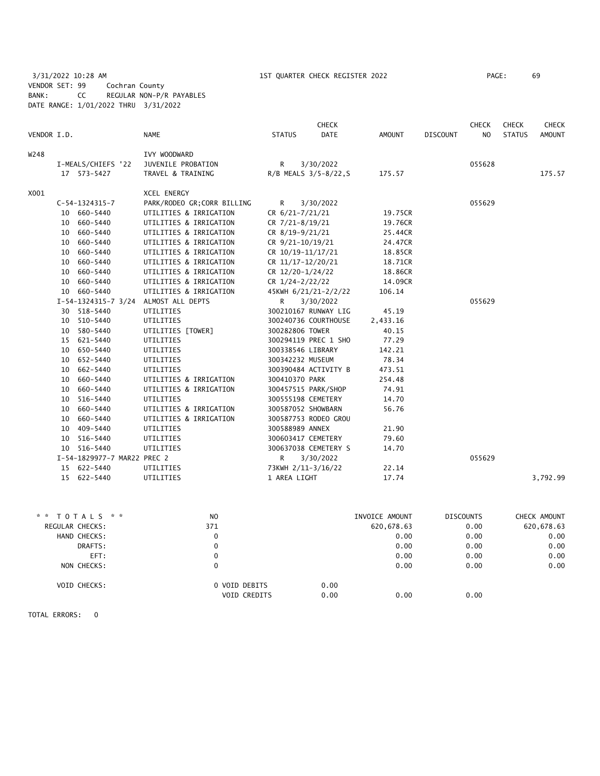3/31/2022 10:28 AM 1ST QUARTER CHECK REGISTER 2022 PAGE: 69 VENDOR SET: 99 Cochran County BANK: CC REGULAR NON-P/R PAYABLES DATE RANGE: 1/01/2022 THRU 3/31/2022

| VENDOR I.D. |                             | <b>NAME</b>                          | <b>STATUS</b>         | CHECK<br><b>DATE</b> | AMOUNT   | <b>DISCOUNT</b> | <b>CHECK</b><br><b>NO</b> | CHECK<br><b>STATUS</b> | CHECK<br><b>AMOUNT</b> |
|-------------|-----------------------------|--------------------------------------|-----------------------|----------------------|----------|-----------------|---------------------------|------------------------|------------------------|
| W248        | I-MEALS/CHIEFS '22          | IVY WOODWARD<br>JUVENILE PROBATION   | R                     | 3/30/2022            |          |                 | 055628                    |                        |                        |
|             | 17 573-5427                 | TRAVEL & TRAINING                    | R/B MEALS 3/5-8/22, S |                      | 175.57   |                 |                           |                        | 175.57                 |
| X001        |                             | XCEL ENERGY                          |                       |                      |          |                 |                           |                        |                        |
|             | $C-54-1324315-7$            | PARK/RODEO GR; CORR BILLING          | R                     | 3/30/2022            |          |                 | 055629                    |                        |                        |
|             | 10 660-5440                 | UTILITIES & IRRIGATION               | CR 6/21-7/21/21       |                      | 19.75CR  |                 |                           |                        |                        |
|             | 10 660-5440                 | UTILITIES & IRRIGATION               | CR 7/21-8/19/21       |                      | 19.76CR  |                 |                           |                        |                        |
|             | 10 660-5440                 | UTILITIES & IRRIGATION               | CR 8/19-9/21/21       |                      | 25.44CR  |                 |                           |                        |                        |
|             | 10 660-5440                 | UTILITIES & IRRIGATION               | CR 9/21-10/19/21      |                      | 24.47CR  |                 |                           |                        |                        |
|             | 10 660-5440                 | UTILITIES & IRRIGATION               | CR 10/19-11/17/21     |                      | 18.85CR  |                 |                           |                        |                        |
|             | 10 660-5440                 | UTILITIES & IRRIGATION               | CR 11/17-12/20/21     |                      | 18.71CR  |                 |                           |                        |                        |
|             | 10 660-5440                 | UTILITIES & IRRIGATION               | CR 12/20-1/24/22      |                      | 18.86CR  |                 |                           |                        |                        |
|             | 10 660-5440                 | UTILITIES & IRRIGATION               | CR 1/24-2/22/22       |                      | 14.09CR  |                 |                           |                        |                        |
|             | 10 660-5440                 | UTILITIES & IRRIGATION               | 45KWH 6/21/21-2/2/22  |                      | 106.14   |                 |                           |                        |                        |
|             |                             | I-54-1324315-7 3/24 ALMOST ALL DEPTS | R.                    | 3/30/2022            |          |                 | 055629                    |                        |                        |
|             | 30 518-5440                 | UTILITIES                            | 300210167 RUNWAY LIG  |                      | 45.19    |                 |                           |                        |                        |
|             | 10 510-5440                 | UTILITIES                            | 300240736 COURTHOUSE  |                      | 2,433.16 |                 |                           |                        |                        |
|             | 10 580-5440                 | UTILITIES [TOWER]                    | 300282806 TOWER       |                      | 40.15    |                 |                           |                        |                        |
|             | 15 621-5440                 | UTILITIES                            | 300294119 PREC 1 SHO  |                      | 77.29    |                 |                           |                        |                        |
|             | 10 650-5440                 | UTILITIES                            | 300338546 LIBRARY     |                      | 142.21   |                 |                           |                        |                        |
|             | 10 652-5440                 | UTILITIES                            | 300342232 MUSEUM      |                      | 78.34    |                 |                           |                        |                        |
|             | 10 662-5440                 | UTILITIES                            | 300390484 ACTIVITY B  |                      | 473.51   |                 |                           |                        |                        |
|             | 10 660-5440                 | UTILITIES & IRRIGATION               | 300410370 PARK        |                      | 254.48   |                 |                           |                        |                        |
|             | 10 660-5440                 | UTILITIES & IRRIGATION               | 300457515 PARK/SHOP   |                      | 74.91    |                 |                           |                        |                        |
|             | 10 516-5440                 | UTILITIES                            | 300555198 CEMETERY    |                      | 14.70    |                 |                           |                        |                        |
|             | 10 660-5440                 | UTILITIES & IRRIGATION               | 300587052 SHOWBARN    |                      | 56.76    |                 |                           |                        |                        |
|             | 10 660-5440                 | UTILITIES & IRRIGATION               | 300587753 RODEO GROU  |                      |          |                 |                           |                        |                        |
|             | 10 409-5440                 | UTILITIES                            | 300588989 ANNEX       |                      | 21.90    |                 |                           |                        |                        |
|             | 10 516-5440                 | UTILITIES                            | 300603417 CEMETERY    |                      | 79.60    |                 |                           |                        |                        |
|             | 10 516-5440                 | UTILITIES                            | 300637038 CEMETERY S  |                      | 14.70    |                 |                           |                        |                        |
|             | I-54-1829977-7 MAR22 PREC 2 |                                      | R.                    | 3/30/2022            |          |                 | 055629                    |                        |                        |
|             | 15 622-5440                 | UTILITIES                            | 73KWH 2/11-3/16/22    |                      | 22.14    |                 |                           |                        |                        |
|             | 15 622-5440                 | UTILITIES                            | 1 AREA LIGHT          |                      | 17.74    |                 |                           |                        | 3,792.99               |
|             |                             |                                      |                       |                      |          |                 |                           |                        |                        |

| * * TOTALS * *      | N <sub>O</sub> | INVOICE AMOUNT | <b>DISCOUNTS</b> | CHECK AMOUNT |
|---------------------|----------------|----------------|------------------|--------------|
| REGULAR CHECKS:     | 371            | 620,678.63     | 0.00             | 620,678.63   |
| HAND CHECKS:        | 0              | 0.00           | 0.00             | 0.00         |
| DRAFTS:             | 0              | 0.00           | 0.00             | 0.00         |
| EFT:                | 0              | 0.00           | 0.00             | 0.00         |
| NON CHECKS:         | 0              | 0.00           | 0.00             | 0.00         |
| <b>VOID CHECKS:</b> | 0 VOID DEBITS  | 0.00           |                  |              |
|                     | VOID CREDITS   | 0.00<br>0.00   | 0.00             |              |
|                     |                |                |                  |              |

TOTAL ERRORS: 0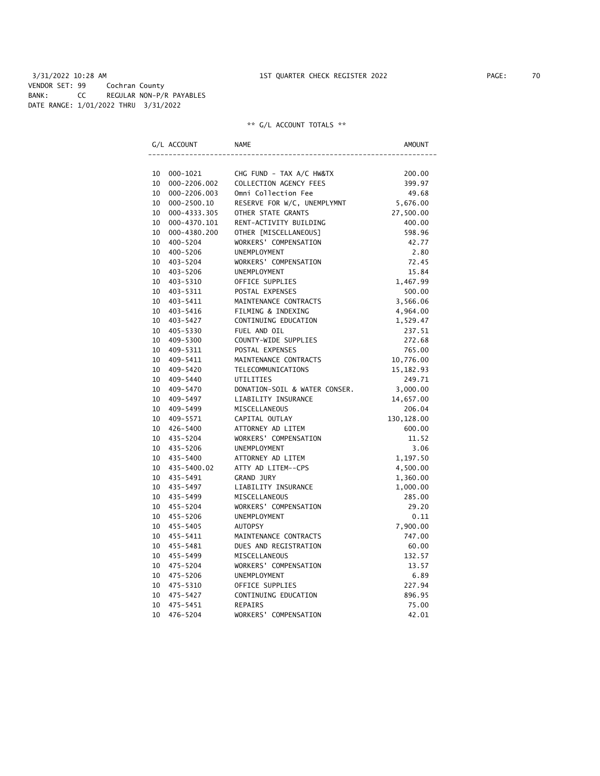3/31/2022 10:28 AM 1ST QUARTER CHECK REGISTER 2022 PAGE: 70 VENDOR SET: 99 Cochran County BANK: CC REGULAR NON-P/R PAYABLES DATE RANGE: 1/01/2022 THRU 3/31/2022

# \*\* G/L ACCOUNT TOTALS \*\*

|    | G/L ACCOUNT    | <b>NAME</b>                   | AMOUNT      |
|----|----------------|-------------------------------|-------------|
|    |                |                               |             |
| 10 | 000-1021       | CHG FUND - TAX A/C HW&TX      | 200.00      |
| 10 | 000-2206.002   | COLLECTION AGENCY FEES        | 399.97      |
| 10 | 000-2206.003   | Omni Collection Fee           | 49.68       |
| 10 | 000-2500.10    | RESERVE FOR W/C, UNEMPLYMNT   | 5,676.00    |
| 10 | 000-4333.305   | OTHER STATE GRANTS            | 27,500.00   |
| 10 | 000-4370.101   | RENT-ACTIVITY BUILDING        | 400.00      |
| 10 | 000-4380.200   | OTHER [MISCELLANEOUS]         | 598.96      |
| 10 | 400-5204       | WORKERS' COMPENSATION         | 42.77       |
| 10 | 400-5206       | UNEMPLOYMENT                  | 2.80        |
| 10 | 403-5204       | WORKERS' COMPENSATION         | 72.45       |
| 10 | 403-5206       | UNEMPLOYMENT                  | 15.84       |
| 10 | 403-5310       | OFFICE SUPPLIES               | 1,467.99    |
| 10 | 403-5311       | POSTAL EXPENSES               | 500.00      |
| 10 | 403-5411       | MAINTENANCE CONTRACTS         | 3,566.06    |
| 10 | 403-5416       | FILMING & INDEXING            | 4,964.00    |
| 10 | 403-5427       | CONTINUING EDUCATION          | 1,529.47    |
| 10 | 405-5330       | FUEL AND OIL                  | 237.51      |
| 10 | 409-5300       | COUNTY-WIDE SUPPLIES          | 272.68      |
| 10 | 409-5311       | POSTAL EXPENSES               | 765.00      |
| 10 | 409-5411       | MAINTENANCE CONTRACTS         | 10,776.00   |
| 10 | 409-5420       | TELECOMMUNICATIONS            | 15, 182.93  |
| 10 | 409-5440       | UTILITIES                     | 249.71      |
| 10 | 409-5470       | DONATION-SOIL & WATER CONSER. | 3,000.00    |
| 10 | 409–5497       | LIABILITY INSURANCE           | 14,657.00   |
| 10 | 409–5499       | MISCELLANEOUS                 | 206.04      |
| 10 | 409-5571       | CAPITAL OUTLAY                | 130, 128.00 |
| 10 | 426-5400       | ATTORNEY AD LITEM             | 600.00      |
| 10 | 435-5204       | WORKERS' COMPENSATION         | 11.52       |
| 10 | 435-5206       | UNEMPLOYMENT                  | 3.06        |
|    | 10 435-5400    | ATTORNEY AD LITEM             | 1,197.50    |
|    | 10 435-5400.02 | ATTY AD LITEM--CPS            | 4,500.00    |
|    | 10 435-5491    | GRAND JURY                    | 1,360.00    |
| 10 | 435–5497       | LIABILITY INSURANCE           | 1,000.00    |
| 10 | 435–5499       | MISCELLANEOUS                 | 285.00      |
| 10 | 455-5204       | WORKERS' COMPENSATION         | 29.20       |
| 10 | 455-5206       | UNEMPLOYMENT                  | 0.11        |
| 10 | 455-5405       | AUTOPSY                       | 7,900.00    |
| 10 | 455-5411       | MAINTENANCE CONTRACTS         | 747.00      |
| 10 | 455-5481       | DUES AND REGISTRATION         | 60.00       |
| 10 | 455-5499       | MISCELLANEOUS                 | 132.57      |
| 10 | 475-5204       | WORKERS' COMPENSATION         | 13.57       |
| 10 | 475-5206       | UNEMPLOYMENT                  | 6.89        |
| 10 | 475-5310       | OFFICE SUPPLIES               | 227.94      |
| 10 | 475-5427       | CONTINUING EDUCATION          | 896.95      |
| 10 | 475-5451       | <b>REPAIRS</b>                | 75.00       |
| 10 | 476-5204       | WORKERS' COMPENSATION         | 42.01       |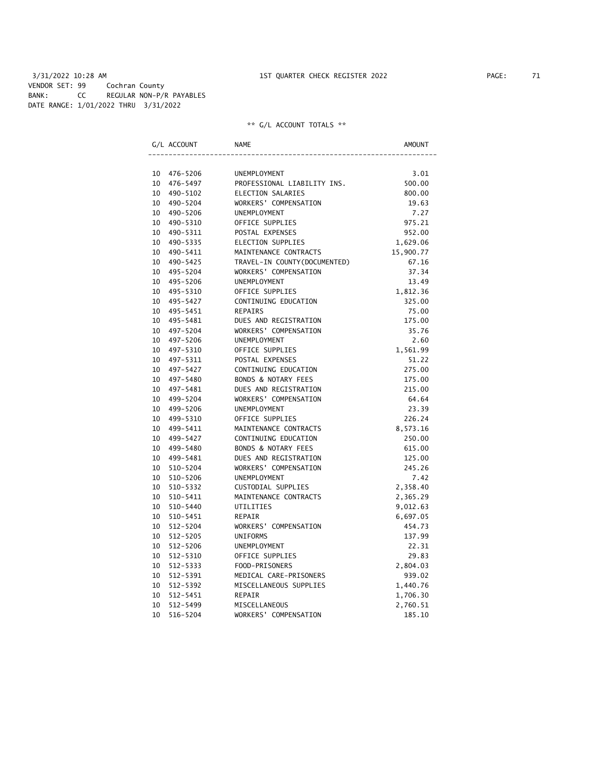3/31/2022 10:28 AM 1ST QUARTER CHECK REGISTER 2022 PAGE: 71 VENDOR SET: 99 Cochran County BANK: CC REGULAR NON-P/R PAYABLES DATE RANGE: 1/01/2022 THRU 3/31/2022

# \*\* G/L ACCOUNT TOTALS \*\*

|          | G/L ACCOUNT          | <b>NAME</b>                            | AMOUNT          |
|----------|----------------------|----------------------------------------|-----------------|
|          |                      |                                        |                 |
| 10       | 476-5206             | <b>UNEMPLOYMENT</b>                    | 3.01            |
| 10       | 476-5497             | PROFESSIONAL LIABILITY INS.            | 500.00          |
| 10       | 490-5102             | ELECTION SALARIES                      | 800.00          |
| 10       | 490-5204             | WORKERS' COMPENSATION                  | 19.63           |
| 10       | 490-5206             | <b>UNEMPLOYMENT</b>                    | 7.27            |
| 10       | 490-5310             | OFFICE SUPPLIES                        | 975.21          |
| 10       | 490-5311             | POSTAL EXPENSES                        | 952.00          |
| 10       | 490-5335             | ELECTION SUPPLIES                      | 1,629.06        |
| 10       | 490-5411             | MAINTENANCE CONTRACTS                  | 15,900.77       |
| 10       | 490-5425             | TRAVEL-IN COUNTY (DOCUMENTED)          | 67.16           |
| 10       | 495-5204             | WORKERS' COMPENSATION                  | 37.34           |
| 10       | 495-5206             | <b>UNEMPLOYMENT</b>                    | 13.49           |
| 10       | 495-5310             | OFFICE SUPPLIES                        | 1,812.36        |
| 10       | 495-5427             | CONTINUING EDUCATION                   | 325.00          |
| 10       | 495-5451             | <b>REPAIRS</b>                         | 75.00           |
| 10       | 495-5481             | DUES AND REGISTRATION                  | 175.00          |
| 10       | 497-5204             | WORKERS' COMPENSATION                  | 35.76           |
| 10       | 497-5206             | <b>UNEMPLOYMENT</b><br>OFFICE SUPPLIES | 2.60            |
| 10       | 497-5310             | POSTAL EXPENSES                        | 1,561.99        |
| 10<br>10 | 497-5311<br>497-5427 | CONTINUING EDUCATION                   | 51.22<br>275.00 |
| 10       | 497-5480             | <b>BONDS &amp; NOTARY FEES</b>         | 175.00          |
| 10       | 497-5481             | DUES AND REGISTRATION                  | 215.00          |
| 10       | 499-5204             | WORKERS' COMPENSATION                  | 64.64           |
| 10       | 499-5206             | UNEMPLOYMENT                           | 23.39           |
| 10       | 499-5310             | OFFICE SUPPLIES                        | 226.24          |
| 10       | 499-5411             | MAINTENANCE CONTRACTS                  | 8,573.16        |
| 10       | 499-5427             | CONTINUING EDUCATION                   | 250.00          |
| 10       | 499-5480             | <b>BONDS &amp; NOTARY FEES</b>         | 615.00          |
| 10       | 499-5481             | DUES AND REGISTRATION                  | 125.00          |
| 10       | 510-5204             | WORKERS' COMPENSATION                  | 245.26          |
| 10       | 510-5206             | UNEMPLOYMENT                           | 7.42            |
| 10       | 510-5332             | CUSTODIAL SUPPLIES                     | 2,358.40        |
| 10       | 510-5411             | MAINTENANCE CONTRACTS                  | 2,365.29        |
| 10       | 510-5440             | UTILITIES                              | 9,012.63        |
| 10       | 510-5451             | REPAIR                                 | 6,697.05        |
| 10       | $512 - 5204$         | WORKERS' COMPENSATION                  | 454.73          |
| 10       | 512-5205             | <b>UNIFORMS</b>                        | 137.99          |
| 10       | 512-5206             | UNEMPLOYMENT                           | 22.31           |
| 10       | 512-5310             | OFFICE SUPPLIES                        | 29.83           |
| 10       | 512-5333             | FOOD-PRISONERS                         | 2,804.03        |
| 10       | 512-5391             | MEDICAL CARE-PRISONERS                 | 939.02          |
| 10       | 512-5392             | MISCELLANEOUS SUPPLIES                 | 1,440.76        |
| 10       | 512-5451             | REPAIR                                 | 1,706.30        |
| 10       | 512-5499             | MISCELLANEOUS                          | 2,760.51        |
| 10       | 516-5204             | WORKERS' COMPENSATION                  | 185.10          |
|          |                      |                                        |                 |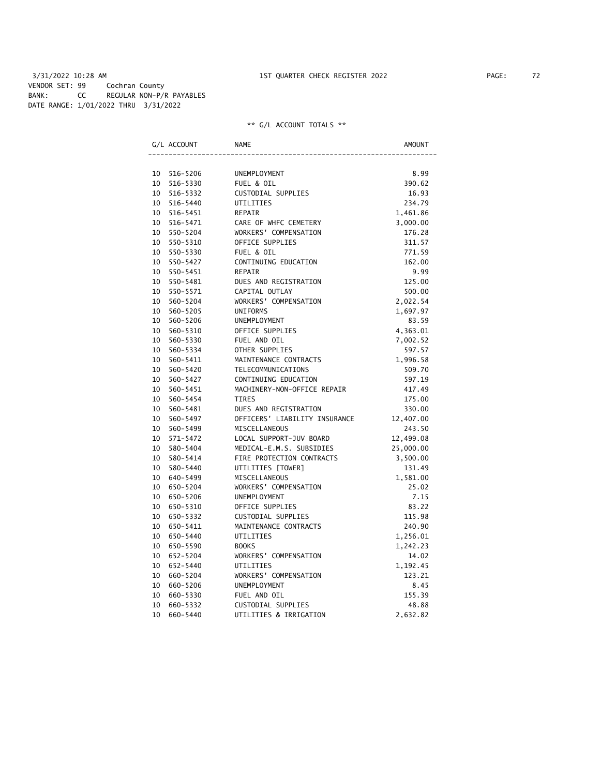# 3/31/2022 10:28 AM 1ST QUARTER CHECK REGISTER 2022 PAGE: 72 VENDOR SET: 99 Cochran County BANK: CC REGULAR NON-P/R PAYABLES DATE RANGE: 1/01/2022 THRU 3/31/2022

# \*\* G/L ACCOUNT TOTALS \*\*

|    | G/L ACCOUNT | <b>NAME</b>                   | <b>AMOUNT</b> |
|----|-------------|-------------------------------|---------------|
|    |             |                               |               |
| 10 | 516-5206    | UNEMPLOYMENT                  | 8.99          |
| 10 | 516-5330    | FUEL & OIL                    | 390.62        |
| 10 | 516-5332    | CUSTODIAL SUPPLIES            | 16.93         |
| 10 | 516-5440    | UTILITIES                     | 234.79        |
| 10 | 516-5451    | <b>REPAIR</b>                 | 1,461.86      |
| 10 | 516-5471    | CARE OF WHFC CEMETERY         | 3,000.00      |
| 10 | 550-5204    | WORKERS' COMPENSATION         | 176.28        |
| 10 | 550-5310    | OFFICE SUPPLIES               | 311.57        |
| 10 | 550-5330    | FUEL & OIL                    | 771.59        |
| 10 | 550-5427    | CONTINUING EDUCATION          | 162.00        |
| 10 | 550-5451    | <b>REPAIR</b>                 | 9.99          |
| 10 | 550-5481    | DUES AND REGISTRATION         | 125.00        |
| 10 | 550-5571    | CAPITAL OUTLAY                | 500.00        |
| 10 | 560-5204    | WORKERS' COMPENSATION         | 2,022.54      |
| 10 | 560-5205    | <b>UNIFORMS</b>               | 1,697.97      |
| 10 | 560-5206    | UNEMPLOYMENT                  | 83.59         |
| 10 | 560-5310    | OFFICE SUPPLIES               | 4,363.01      |
| 10 | 560-5330    | FUEL AND OIL                  | 7,002.52      |
| 10 | 560-5334    | OTHER SUPPLIES                | 597.57        |
| 10 | 560-5411    | MAINTENANCE CONTRACTS         | 1,996.58      |
| 10 | 560-5420    | TELECOMMUNICATIONS            | 509.70        |
| 10 | 560-5427    | CONTINUING EDUCATION          | 597.19        |
| 10 | 560-5451    | MACHINERY-NON-OFFICE REPAIR   | 417.49        |
| 10 | 560-5454    | <b>TIRES</b>                  | 175.00        |
| 10 | 560-5481    | DUES AND REGISTRATION         | 330.00        |
| 10 | 560-5497    | OFFICERS' LIABILITY INSURANCE | 12,407.00     |
| 10 | 560-5499    | MISCELLANEOUS                 | 243.50        |
| 10 | 571-5472    | LOCAL SUPPORT-JUV BOARD       | 12,499.08     |
| 10 | 580-5404    | MEDICAL-E.M.S. SUBSIDIES      | 25,000.00     |
| 10 | 580-5414    | FIRE PROTECTION CONTRACTS     | 3,500.00      |
| 10 | 580-5440    | UTILITIES [TOWER]             | 131.49        |
| 10 | 640-5499    | MISCELLANEOUS                 | 1,581.00      |
| 10 | 650-5204    | WORKERS' COMPENSATION         | 25.02         |
| 10 | 650-5206    | UNEMPLOYMENT                  | 7.15          |
| 10 | 650-5310    | OFFICE SUPPLIES               | 83.22         |
| 10 | 650-5332    | CUSTODIAL SUPPLIES            | 115.98        |
| 10 | 650-5411    | MAINTENANCE CONTRACTS         | 240.90        |
| 10 | 650-5440    | UTILITIES                     | 1,256.01      |
| 10 | 650-5590    | <b>BOOKS</b>                  | 1,242.23      |
| 10 | 652-5204    | WORKERS' COMPENSATION         | 14.02         |
| 10 | 652-5440    | UTILITIES                     | 1,192.45      |
| 10 | 660-5204    | WORKERS' COMPENSATION         | 123.21        |
| 10 | 660-5206    | <b>UNEMPLOYMENT</b>           | 8.45          |
| 10 | 660-5330    | FUEL AND OIL                  | 155.39        |
| 10 | 660-5332    | CUSTODIAL SUPPLIES            | 48.88         |
| 10 | 660-5440    | UTILITIES & IRRIGATION        | 2,632.82      |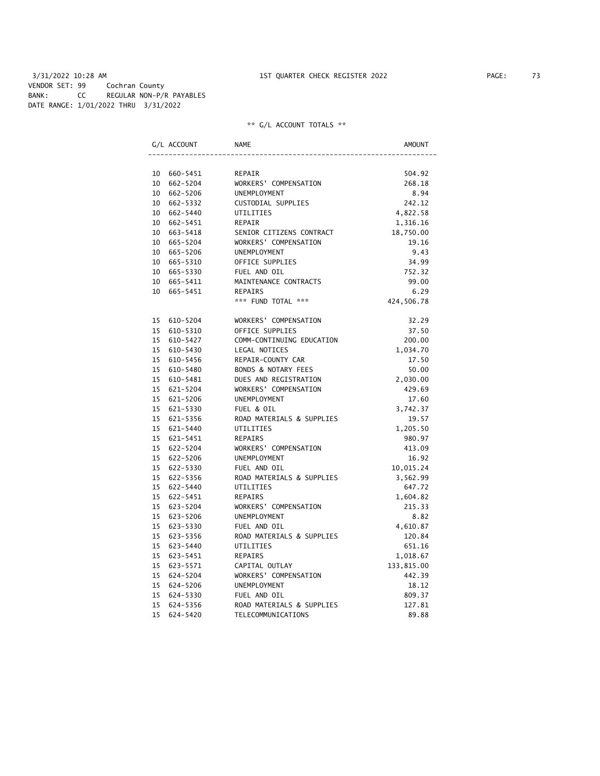|  |  |  | ** G/L ACCOUNT TOTALS ** |  |  |  |
|--|--|--|--------------------------|--|--|--|
|--|--|--|--------------------------|--|--|--|

|                 | G/L ACCOUNT | <b>NAME</b>               | <b>AMOUNT</b> |
|-----------------|-------------|---------------------------|---------------|
|                 |             |                           |               |
|                 | 10 660-5451 | REPAIR                    | 504.92        |
| 10              | 662-5204    | WORKERS' COMPENSATION     | 268.18        |
|                 | 10 662-5206 | UNEMPLOYMENT              | 8.94          |
|                 | 10 662-5332 | CUSTODIAL SUPPLIES        | 242.12        |
|                 | 10 662-5440 | UTILITIES                 | 4,822.58      |
|                 | 10 662-5451 | <b>REPAIR</b>             | 1,316.16      |
|                 | 10 663-5418 | SENIOR CITIZENS CONTRACT  | 18,750.00     |
|                 | 10 665-5204 | WORKERS' COMPENSATION     | 19.16         |
|                 | 10 665-5206 | UNEMPLOYMENT              | 9.43          |
|                 | 10 665-5310 | OFFICE SUPPLIES           | 34.99         |
|                 | 10 665-5330 | FUEL AND OIL              | 752.32        |
|                 | 10 665-5411 | MAINTENANCE CONTRACTS     | 99.00         |
|                 | 10 665-5451 | REPAIRS                   | 6.29          |
|                 |             | *** FUND TOTAL ***        | 424,506.78    |
|                 | 15 610-5204 | WORKERS' COMPENSATION     | 32.29         |
| 15              | 610-5310    | OFFICE SUPPLIES           | 37.50         |
| 15 <sup>7</sup> | 610-5427    | COMM-CONTINUING EDUCATION | 200.00        |
| 15              | 610-5430    | LEGAL NOTICES             | 1,034.70      |
| 15              | 610-5456    | REPAIR-COUNTY CAR         | 17.50         |
| 15              | 610-5480    | BONDS & NOTARY FEES       | 50.00         |
|                 | 15 610-5481 | DUES AND REGISTRATION     | 2,030.00      |
| 15              | 621-5204    | WORKERS' COMPENSATION     | 429.69        |
|                 | 15 621-5206 | UNEMPLOYMENT              | 17.60         |
|                 | 15 621-5330 | FUEL & OIL                | 3,742.37      |
|                 | 15 621-5356 | ROAD MATERIALS & SUPPLIES | 19.57         |
| 15              | 621-5440    | UTILITIES                 | 1,205.50      |
|                 | 15 621-5451 | <b>REPAIRS</b>            | 980.97        |
| 15              | 622-5204    | WORKERS' COMPENSATION     | 413.09        |
|                 | 15 622-5206 | UNEMPLOYMENT              | 16.92         |
|                 | 15 622-5330 | FUEL AND OIL              | 10,015.24     |
|                 | 15 622-5356 | ROAD MATERIALS & SUPPLIES | 3,562.99      |
|                 | 15 622-5440 | UTILITIES                 | 647.72        |
|                 | 15 622-5451 | REPAIRS                   | 1,604.82      |
|                 | 15 623-5204 | WORKERS' COMPENSATION     | 215.33        |
|                 | 15 623-5206 | UNEMPLOYMENT              | 8.82          |
|                 | 15 623-5330 | FUEL AND OIL              | 4,610.87      |
| 15              | 623-5356    | ROAD MATERIALS & SUPPLIES | 120.84        |
| 15              | 623-5440    | UTILITIES                 | 651.16        |
| 15              | 623-5451    | <b>REPAIRS</b>            | 1,018.67      |
| 15              |             | CAPITAL OUTLAY            |               |
| 15              | 623-5571    |                           | 133,815.00    |
|                 | 624-5204    | WORKERS' COMPENSATION     | 442.39        |
| 15              | 624-5206    | UNEMPLOYMENT              | 18.12         |
| 15              | 624-5330    | FUEL AND OIL              | 809.37        |
| 15              | 624-5356    | ROAD MATERIALS & SUPPLIES | 127.81        |
| 15              | 624-5420    | TELECOMMUNICATIONS        | 89.88         |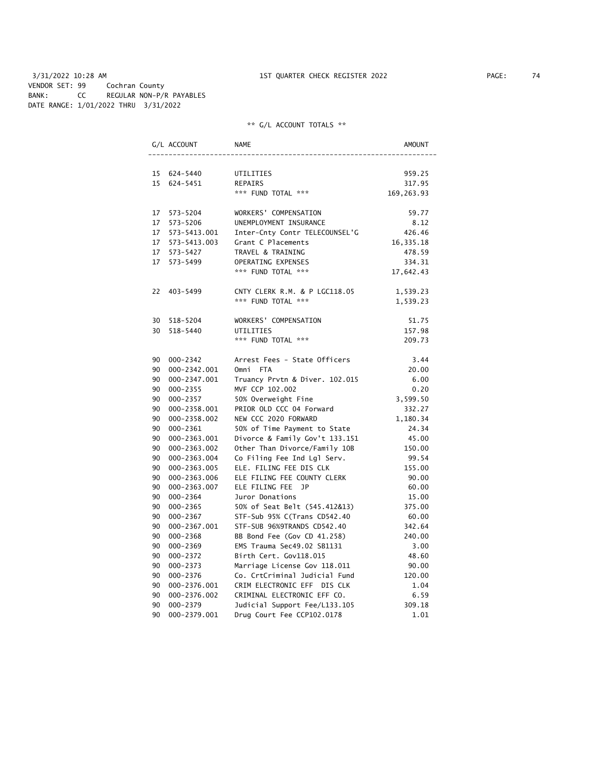3/31/2022 10:28 AM 1ST QUARTER CHECK REGISTER 2022 PAGE: 74 VENDOR SET: 99 Cochran County BANK: CC REGULAR NON-P/R PAYABLES DATE RANGE: 1/01/2022 THRU 3/31/2022

|    | G/L ACCOUNT     | NAME                           | AMOUNT     |
|----|-----------------|--------------------------------|------------|
|    |                 |                                |            |
|    | 15 624-5440     | UTILITIES                      | 959.25     |
|    | 15 624-5451     | REPAIRS                        | 317.95     |
|    |                 | *** FUND TOTAL ***             | 169,263.93 |
|    | 17 573-5204     | WORKERS' COMPENSATION          | 59.77      |
|    | 17 573-5206     | UNEMPLOYMENT INSURANCE         | 8.12       |
|    |                 | Inter-Cnty Contr TELECOUNSEL'G | 426.46     |
|    | 17 573-5413.003 | Grant C Placements             | 16,335.18  |
|    | 17 573-5427     | TRAVEL & TRAINING              | 478.59     |
|    | 17 573-5499     | OPERATING EXPENSES             | 334.31     |
|    |                 | *** FUND TOTAL ***             | 17,642.43  |
|    | 22 403-5499     | CNTY CLERK R.M. & P LGC118.05  | 1,539.23   |
|    |                 | *** FUND TOTAL ***             | 1,539.23   |
|    | 30 518-5204     | WORKERS' COMPENSATION          | 51.75      |
|    | 30 518-5440     | UTILITIES                      | 157.98     |
|    |                 | *** FUND TOTAL ***             | 209.73     |
|    | 90 000-2342     | Arrest Fees - State Officers   | 3.44       |
|    | 90 000-2342.001 | Omni FTA                       | 20.00      |
|    | 90 000-2347.001 | Truancy Prvtn & Diver. 102.015 | 6.00       |
|    | 90 000-2355     | MVF CCP 102.002                | 0.20       |
|    | 90 000-2357     | 50% Overweight Fine            | 3,599.50   |
|    | 90 000-2358.001 | PRIOR OLD CCC 04 Forward       | 332.27     |
|    | 90 000-2358.002 | NEW CCC 2020 FORWARD           | 1,180.34   |
|    | 90 000-2361     | 50% of Time Payment to State   | 24.34      |
|    | 90 000-2363.001 | Divorce & Family Gov't 133.151 | 45.00      |
|    | 90 000-2363.002 | Other Than Divorce/Family 10B  | 150.00     |
|    | 90 000-2363.004 | Co Filing Fee Ind Lgl Serv.    | 99.54      |
|    | 90 000-2363.005 | ELE. FILING FEE DIS CLK        | 155.00     |
|    | 90 000-2363.006 | ELE FILING FEE COUNTY CLERK    | 90.00      |
|    | 90 000-2363.007 | ELE FILING FEE JP              | 60.00      |
|    | 90 000-2364     | Juror Donations                | 15.00      |
|    | 90 000-2365     | 50% of Seat Belt (545.412&13)  | 375.00     |
|    | 90 000-2367     | STF-Sub 95% C(Trans CD542.40   | 60.00      |
| 90 | 000-2367.001    | STF-SUB 96%9TRANDS CD542.40    | 342.64     |
| 90 | 000-2368        | BB Bond Fee (Gov CD 41.258)    | 240.00     |
| 90 | 000-2369        | EMS Trauma Sec49.02 SB1131     | 3.00       |
|    | 90 000-2372     | Birth Cert. Gov118.015         | 48.60      |
|    | 90 000-2373     | Marriage License Gov 118.011   | 90.00      |
|    | 90 000-2376     | Co. CrtCriminal Judicial Fund  | 120.00     |
|    | 90 000-2376.001 | CRIM ELECTRONIC EFF DIS CLK    | 1.04       |
| 90 | 000-2376.002    | CRIMINAL ELECTRONIC EFF CO.    | 6.59       |
| 90 | 000-2379        | Judicial Support Fee/L133.105  | 309.18     |
| 90 | 000-2379.001    | Drug Court Fee CCP102.0178     | 1.01       |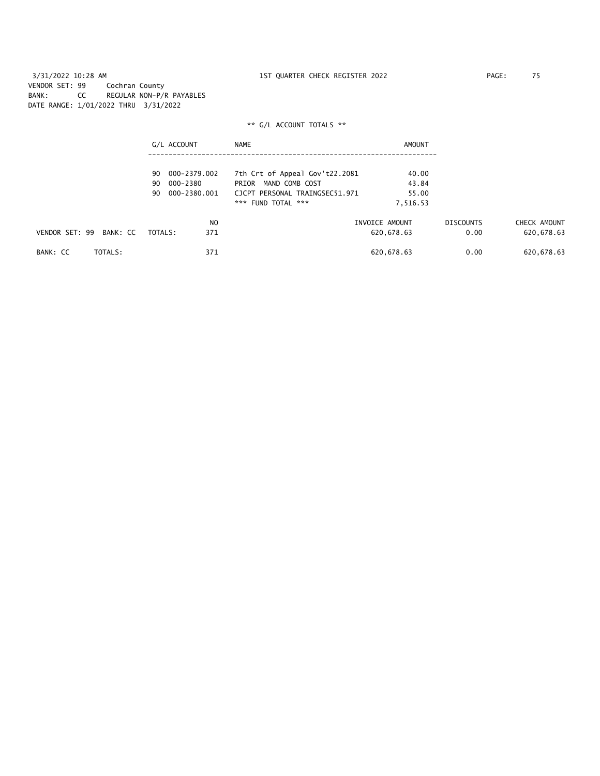3/31/2022 10:28 AM 1ST QUARTER CHECK REGISTER 2022 PAGE: 75 VENDOR SET: 99 Cochran County BANK: CC REGULAR NON-P/R PAYABLES DATE RANGE: 1/01/2022 THRU 3/31/2022

|                            | G/L ACCOUNT                          | NAME                                                      | AMOUNT         |                  |              |
|----------------------------|--------------------------------------|-----------------------------------------------------------|----------------|------------------|--------------|
|                            |                                      |                                                           |                |                  |              |
|                            | 000-2379.002<br>90<br>90<br>000-2380 | 7th Crt of Appeal Gov't22.2081<br>MAND COMB COST<br>PRIOR | 40.00<br>43.84 |                  |              |
|                            | 000-2380.001<br>90                   | CJCPT PERSONAL TRAINGSEC51.971                            | 55.00          |                  |              |
|                            |                                      | *** FUND TOTAL ***                                        | 7,516.53       |                  |              |
|                            | N <sub>O</sub>                       |                                                           | INVOICE AMOUNT | <b>DISCOUNTS</b> | CHECK AMOUNT |
| VENDOR SET: 99<br>BANK: CC | 371<br>TOTALS:                       |                                                           | 620,678.63     | 0.00             | 620,678.63   |
| TOTALS:<br>BANK: CC        | 371                                  |                                                           | 620,678.63     | 0.00             | 620,678.63   |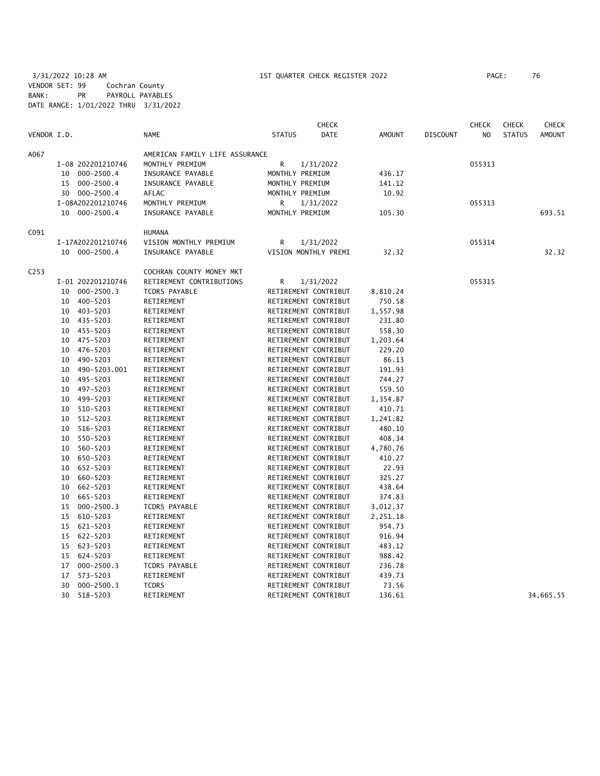3/31/2022 10:28 AM 1ST QUARTER CHECK REGISTER 2022 PAGE: 76 VENDOR SET: 99 Cochran County BANK: PR PAYROLL PAYABLES DATE RANGE: 1/01/2022 THRU 3/31/2022

| <b>DATE</b><br>VENDOR I.D.<br><b>NAME</b><br><b>STATUS</b><br><b>AMOUNT</b><br><b>DISCOUNT</b><br>N <sub>O</sub><br><b>STATUS</b><br>AMERICAN FAMILY LIFE ASSURANCE<br>R<br>I-08 202201210746<br>MONTHLY PREMIUM<br>1/31/2022<br>055313<br>000-2500.4<br>INSURANCE PAYABLE<br>MONTHLY PREMIUM<br>436.17<br>10<br>000-2500.4<br>INSURANCE PAYABLE<br>MONTHLY PREMIUM<br>15<br>141.12<br>30 000-2500.4<br>AFLAC<br>10.92<br>MONTHLY PREMIUM<br>I-08A202201210746<br>MONTHLY PREMIUM<br>R<br>1/31/2022<br>055313<br>10 000-2500.4<br>INSURANCE PAYABLE<br>MONTHLY PREMIUM<br>105.30<br><b>HUMANA</b><br>VISION MONTHLY PREMIUM<br>I-17A202201210746<br>R<br>1/31/2022<br>055314<br>10 000-2500.4<br>INSURANCE PAYABLE<br>VISION MONTHLY PREMI<br>32.32<br>32.32<br>COCHRAN COUNTY MONEY MKT<br>RETIREMENT CONTRIBUTIONS<br>I-01 202201210746<br>R<br>1/31/2022<br>055315<br>000-2500.3<br><b>TCDRS PAYABLE</b><br>RETIREMENT CONTRIBUT<br>10<br>8,810.24<br>400-5203<br>RETIREMENT<br>RETIREMENT CONTRIBUT<br>750.58<br>10<br>403-5203<br>RETIREMENT<br>RETIREMENT CONTRIBUT<br>1,557.98<br>10<br>435-5203<br>RETIREMENT<br>RETIREMENT CONTRIBUT<br>10<br>231.80<br>10 455-5203<br>RETIREMENT<br>RETIREMENT CONTRIBUT<br>558.30<br>475-5203<br>RETIREMENT<br>RETIREMENT CONTRIBUT<br>1,203.64<br>10<br>RETIREMENT CONTRIBUT<br>229.20<br>10<br>476–5203<br>RETIREMENT<br>RETIREMENT CONTRIBUT<br>490-5203<br>RETIREMENT<br>86.13<br>10<br>490-5203.001<br>RETIREMENT<br>RETIREMENT CONTRIBUT<br>191.93<br>10<br>495-5203<br>RETIREMENT CONTRIBUT<br>744.27<br>10<br>RETIREMENT<br>497-5203<br>RETIREMENT CONTRIBUT<br>559.50<br>10<br>RETIREMENT<br>499-5203<br>RETIREMENT<br>RETIREMENT CONTRIBUT<br>1,354.87<br>10<br>10<br>510-5203<br>RETIREMENT<br>RETIREMENT CONTRIBUT<br>410.71<br>512-5203<br>RETIREMENT CONTRIBUT<br>1,241.82<br>10<br>RETIREMENT<br>516-5203<br>RETIREMENT<br>RETIREMENT CONTRIBUT<br>480.10<br>10<br>550-5203<br>RETIREMENT CONTRIBUT<br>10<br>RETIREMENT<br>408.34<br>560-5203<br>RETIREMENT CONTRIBUT<br>10<br>RETIREMENT<br>4,780.76<br>650-5203<br>RETIREMENT CONTRIBUT<br>410.27<br>10<br>RETIREMENT<br>652-5203<br>RETIREMENT CONTRIBUT<br>22.93<br>10<br>RETIREMENT<br>660-5203<br>RETIREMENT CONTRIBUT<br>325.27<br>10<br>RETIREMENT<br>662-5203<br>10<br>RETIREMENT<br>RETIREMENT CONTRIBUT<br>438.64<br>665-5203<br>RETIREMENT<br>RETIREMENT CONTRIBUT<br>374.83<br>10<br>$000 - 2500.3$<br>15<br><b>TCDRS PAYABLE</b><br>RETIREMENT CONTRIBUT<br>3,012.37<br>15<br>610-5203<br>RETIREMENT<br>RETIREMENT CONTRIBUT<br>2,251.18<br>621-5203<br>RETIREMENT<br>RETIREMENT CONTRIBUT<br>954.73<br>15<br>622-5203<br>RETIREMENT CONTRIBUT<br>15<br>RETIREMENT<br>916.94<br>623-5203<br>15<br>RETIREMENT<br>RETIREMENT CONTRIBUT<br>483.12<br>624-5203<br>RETIREMENT<br>RETIREMENT CONTRIBUT<br>988.42<br>15<br>$000 - 2500.3$<br>TCDRS PAYABLE<br>RETIREMENT CONTRIBUT<br>236.78<br>17<br>573-5203<br>RETIREMENT<br>RETIREMENT CONTRIBUT<br>439.73<br>17<br>$000 - 2500.3$<br>RETIREMENT CONTRIBUT<br>30<br><b>TCDRS</b><br>73.56<br>30<br>518-5203<br>RETIREMENT<br>RETIREMENT CONTRIBUT<br>136.61<br>34,665.55 |                  |  |  | <b>CHECK</b> |  | <b>CHECK</b> | <b>CHECK</b> | <b>CHECK</b>  |
|-----------------------------------------------------------------------------------------------------------------------------------------------------------------------------------------------------------------------------------------------------------------------------------------------------------------------------------------------------------------------------------------------------------------------------------------------------------------------------------------------------------------------------------------------------------------------------------------------------------------------------------------------------------------------------------------------------------------------------------------------------------------------------------------------------------------------------------------------------------------------------------------------------------------------------------------------------------------------------------------------------------------------------------------------------------------------------------------------------------------------------------------------------------------------------------------------------------------------------------------------------------------------------------------------------------------------------------------------------------------------------------------------------------------------------------------------------------------------------------------------------------------------------------------------------------------------------------------------------------------------------------------------------------------------------------------------------------------------------------------------------------------------------------------------------------------------------------------------------------------------------------------------------------------------------------------------------------------------------------------------------------------------------------------------------------------------------------------------------------------------------------------------------------------------------------------------------------------------------------------------------------------------------------------------------------------------------------------------------------------------------------------------------------------------------------------------------------------------------------------------------------------------------------------------------------------------------------------------------------------------------------------------------------------------------------------------------------------------------------------------------------------------------------------------------------------------------------------------------------------------------------------------------------------------------------------------------------------------------------------------------------------------------------------------------------------------------------------------------------------------------------------------|------------------|--|--|--------------|--|--------------|--------------|---------------|
|                                                                                                                                                                                                                                                                                                                                                                                                                                                                                                                                                                                                                                                                                                                                                                                                                                                                                                                                                                                                                                                                                                                                                                                                                                                                                                                                                                                                                                                                                                                                                                                                                                                                                                                                                                                                                                                                                                                                                                                                                                                                                                                                                                                                                                                                                                                                                                                                                                                                                                                                                                                                                                                                                                                                                                                                                                                                                                                                                                                                                                                                                                                                               |                  |  |  |              |  |              |              | <b>AMOUNT</b> |
|                                                                                                                                                                                                                                                                                                                                                                                                                                                                                                                                                                                                                                                                                                                                                                                                                                                                                                                                                                                                                                                                                                                                                                                                                                                                                                                                                                                                                                                                                                                                                                                                                                                                                                                                                                                                                                                                                                                                                                                                                                                                                                                                                                                                                                                                                                                                                                                                                                                                                                                                                                                                                                                                                                                                                                                                                                                                                                                                                                                                                                                                                                                                               | A067             |  |  |              |  |              |              |               |
|                                                                                                                                                                                                                                                                                                                                                                                                                                                                                                                                                                                                                                                                                                                                                                                                                                                                                                                                                                                                                                                                                                                                                                                                                                                                                                                                                                                                                                                                                                                                                                                                                                                                                                                                                                                                                                                                                                                                                                                                                                                                                                                                                                                                                                                                                                                                                                                                                                                                                                                                                                                                                                                                                                                                                                                                                                                                                                                                                                                                                                                                                                                                               |                  |  |  |              |  |              |              |               |
|                                                                                                                                                                                                                                                                                                                                                                                                                                                                                                                                                                                                                                                                                                                                                                                                                                                                                                                                                                                                                                                                                                                                                                                                                                                                                                                                                                                                                                                                                                                                                                                                                                                                                                                                                                                                                                                                                                                                                                                                                                                                                                                                                                                                                                                                                                                                                                                                                                                                                                                                                                                                                                                                                                                                                                                                                                                                                                                                                                                                                                                                                                                                               |                  |  |  |              |  |              |              |               |
|                                                                                                                                                                                                                                                                                                                                                                                                                                                                                                                                                                                                                                                                                                                                                                                                                                                                                                                                                                                                                                                                                                                                                                                                                                                                                                                                                                                                                                                                                                                                                                                                                                                                                                                                                                                                                                                                                                                                                                                                                                                                                                                                                                                                                                                                                                                                                                                                                                                                                                                                                                                                                                                                                                                                                                                                                                                                                                                                                                                                                                                                                                                                               |                  |  |  |              |  |              |              |               |
|                                                                                                                                                                                                                                                                                                                                                                                                                                                                                                                                                                                                                                                                                                                                                                                                                                                                                                                                                                                                                                                                                                                                                                                                                                                                                                                                                                                                                                                                                                                                                                                                                                                                                                                                                                                                                                                                                                                                                                                                                                                                                                                                                                                                                                                                                                                                                                                                                                                                                                                                                                                                                                                                                                                                                                                                                                                                                                                                                                                                                                                                                                                                               |                  |  |  |              |  |              |              |               |
|                                                                                                                                                                                                                                                                                                                                                                                                                                                                                                                                                                                                                                                                                                                                                                                                                                                                                                                                                                                                                                                                                                                                                                                                                                                                                                                                                                                                                                                                                                                                                                                                                                                                                                                                                                                                                                                                                                                                                                                                                                                                                                                                                                                                                                                                                                                                                                                                                                                                                                                                                                                                                                                                                                                                                                                                                                                                                                                                                                                                                                                                                                                                               |                  |  |  |              |  |              |              |               |
|                                                                                                                                                                                                                                                                                                                                                                                                                                                                                                                                                                                                                                                                                                                                                                                                                                                                                                                                                                                                                                                                                                                                                                                                                                                                                                                                                                                                                                                                                                                                                                                                                                                                                                                                                                                                                                                                                                                                                                                                                                                                                                                                                                                                                                                                                                                                                                                                                                                                                                                                                                                                                                                                                                                                                                                                                                                                                                                                                                                                                                                                                                                                               |                  |  |  |              |  |              |              | 693.51        |
|                                                                                                                                                                                                                                                                                                                                                                                                                                                                                                                                                                                                                                                                                                                                                                                                                                                                                                                                                                                                                                                                                                                                                                                                                                                                                                                                                                                                                                                                                                                                                                                                                                                                                                                                                                                                                                                                                                                                                                                                                                                                                                                                                                                                                                                                                                                                                                                                                                                                                                                                                                                                                                                                                                                                                                                                                                                                                                                                                                                                                                                                                                                                               | C091             |  |  |              |  |              |              |               |
|                                                                                                                                                                                                                                                                                                                                                                                                                                                                                                                                                                                                                                                                                                                                                                                                                                                                                                                                                                                                                                                                                                                                                                                                                                                                                                                                                                                                                                                                                                                                                                                                                                                                                                                                                                                                                                                                                                                                                                                                                                                                                                                                                                                                                                                                                                                                                                                                                                                                                                                                                                                                                                                                                                                                                                                                                                                                                                                                                                                                                                                                                                                                               |                  |  |  |              |  |              |              |               |
|                                                                                                                                                                                                                                                                                                                                                                                                                                                                                                                                                                                                                                                                                                                                                                                                                                                                                                                                                                                                                                                                                                                                                                                                                                                                                                                                                                                                                                                                                                                                                                                                                                                                                                                                                                                                                                                                                                                                                                                                                                                                                                                                                                                                                                                                                                                                                                                                                                                                                                                                                                                                                                                                                                                                                                                                                                                                                                                                                                                                                                                                                                                                               |                  |  |  |              |  |              |              |               |
|                                                                                                                                                                                                                                                                                                                                                                                                                                                                                                                                                                                                                                                                                                                                                                                                                                                                                                                                                                                                                                                                                                                                                                                                                                                                                                                                                                                                                                                                                                                                                                                                                                                                                                                                                                                                                                                                                                                                                                                                                                                                                                                                                                                                                                                                                                                                                                                                                                                                                                                                                                                                                                                                                                                                                                                                                                                                                                                                                                                                                                                                                                                                               | C <sub>253</sub> |  |  |              |  |              |              |               |
|                                                                                                                                                                                                                                                                                                                                                                                                                                                                                                                                                                                                                                                                                                                                                                                                                                                                                                                                                                                                                                                                                                                                                                                                                                                                                                                                                                                                                                                                                                                                                                                                                                                                                                                                                                                                                                                                                                                                                                                                                                                                                                                                                                                                                                                                                                                                                                                                                                                                                                                                                                                                                                                                                                                                                                                                                                                                                                                                                                                                                                                                                                                                               |                  |  |  |              |  |              |              |               |
|                                                                                                                                                                                                                                                                                                                                                                                                                                                                                                                                                                                                                                                                                                                                                                                                                                                                                                                                                                                                                                                                                                                                                                                                                                                                                                                                                                                                                                                                                                                                                                                                                                                                                                                                                                                                                                                                                                                                                                                                                                                                                                                                                                                                                                                                                                                                                                                                                                                                                                                                                                                                                                                                                                                                                                                                                                                                                                                                                                                                                                                                                                                                               |                  |  |  |              |  |              |              |               |
|                                                                                                                                                                                                                                                                                                                                                                                                                                                                                                                                                                                                                                                                                                                                                                                                                                                                                                                                                                                                                                                                                                                                                                                                                                                                                                                                                                                                                                                                                                                                                                                                                                                                                                                                                                                                                                                                                                                                                                                                                                                                                                                                                                                                                                                                                                                                                                                                                                                                                                                                                                                                                                                                                                                                                                                                                                                                                                                                                                                                                                                                                                                                               |                  |  |  |              |  |              |              |               |
|                                                                                                                                                                                                                                                                                                                                                                                                                                                                                                                                                                                                                                                                                                                                                                                                                                                                                                                                                                                                                                                                                                                                                                                                                                                                                                                                                                                                                                                                                                                                                                                                                                                                                                                                                                                                                                                                                                                                                                                                                                                                                                                                                                                                                                                                                                                                                                                                                                                                                                                                                                                                                                                                                                                                                                                                                                                                                                                                                                                                                                                                                                                                               |                  |  |  |              |  |              |              |               |
|                                                                                                                                                                                                                                                                                                                                                                                                                                                                                                                                                                                                                                                                                                                                                                                                                                                                                                                                                                                                                                                                                                                                                                                                                                                                                                                                                                                                                                                                                                                                                                                                                                                                                                                                                                                                                                                                                                                                                                                                                                                                                                                                                                                                                                                                                                                                                                                                                                                                                                                                                                                                                                                                                                                                                                                                                                                                                                                                                                                                                                                                                                                                               |                  |  |  |              |  |              |              |               |
|                                                                                                                                                                                                                                                                                                                                                                                                                                                                                                                                                                                                                                                                                                                                                                                                                                                                                                                                                                                                                                                                                                                                                                                                                                                                                                                                                                                                                                                                                                                                                                                                                                                                                                                                                                                                                                                                                                                                                                                                                                                                                                                                                                                                                                                                                                                                                                                                                                                                                                                                                                                                                                                                                                                                                                                                                                                                                                                                                                                                                                                                                                                                               |                  |  |  |              |  |              |              |               |
|                                                                                                                                                                                                                                                                                                                                                                                                                                                                                                                                                                                                                                                                                                                                                                                                                                                                                                                                                                                                                                                                                                                                                                                                                                                                                                                                                                                                                                                                                                                                                                                                                                                                                                                                                                                                                                                                                                                                                                                                                                                                                                                                                                                                                                                                                                                                                                                                                                                                                                                                                                                                                                                                                                                                                                                                                                                                                                                                                                                                                                                                                                                                               |                  |  |  |              |  |              |              |               |
|                                                                                                                                                                                                                                                                                                                                                                                                                                                                                                                                                                                                                                                                                                                                                                                                                                                                                                                                                                                                                                                                                                                                                                                                                                                                                                                                                                                                                                                                                                                                                                                                                                                                                                                                                                                                                                                                                                                                                                                                                                                                                                                                                                                                                                                                                                                                                                                                                                                                                                                                                                                                                                                                                                                                                                                                                                                                                                                                                                                                                                                                                                                                               |                  |  |  |              |  |              |              |               |
|                                                                                                                                                                                                                                                                                                                                                                                                                                                                                                                                                                                                                                                                                                                                                                                                                                                                                                                                                                                                                                                                                                                                                                                                                                                                                                                                                                                                                                                                                                                                                                                                                                                                                                                                                                                                                                                                                                                                                                                                                                                                                                                                                                                                                                                                                                                                                                                                                                                                                                                                                                                                                                                                                                                                                                                                                                                                                                                                                                                                                                                                                                                                               |                  |  |  |              |  |              |              |               |
|                                                                                                                                                                                                                                                                                                                                                                                                                                                                                                                                                                                                                                                                                                                                                                                                                                                                                                                                                                                                                                                                                                                                                                                                                                                                                                                                                                                                                                                                                                                                                                                                                                                                                                                                                                                                                                                                                                                                                                                                                                                                                                                                                                                                                                                                                                                                                                                                                                                                                                                                                                                                                                                                                                                                                                                                                                                                                                                                                                                                                                                                                                                                               |                  |  |  |              |  |              |              |               |
|                                                                                                                                                                                                                                                                                                                                                                                                                                                                                                                                                                                                                                                                                                                                                                                                                                                                                                                                                                                                                                                                                                                                                                                                                                                                                                                                                                                                                                                                                                                                                                                                                                                                                                                                                                                                                                                                                                                                                                                                                                                                                                                                                                                                                                                                                                                                                                                                                                                                                                                                                                                                                                                                                                                                                                                                                                                                                                                                                                                                                                                                                                                                               |                  |  |  |              |  |              |              |               |
|                                                                                                                                                                                                                                                                                                                                                                                                                                                                                                                                                                                                                                                                                                                                                                                                                                                                                                                                                                                                                                                                                                                                                                                                                                                                                                                                                                                                                                                                                                                                                                                                                                                                                                                                                                                                                                                                                                                                                                                                                                                                                                                                                                                                                                                                                                                                                                                                                                                                                                                                                                                                                                                                                                                                                                                                                                                                                                                                                                                                                                                                                                                                               |                  |  |  |              |  |              |              |               |
|                                                                                                                                                                                                                                                                                                                                                                                                                                                                                                                                                                                                                                                                                                                                                                                                                                                                                                                                                                                                                                                                                                                                                                                                                                                                                                                                                                                                                                                                                                                                                                                                                                                                                                                                                                                                                                                                                                                                                                                                                                                                                                                                                                                                                                                                                                                                                                                                                                                                                                                                                                                                                                                                                                                                                                                                                                                                                                                                                                                                                                                                                                                                               |                  |  |  |              |  |              |              |               |
|                                                                                                                                                                                                                                                                                                                                                                                                                                                                                                                                                                                                                                                                                                                                                                                                                                                                                                                                                                                                                                                                                                                                                                                                                                                                                                                                                                                                                                                                                                                                                                                                                                                                                                                                                                                                                                                                                                                                                                                                                                                                                                                                                                                                                                                                                                                                                                                                                                                                                                                                                                                                                                                                                                                                                                                                                                                                                                                                                                                                                                                                                                                                               |                  |  |  |              |  |              |              |               |
|                                                                                                                                                                                                                                                                                                                                                                                                                                                                                                                                                                                                                                                                                                                                                                                                                                                                                                                                                                                                                                                                                                                                                                                                                                                                                                                                                                                                                                                                                                                                                                                                                                                                                                                                                                                                                                                                                                                                                                                                                                                                                                                                                                                                                                                                                                                                                                                                                                                                                                                                                                                                                                                                                                                                                                                                                                                                                                                                                                                                                                                                                                                                               |                  |  |  |              |  |              |              |               |
|                                                                                                                                                                                                                                                                                                                                                                                                                                                                                                                                                                                                                                                                                                                                                                                                                                                                                                                                                                                                                                                                                                                                                                                                                                                                                                                                                                                                                                                                                                                                                                                                                                                                                                                                                                                                                                                                                                                                                                                                                                                                                                                                                                                                                                                                                                                                                                                                                                                                                                                                                                                                                                                                                                                                                                                                                                                                                                                                                                                                                                                                                                                                               |                  |  |  |              |  |              |              |               |
|                                                                                                                                                                                                                                                                                                                                                                                                                                                                                                                                                                                                                                                                                                                                                                                                                                                                                                                                                                                                                                                                                                                                                                                                                                                                                                                                                                                                                                                                                                                                                                                                                                                                                                                                                                                                                                                                                                                                                                                                                                                                                                                                                                                                                                                                                                                                                                                                                                                                                                                                                                                                                                                                                                                                                                                                                                                                                                                                                                                                                                                                                                                                               |                  |  |  |              |  |              |              |               |
|                                                                                                                                                                                                                                                                                                                                                                                                                                                                                                                                                                                                                                                                                                                                                                                                                                                                                                                                                                                                                                                                                                                                                                                                                                                                                                                                                                                                                                                                                                                                                                                                                                                                                                                                                                                                                                                                                                                                                                                                                                                                                                                                                                                                                                                                                                                                                                                                                                                                                                                                                                                                                                                                                                                                                                                                                                                                                                                                                                                                                                                                                                                                               |                  |  |  |              |  |              |              |               |
|                                                                                                                                                                                                                                                                                                                                                                                                                                                                                                                                                                                                                                                                                                                                                                                                                                                                                                                                                                                                                                                                                                                                                                                                                                                                                                                                                                                                                                                                                                                                                                                                                                                                                                                                                                                                                                                                                                                                                                                                                                                                                                                                                                                                                                                                                                                                                                                                                                                                                                                                                                                                                                                                                                                                                                                                                                                                                                                                                                                                                                                                                                                                               |                  |  |  |              |  |              |              |               |
|                                                                                                                                                                                                                                                                                                                                                                                                                                                                                                                                                                                                                                                                                                                                                                                                                                                                                                                                                                                                                                                                                                                                                                                                                                                                                                                                                                                                                                                                                                                                                                                                                                                                                                                                                                                                                                                                                                                                                                                                                                                                                                                                                                                                                                                                                                                                                                                                                                                                                                                                                                                                                                                                                                                                                                                                                                                                                                                                                                                                                                                                                                                                               |                  |  |  |              |  |              |              |               |
|                                                                                                                                                                                                                                                                                                                                                                                                                                                                                                                                                                                                                                                                                                                                                                                                                                                                                                                                                                                                                                                                                                                                                                                                                                                                                                                                                                                                                                                                                                                                                                                                                                                                                                                                                                                                                                                                                                                                                                                                                                                                                                                                                                                                                                                                                                                                                                                                                                                                                                                                                                                                                                                                                                                                                                                                                                                                                                                                                                                                                                                                                                                                               |                  |  |  |              |  |              |              |               |
|                                                                                                                                                                                                                                                                                                                                                                                                                                                                                                                                                                                                                                                                                                                                                                                                                                                                                                                                                                                                                                                                                                                                                                                                                                                                                                                                                                                                                                                                                                                                                                                                                                                                                                                                                                                                                                                                                                                                                                                                                                                                                                                                                                                                                                                                                                                                                                                                                                                                                                                                                                                                                                                                                                                                                                                                                                                                                                                                                                                                                                                                                                                                               |                  |  |  |              |  |              |              |               |
|                                                                                                                                                                                                                                                                                                                                                                                                                                                                                                                                                                                                                                                                                                                                                                                                                                                                                                                                                                                                                                                                                                                                                                                                                                                                                                                                                                                                                                                                                                                                                                                                                                                                                                                                                                                                                                                                                                                                                                                                                                                                                                                                                                                                                                                                                                                                                                                                                                                                                                                                                                                                                                                                                                                                                                                                                                                                                                                                                                                                                                                                                                                                               |                  |  |  |              |  |              |              |               |
|                                                                                                                                                                                                                                                                                                                                                                                                                                                                                                                                                                                                                                                                                                                                                                                                                                                                                                                                                                                                                                                                                                                                                                                                                                                                                                                                                                                                                                                                                                                                                                                                                                                                                                                                                                                                                                                                                                                                                                                                                                                                                                                                                                                                                                                                                                                                                                                                                                                                                                                                                                                                                                                                                                                                                                                                                                                                                                                                                                                                                                                                                                                                               |                  |  |  |              |  |              |              |               |
|                                                                                                                                                                                                                                                                                                                                                                                                                                                                                                                                                                                                                                                                                                                                                                                                                                                                                                                                                                                                                                                                                                                                                                                                                                                                                                                                                                                                                                                                                                                                                                                                                                                                                                                                                                                                                                                                                                                                                                                                                                                                                                                                                                                                                                                                                                                                                                                                                                                                                                                                                                                                                                                                                                                                                                                                                                                                                                                                                                                                                                                                                                                                               |                  |  |  |              |  |              |              |               |
|                                                                                                                                                                                                                                                                                                                                                                                                                                                                                                                                                                                                                                                                                                                                                                                                                                                                                                                                                                                                                                                                                                                                                                                                                                                                                                                                                                                                                                                                                                                                                                                                                                                                                                                                                                                                                                                                                                                                                                                                                                                                                                                                                                                                                                                                                                                                                                                                                                                                                                                                                                                                                                                                                                                                                                                                                                                                                                                                                                                                                                                                                                                                               |                  |  |  |              |  |              |              |               |
|                                                                                                                                                                                                                                                                                                                                                                                                                                                                                                                                                                                                                                                                                                                                                                                                                                                                                                                                                                                                                                                                                                                                                                                                                                                                                                                                                                                                                                                                                                                                                                                                                                                                                                                                                                                                                                                                                                                                                                                                                                                                                                                                                                                                                                                                                                                                                                                                                                                                                                                                                                                                                                                                                                                                                                                                                                                                                                                                                                                                                                                                                                                                               |                  |  |  |              |  |              |              |               |
|                                                                                                                                                                                                                                                                                                                                                                                                                                                                                                                                                                                                                                                                                                                                                                                                                                                                                                                                                                                                                                                                                                                                                                                                                                                                                                                                                                                                                                                                                                                                                                                                                                                                                                                                                                                                                                                                                                                                                                                                                                                                                                                                                                                                                                                                                                                                                                                                                                                                                                                                                                                                                                                                                                                                                                                                                                                                                                                                                                                                                                                                                                                                               |                  |  |  |              |  |              |              |               |
|                                                                                                                                                                                                                                                                                                                                                                                                                                                                                                                                                                                                                                                                                                                                                                                                                                                                                                                                                                                                                                                                                                                                                                                                                                                                                                                                                                                                                                                                                                                                                                                                                                                                                                                                                                                                                                                                                                                                                                                                                                                                                                                                                                                                                                                                                                                                                                                                                                                                                                                                                                                                                                                                                                                                                                                                                                                                                                                                                                                                                                                                                                                                               |                  |  |  |              |  |              |              |               |
|                                                                                                                                                                                                                                                                                                                                                                                                                                                                                                                                                                                                                                                                                                                                                                                                                                                                                                                                                                                                                                                                                                                                                                                                                                                                                                                                                                                                                                                                                                                                                                                                                                                                                                                                                                                                                                                                                                                                                                                                                                                                                                                                                                                                                                                                                                                                                                                                                                                                                                                                                                                                                                                                                                                                                                                                                                                                                                                                                                                                                                                                                                                                               |                  |  |  |              |  |              |              |               |
|                                                                                                                                                                                                                                                                                                                                                                                                                                                                                                                                                                                                                                                                                                                                                                                                                                                                                                                                                                                                                                                                                                                                                                                                                                                                                                                                                                                                                                                                                                                                                                                                                                                                                                                                                                                                                                                                                                                                                                                                                                                                                                                                                                                                                                                                                                                                                                                                                                                                                                                                                                                                                                                                                                                                                                                                                                                                                                                                                                                                                                                                                                                                               |                  |  |  |              |  |              |              |               |
|                                                                                                                                                                                                                                                                                                                                                                                                                                                                                                                                                                                                                                                                                                                                                                                                                                                                                                                                                                                                                                                                                                                                                                                                                                                                                                                                                                                                                                                                                                                                                                                                                                                                                                                                                                                                                                                                                                                                                                                                                                                                                                                                                                                                                                                                                                                                                                                                                                                                                                                                                                                                                                                                                                                                                                                                                                                                                                                                                                                                                                                                                                                                               |                  |  |  |              |  |              |              |               |
|                                                                                                                                                                                                                                                                                                                                                                                                                                                                                                                                                                                                                                                                                                                                                                                                                                                                                                                                                                                                                                                                                                                                                                                                                                                                                                                                                                                                                                                                                                                                                                                                                                                                                                                                                                                                                                                                                                                                                                                                                                                                                                                                                                                                                                                                                                                                                                                                                                                                                                                                                                                                                                                                                                                                                                                                                                                                                                                                                                                                                                                                                                                                               |                  |  |  |              |  |              |              |               |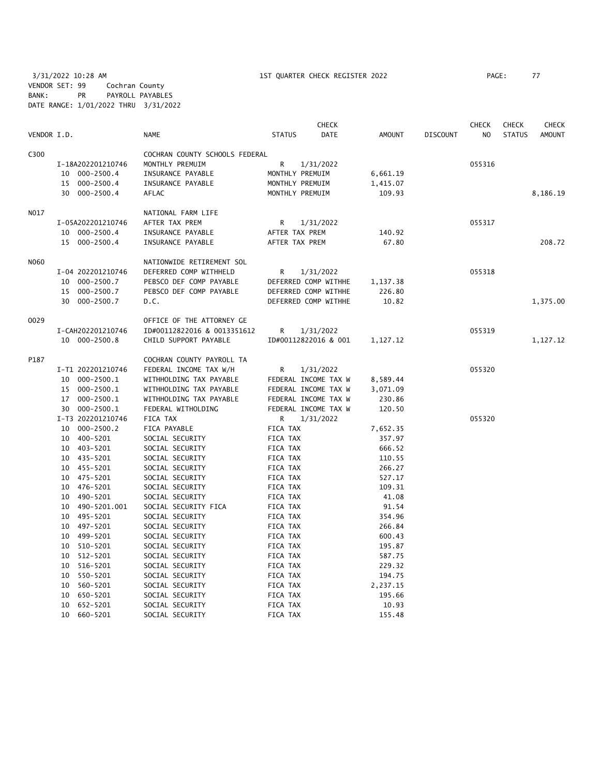3/31/2022 10:28 AM 1ST QUARTER CHECK REGISTER 2022 PAGE: 77 VENDOR SET: 99 Cochran County BANK: PR PAYROLL PAYABLES DATE RANGE: 1/01/2022 THRU 3/31/2022

|             |                                    |                                                   | <b>CHECK</b>                                 |                      |                 | <b>CHECK</b>   | <b>CHECK</b>  | CHECK         |
|-------------|------------------------------------|---------------------------------------------------|----------------------------------------------|----------------------|-----------------|----------------|---------------|---------------|
| VENDOR I.D. |                                    | <b>NAME</b>                                       | <b>STATUS</b><br>DATE                        | <b>AMOUNT</b>        | <b>DISCOUNT</b> | N <sub>O</sub> | <b>STATUS</b> | <b>AMOUNT</b> |
| C300        |                                    | COCHRAN COUNTY SCHOOLS FEDERAL                    |                                              |                      |                 |                |               |               |
|             | I-18A202201210746                  | MONTHLY PREMUIM                                   | R<br>1/31/2022                               |                      |                 | 055316         |               |               |
|             | 10 000-2500.4                      | INSURANCE PAYABLE                                 | MONTHLY PREMUIM                              | 6,661.19             |                 |                |               |               |
|             | 000-2500.4<br>15                   | INSURANCE PAYABLE                                 | MONTHLY PREMUIM                              | 1,415.07             |                 |                |               |               |
|             | 30 000-2500.4                      | AFLAC                                             | MONTHLY PREMUIM                              | 109.93               |                 |                |               | 8,186.19      |
|             |                                    |                                                   |                                              |                      |                 |                |               |               |
| N017        |                                    | NATIONAL FARM LIFE<br>AFTER TAX PREM              |                                              |                      |                 | 055317         |               |               |
|             | I-05A202201210746                  |                                                   | R<br>1/31/2022                               |                      |                 |                |               |               |
|             | 10 000-2500.4<br>15 000-2500.4     | INSURANCE PAYABLE<br>INSURANCE PAYABLE            | AFTER TAX PREM<br>AFTER TAX PREM             | 140.92<br>67.80      |                 |                |               | 208.72        |
|             |                                    |                                                   |                                              |                      |                 |                |               |               |
| <b>NO60</b> |                                    | NATIONWIDE RETIREMENT SOL                         |                                              |                      |                 |                |               |               |
|             | I-04 202201210746                  | DEFERRED COMP WITHHELD                            | R<br>1/31/2022                               |                      |                 | 055318         |               |               |
|             | 10 000-2500.7                      | PEBSCO DEF COMP PAYABLE                           | DEFERRED COMP WITHHE                         | 1,137.38             |                 |                |               |               |
|             | 15<br>000-2500.7                   | PEBSCO DEF COMP PAYABLE                           | DEFERRED COMP WITHHE                         | 226.80               |                 |                |               |               |
|             | 30<br>000-2500.7                   | D.C.                                              | DEFERRED COMP WITHHE                         | 10.82                |                 |                |               | 1,375.00      |
| 0029        |                                    | OFFICE OF THE ATTORNEY GE                         |                                              |                      |                 |                |               |               |
|             | I-CAH202201210746                  | ID#00112822016 & 0013351612                       | R<br>1/31/2022                               |                      |                 | 055319         |               |               |
|             | 10 000-2500.8                      | CHILD SUPPORT PAYABLE                             | ID#00112822016 & 001                         | 1,127.12             |                 |                |               | 1,127.12      |
| P187        |                                    |                                                   |                                              |                      |                 |                |               |               |
|             |                                    | COCHRAN COUNTY PAYROLL TA                         |                                              |                      |                 | 055320         |               |               |
|             | I-T1 202201210746<br>10 000-2500.1 | FEDERAL INCOME TAX W/H<br>WITHHOLDING TAX PAYABLE | 1/31/2022<br>R                               |                      |                 |                |               |               |
|             | 15 000-2500.1                      | WITHHOLDING TAX PAYABLE                           | FEDERAL INCOME TAX W<br>FEDERAL INCOME TAX W | 8,589.44<br>3,071.09 |                 |                |               |               |
|             | 17 000-2500.1                      | WITHHOLDING TAX PAYABLE                           | FEDERAL INCOME TAX W                         | 230.86               |                 |                |               |               |
|             | 30 000-2500.1                      | FEDERAL WITHOLDING                                | FEDERAL INCOME TAX W                         | 120.50               |                 |                |               |               |
|             | I-T3 202201210746                  | FICA TAX                                          | R<br>1/31/2022                               |                      |                 | 055320         |               |               |
|             | 10 000-2500.2                      | FICA PAYABLE                                      | FICA TAX                                     | 7,652.35             |                 |                |               |               |
|             | 10 400-5201                        | SOCIAL SECURITY                                   | FICA TAX                                     | 357.97               |                 |                |               |               |
|             | 10 403-5201                        | SOCIAL SECURITY                                   | FICA TAX                                     | 666.52               |                 |                |               |               |
|             | 10 435-5201                        | SOCIAL SECURITY                                   | FICA TAX                                     | 110.55               |                 |                |               |               |
|             | 455-5201<br>10                     | SOCIAL SECURITY                                   | FICA TAX                                     | 266.27               |                 |                |               |               |
|             | 475-5201<br>10                     | SOCIAL SECURITY                                   | FICA TAX                                     | 527.17               |                 |                |               |               |
|             | 476-5201<br>10                     | SOCIAL SECURITY                                   | FICA TAX                                     | 109.31               |                 |                |               |               |
|             | 490-5201<br>10                     | SOCIAL SECURITY                                   | FICA TAX                                     | 41.08                |                 |                |               |               |
|             | 490-5201.001<br>10                 | SOCIAL SECURITY FICA                              | FICA TAX                                     | 91.54                |                 |                |               |               |
|             | 10 495-5201                        | SOCIAL SECURITY                                   | FICA TAX                                     | 354.96               |                 |                |               |               |
|             | 497-5201<br>10                     | SOCIAL SECURITY                                   | FICA TAX                                     | 266.84               |                 |                |               |               |
|             | 499-5201<br>10                     | SOCIAL SECURITY                                   | FICA TAX                                     | 600.43               |                 |                |               |               |
|             | 510-5201<br>10                     | SOCIAL SECURITY                                   | FICA TAX                                     | 195.87               |                 |                |               |               |
|             | 512-5201<br>10                     | SOCIAL SECURITY                                   | FICA TAX                                     | 587.75               |                 |                |               |               |
|             | 516-5201<br>10                     | SOCIAL SECURITY                                   | FICA TAX                                     | 229.32               |                 |                |               |               |
|             | 10<br>550-5201                     | SOCIAL SECURITY                                   | FICA TAX                                     | 194.75               |                 |                |               |               |
|             | 10<br>560-5201                     | SOCIAL SECURITY                                   | FICA TAX                                     | 2,237.15             |                 |                |               |               |
|             | 650-5201<br>10                     | SOCIAL SECURITY                                   | FICA TAX                                     | 195.66               |                 |                |               |               |
|             | 652-5201<br>10                     | SOCIAL SECURITY                                   | FICA TAX                                     | 10.93                |                 |                |               |               |
|             | 10<br>660-5201                     | SOCIAL SECURITY                                   | <b>FICA TAX</b>                              | 155.48               |                 |                |               |               |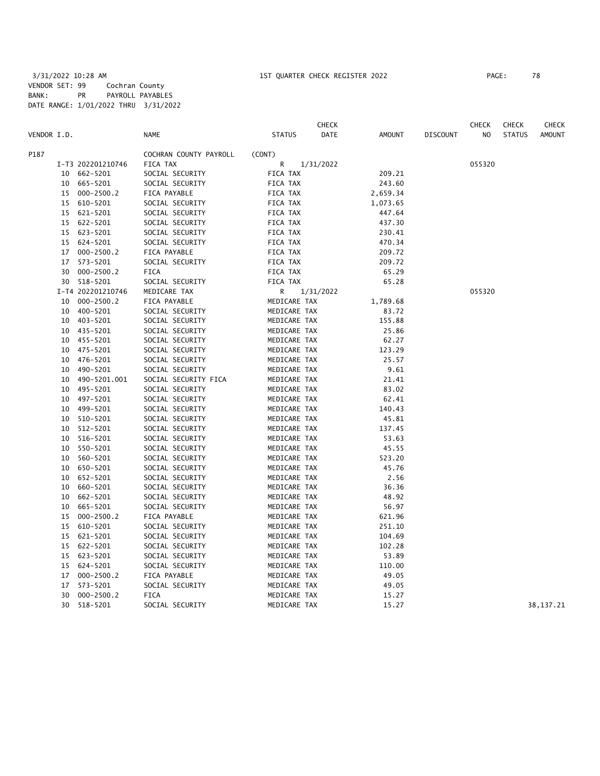| VENDOR I.D. |    |                   | <b>NAME</b>                        | <b>STATUS</b> | <b>CHECK</b><br><b>DATE</b> | <b>AMOUNT</b> | <b>DISCOUNT</b> | <b>CHECK</b><br>NO | <b>CHECK</b><br><b>STATUS</b> | CHECK<br><b>AMOUNT</b> |
|-------------|----|-------------------|------------------------------------|---------------|-----------------------------|---------------|-----------------|--------------------|-------------------------------|------------------------|
| P187        |    |                   |                                    |               |                             |               |                 |                    |                               |                        |
|             |    | I-T3 202201210746 | COCHRAN COUNTY PAYROLL<br>FICA TAX | (CONT)<br>R   | 1/31/2022                   |               |                 | 055320             |                               |                        |
|             | 10 | 662-5201          | SOCIAL SECURITY                    | FICA TAX      |                             | 209.21        |                 |                    |                               |                        |
|             | 10 | 665-5201          | SOCIAL SECURITY                    | FICA TAX      |                             | 243.60        |                 |                    |                               |                        |
|             | 15 | $000 - 2500.2$    | FICA PAYABLE                       | FICA TAX      |                             | 2,659.34      |                 |                    |                               |                        |
|             | 15 | 610-5201          | SOCIAL SECURITY                    | FICA TAX      |                             | 1,073.65      |                 |                    |                               |                        |
|             | 15 | 621-5201          | SOCIAL SECURITY                    | FICA TAX      |                             | 447.64        |                 |                    |                               |                        |
|             | 15 | 622-5201          | SOCIAL SECURITY                    | FICA TAX      |                             | 437.30        |                 |                    |                               |                        |
|             | 15 | 623-5201          | SOCIAL SECURITY                    | FICA TAX      |                             | 230.41        |                 |                    |                               |                        |
|             | 15 | 624-5201          | SOCIAL SECURITY                    | FICA TAX      |                             | 470.34        |                 |                    |                               |                        |
|             | 17 | $000 - 2500.2$    | FICA PAYABLE                       | FICA TAX      |                             | 209.72        |                 |                    |                               |                        |
|             | 17 | 573-5201          | SOCIAL SECURITY                    | FICA TAX      |                             | 209.72        |                 |                    |                               |                        |
|             | 30 | $000 - 2500.2$    | <b>FICA</b>                        | FICA TAX      |                             | 65.29         |                 |                    |                               |                        |
|             |    | 30 518-5201       | SOCIAL SECURITY                    | FICA TAX      |                             | 65.28         |                 |                    |                               |                        |
|             |    | I-T4 202201210746 |                                    |               |                             |               |                 | 055320             |                               |                        |
|             |    |                   | MEDICARE TAX                       | R             | 1/31/2022                   |               |                 |                    |                               |                        |
|             | 10 | $000 - 2500.2$    | FICA PAYABLE                       | MEDICARE TAX  |                             | 1,789.68      |                 |                    |                               |                        |
|             | 10 | 400-5201          | SOCIAL SECURITY                    | MEDICARE TAX  |                             | 83.72         |                 |                    |                               |                        |
|             | 10 | 403-5201          | SOCIAL SECURITY                    | MEDICARE TAX  |                             | 155.88        |                 |                    |                               |                        |
|             | 10 | 435-5201          | SOCIAL SECURITY                    | MEDICARE TAX  |                             | 25.86         |                 |                    |                               |                        |
|             |    | 10 455-5201       | SOCIAL SECURITY                    | MEDICARE TAX  |                             | 62.27         |                 |                    |                               |                        |
|             | 10 | 475-5201          | SOCIAL SECURITY                    | MEDICARE TAX  |                             | 123.29        |                 |                    |                               |                        |
|             | 10 | 476-5201          | SOCIAL SECURITY                    | MEDICARE TAX  |                             | 25.57         |                 |                    |                               |                        |
|             | 10 | 490-5201          | SOCIAL SECURITY                    | MEDICARE TAX  |                             | 9.61          |                 |                    |                               |                        |
|             | 10 | 490-5201.001      | SOCIAL SECURITY FICA               | MEDICARE TAX  |                             | 21.41         |                 |                    |                               |                        |
|             | 10 | 495-5201          | SOCIAL SECURITY                    | MEDICARE TAX  |                             | 83.02         |                 |                    |                               |                        |
|             | 10 | 497-5201          | SOCIAL SECURITY                    | MEDICARE TAX  |                             | 62.41         |                 |                    |                               |                        |
|             | 10 | 499-5201          | SOCIAL SECURITY                    | MEDICARE TAX  |                             | 140.43        |                 |                    |                               |                        |
|             | 10 | 510-5201          | SOCIAL SECURITY                    | MEDICARE TAX  |                             | 45.81         |                 |                    |                               |                        |
|             | 10 | 512-5201          | SOCIAL SECURITY                    | MEDICARE TAX  |                             | 137.45        |                 |                    |                               |                        |
|             | 10 | 516-5201          | SOCIAL SECURITY                    | MEDICARE TAX  |                             | 53.63         |                 |                    |                               |                        |
|             | 10 | 550-5201          | SOCIAL SECURITY                    | MEDICARE TAX  |                             | 45.55         |                 |                    |                               |                        |
|             | 10 | 560-5201          | SOCIAL SECURITY                    | MEDICARE TAX  |                             | 523.20        |                 |                    |                               |                        |
|             | 10 | 650-5201          | SOCIAL SECURITY                    | MEDICARE TAX  |                             | 45.76         |                 |                    |                               |                        |
|             | 10 | 652-5201          | SOCIAL SECURITY                    | MEDICARE TAX  |                             | 2.56          |                 |                    |                               |                        |
|             | 10 | 660-5201          | SOCIAL SECURITY                    | MEDICARE TAX  |                             | 36.36         |                 |                    |                               |                        |
|             | 10 | 662-5201          | SOCIAL SECURITY                    | MEDICARE TAX  |                             | 48.92         |                 |                    |                               |                        |
|             | 10 | 665-5201          | SOCIAL SECURITY                    | MEDICARE TAX  |                             | 56.97         |                 |                    |                               |                        |
|             | 15 | $000 - 2500.2$    | FICA PAYABLE                       | MEDICARE TAX  |                             | 621.96        |                 |                    |                               |                        |
|             | 15 | 610-5201          | SOCIAL SECURITY                    | MEDICARE TAX  |                             | 251.10        |                 |                    |                               |                        |
|             | 15 | 621-5201          | SOCIAL SECURITY                    | MEDICARE TAX  |                             | 104.69        |                 |                    |                               |                        |
|             | 15 | 622-5201          | SOCIAL SECURITY                    | MEDICARE TAX  |                             | 102.28        |                 |                    |                               |                        |
|             | 15 | 623-5201          | SOCIAL SECURITY                    | MEDICARE TAX  |                             | 53.89         |                 |                    |                               |                        |
|             | 15 | 624-5201          | SOCIAL SECURITY                    | MEDICARE TAX  |                             | 110.00        |                 |                    |                               |                        |
|             | 17 | $000 - 2500.2$    | FICA PAYABLE                       | MEDICARE TAX  |                             | 49.05         |                 |                    |                               |                        |
|             | 17 | 573-5201          | SOCIAL SECURITY                    | MEDICARE TAX  |                             | 49.05         |                 |                    |                               |                        |
|             | 30 | $000 - 2500.2$    | <b>FICA</b>                        | MEDICARE TAX  |                             | 15.27         |                 |                    |                               |                        |
|             | 30 | 518-5201          | SOCIAL SECURITY                    | MEDICARE TAX  |                             | 15.27         |                 |                    |                               | 38, 137. 21            |
|             |    |                   |                                    |               |                             |               |                 |                    |                               |                        |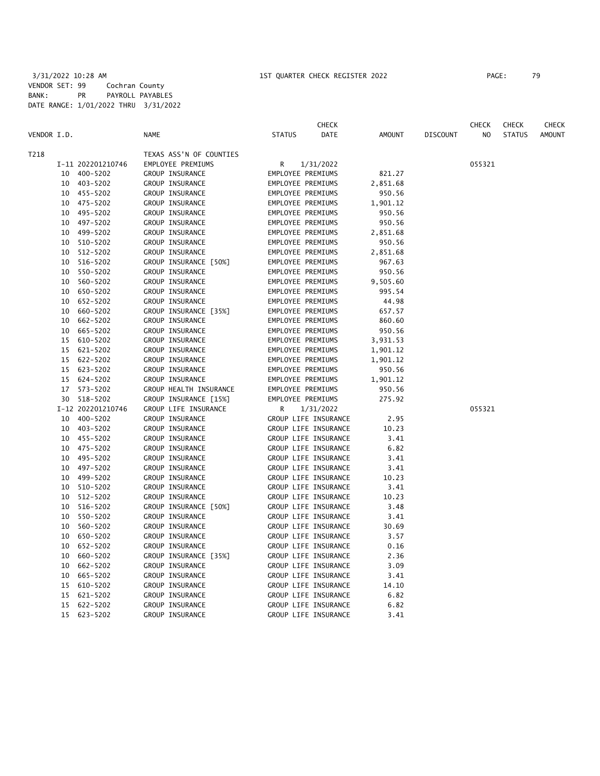|             |    |                   |                         |                   | CHECK                |          |                 | <b>CHECK</b>   | <b>CHECK</b>  | CHECK         |
|-------------|----|-------------------|-------------------------|-------------------|----------------------|----------|-----------------|----------------|---------------|---------------|
| VENDOR I.D. |    |                   | <b>NAME</b>             | <b>STATUS</b>     | DATE                 | AMOUNT   | <b>DISCOUNT</b> | N <sub>O</sub> | <b>STATUS</b> | <b>AMOUNT</b> |
| T218        |    |                   | TEXAS ASS'N OF COUNTIES |                   |                      |          |                 |                |               |               |
|             |    | I-11 202201210746 | EMPLOYEE PREMIUMS       | R                 | 1/31/2022            |          |                 | 055321         |               |               |
|             |    | 10 400-5202       | GROUP INSURANCE         | EMPLOYEE PREMIUMS |                      | 821.27   |                 |                |               |               |
|             | 10 | 403-5202          | GROUP INSURANCE         | EMPLOYEE PREMIUMS |                      | 2,851.68 |                 |                |               |               |
|             |    | 10 455-5202       | GROUP INSURANCE         | EMPLOYEE PREMIUMS |                      | 950.56   |                 |                |               |               |
|             |    | 10 475-5202       | GROUP INSURANCE         | EMPLOYEE PREMIUMS |                      | 1,901.12 |                 |                |               |               |
|             |    | 10 495-5202       | GROUP INSURANCE         | EMPLOYEE PREMIUMS |                      | 950.56   |                 |                |               |               |
|             |    | 10 497-5202       | GROUP INSURANCE         | EMPLOYEE PREMIUMS |                      | 950.56   |                 |                |               |               |
|             |    | 10 499-5202       | GROUP INSURANCE         | EMPLOYEE PREMIUMS |                      | 2,851.68 |                 |                |               |               |
|             | 10 | 510-5202          | GROUP INSURANCE         | EMPLOYEE PREMIUMS |                      | 950.56   |                 |                |               |               |
|             | 10 | 512-5202          | GROUP INSURANCE         | EMPLOYEE PREMIUMS |                      | 2,851.68 |                 |                |               |               |
|             | 10 | 516-5202          | GROUP INSURANCE [50%]   | EMPLOYEE PREMIUMS |                      | 967.63   |                 |                |               |               |
|             | 10 | 550-5202          | GROUP INSURANCE         | EMPLOYEE PREMIUMS |                      | 950.56   |                 |                |               |               |
|             | 10 | 560-5202          | GROUP INSURANCE         | EMPLOYEE PREMIUMS |                      | 9,505.60 |                 |                |               |               |
|             |    | 10 650-5202       | GROUP INSURANCE         | EMPLOYEE PREMIUMS |                      | 995.54   |                 |                |               |               |
|             | 10 | 652-5202          | GROUP INSURANCE         | EMPLOYEE PREMIUMS |                      | 44.98    |                 |                |               |               |
|             | 10 | 660-5202          | GROUP INSURANCE [35%]   | EMPLOYEE PREMIUMS |                      | 657.57   |                 |                |               |               |
|             | 10 | 662-5202          | GROUP INSURANCE         | EMPLOYEE PREMIUMS |                      | 860.60   |                 |                |               |               |
|             | 10 | 665-5202          | GROUP INSURANCE         | EMPLOYEE PREMIUMS |                      | 950.56   |                 |                |               |               |
|             | 15 | 610-5202          | GROUP INSURANCE         | EMPLOYEE PREMIUMS |                      | 3,931.53 |                 |                |               |               |
|             | 15 | 621-5202          | GROUP INSURANCE         | EMPLOYEE PREMIUMS |                      | 1,901.12 |                 |                |               |               |
|             | 15 | 622-5202          | GROUP INSURANCE         | EMPLOYEE PREMIUMS |                      | 1,901.12 |                 |                |               |               |
|             | 15 | 623-5202          | GROUP INSURANCE         | EMPLOYEE PREMIUMS |                      | 950.56   |                 |                |               |               |
|             |    | 15 624-5202       | GROUP INSURANCE         | EMPLOYEE PREMIUMS |                      | 1,901.12 |                 |                |               |               |
|             |    | 17 573-5202       | GROUP HEALTH INSURANCE  | EMPLOYEE PREMIUMS |                      | 950.56   |                 |                |               |               |
|             |    | 30 518-5202       | GROUP INSURANCE [15%]   | EMPLOYEE PREMIUMS |                      | 275.92   |                 |                |               |               |
|             |    | I-12 202201210746 | GROUP LIFE INSURANCE    | R                 | 1/31/2022            |          |                 | 055321         |               |               |
|             |    | 10 400-5202       | GROUP INSURANCE         |                   | GROUP LIFE INSURANCE | 2.95     |                 |                |               |               |
|             |    | 10 403-5202       | GROUP INSURANCE         |                   | GROUP LIFE INSURANCE | 10.23    |                 |                |               |               |
|             |    | 10 455-5202       | GROUP INSURANCE         |                   | GROUP LIFE INSURANCE | 3.41     |                 |                |               |               |
|             |    | 10 475-5202       | GROUP INSURANCE         |                   | GROUP LIFE INSURANCE | 6.82     |                 |                |               |               |
|             |    | 10 495-5202       | GROUP INSURANCE         |                   | GROUP LIFE INSURANCE | 3.41     |                 |                |               |               |
|             | 10 | 497-5202          | GROUP INSURANCE         |                   | GROUP LIFE INSURANCE | 3.41     |                 |                |               |               |
|             | 10 | 499-5202          | GROUP INSURANCE         |                   | GROUP LIFE INSURANCE | 10.23    |                 |                |               |               |
|             | 10 | 510-5202          | GROUP INSURANCE         |                   | GROUP LIFE INSURANCE | 3.41     |                 |                |               |               |
|             | 10 | 512-5202          | GROUP INSURANCE         |                   | GROUP LIFE INSURANCE | 10.23    |                 |                |               |               |
|             | 10 | 516-5202          | GROUP INSURANCE [50%]   |                   | GROUP LIFE INSURANCE | 3.48     |                 |                |               |               |
|             |    | 10 550-5202       | GROUP INSURANCE         |                   | GROUP LIFE INSURANCE | 3.41     |                 |                |               |               |
|             | 10 | 560-5202          | GROUP INSURANCE         |                   | GROUP LIFE INSURANCE | 30.69    |                 |                |               |               |
|             | 10 | 650-5202          | GROUP INSURANCE         |                   | GROUP LIFE INSURANCE | 3.57     |                 |                |               |               |
|             | 10 | 652-5202          | GROUP INSURANCE         |                   | GROUP LIFE INSURANCE | 0.16     |                 |                |               |               |
|             | 10 | 660-5202          | GROUP INSURANCE [35%]   |                   | GROUP LIFE INSURANCE | 2.36     |                 |                |               |               |
|             | 10 | 662-5202          | GROUP INSURANCE         |                   | GROUP LIFE INSURANCE | 3.09     |                 |                |               |               |
|             | 10 | 665-5202          | GROUP INSURANCE         |                   | GROUP LIFE INSURANCE | 3.41     |                 |                |               |               |
|             | 15 | 610-5202          | GROUP INSURANCE         |                   | GROUP LIFE INSURANCE | 14.10    |                 |                |               |               |
|             | 15 | 621-5202          | GROUP INSURANCE         |                   | GROUP LIFE INSURANCE | 6.82     |                 |                |               |               |
|             | 15 | 622-5202          | GROUP INSURANCE         |                   | GROUP LIFE INSURANCE | 6.82     |                 |                |               |               |
|             |    | 15 623-5202       | GROUP INSURANCE         |                   | GROUP LIFE INSURANCE | 3.41     |                 |                |               |               |
|             |    |                   |                         |                   |                      |          |                 |                |               |               |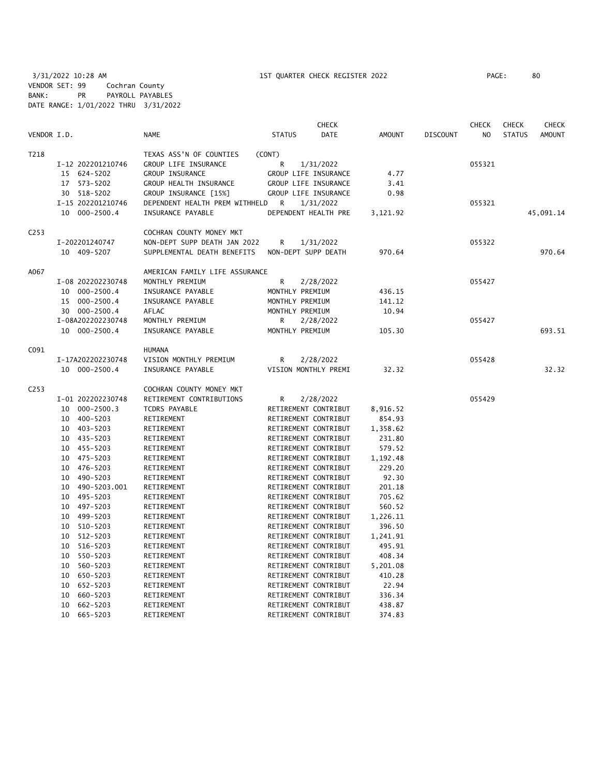3/31/2022 10:28 AM 1ST QUARTER CHECK REGISTER 2022 PAGE: 80 VENDOR SET: 99 Cochran County BANK: PR PAYROLL PAYABLES DATE RANGE: 1/01/2022 THRU 3/31/2022

|                  |                      |                                |                      | <b>CHECK</b> |               |                 | <b>CHECK</b>   | <b>CHECK</b>  | <b>CHECK</b>  |
|------------------|----------------------|--------------------------------|----------------------|--------------|---------------|-----------------|----------------|---------------|---------------|
| VENDOR I.D.      |                      | <b>NAME</b>                    | <b>STATUS</b>        | DATE         | <b>AMOUNT</b> | <b>DISCOUNT</b> | N <sub>O</sub> | <b>STATUS</b> | <b>AMOUNT</b> |
| T218             |                      | TEXAS ASS'N OF COUNTIES        | (CONT)               |              |               |                 |                |               |               |
|                  | I-12 202201210746    | GROUP LIFE INSURANCE           | R                    | 1/31/2022    |               |                 | 055321         |               |               |
|                  | 15 624-5202          | GROUP INSURANCE                | GROUP LIFE INSURANCE |              | 4.77          |                 |                |               |               |
|                  | 573-5202<br>17       | GROUP HEALTH INSURANCE         | GROUP LIFE INSURANCE |              | 3.41          |                 |                |               |               |
|                  | 30 518-5202          | GROUP INSURANCE [15%]          | GROUP LIFE INSURANCE |              | 0.98          |                 |                |               |               |
|                  | I-15 202201210746    | DEPENDENT HEALTH PREM WITHHELD | R                    | 1/31/2022    |               |                 | 055321         |               |               |
|                  | $000 - 2500.4$<br>10 | INSURANCE PAYABLE              | DEPENDENT HEALTH PRE |              | 3,121.92      |                 |                |               | 45,091.14     |
| C <sub>253</sub> |                      | COCHRAN COUNTY MONEY MKT       |                      |              |               |                 |                |               |               |
|                  | I-202201240747       | NON-DEPT SUPP DEATH JAN 2022   | R                    | 1/31/2022    |               |                 | 055322         |               |               |
|                  | 10 409-5207          | SUPPLEMENTAL DEATH BENEFITS    | NON-DEPT SUPP DEATH  |              | 970.64        |                 |                |               | 970.64        |
| A067             |                      | AMERICAN FAMILY LIFE ASSURANCE |                      |              |               |                 |                |               |               |
|                  | I-08 202202230748    | MONTHLY PREMIUM                | R                    | 2/28/2022    |               |                 | 055427         |               |               |
|                  | $000 - 2500.4$<br>10 | INSURANCE PAYABLE              | MONTHLY PREMIUM      |              | 436.15        |                 |                |               |               |
|                  | 15 000-2500.4        | INSURANCE PAYABLE              | MONTHLY PREMIUM      |              | 141.12        |                 |                |               |               |
|                  | 30 000-2500.4        | AFLAC                          | MONTHLY PREMIUM      |              | 10.94         |                 |                |               |               |
|                  | I-08A202202230748    | MONTHLY PREMIUM                | R                    | 2/28/2022    |               |                 | 055427         |               |               |
|                  | 10 000-2500.4        | INSURANCE PAYABLE              | MONTHLY PREMIUM      |              | 105.30        |                 |                |               | 693.51        |
|                  |                      |                                |                      |              |               |                 |                |               |               |
| C091             |                      | <b>HUMANA</b>                  |                      |              |               |                 |                |               |               |
|                  | I-17A202202230748    | VISION MONTHLY PREMIUM         | R                    | 2/28/2022    |               |                 | 055428         |               |               |
|                  | 10 000-2500.4        | INSURANCE PAYABLE              | VISION MONTHLY PREMI |              | 32.32         |                 |                |               | 32.32         |
| C <sub>253</sub> |                      | COCHRAN COUNTY MONEY MKT       |                      |              |               |                 |                |               |               |
|                  | I-01 202202230748    | RETIREMENT CONTRIBUTIONS       | R                    | 2/28/2022    |               |                 | 055429         |               |               |
|                  | $000 - 2500.3$<br>10 | TCDRS PAYABLE                  | RETIREMENT CONTRIBUT |              | 8,916.52      |                 |                |               |               |
|                  | 400-5203<br>10       | RETIREMENT                     | RETIREMENT CONTRIBUT |              | 854.93        |                 |                |               |               |
|                  | 10 403-5203          | RETIREMENT                     | RETIREMENT CONTRIBUT |              | 1,358.62      |                 |                |               |               |
|                  | 10 435-5203          | RETIREMENT                     | RETIREMENT CONTRIBUT |              | 231.80        |                 |                |               |               |
|                  | 10 455-5203          | RETIREMENT                     | RETIREMENT CONTRIBUT |              | 579.52        |                 |                |               |               |
|                  | 10 475-5203          | RETIREMENT                     | RETIREMENT CONTRIBUT |              | 1,192.48      |                 |                |               |               |
|                  | 476-5203<br>10       | RETIREMENT                     | RETIREMENT CONTRIBUT |              | 229.20        |                 |                |               |               |
|                  | 490-5203<br>10       | RETIREMENT                     | RETIREMENT CONTRIBUT |              | 92.30         |                 |                |               |               |
|                  | 490-5203.001<br>10   | RETIREMENT                     | RETIREMENT CONTRIBUT |              | 201.18        |                 |                |               |               |
|                  | 495-5203<br>10       | RETIREMENT                     | RETIREMENT CONTRIBUT |              | 705.62        |                 |                |               |               |
|                  | 497-5203<br>10       | RETIREMENT                     | RETIREMENT CONTRIBUT |              | 560.52        |                 |                |               |               |
|                  | 499-5203<br>10       | RETIREMENT                     | RETIREMENT CONTRIBUT |              | 1,226.11      |                 |                |               |               |
|                  | 510-5203<br>10       | RETIREMENT                     | RETIREMENT CONTRIBUT |              | 396.50        |                 |                |               |               |
|                  | 512-5203<br>10       | RETIREMENT                     | RETIREMENT CONTRIBUT |              | 1,241.91      |                 |                |               |               |
|                  | 516-5203<br>10       | RETIREMENT                     | RETIREMENT CONTRIBUT |              | 495.91        |                 |                |               |               |
|                  | 550-5203<br>10       | RETIREMENT                     | RETIREMENT CONTRIBUT |              | 408.34        |                 |                |               |               |
|                  | 560-5203<br>10       | RETIREMENT                     | RETIREMENT CONTRIBUT |              | 5,201.08      |                 |                |               |               |
|                  | 650-5203<br>10       | RETIREMENT                     | RETIREMENT CONTRIBUT |              | 410.28        |                 |                |               |               |
|                  | 10<br>652-5203       | RETIREMENT                     | RETIREMENT CONTRIBUT |              | 22.94         |                 |                |               |               |
|                  | 660-5203<br>10       | RETIREMENT                     | RETIREMENT CONTRIBUT |              | 336.34        |                 |                |               |               |
|                  | 662-5203<br>10       | RETIREMENT                     | RETIREMENT CONTRIBUT |              | 438.87        |                 |                |               |               |
|                  | 10<br>665-5203       | RETIREMENT                     | RETIREMENT CONTRIBUT |              | 374.83        |                 |                |               |               |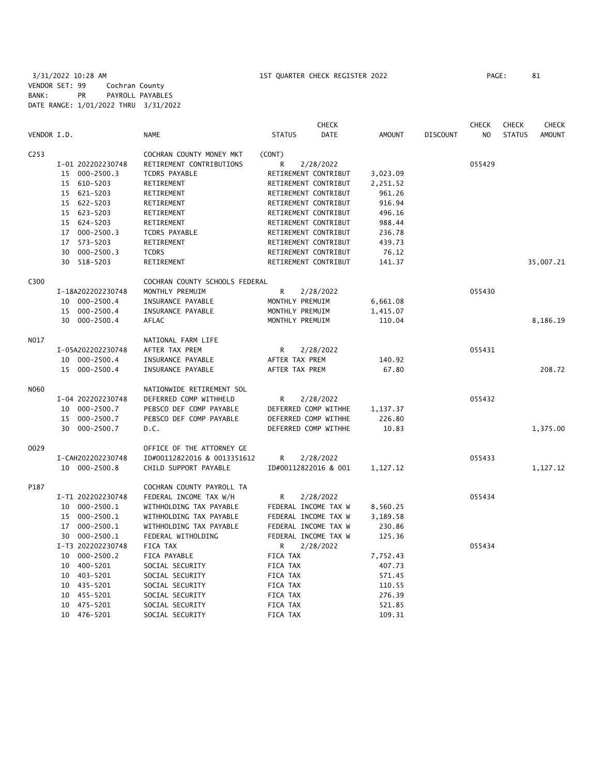3/31/2022 10:28 AM 1ST QUARTER CHECK REGISTER 2022 PAGE: 81 VENDOR SET: 99 Cochran County BANK: PR PAYROLL PAYABLES DATE RANGE: 1/01/2022 THRU 3/31/2022

|                  |                   |                                | <b>CHECK</b>                 |               |                 | <b>CHECK</b>   | <b>CHECK</b>  | <b>CHECK</b>  |
|------------------|-------------------|--------------------------------|------------------------------|---------------|-----------------|----------------|---------------|---------------|
| VENDOR I.D.      |                   | <b>NAME</b>                    | <b>STATUS</b><br><b>DATE</b> | <b>AMOUNT</b> | <b>DISCOUNT</b> | N <sub>O</sub> | <b>STATUS</b> | <b>AMOUNT</b> |
| C <sub>253</sub> |                   | COCHRAN COUNTY MONEY MKT       | (CONT)                       |               |                 |                |               |               |
|                  | I-01 202202230748 | RETIREMENT CONTRIBUTIONS       | R<br>2/28/2022               |               |                 | 055429         |               |               |
|                  | 15 000-2500.3     | <b>TCDRS PAYABLE</b>           | RETIREMENT CONTRIBUT         | 3,023.09      |                 |                |               |               |
|                  | 15 610-5203       | RETIREMENT                     | RETIREMENT CONTRIBUT         | 2,251.52      |                 |                |               |               |
|                  | 15 621-5203       | RETIREMENT                     | RETIREMENT CONTRIBUT         | 961.26        |                 |                |               |               |
|                  | 15 622-5203       | RETIREMENT                     | RETIREMENT CONTRIBUT         | 916.94        |                 |                |               |               |
|                  | 15 623-5203       | RETIREMENT                     | RETIREMENT CONTRIBUT         | 496.16        |                 |                |               |               |
|                  | 15 624-5203       | RETIREMENT                     | RETIREMENT CONTRIBUT         | 988.44        |                 |                |               |               |
|                  | 17 000-2500.3     | <b>TCDRS PAYABLE</b>           | RETIREMENT CONTRIBUT         | 236.78        |                 |                |               |               |
|                  | 573-5203<br>17    | RETIREMENT                     | RETIREMENT CONTRIBUT         | 439.73        |                 |                |               |               |
|                  | 30<br>000-2500.3  | <b>TCDRS</b>                   | RETIREMENT CONTRIBUT         | 76.12         |                 |                |               |               |
|                  | 30<br>518-5203    | RETIREMENT                     | RETIREMENT CONTRIBUT         | 141.37        |                 |                |               | 35,007.21     |
| C300             |                   | COCHRAN COUNTY SCHOOLS FEDERAL |                              |               |                 |                |               |               |
|                  | I-18A202202230748 | MONTHLY PREMUIM                | R<br>2/28/2022               |               |                 | 055430         |               |               |
|                  | 10 000-2500.4     | INSURANCE PAYABLE              | MONTHLY PREMUIM              | 6,661.08      |                 |                |               |               |
|                  | 15 000-2500.4     | INSURANCE PAYABLE              | MONTHLY PREMUIM              | 1,415.07      |                 |                |               |               |
|                  | 30 000-2500.4     | AFLAC                          | MONTHLY PREMUIM              | 110.04        |                 |                |               | 8,186.19      |
| N017             |                   | NATIONAL FARM LIFE             |                              |               |                 |                |               |               |
|                  | I-05A202202230748 | AFTER TAX PREM                 | R<br>2/28/2022               |               |                 | 055431         |               |               |
|                  | 10 000-2500.4     | INSURANCE PAYABLE              | AFTER TAX PREM               | 140.92        |                 |                |               |               |
|                  | 15 000-2500.4     | INSURANCE PAYABLE              | AFTER TAX PREM               | 67.80         |                 |                |               | 208.72        |
| N060             |                   | NATIONWIDE RETIREMENT SOL      |                              |               |                 |                |               |               |
|                  | I-04 202202230748 | DEFERRED COMP WITHHELD         | R<br>2/28/2022               |               |                 | 055432         |               |               |
|                  | 10 000-2500.7     | PEBSCO DEF COMP PAYABLE        | DEFERRED COMP WITHHE         | 1,137.37      |                 |                |               |               |
|                  | 000-2500.7<br>15  | PEBSCO DEF COMP PAYABLE        | DEFERRED COMP WITHHE         | 226.80        |                 |                |               |               |
|                  | 30 000-2500.7     | D.C.                           | DEFERRED COMP WITHHE         | 10.83         |                 |                |               | 1,375.00      |
| 0029             |                   | OFFICE OF THE ATTORNEY GE      |                              |               |                 |                |               |               |
|                  | I-CAH202202230748 | ID#00112822016 & 0013351612    | R<br>2/28/2022               |               |                 | 055433         |               |               |
|                  | 10 000-2500.8     | CHILD SUPPORT PAYABLE          | ID#00112822016 & 001         | 1,127.12      |                 |                |               | 1,127.12      |
| P187             |                   | COCHRAN COUNTY PAYROLL TA      |                              |               |                 |                |               |               |
|                  | I-T1 202202230748 | FEDERAL INCOME TAX W/H         | R<br>2/28/2022               |               |                 | 055434         |               |               |
|                  | 10 000-2500.1     | WITHHOLDING TAX PAYABLE        | FEDERAL INCOME TAX W         | 8,560.25      |                 |                |               |               |
|                  | 000-2500.1<br>15  | WITHHOLDING TAX PAYABLE        | FEDERAL INCOME TAX W         | 3,189.58      |                 |                |               |               |
|                  | 17 000-2500.1     | WITHHOLDING TAX PAYABLE        | FEDERAL INCOME TAX W         | 230.86        |                 |                |               |               |
|                  | 30 000-2500.1     | FEDERAL WITHOLDING             | FEDERAL INCOME TAX W         | 125.36        |                 |                |               |               |
|                  | I-T3 202202230748 | FICA TAX                       | R<br>2/28/2022               |               |                 | 055434         |               |               |
|                  | 10 000-2500.2     | FICA PAYABLE                   | FICA TAX                     | 7,752.43      |                 |                |               |               |
|                  | 10 400-5201       | SOCIAL SECURITY                | FICA TAX                     | 407.73        |                 |                |               |               |
|                  | 10 403-5201       | SOCIAL SECURITY                | FICA TAX                     | 571.45        |                 |                |               |               |
|                  | 10 435-5201       | SOCIAL SECURITY                | FICA TAX                     | 110.55        |                 |                |               |               |
|                  | 455-5201<br>10    | SOCIAL SECURITY                | FICA TAX                     | 276.39        |                 |                |               |               |
|                  | 475-5201<br>10    | SOCIAL SECURITY                | FICA TAX                     | 521.85        |                 |                |               |               |
|                  | 10 476-5201       | SOCIAL SECURITY                | FICA TAX                     | 109.31        |                 |                |               |               |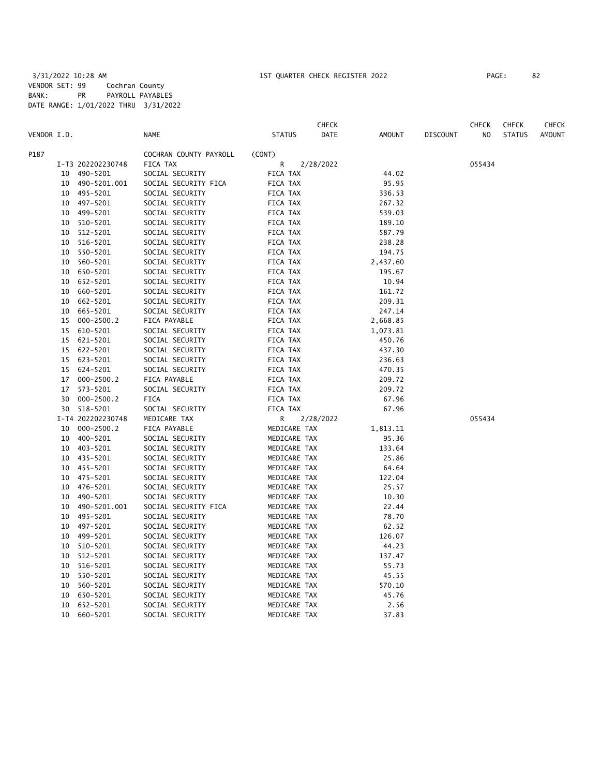| VENDOR I.D. |    |                   | <b>NAME</b>            | <b>CHECK</b><br><b>STATUS</b><br><b>DATE</b> | <b>AMOUNT</b> | <b>DISCOUNT</b> | <b>CHECK</b><br>NO | <b>CHECK</b><br><b>STATUS</b> | CHECK<br><b>AMOUNT</b> |
|-------------|----|-------------------|------------------------|----------------------------------------------|---------------|-----------------|--------------------|-------------------------------|------------------------|
| P187        |    |                   | COCHRAN COUNTY PAYROLL | (CONT)                                       |               |                 |                    |                               |                        |
|             |    | I-T3 202202230748 | FICA TAX               | R<br>2/28/2022                               |               |                 | 055434             |                               |                        |
|             | 10 | 490-5201          | SOCIAL SECURITY        | FICA TAX                                     | 44.02         |                 |                    |                               |                        |
|             | 10 | 490-5201.001      | SOCIAL SECURITY FICA   | FICA TAX                                     | 95.95         |                 |                    |                               |                        |
|             | 10 | 495-5201          | SOCIAL SECURITY        | FICA TAX                                     | 336.53        |                 |                    |                               |                        |
|             | 10 | 497-5201          | SOCIAL SECURITY        | FICA TAX                                     | 267.32        |                 |                    |                               |                        |
|             | 10 | 499-5201          | SOCIAL SECURITY        | FICA TAX                                     | 539.03        |                 |                    |                               |                        |
|             | 10 | 510-5201          | SOCIAL SECURITY        | FICA TAX                                     | 189.10        |                 |                    |                               |                        |
|             | 10 | 512-5201          | SOCIAL SECURITY        | FICA TAX                                     | 587.79        |                 |                    |                               |                        |
|             | 10 | 516-5201          | SOCIAL SECURITY        | FICA TAX                                     | 238.28        |                 |                    |                               |                        |
|             | 10 | 550-5201          | SOCIAL SECURITY        | FICA TAX                                     | 194.75        |                 |                    |                               |                        |
|             | 10 | 560-5201          | SOCIAL SECURITY        | FICA TAX                                     | 2,437.60      |                 |                    |                               |                        |
|             | 10 | 650-5201          | SOCIAL SECURITY        | FICA TAX                                     | 195.67        |                 |                    |                               |                        |
|             | 10 | 652-5201          | SOCIAL SECURITY        | FICA TAX                                     | 10.94         |                 |                    |                               |                        |
|             | 10 | 660-5201          | SOCIAL SECURITY        | FICA TAX                                     | 161.72        |                 |                    |                               |                        |
|             | 10 | 662-5201          | SOCIAL SECURITY        | FICA TAX                                     | 209.31        |                 |                    |                               |                        |
|             | 10 | 665-5201          | SOCIAL SECURITY        | FICA TAX                                     | 247.14        |                 |                    |                               |                        |
|             | 15 | $000 - 2500.2$    | FICA PAYABLE           | FICA TAX                                     | 2,668.85      |                 |                    |                               |                        |
|             | 15 | 610-5201          | SOCIAL SECURITY        | FICA TAX                                     | 1,073.81      |                 |                    |                               |                        |
|             | 15 | 621-5201          | SOCIAL SECURITY        | FICA TAX                                     | 450.76        |                 |                    |                               |                        |
|             | 15 | 622-5201          | SOCIAL SECURITY        | FICA TAX                                     | 437.30        |                 |                    |                               |                        |
|             | 15 | 623-5201          | SOCIAL SECURITY        | FICA TAX                                     | 236.63        |                 |                    |                               |                        |
|             | 15 | 624-5201          | SOCIAL SECURITY        | FICA TAX                                     | 470.35        |                 |                    |                               |                        |
|             | 17 | $000 - 2500.2$    | FICA PAYABLE           | FICA TAX                                     | 209.72        |                 |                    |                               |                        |
|             | 17 | 573-5201          | SOCIAL SECURITY        | FICA TAX                                     | 209.72        |                 |                    |                               |                        |
|             | 30 | $000 - 2500.2$    | FICA                   | FICA TAX                                     | 67.96         |                 |                    |                               |                        |
|             | 30 | 518-5201          | SOCIAL SECURITY        | FICA TAX                                     | 67.96         |                 |                    |                               |                        |
|             |    | I-T4 202202230748 | MEDICARE TAX           | R<br>2/28/2022                               |               |                 | 055434             |                               |                        |
|             | 10 | $000 - 2500.2$    | FICA PAYABLE           | MEDICARE TAX                                 | 1,813.11      |                 |                    |                               |                        |
|             | 10 | 400-5201          | SOCIAL SECURITY        | MEDICARE TAX                                 | 95.36         |                 |                    |                               |                        |
|             | 10 | 403-5201          | SOCIAL SECURITY        | MEDICARE TAX                                 | 133.64        |                 |                    |                               |                        |
|             | 10 | 435-5201          | SOCIAL SECURITY        | MEDICARE TAX                                 | 25.86         |                 |                    |                               |                        |
|             | 10 | 455-5201          | SOCIAL SECURITY        | MEDICARE TAX                                 | 64.64         |                 |                    |                               |                        |
|             | 10 | 475-5201          | SOCIAL SECURITY        | MEDICARE TAX                                 | 122.04        |                 |                    |                               |                        |
|             | 10 | 476-5201          | SOCIAL SECURITY        | MEDICARE TAX                                 | 25.57         |                 |                    |                               |                        |
|             | 10 | 490-5201          | SOCIAL SECURITY        | MEDICARE TAX                                 | 10.30         |                 |                    |                               |                        |
|             | 10 | 490-5201.001      | SOCIAL SECURITY FICA   | MEDICARE TAX                                 | 22.44         |                 |                    |                               |                        |
|             | 10 | 495-5201          | SOCIAL SECURITY        | MEDICARE TAX                                 | 78.70         |                 |                    |                               |                        |
|             | 10 | 497-5201          | SOCIAL SECURITY        | MEDICARE TAX                                 | 62.52         |                 |                    |                               |                        |
|             | 10 | 499-5201          | SOCIAL SECURITY        | MEDICARE TAX                                 | 126.07        |                 |                    |                               |                        |
|             | 10 | 510-5201          | SOCIAL SECURITY        | MEDICARE TAX                                 | 44.23         |                 |                    |                               |                        |
|             | 10 | 512-5201          | SOCIAL SECURITY        | MEDICARE TAX                                 | 137.47        |                 |                    |                               |                        |
|             | 10 | 516-5201          | SOCIAL SECURITY        | MEDICARE TAX                                 | 55.73         |                 |                    |                               |                        |
|             | 10 | 550-5201          | SOCIAL SECURITY        | MEDICARE TAX                                 | 45.55         |                 |                    |                               |                        |
|             | 10 | 560-5201          | SOCIAL SECURITY        | MEDICARE TAX                                 | 570.10        |                 |                    |                               |                        |
|             | 10 | 650-5201          | SOCIAL SECURITY        | MEDICARE TAX                                 | 45.76         |                 |                    |                               |                        |
|             | 10 | 652-5201          | SOCIAL SECURITY        | MEDICARE TAX                                 | 2.56          |                 |                    |                               |                        |
|             | 10 | 660-5201          | SOCIAL SECURITY        | MEDICARE TAX                                 | 37.83         |                 |                    |                               |                        |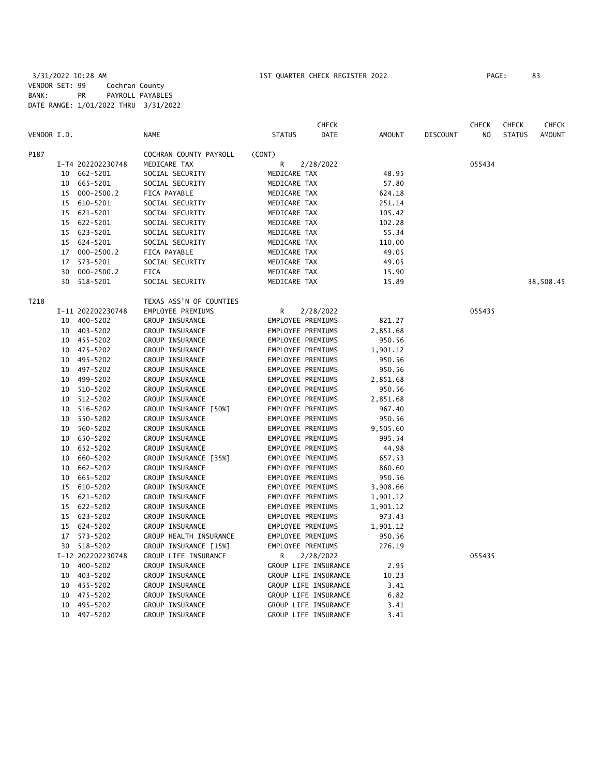3/31/2022 10:28 AM 1ST QUARTER CHECK REGISTER 2022 PAGE: 83 VENDOR SET: 99 Cochran County BANK: PR PAYROLL PAYABLES DATE RANGE: 1/01/2022 THRU 3/31/2022

|             |    |                   |                         |                      | <b>CHECK</b> |               |                 | <b>CHECK</b>   | <b>CHECK</b>  | CHECK         |
|-------------|----|-------------------|-------------------------|----------------------|--------------|---------------|-----------------|----------------|---------------|---------------|
| VENDOR I.D. |    |                   | <b>NAME</b>             | <b>STATUS</b>        | DATE         | <b>AMOUNT</b> | <b>DISCOUNT</b> | N <sub>O</sub> | <b>STATUS</b> | <b>AMOUNT</b> |
| P187        |    |                   | COCHRAN COUNTY PAYROLL  | (CONT)               |              |               |                 |                |               |               |
|             |    | I-T4 202202230748 | MEDICARE TAX            | R                    | 2/28/2022    |               |                 | 055434         |               |               |
|             |    | 10 662-5201       | SOCIAL SECURITY         | MEDICARE TAX         |              | 48.95         |                 |                |               |               |
|             |    | 10 665-5201       | SOCIAL SECURITY         | MEDICARE TAX         |              | 57.80         |                 |                |               |               |
|             | 15 | 000-2500.2        | FICA PAYABLE            | MEDICARE TAX         |              | 624.18        |                 |                |               |               |
|             | 15 | 610-5201          | SOCIAL SECURITY         | MEDICARE TAX         |              | 251.14        |                 |                |               |               |
|             | 15 | 621-5201          | SOCIAL SECURITY         | MEDICARE TAX         |              | 105.42        |                 |                |               |               |
|             | 15 | 622-5201          | SOCIAL SECURITY         | MEDICARE TAX         |              | 102.28        |                 |                |               |               |
|             |    | 15 623-5201       | SOCIAL SECURITY         | MEDICARE TAX         |              | 55.34         |                 |                |               |               |
|             | 15 | 624-5201          | SOCIAL SECURITY         | MEDICARE TAX         |              | 110.00        |                 |                |               |               |
|             | 17 | $000 - 2500.2$    | FICA PAYABLE            | MEDICARE TAX         |              | 49.05         |                 |                |               |               |
|             | 17 | 573-5201          | SOCIAL SECURITY         | MEDICARE TAX         |              | 49.05         |                 |                |               |               |
|             | 30 | $000 - 2500.2$    | <b>FICA</b>             | MEDICARE TAX         |              | 15.90         |                 |                |               |               |
|             | 30 | 518-5201          | SOCIAL SECURITY         | MEDICARE TAX         |              | 15.89         |                 |                |               | 38,508.45     |
| T218        |    |                   | TEXAS ASS'N OF COUNTIES |                      |              |               |                 |                |               |               |
|             |    | I-11 202202230748 | EMPLOYEE PREMIUMS       | R                    | 2/28/2022    |               |                 | 055435         |               |               |
|             |    | 10 400-5202       | GROUP INSURANCE         | EMPLOYEE PREMIUMS    |              | 821.27        |                 |                |               |               |
|             |    | 10 403-5202       | GROUP INSURANCE         | EMPLOYEE PREMIUMS    |              | 2,851.68      |                 |                |               |               |
|             |    | 10 455-5202       | GROUP INSURANCE         | EMPLOYEE PREMIUMS    |              | 950.56        |                 |                |               |               |
|             | 10 | 475-5202          | GROUP INSURANCE         | EMPLOYEE PREMIUMS    |              | 1,901.12      |                 |                |               |               |
|             | 10 | 495-5202          | GROUP INSURANCE         | EMPLOYEE PREMIUMS    |              | 950.56        |                 |                |               |               |
|             |    | 10 497-5202       | GROUP INSURANCE         | EMPLOYEE PREMIUMS    |              | 950.56        |                 |                |               |               |
|             |    | 10 499-5202       | GROUP INSURANCE         | EMPLOYEE PREMIUMS    |              | 2,851.68      |                 |                |               |               |
|             |    | 10 510-5202       | GROUP INSURANCE         | EMPLOYEE PREMIUMS    |              | 950.56        |                 |                |               |               |
|             | 10 | 512-5202          | GROUP INSURANCE         | EMPLOYEE PREMIUMS    |              | 2,851.68      |                 |                |               |               |
|             | 10 | 516-5202          | GROUP INSURANCE [50%]   | EMPLOYEE PREMIUMS    |              | 967.40        |                 |                |               |               |
|             | 10 | 550-5202          | GROUP INSURANCE         | EMPLOYEE PREMIUMS    |              | 950.56        |                 |                |               |               |
|             | 10 | 560-5202          | GROUP INSURANCE         | EMPLOYEE PREMIUMS    |              | 9,505.60      |                 |                |               |               |
|             |    | 10 650-5202       | GROUP INSURANCE         | EMPLOYEE PREMIUMS    |              | 995.54        |                 |                |               |               |
|             | 10 | 652-5202          | GROUP INSURANCE         | EMPLOYEE PREMIUMS    |              | 44.98         |                 |                |               |               |
|             |    | 10 660-5202       | GROUP INSURANCE [35%]   | EMPLOYEE PREMIUMS    |              | 657.53        |                 |                |               |               |
|             | 10 | 662-5202          | GROUP INSURANCE         | EMPLOYEE PREMIUMS    |              | 860.60        |                 |                |               |               |
|             |    | 10 665-5202       | GROUP INSURANCE         | EMPLOYEE PREMIUMS    |              | 950.56        |                 |                |               |               |
|             | 15 | 610-5202          | GROUP INSURANCE         | EMPLOYEE PREMIUMS    |              | 3,908.66      |                 |                |               |               |
|             | 15 | 621-5202          | GROUP INSURANCE         | EMPLOYEE PREMIUMS    |              | 1,901.12      |                 |                |               |               |
|             | 15 | 622-5202          | GROUP INSURANCE         | EMPLOYEE PREMIUMS    |              | 1,901.12      |                 |                |               |               |
|             |    | 15 623-5202       | GROUP INSURANCE         | EMPLOYEE PREMIUMS    |              | 973.43        |                 |                |               |               |
|             |    | 15 624-5202       | GROUP INSURANCE         | EMPLOYEE PREMIUMS    |              | 1,901.12      |                 |                |               |               |
|             |    | 17 573-5202       | GROUP HEALTH INSURANCE  | EMPLOYEE PREMIUMS    |              | 950.56        |                 |                |               |               |
|             |    | 30 518-5202       | GROUP INSURANCE [15%]   | EMPLOYEE PREMIUMS    |              | 276.19        |                 |                |               |               |
|             |    | I-12 202202230748 | GROUP LIFE INSURANCE    | R                    | 2/28/2022    |               |                 | 055435         |               |               |
|             |    | 10 400-5202       | GROUP INSURANCE         | GROUP LIFE INSURANCE |              | 2.95          |                 |                |               |               |
|             |    | 10 403-5202       | GROUP INSURANCE         | GROUP LIFE INSURANCE |              | 10.23         |                 |                |               |               |
|             |    | 10 455-5202       | GROUP INSURANCE         | GROUP LIFE INSURANCE |              | 3.41          |                 |                |               |               |
|             | 10 | 475-5202          | GROUP INSURANCE         | GROUP LIFE INSURANCE |              | 6.82          |                 |                |               |               |
|             | 10 | 495-5202          | GROUP INSURANCE         | GROUP LIFE INSURANCE |              | 3.41          |                 |                |               |               |
|             |    | 10 497-5202       | GROUP INSURANCE         | GROUP LIFE INSURANCE |              | 3.41          |                 |                |               |               |
|             |    |                   |                         |                      |              |               |                 |                |               |               |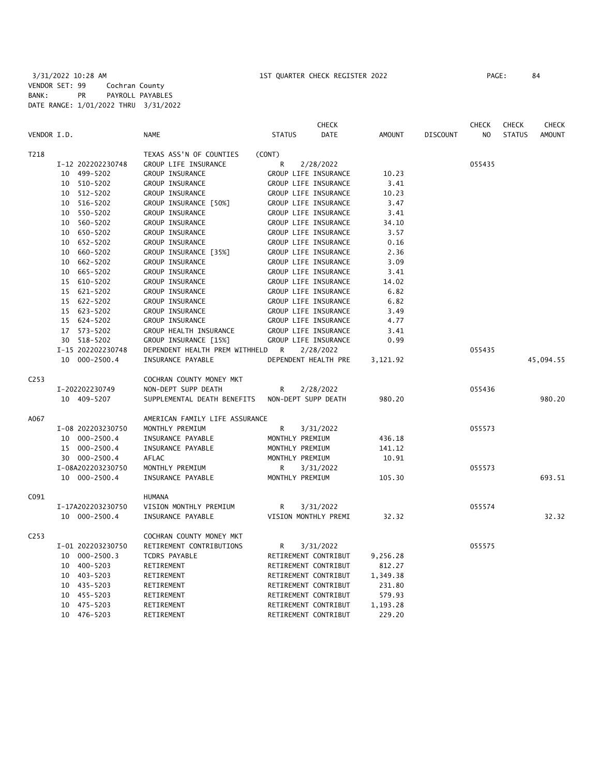|                  |                   |                                | <b>CHECK</b>                 |               |                 | <b>CHECK</b>   | <b>CHECK</b>  | <b>CHECK</b>  |
|------------------|-------------------|--------------------------------|------------------------------|---------------|-----------------|----------------|---------------|---------------|
| VENDOR I.D.      |                   | <b>NAME</b>                    | <b>STATUS</b><br><b>DATE</b> | <b>AMOUNT</b> | <b>DISCOUNT</b> | N <sub>O</sub> | <b>STATUS</b> | <b>AMOUNT</b> |
| T218             |                   | TEXAS ASS'N OF COUNTIES        | (CONT)                       |               |                 |                |               |               |
|                  | I-12 202202230748 | GROUP LIFE INSURANCE           | R<br>2/28/2022               |               |                 | 055435         |               |               |
|                  | 10 499-5202       | GROUP INSURANCE                | GROUP LIFE INSURANCE         | 10.23         |                 |                |               |               |
|                  | 510-5202<br>10    | GROUP INSURANCE                | GROUP LIFE INSURANCE         | 3.41          |                 |                |               |               |
|                  | 512-5202<br>10    | GROUP INSURANCE                | GROUP LIFE INSURANCE         | 10.23         |                 |                |               |               |
|                  | 516-5202<br>10    | GROUP INSURANCE [50%]          | GROUP LIFE INSURANCE         | 3.47          |                 |                |               |               |
|                  | 550-5202<br>10    | GROUP INSURANCE                | GROUP LIFE INSURANCE         | 3.41          |                 |                |               |               |
|                  | 560-5202<br>10    | GROUP INSURANCE                | GROUP LIFE INSURANCE         | 34.10         |                 |                |               |               |
|                  | 650-5202<br>10    | GROUP INSURANCE                | GROUP LIFE INSURANCE         | 3.57          |                 |                |               |               |
|                  | 652-5202<br>10    | GROUP INSURANCE                | GROUP LIFE INSURANCE         | 0.16          |                 |                |               |               |
|                  | 660-5202<br>10    | GROUP INSURANCE [35%]          | GROUP LIFE INSURANCE         | 2.36          |                 |                |               |               |
|                  | 662-5202<br>10    | GROUP INSURANCE                | GROUP LIFE INSURANCE         | 3.09          |                 |                |               |               |
|                  | 665-5202<br>10    | GROUP INSURANCE                | GROUP LIFE INSURANCE         | 3.41          |                 |                |               |               |
|                  | 15 610-5202       | GROUP INSURANCE                | GROUP LIFE INSURANCE         | 14.02         |                 |                |               |               |
|                  | 621-5202<br>15    | GROUP INSURANCE                | GROUP LIFE INSURANCE         | 6.82          |                 |                |               |               |
|                  | 15 622-5202       | GROUP INSURANCE                | GROUP LIFE INSURANCE         | 6.82          |                 |                |               |               |
|                  | 15 623-5202       | GROUP INSURANCE                | GROUP LIFE INSURANCE         | 3.49          |                 |                |               |               |
|                  | 15 624-5202       | GROUP INSURANCE                | GROUP LIFE INSURANCE         | 4.77          |                 |                |               |               |
|                  | 17 573-5202       | GROUP HEALTH INSURANCE         | GROUP LIFE INSURANCE         | 3.41          |                 |                |               |               |
|                  | 30 518-5202       | GROUP INSURANCE [15%]          | GROUP LIFE INSURANCE         | 0.99          |                 |                |               |               |
|                  | I-15 202202230748 | DEPENDENT HEALTH PREM WITHHELD | R<br>2/28/2022               |               |                 | 055435         |               |               |
|                  | 10<br>000-2500.4  | INSURANCE PAYABLE              | DEPENDENT HEALTH PRE         | 3,121.92      |                 |                |               | 45,094.55     |
| C <sub>253</sub> |                   | COCHRAN COUNTY MONEY MKT       |                              |               |                 |                |               |               |
|                  | I-202202230749    | NON-DEPT SUPP DEATH            | 2/28/2022<br>R               |               |                 | 055436         |               |               |
|                  | 10 409-5207       | SUPPLEMENTAL DEATH BENEFITS    | NON-DEPT SUPP DEATH          | 980.20        |                 |                |               | 980.20        |
| A067             |                   | AMERICAN FAMILY LIFE ASSURANCE |                              |               |                 |                |               |               |
|                  | I-08 202203230750 | MONTHLY PREMIUM                | R<br>3/31/2022               |               |                 | 055573         |               |               |
|                  | 10 000-2500.4     | INSURANCE PAYABLE              | MONTHLY PREMIUM              | 436.18        |                 |                |               |               |
|                  | 15 000-2500.4     | INSURANCE PAYABLE              | MONTHLY PREMIUM              | 141.12        |                 |                |               |               |
|                  | 30 000-2500.4     | AFLAC                          | MONTHLY PREMIUM              | 10.91         |                 |                |               |               |
|                  | I-08A202203230750 | MONTHLY PREMIUM                | R<br>3/31/2022               |               |                 | 055573         |               |               |
|                  | 10 000-2500.4     | INSURANCE PAYABLE              | MONTHLY PREMIUM              | 105.30        |                 |                |               | 693.51        |
| C091             |                   | <b>HUMANA</b>                  |                              |               |                 |                |               |               |
|                  | I-17A202203230750 | VISION MONTHLY PREMIUM         | R<br>3/31/2022               |               |                 | 055574         |               |               |
|                  | 10 000-2500.4     | INSURANCE PAYABLE              | VISION MONTHLY PREMI         | 32.32         |                 |                |               | 32.32         |
| C <sub>253</sub> |                   | COCHRAN COUNTY MONEY MKT       |                              |               |                 |                |               |               |
|                  | I-01 202203230750 | RETIREMENT CONTRIBUTIONS       | 3/31/2022<br>R               |               |                 | 055575         |               |               |
|                  | 10 000-2500.3     | TCDRS PAYABLE                  | RETIREMENT CONTRIBUT         | 9,256.28      |                 |                |               |               |
|                  | 400-5203<br>10    | RETIREMENT                     | RETIREMENT CONTRIBUT         | 812.27        |                 |                |               |               |
|                  | 403-5203<br>10    | RETIREMENT                     | RETIREMENT CONTRIBUT         | 1,349.38      |                 |                |               |               |
|                  | 435-5203<br>10    | RETIREMENT                     | RETIREMENT CONTRIBUT         | 231.80        |                 |                |               |               |
|                  | 455-5203<br>10    | RETIREMENT                     | RETIREMENT CONTRIBUT         | 579.93        |                 |                |               |               |
|                  | 475-5203<br>10    | RETIREMENT                     | RETIREMENT CONTRIBUT         | 1,193.28      |                 |                |               |               |
|                  | 10<br>476-5203    | RETIREMENT                     | RETIREMENT CONTRIBUT         | 229.20        |                 |                |               |               |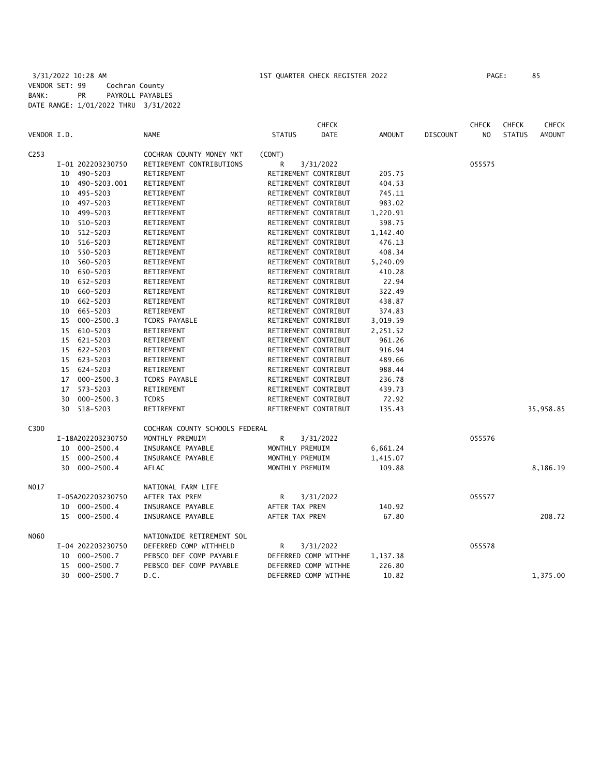|                  |    |                   |                                |                 | <b>CHECK</b>         |          |                 | <b>CHECK</b>   | <b>CHECK</b>  | <b>CHECK</b>  |
|------------------|----|-------------------|--------------------------------|-----------------|----------------------|----------|-----------------|----------------|---------------|---------------|
| VENDOR I.D.      |    |                   | <b>NAME</b>                    | <b>STATUS</b>   | DATE                 | AMOUNT   | <b>DISCOUNT</b> | N <sub>O</sub> | <b>STATUS</b> | <b>AMOUNT</b> |
| C <sub>253</sub> |    |                   | COCHRAN COUNTY MONEY MKT       | (CONT)          |                      |          |                 |                |               |               |
|                  |    | I-01 202203230750 | RETIREMENT CONTRIBUTIONS       | R               | 3/31/2022            |          |                 | 055575         |               |               |
|                  | 10 | 490-5203          | RETIREMENT                     |                 | RETIREMENT CONTRIBUT | 205.75   |                 |                |               |               |
|                  | 10 | 490-5203.001      | RETIREMENT                     |                 | RETIREMENT CONTRIBUT | 404.53   |                 |                |               |               |
|                  | 10 | 495-5203          | RETIREMENT                     |                 | RETIREMENT CONTRIBUT | 745.11   |                 |                |               |               |
|                  | 10 | 497-5203          | RETIREMENT                     |                 | RETIREMENT CONTRIBUT | 983.02   |                 |                |               |               |
|                  | 10 | 499-5203          | RETIREMENT                     |                 | RETIREMENT CONTRIBUT | 1,220.91 |                 |                |               |               |
|                  | 10 | 510-5203          | RETIREMENT                     |                 | RETIREMENT CONTRIBUT | 398.75   |                 |                |               |               |
|                  | 10 | 512-5203          | RETIREMENT                     |                 | RETIREMENT CONTRIBUT | 1,142.40 |                 |                |               |               |
|                  | 10 | 516-5203          | RETIREMENT                     |                 | RETIREMENT CONTRIBUT | 476.13   |                 |                |               |               |
|                  | 10 | 550-5203          | RETIREMENT                     |                 | RETIREMENT CONTRIBUT | 408.34   |                 |                |               |               |
|                  | 10 | 560-5203          | RETIREMENT                     |                 | RETIREMENT CONTRIBUT | 5,240.09 |                 |                |               |               |
|                  | 10 | 650-5203          | RETIREMENT                     |                 | RETIREMENT CONTRIBUT | 410.28   |                 |                |               |               |
|                  | 10 | 652-5203          | RETIREMENT                     |                 | RETIREMENT CONTRIBUT | 22.94    |                 |                |               |               |
|                  | 10 | 660-5203          | RETIREMENT                     |                 | RETIREMENT CONTRIBUT | 322.49   |                 |                |               |               |
|                  | 10 | 662-5203          | RETIREMENT                     |                 | RETIREMENT CONTRIBUT | 438.87   |                 |                |               |               |
|                  | 10 | 665-5203          | RETIREMENT                     |                 | RETIREMENT CONTRIBUT | 374.83   |                 |                |               |               |
|                  | 15 | $000 - 2500.3$    | TCDRS PAYABLE                  |                 | RETIREMENT CONTRIBUT | 3,019.59 |                 |                |               |               |
|                  | 15 | 610-5203          | RETIREMENT                     |                 | RETIREMENT CONTRIBUT | 2,251.52 |                 |                |               |               |
|                  | 15 | 621-5203          | RETIREMENT                     |                 | RETIREMENT CONTRIBUT | 961.26   |                 |                |               |               |
|                  | 15 | 622-5203          | RETIREMENT                     |                 | RETIREMENT CONTRIBUT | 916.94   |                 |                |               |               |
|                  | 15 | 623-5203          | RETIREMENT                     |                 | RETIREMENT CONTRIBUT | 489.66   |                 |                |               |               |
|                  |    | 15 624-5203       | RETIREMENT                     |                 | RETIREMENT CONTRIBUT | 988.44   |                 |                |               |               |
|                  | 17 | $000 - 2500.3$    | TCDRS PAYABLE                  |                 | RETIREMENT CONTRIBUT | 236.78   |                 |                |               |               |
|                  | 17 | 573-5203          | RETIREMENT                     |                 | RETIREMENT CONTRIBUT | 439.73   |                 |                |               |               |
|                  | 30 | $000 - 2500.3$    | <b>TCDRS</b>                   |                 | RETIREMENT CONTRIBUT | 72.92    |                 |                |               |               |
|                  | 30 | 518-5203          | RETIREMENT                     |                 | RETIREMENT CONTRIBUT | 135.43   |                 |                |               | 35,958.85     |
| C300             |    |                   | COCHRAN COUNTY SCHOOLS FEDERAL |                 |                      |          |                 |                |               |               |
|                  |    | I-18A202203230750 | MONTHLY PREMUIM                | R               | 3/31/2022            |          |                 | 055576         |               |               |
|                  |    | 10 000-2500.4     | INSURANCE PAYABLE              | MONTHLY PREMUIM |                      | 6,661.24 |                 |                |               |               |
|                  | 15 | $000 - 2500.4$    | INSURANCE PAYABLE              | MONTHLY PREMUIM |                      | 1,415.07 |                 |                |               |               |
|                  | 30 | $000 - 2500.4$    | AFLAC                          | MONTHLY PREMUIM |                      | 109.88   |                 |                |               | 8,186.19      |
| N017             |    |                   | NATIONAL FARM LIFE             |                 |                      |          |                 |                |               |               |
|                  |    | I-05A202203230750 | AFTER TAX PREM                 | R               | 3/31/2022            |          |                 | 055577         |               |               |
|                  | 10 | $000 - 2500.4$    | INSURANCE PAYABLE              | AFTER TAX PREM  |                      | 140.92   |                 |                |               |               |
|                  | 15 | 000-2500.4        | INSURANCE PAYABLE              | AFTER TAX PREM  |                      | 67.80    |                 |                |               | 208.72        |
| N060             |    |                   | NATIONWIDE RETIREMENT SOL      |                 |                      |          |                 |                |               |               |
|                  |    | I-04 202203230750 | DEFERRED COMP WITHHELD         | R               | 3/31/2022            |          |                 | 055578         |               |               |
|                  | 10 | $000 - 2500.7$    | PEBSCO DEF COMP PAYABLE        |                 | DEFERRED COMP WITHHE | 1,137.38 |                 |                |               |               |
|                  | 15 | $000 - 2500.7$    | PEBSCO DEF COMP PAYABLE        |                 | DEFERRED COMP WITHHE | 226.80   |                 |                |               |               |
|                  | 30 | 000-2500.7        | D.C.                           |                 | DEFERRED COMP WITHHE | 10.82    |                 |                |               | 1,375.00      |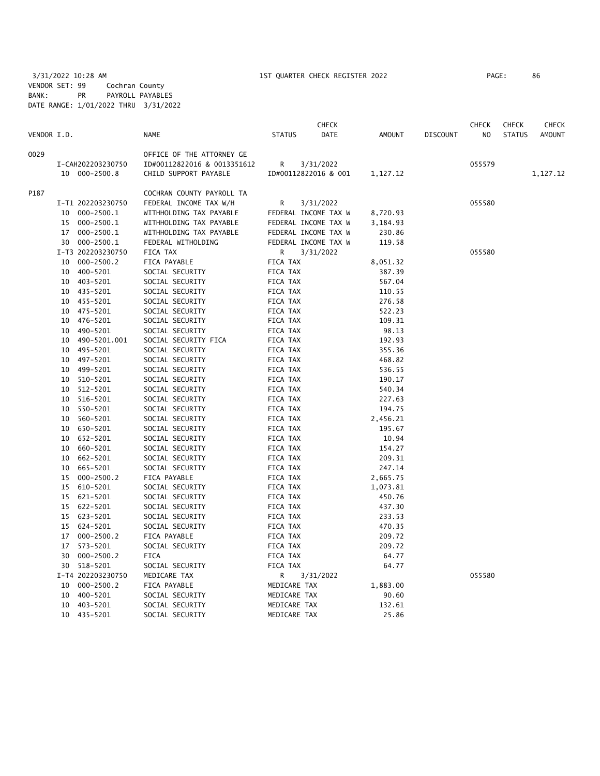3/31/2022 10:28 AM 1ST QUARTER CHECK REGISTER 2022 PAGE: 86 VENDOR SET: 99 Cochran County BANK: PR PAYROLL PAYABLES DATE RANGE: 1/01/2022 THRU 3/31/2022

|             |    |                   |                             |               | <b>CHECK</b>         |          |                 | <b>CHECK</b> | <b>CHECK</b>  | CHECK         |
|-------------|----|-------------------|-----------------------------|---------------|----------------------|----------|-----------------|--------------|---------------|---------------|
| VENDOR I.D. |    |                   | <b>NAME</b>                 | <b>STATUS</b> | DATE                 | AMOUNT   | <b>DISCOUNT</b> | NO           | <b>STATUS</b> | <b>AMOUNT</b> |
| 0029        |    |                   | OFFICE OF THE ATTORNEY GE   |               |                      |          |                 |              |               |               |
|             |    | I-CAH202203230750 | ID#00112822016 & 0013351612 | R             | 3/31/2022            |          |                 | 055579       |               |               |
|             |    | 10 000-2500.8     | CHILD SUPPORT PAYABLE       |               | ID#00112822016 & 001 | 1,127.12 |                 |              |               | 1,127.12      |
| P187        |    |                   | COCHRAN COUNTY PAYROLL TA   |               |                      |          |                 |              |               |               |
|             |    | I-T1 202203230750 | FEDERAL INCOME TAX W/H      | R             | 3/31/2022            |          |                 | 055580       |               |               |
|             |    | 10 000-2500.1     | WITHHOLDING TAX PAYABLE     |               | FEDERAL INCOME TAX W | 8,720.93 |                 |              |               |               |
|             |    | 15 000-2500.1     | WITHHOLDING TAX PAYABLE     |               | FEDERAL INCOME TAX W | 3,184.93 |                 |              |               |               |
|             |    | 17 000-2500.1     | WITHHOLDING TAX PAYABLE     |               | FEDERAL INCOME TAX W | 230.86   |                 |              |               |               |
|             |    | 30 000-2500.1     | FEDERAL WITHOLDING          |               | FEDERAL INCOME TAX W | 119.58   |                 |              |               |               |
|             |    | I-T3 202203230750 | FICA TAX                    | R             | 3/31/2022            |          |                 | 055580       |               |               |
|             |    | 10 000-2500.2     | FICA PAYABLE                | FICA TAX      |                      | 8,051.32 |                 |              |               |               |
|             |    | 10 400-5201       | SOCIAL SECURITY             | FICA TAX      |                      | 387.39   |                 |              |               |               |
|             |    | 10 403-5201       | SOCIAL SECURITY             | FICA TAX      |                      | 567.04   |                 |              |               |               |
|             |    | 10 435-5201       | SOCIAL SECURITY             | FICA TAX      |                      | 110.55   |                 |              |               |               |
|             |    | 10 455-5201       | SOCIAL SECURITY             | FICA TAX      |                      | 276.58   |                 |              |               |               |
|             |    | 10 475-5201       | SOCIAL SECURITY             | FICA TAX      |                      | 522.23   |                 |              |               |               |
|             |    | 10 476-5201       | SOCIAL SECURITY             | FICA TAX      |                      | 109.31   |                 |              |               |               |
|             | 10 | 490-5201          | SOCIAL SECURITY             | FICA TAX      |                      | 98.13    |                 |              |               |               |
|             | 10 | 490-5201.001      | SOCIAL SECURITY FICA        | FICA TAX      |                      | 192.93   |                 |              |               |               |
|             |    | 10 495-5201       | SOCIAL SECURITY             | FICA TAX      |                      | 355.36   |                 |              |               |               |
|             |    | 10 497-5201       | SOCIAL SECURITY             | FICA TAX      |                      | 468.82   |                 |              |               |               |
|             |    | 10 499-5201       | SOCIAL SECURITY             | FICA TAX      |                      | 536.55   |                 |              |               |               |
|             |    | 10 510-5201       | SOCIAL SECURITY             | FICA TAX      |                      | 190.17   |                 |              |               |               |
|             |    | 10 512-5201       | SOCIAL SECURITY             | FICA TAX      |                      | 540.34   |                 |              |               |               |
|             | 10 | 516-5201          | SOCIAL SECURITY             | FICA TAX      |                      | 227.63   |                 |              |               |               |
|             | 10 | 550-5201          | SOCIAL SECURITY             | FICA TAX      |                      | 194.75   |                 |              |               |               |
|             | 10 | 560-5201          | SOCIAL SECURITY             | FICA TAX      |                      | 2,456.21 |                 |              |               |               |
|             | 10 | 650-5201          | SOCIAL SECURITY             | FICA TAX      |                      | 195.67   |                 |              |               |               |
|             | 10 | 652-5201          | SOCIAL SECURITY             | FICA TAX      |                      | 10.94    |                 |              |               |               |
|             | 10 | 660-5201          | SOCIAL SECURITY             | FICA TAX      |                      | 154.27   |                 |              |               |               |
|             |    | 10 662-5201       | SOCIAL SECURITY             | FICA TAX      |                      | 209.31   |                 |              |               |               |
|             | 10 | 665-5201          | SOCIAL SECURITY             | FICA TAX      |                      | 247.14   |                 |              |               |               |
|             |    | 15 000-2500.2     | FICA PAYABLE                | FICA TAX      |                      | 2,665.75 |                 |              |               |               |
|             | 15 | 610-5201          | SOCIAL SECURITY             | FICA TAX      |                      | 1,073.81 |                 |              |               |               |
|             | 15 | 621-5201          | SOCIAL SECURITY             | FICA TAX      |                      | 450.76   |                 |              |               |               |
|             | 15 | 622-5201          | SOCIAL SECURITY             | FICA TAX      |                      | 437.30   |                 |              |               |               |
|             | 15 | 623-5201          | SOCIAL SECURITY             | FICA TAX      |                      | 233.53   |                 |              |               |               |
|             |    | 15 624-5201       | SOCIAL SECURITY             | FICA TAX      |                      | 470.35   |                 |              |               |               |
|             | 17 | $000 - 2500.2$    | FICA PAYABLE                | FICA TAX      |                      | 209.72   |                 |              |               |               |
|             | 17 | 573-5201          | SOCIAL SECURITY             | FICA TAX      |                      | 209.72   |                 |              |               |               |
|             | 30 | $000 - 2500.2$    | <b>FICA</b>                 | FICA TAX      |                      | 64.77    |                 |              |               |               |
|             | 30 | 518-5201          | SOCIAL SECURITY             | FICA TAX      |                      | 64.77    |                 |              |               |               |
|             |    | I-T4 202203230750 | MEDICARE TAX                | R             | 3/31/2022            |          |                 | 055580       |               |               |
|             | 10 | $000 - 2500.2$    | FICA PAYABLE                | MEDICARE TAX  |                      | 1,883.00 |                 |              |               |               |
|             | 10 | 400-5201          | SOCIAL SECURITY             | MEDICARE TAX  |                      | 90.60    |                 |              |               |               |
|             | 10 | 403-5201          | SOCIAL SECURITY             | MEDICARE TAX  |                      | 132.61   |                 |              |               |               |
|             |    | 10 435-5201       | SOCIAL SECURITY             | MEDICARE TAX  |                      | 25.86    |                 |              |               |               |
|             |    |                   |                             |               |                      |          |                 |              |               |               |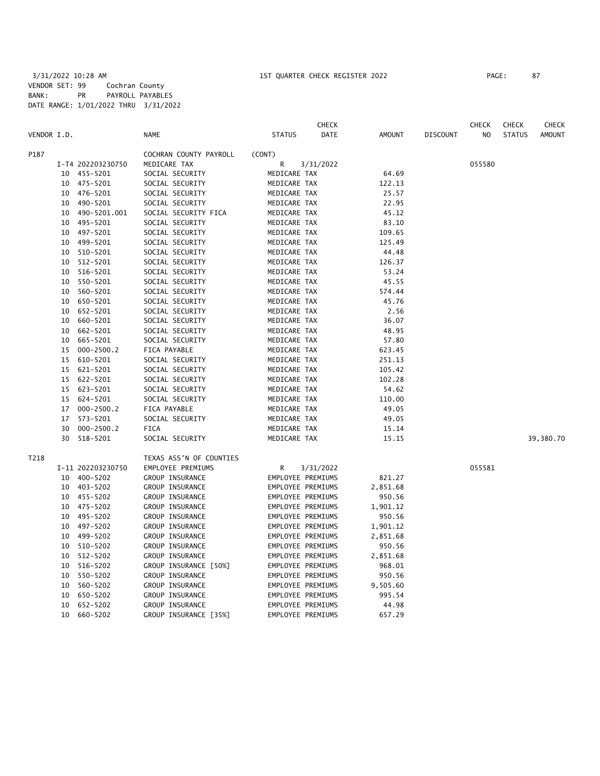**CHECK CHECK CHECK CHECK CHECK CHECK CHECK** VENDOR I.D. NAME STATUS DATE AMOUNT DISCOUNT NO STATUS AMOUNT P187 COCHRAN COUNTY PAYROLL (CONT) I-T4 202203230750 MEDICARE TAX R 3/31/2022 055580 10 455-5201 SOCIAL SECURITY MEDICARE TAX 64.69 10 475-5201 SOCIAL SECURITY MEDICARE TAX 122.13 10 476-5201 SOCIAL SECURITY MEDICARE TAX 25.57 10 490-5201 SOCIAL SECURITY MEDICARE TAX 22.95 10 490-5201.001 SOCIAL SECURITY FICA MEDICARE TAX 45.12 10 495-5201 SOCIAL SECURITY MEDICARE TAX 83.10 10 497-5201 SOCIAL SECURITY MEDICARE TAX 109.65 10 499-5201 SOCIAL SECURITY MEDICARE TAX 125.49 SOCIAL SECURITY MEDICARE TAX 44.48 10 512-5201 SOCIAL SECURITY MEDICARE TAX 126.37 10 516-5201 SOCIAL SECURITY MEDICARE TAX 53.24 10 550-5201 SOCIAL SECURITY MEDICARE TAX 45.55 10 560-5201 SOCIAL SECURITY MEDICARE TAX 574.44 10 650-5201 SOCIAL SECURITY MEDICARE TAX 45.76 10 652-5201 SOCIAL SECURITY MEDICARE TAX 2.56 10 660-5201 SOCIAL SECURITY MEDICARE TAX 36.07 10 662-5201 SOCIAL SECURITY MEDICARE TAX 48.95 10 665-5201 SOCIAL SECURITY MEDICARE TAX 57.80 15 000-2500.2 FICA PAYABLE MEDICARE TAX 623.45 15 610-5201 SOCIAL SECURITY MEDICARE TAX 251.13 15 621-5201 SOCIAL SECURITY MEDICARE TAX 105.42 15 622-5201 SOCIAL SECURITY MEDICARE TAX 102.28 15 623-5201 SOCIAL SECURITY MEDICARE TAX 54.62 15 624-5201 SOCIAL SECURITY MEDICARE TAX 110.00 17 000-2500.2 FICA PAYABLE MEDICARE TAX 49.05 17 573-5201 SOCIAL SECURITY MEDICARE TAX 49.05 30 000-2500.2 FICA MEDICARE TAX 15.14 30 518-5201 SOCIAL SECURITY MEDICARE TAX 15.15 39,380.70 T218 TEXAS ASS'N OF COUNTIES I-11 202203230750 EMPLOYEE PREMIUMS R 3/31/2022 055581 10 400-5202 GROUP INSURANCE EMPLOYEE PREMIUMS 821.27 EMPLOYEE PREMIUMS 10 455-5202 GROUP INSURANCE EMPLOYEE PREMIUMS 950.56 10 475-5202 GROUP INSURANCE EMPLOYEE PREMIUMS 1,901.12 10 495-5202 GROUP INSURANCE EMPLOYEE PREMIUMS 950.56 10 497-5202 GROUP INSURANCE EMPLOYEE PREMIUMS 1,901.12 10 499-5202 GROUP INSURANCE EMPLOYEE PREMIUMS 2,851.68 10 510-5202 GROUP INSURANCE EMPLOYEE PREMIUMS 950.56 10 512-5202 GROUP INSURANCE EMPLOYEE PREMIUMS 2,851.68 10 516-5202 GROUP INSURANCE [50%] EMPLOYEE PREMIUMS 968.01 10 550-5202 GROUP INSURANCE EMPLOYEE PREMIUMS 950.56 10 560-5202 GROUP INSURANCE EMPLOYEE PREMIUMS 9,505.60 10 650-5202 GROUP INSURANCE EMPLOYEE PREMIUMS 995.54 10 652-5202 GROUP INSURANCE EMPLOYEE PREMIUMS 44.98 10 660-5202 GROUP INSURANCE [35%] EMPLOYEE PREMIUMS 657.29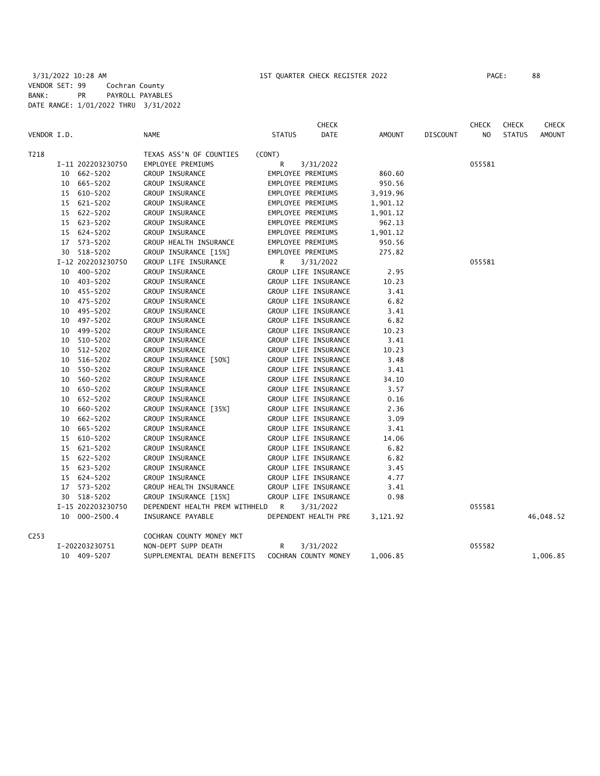|                  |    |                   |                                  |                      | <b>CHECK</b> |               |                 | <b>CHECK</b>   | <b>CHECK</b>  | <b>CHECK</b>  |
|------------------|----|-------------------|----------------------------------|----------------------|--------------|---------------|-----------------|----------------|---------------|---------------|
| VENDOR I.D.      |    |                   | <b>NAME</b>                      | <b>STATUS</b>        | <b>DATE</b>  | <b>AMOUNT</b> | <b>DISCOUNT</b> | N <sub>O</sub> | <b>STATUS</b> | <b>AMOUNT</b> |
| T218             |    |                   | TEXAS ASS'N OF COUNTIES          | (CONT)               |              |               |                 |                |               |               |
|                  |    | I-11 202203230750 | EMPLOYEE PREMIUMS                | R<br>3/31/2022       |              |               |                 | 055581         |               |               |
|                  |    | 10 662-5202       | GROUP INSURANCE                  | EMPLOYEE PREMIUMS    |              | 860.60        |                 |                |               |               |
|                  |    | 10 665-5202       | GROUP INSURANCE                  | EMPLOYEE PREMIUMS    |              | 950.56        |                 |                |               |               |
|                  |    | 15 610-5202       | GROUP INSURANCE                  | EMPLOYEE PREMIUMS    |              | 3,919.96      |                 |                |               |               |
|                  |    | 15 621-5202       | GROUP INSURANCE                  | EMPLOYEE PREMIUMS    |              | 1,901.12      |                 |                |               |               |
|                  |    | 15 622-5202       | GROUP INSURANCE                  | EMPLOYEE PREMIUMS    |              | 1,901.12      |                 |                |               |               |
|                  |    | 15 623-5202       | GROUP INSURANCE                  | EMPLOYEE PREMIUMS    |              | 962.13        |                 |                |               |               |
|                  |    | 15 624-5202       | GROUP INSURANCE                  | EMPLOYEE PREMIUMS    |              | 1,901.12      |                 |                |               |               |
|                  |    | 17 573-5202       | GROUP HEALTH INSURANCE           | EMPLOYEE PREMIUMS    |              | 950.56        |                 |                |               |               |
|                  |    | 30 518-5202       | GROUP INSURANCE [15%]            | EMPLOYEE PREMIUMS    |              | 275.82        |                 |                |               |               |
|                  |    | I-12 202203230750 | GROUP LIFE INSURANCE             | R<br>3/31/2022       |              |               |                 | 055581         |               |               |
|                  |    | 10 400-5202       | GROUP INSURANCE                  | GROUP LIFE INSURANCE |              | 2.95          |                 |                |               |               |
|                  |    | 10 403-5202       | GROUP INSURANCE                  | GROUP LIFE INSURANCE |              | 10.23         |                 |                |               |               |
|                  |    | 10 455-5202       | GROUP INSURANCE                  | GROUP LIFE INSURANCE |              | 3.41          |                 |                |               |               |
|                  |    | 10 475-5202       | GROUP INSURANCE                  | GROUP LIFE INSURANCE |              | 6.82          |                 |                |               |               |
|                  |    | 10 495-5202       | GROUP INSURANCE                  | GROUP LIFE INSURANCE |              | 3.41          |                 |                |               |               |
|                  |    | 10 497-5202       | GROUP INSURANCE                  | GROUP LIFE INSURANCE |              | 6.82          |                 |                |               |               |
|                  |    | 10 499-5202       | GROUP INSURANCE                  | GROUP LIFE INSURANCE |              | 10.23         |                 |                |               |               |
|                  | 10 | 510-5202          | GROUP INSURANCE                  | GROUP LIFE INSURANCE |              | 3.41          |                 |                |               |               |
|                  | 10 | 512-5202          | GROUP INSURANCE                  | GROUP LIFE INSURANCE |              | 10.23         |                 |                |               |               |
|                  |    | 10 516-5202       | GROUP INSURANCE [50%]            | GROUP LIFE INSURANCE |              | 3.48          |                 |                |               |               |
|                  | 10 | 550-5202          | GROUP INSURANCE                  | GROUP LIFE INSURANCE |              | 3.41          |                 |                |               |               |
|                  | 10 | 560-5202          | GROUP INSURANCE                  | GROUP LIFE INSURANCE |              | 34.10         |                 |                |               |               |
|                  |    | 10 650-5202       | GROUP INSURANCE                  | GROUP LIFE INSURANCE |              | 3.57          |                 |                |               |               |
|                  | 10 | 652-5202          | GROUP INSURANCE                  | GROUP LIFE INSURANCE |              | 0.16          |                 |                |               |               |
|                  | 10 | 660-5202          | GROUP INSURANCE [35%]            | GROUP LIFE INSURANCE |              | 2.36          |                 |                |               |               |
|                  |    | 10 662-5202       | GROUP INSURANCE                  | GROUP LIFE INSURANCE |              | 3.09          |                 |                |               |               |
|                  |    | 10 665-5202       | GROUP INSURANCE                  | GROUP LIFE INSURANCE |              | 3.41          |                 |                |               |               |
|                  |    | 15 610-5202       | GROUP INSURANCE                  | GROUP LIFE INSURANCE |              | 14.06         |                 |                |               |               |
|                  |    | 15 621-5202       | GROUP INSURANCE                  | GROUP LIFE INSURANCE |              | 6.82          |                 |                |               |               |
|                  |    | 15 622-5202       | GROUP INSURANCE                  | GROUP LIFE INSURANCE |              | 6.82          |                 |                |               |               |
|                  |    | 15 623-5202       | GROUP INSURANCE                  | GROUP LIFE INSURANCE |              | 3.45          |                 |                |               |               |
|                  |    | 15 624-5202       | GROUP INSURANCE                  | GROUP LIFE INSURANCE |              | 4.77          |                 |                |               |               |
|                  |    | 17 573-5202       | GROUP HEALTH INSURANCE           | GROUP LIFE INSURANCE |              | 3.41          |                 |                |               |               |
|                  |    | 30 518-5202       | GROUP INSURANCE [15%]            | GROUP LIFE INSURANCE |              | 0.98          |                 |                |               |               |
|                  |    | I-15 202203230750 | DEPENDENT HEALTH PREM WITHHELD R | 3/31/2022            |              |               |                 | 055581         |               |               |
|                  |    | 10 000-2500.4     | INSURANCE PAYABLE                | DEPENDENT HEALTH PRE |              | 3,121.92      |                 |                |               | 46,048.52     |
| C <sub>253</sub> |    |                   | COCHRAN COUNTY MONEY MKT         |                      |              |               |                 |                |               |               |
|                  |    | I-202203230751    | NON-DEPT SUPP DEATH              | R<br>3/31/2022       |              |               |                 | 055582         |               |               |
|                  |    | 10 409-5207       | SUPPLEMENTAL DEATH BENEFITS      | COCHRAN COUNTY MONEY |              | 1,006.85      |                 |                |               | 1,006.85      |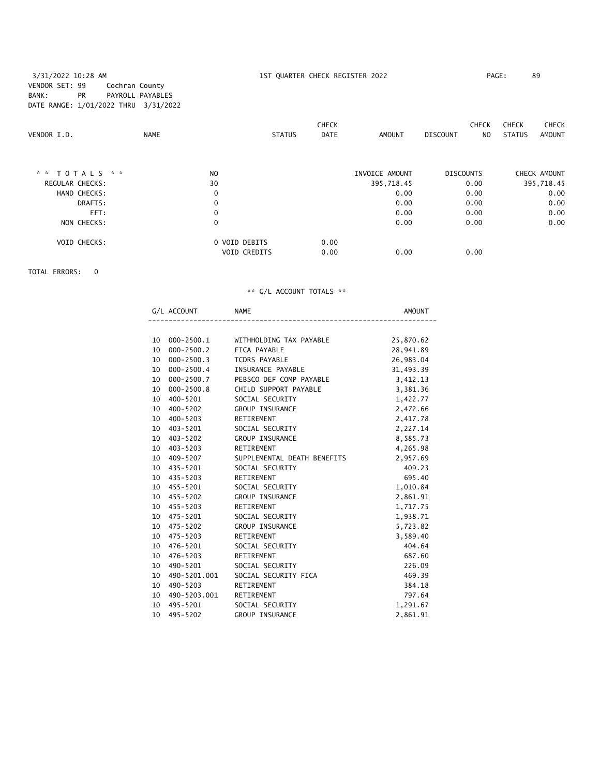### 3/31/2022 10:28 AM 1ST QUARTER CHECK REGISTER 2022 PAGE: 89 VENDOR SET: 99 Cochran County BANK: PR PAYROLL PAYABLES DATE RANGE: 1/01/2022 THRU 3/31/2022

| VENDOR I.D.            | <b>NAME</b> |                                      | <b>CHECK</b><br><b>DATE</b><br><b>STATUS</b> | AMOUNT         | <b>CHECK</b><br><b>DISCOUNT</b><br>NO. | <b>CHECK</b><br><b>CHECK</b><br><b>STATUS</b><br><b>AMOUNT</b> |
|------------------------|-------------|--------------------------------------|----------------------------------------------|----------------|----------------------------------------|----------------------------------------------------------------|
| * * TOTALS * *         |             | N <sub>O</sub>                       |                                              | INVOICE AMOUNT | <b>DISCOUNTS</b>                       | CHECK AMOUNT                                                   |
| <b>REGULAR CHECKS:</b> |             | 30                                   |                                              | 395,718.45     | 0.00                                   | 395,718.45                                                     |
| HAND CHECKS:           |             | $\mathbf 0$                          |                                              | 0.00           | 0.00                                   | 0.00                                                           |
| DRAFTS:                |             | 0                                    |                                              | 0.00           | 0.00                                   | 0.00                                                           |
| EFT:                   |             | 0                                    |                                              | 0.00           | 0.00                                   | 0.00                                                           |
| NON CHECKS:            |             | 0                                    |                                              | 0.00           | 0.00                                   | 0.00                                                           |
| <b>VOID CHECKS:</b>    |             | 0 VOID DEBITS<br><b>VOID CREDITS</b> | 0.00<br>0.00                                 | 0.00           | 0.00                                   |                                                                |

TOTAL ERRORS: 0

|                 | G/L ACCOUNT NAME |                                                 | AMOUNT    |
|-----------------|------------------|-------------------------------------------------|-----------|
|                 |                  |                                                 |           |
|                 |                  | 10 000-2500.1 WITHHOLDING TAX PAYABLE 25,870.62 |           |
| 10              | 000-2500.2       | FICA PAYABLE                                    | 28,941.89 |
| 10              | 000-2500.3       | TCDRS PAYABLE                                   | 26,983.04 |
|                 | 10 000-2500.4    | INSURANCE PAYABLE                               | 31,493.39 |
| 10              | 000-2500.7       | PEBSCO DEF COMP PAYABLE                         | 3,412.13  |
| 10              | 000-2500.8       | CHILD SUPPORT PAYABLE                           | 3,381.36  |
|                 | 10 400-5201      | SOCIAL SECURITY                                 | 1,422.77  |
|                 | 10 400-5202      | GROUP INSURANCE                                 | 2,472.66  |
| 10              | 400-5203         | RETIREMENT                                      | 2,417.78  |
|                 | 10 403-5201      | SOCIAL SECURITY                                 | 2,227.14  |
|                 | 10 403-5202      | GROUP INSURANCE                                 | 8,585.73  |
| 10              | 403-5203         | RETIREMENT                                      | 4,265.98  |
| 10 <sup>1</sup> | 409-5207         | SUPPLEMENTAL DEATH BENEFITS                     | 2,957.69  |
|                 | 10 435-5201      | SOCIAL SECURITY                                 | 409.23    |
|                 | 10 435-5203      | RETIREMENT                                      | 695.40    |
|                 | 10 455-5201      | SOCIAL SECURITY                                 | 1,010.84  |
|                 | 10 455-5202      | GROUP INSURANCE                                 | 2,861.91  |
|                 | 10 455-5203      | RETIREMENT                                      | 1,717.75  |
|                 | 10 475-5201      | SOCIAL SECURITY                                 | 1,938.71  |
|                 | 10 475-5202      | <b>GROUP INSURANCE</b>                          | 5,723.82  |
|                 | 10 475-5203      | RETIREMENT                                      | 3,589.40  |
|                 | 10 476-5201      | SOCIAL SECURITY                                 | 404.64    |
|                 | 10 476-5203      | RETIREMENT                                      | 687.60    |
| 10 <sup>1</sup> | 490-5201         | SOCIAL SECURITY                                 | 226.09    |
| 10              | 490-5201.001     | SOCIAL SECURITY FICA                            | 469.39    |
| 10 <sup>1</sup> | 490-5203         | RETIREMENT                                      | 384.18    |
|                 | 10 490-5203.001  | RETIREMENT                                      | 797.64    |
| 10 <sup>1</sup> | 495-5201         | SOCIAL SECURITY                                 | 1,291.67  |
| 10              | 495–5202         | <b>GROUP INSURANCE</b>                          | 2,861.91  |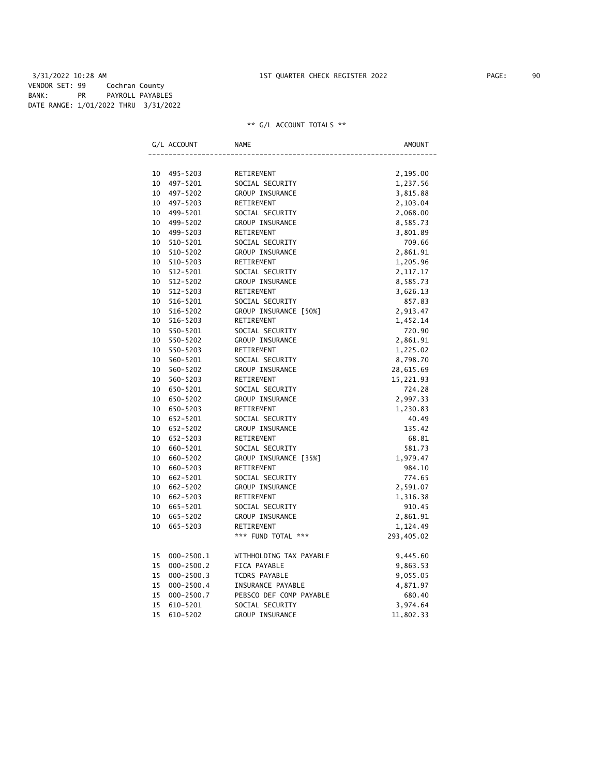3/31/2022 10:28 AM 1ST QUARTER CHECK REGISTER 2022 PAGE: 90 VENDOR SET: 99 Cochran County BANK: PR PAYROLL PAYABLES DATE RANGE: 1/01/2022 THRU 3/31/2022

|    | G/L ACCOUNT    | <b>NAME</b>             | AMOUNT     |
|----|----------------|-------------------------|------------|
|    |                |                         |            |
| 10 | 495–5203       | RETIREMENT              | 2,195.00   |
| 10 | 497-5201       | SOCIAL SECURITY         | 1,237.56   |
| 10 | 497-5202       | GROUP INSURANCE         | 3,815.88   |
| 10 | 497-5203       | RETIREMENT              | 2,103.04   |
| 10 | 499-5201       | SOCIAL SECURITY         | 2,068.00   |
| 10 | 499-5202       | GROUP INSURANCE         | 8,585.73   |
| 10 | 499-5203       | RETIREMENT              | 3,801.89   |
| 10 | 510-5201       | SOCIAL SECURITY         | 709.66     |
| 10 | 510-5202       | GROUP INSURANCE         | 2,861.91   |
| 10 | 510-5203       | RETIREMENT              | 1,205.96   |
| 10 | 512-5201       | SOCIAL SECURITY         | 2,117.17   |
| 10 | 512-5202       | GROUP INSURANCE         | 8,585.73   |
| 10 | 512-5203       | RETIREMENT              | 3,626.13   |
| 10 | 516-5201       | SOCIAL SECURITY         | 857.83     |
| 10 | 516-5202       | GROUP INSURANCE [50%]   | 2,913.47   |
| 10 | 516-5203       | RETIREMENT              | 1,452.14   |
| 10 | 550-5201       | SOCIAL SECURITY         | 720.90     |
| 10 | 550-5202       | GROUP INSURANCE         | 2,861.91   |
| 10 | 550-5203       | RETIREMENT              | 1,225.02   |
| 10 | 560-5201       | SOCIAL SECURITY         | 8,798.70   |
| 10 | 560-5202       | GROUP INSURANCE         | 28,615.69  |
| 10 | 560-5203       | RETIREMENT              | 15,221.93  |
| 10 | 650-5201       | SOCIAL SECURITY         | 724.28     |
| 10 | 650-5202       | GROUP INSURANCE         | 2,997.33   |
| 10 | 650-5203       | RETIREMENT              | 1,230.83   |
| 10 | 652-5201       | SOCIAL SECURITY         | 40.49      |
| 10 | 652-5202       | GROUP INSURANCE         | 135.42     |
| 10 | 652-5203       | RETIREMENT              | 68.81      |
| 10 | 660-5201       | SOCIAL SECURITY         | 581.73     |
| 10 | 660-5202       | GROUP INSURANCE [35%]   | 1,979.47   |
| 10 | 660-5203       | RETIREMENT              | 984.10     |
| 10 | 662-5201       | SOCIAL SECURITY         | 774.65     |
| 10 | 662-5202       | GROUP INSURANCE         | 2,591.07   |
| 10 | 662-5203       | RETIREMENT              | 1,316.38   |
| 10 | 665-5201       | SOCIAL SECURITY         | 910.45     |
| 10 | 665-5202       | GROUP INSURANCE         | 2,861.91   |
| 10 | 665-5203       | RETIREMENT              | 1,124.49   |
|    |                | *** FUND TOTAL ***      | 293,405.02 |
| 15 | $000 - 2500.1$ | WITHHOLDING TAX PAYABLE | 9,445.60   |
| 15 | $000 - 2500.2$ | FICA PAYABLE            | 9,863.53   |
| 15 | $000 - 2500.3$ | TCDRS PAYABLE           | 9,055.05   |
| 15 | $000 - 2500.4$ | INSURANCE PAYABLE       | 4,871.97   |
| 15 | $000 - 2500.7$ | PEBSCO DEF COMP PAYABLE | 680.40     |
| 15 | 610-5201       | SOCIAL SECURITY         | 3,974.64   |
| 15 | 610-5202       | GROUP INSURANCE         | 11,802.33  |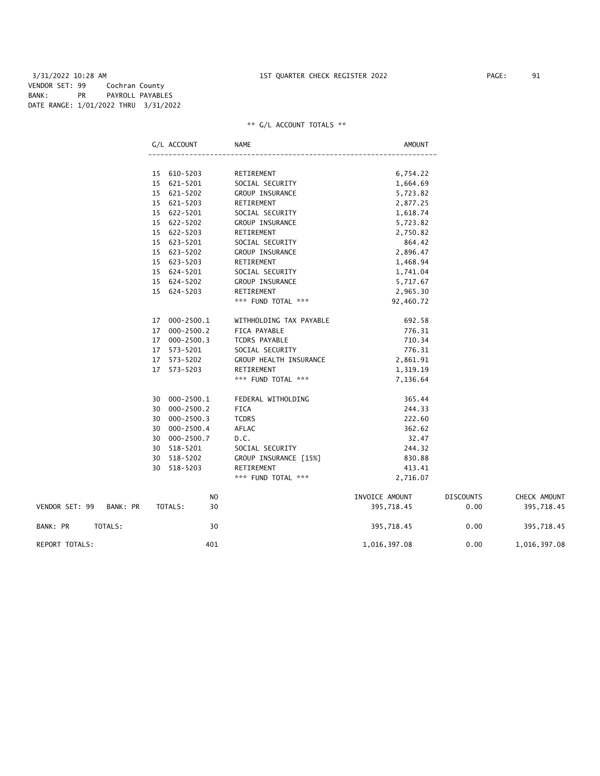3/31/2022 10:28 AM 1ST QUARTER CHECK REGISTER 2022 PAGE: 91 VENDOR SET: 99 Cochran County BANK: PR PAYROLL PAYABLES DATE RANGE: 1/01/2022 THRU 3/31/2022

### \*\* G/L ACCOUNT TOTALS \*\*

|                |          | G/L ACCOUNT          |    | NAME                    | <b>AMOUNT</b>  |                  |              |
|----------------|----------|----------------------|----|-------------------------|----------------|------------------|--------------|
|                |          |                      |    |                         |                |                  |              |
|                |          | 15 610-5203          |    | RETIREMENT              | 6,754.22       |                  |              |
|                |          | 15 621-5201          |    | SOCIAL SECURITY         | 1,664.69       |                  |              |
|                |          | 15 621-5202          |    | GROUP INSURANCE         | 5,723.82       |                  |              |
|                |          | 15 621-5203          |    | RETIREMENT              | 2,877.25       |                  |              |
|                |          | 15 622-5201          |    | SOCIAL SECURITY         | 1,618.74       |                  |              |
|                |          | 15 622-5202          |    | GROUP INSURANCE         | 5,723.82       |                  |              |
|                |          | 15 622-5203          |    | RETIREMENT              | 2,750.82       |                  |              |
|                |          | 15 623-5201          |    | SOCIAL SECURITY         | 864.42         |                  |              |
|                |          | 15 623-5202          |    | GROUP INSURANCE         | 2,896.47       |                  |              |
|                |          | 15 623-5203          |    | RETIREMENT              | 1,468.94       |                  |              |
|                |          | 15 624-5201          |    | SOCIAL SECURITY         | 1,741.04       |                  |              |
|                |          | 15 624-5202          |    | GROUP INSURANCE         | 5,717.67       |                  |              |
|                |          | 15 624-5203          |    | RETIREMENT              | 2,965.30       |                  |              |
|                |          |                      |    | *** FUND TOTAL ***      | 92,460.72      |                  |              |
|                |          | 000-2500.1<br>17     |    | WITHHOLDING TAX PAYABLE | 692.58         |                  |              |
|                |          | $000 - 2500.2$<br>17 |    | FICA PAYABLE            | 776.31         |                  |              |
|                |          | 17 000-2500.3        |    | TCDRS PAYABLE           | 710.34         |                  |              |
|                |          | 573-5201<br>17       |    | SOCIAL SECURITY         | 776.31         |                  |              |
|                |          | 573-5202<br>17       |    | GROUP HEALTH INSURANCE  | 2,861.91       |                  |              |
|                |          | 17<br>573-5203       |    | RETIREMENT              | 1,319.19       |                  |              |
|                |          |                      |    | *** FUND TOTAL ***      | 7,136.64       |                  |              |
|                |          | 000-2500.1<br>30     |    | FEDERAL WITHOLDING      | 365.44         |                  |              |
|                |          | $000 - 2500.2$<br>30 |    | <b>FICA</b>             | 244.33         |                  |              |
|                |          | $000 - 2500.3$<br>30 |    | <b>TCDRS</b>            | 222.60         |                  |              |
|                |          | 000-2500.4<br>30     |    | AFLAC                   | 362.62         |                  |              |
|                |          | $000 - 2500.7$<br>30 |    | D.C.                    | 32.47          |                  |              |
|                |          | 518-5201<br>30       |    | SOCIAL SECURITY         | 244.32         |                  |              |
|                |          | 518-5202<br>30       |    | GROUP INSURANCE [15%]   | 830.88         |                  |              |
|                |          | 30<br>518-5203       |    | RETIREMENT              | 413.41         |                  |              |
|                |          |                      |    | *** FUND TOTAL ***      | 2,716.07       |                  |              |
|                |          |                      | NO |                         | INVOICE AMOUNT | <b>DISCOUNTS</b> | CHECK AMOUNT |
| VENDOR SET: 99 | BANK: PR | TOTALS:              | 30 |                         | 395,718.45     | 0.00             | 395,718.45   |
| BANK: PR       | TOTALS:  |                      | 30 |                         | 395,718.45     | 0.00             | 395,718.45   |

REPORT TOTALS:  $401$  401  $401$   $1,016,397.08$   $0.00$   $1,016,397.08$